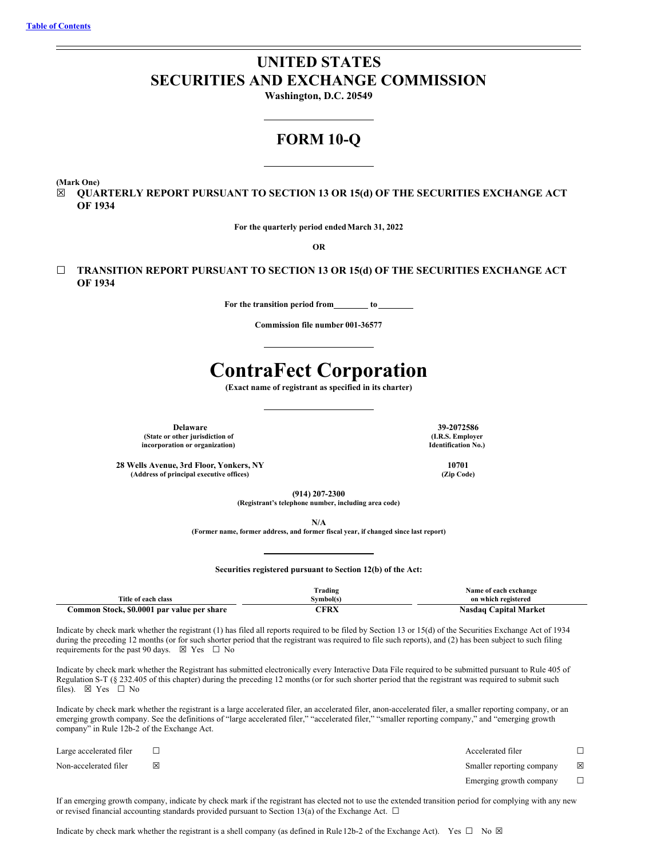# **UNITED STATES SECURITIES AND EXCHANGE COMMISSION**

**Washington, D.C. 20549**

# **FORM 10-Q**

**(Mark One)**

☒ **QUARTERLY REPORT PURSUANT TO SECTION 13 OR 15(d) OF THE SECURITIES EXCHANGE ACT OF 1934**

**For the quarterly period endedMarch 31, 2022**

**OR**

☐ **TRANSITION REPORT PURSUANT TO SECTION 13 OR 15(d) OF THE SECURITIES EXCHANGE ACT OF 1934**

**For the transition period from to**

**Commission file number 001-36577**

# **ContraFect Corporation**

**(Exact name of registrant as specified in its charter)**

**(State or other jurisdiction of incorporation or organization)**

**Delaware 39-2072586 (I.R.S. Employer Identification No.)**

**28 Wells Avenue, 3rd Floor, Yonkers, NY 10701 (Address of principal executive offices) (Zip Code)**

**(914) 207-2300**

**(Registrant's telephone number, including area code)**

**N/A**

**(Former name, former address, and former fiscal year, if changed since last report)**

**Securities registered pursuant to Section 12(b) of the Act:**

|                                            | frading   | Name of each exchange        |
|--------------------------------------------|-----------|------------------------------|
| Title of each class                        | Svmbol(s) | on which registered          |
| Common Stock, \$0.0001 par value per share | TFRX      | <b>Nasdaq Capital Market</b> |

Indicate by check mark whether the registrant (1) has filed all reports required to be filed by Section 13 or 15(d) of the Securities Exchange Act of 1934 during the preceding 12 months (or for such shorter period that the registrant was required to file such reports), and (2) has been subject to such filing requirements for the past 90 days.  $\boxtimes$  Yes  $\Box$  No

Indicate by check mark whether the Registrant has submitted electronically every Interactive Data File required to be submitted pursuant to Rule 405 of Regulation S-T (§ 232.405 of this chapter) during the preceding 12 months (or for such shorter period that the registrant was required to submit such files).  $\boxtimes$  Yes  $\Box$  No

Indicate by check mark whether the registrant is a large accelerated filer, an accelerated filer, anon-accelerated filer, a smaller reporting company, or an emerging growth company. See the definitions of "large accelerated filer," "accelerated filer," "smaller reporting company," and "emerging growth company" in Rule 12b-2 of the Exchange Act.

| Large accelerated filer | Accelerated filer         |             |
|-------------------------|---------------------------|-------------|
| Non-accelerated filer   | Smaller reporting company | $\boxtimes$ |
|                         | Emerging growth company   |             |

If an emerging growth company, indicate by check mark if the registrant has elected not to use the extended transition period for complying with any new or revised financial accounting standards provided pursuant to Section 13(a) of the Exchange Act.  $\Box$ 

Indicate by check mark whether the registrant is a shell company (as defined in Rule 12b-2 of the Exchange Act). Yes  $\Box$  No  $\boxtimes$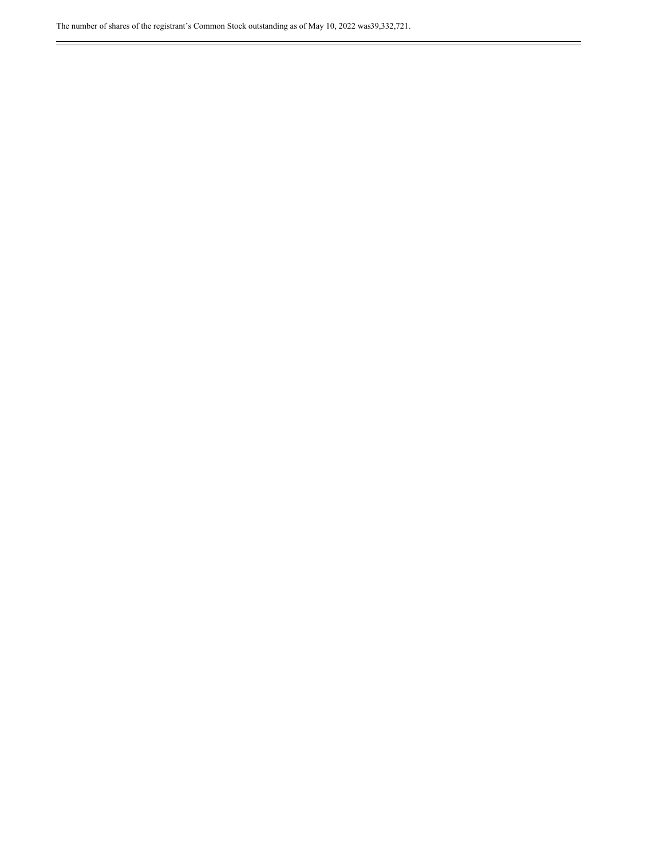The number of shares of the registrant's Common Stock outstanding as of May 10, 2022 was39,332,721.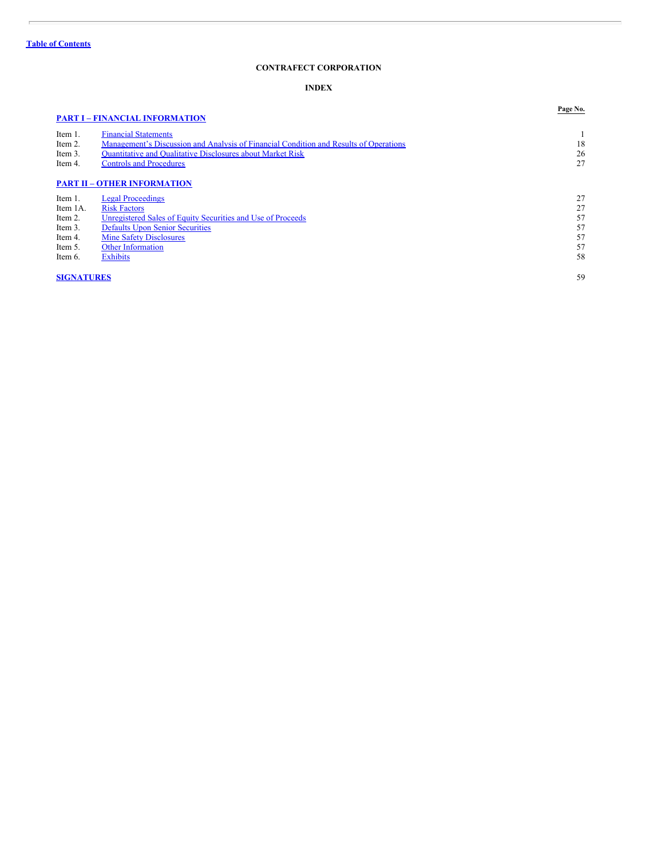# **CONTRAFECT CORPORATION**

# **INDEX**

<span id="page-2-0"></span>

|                   | <b>PART I - FINANCIAL INFORMATION</b>                                                 | Page No. |
|-------------------|---------------------------------------------------------------------------------------|----------|
| Item 1.           | <b>Financial Statements</b>                                                           |          |
| Item 2.           | Management's Discussion and Analysis of Financial Condition and Results of Operations | 18       |
| Item 3.           | <b>Quantitative and Qualitative Disclosures about Market Risk</b>                     | 26       |
| Item 4.           | <b>Controls and Procedures</b>                                                        | 27       |
|                   | <b>PART II - OTHER INFORMATION</b>                                                    |          |
| Item 1.           | <b>Legal Proceedings</b>                                                              | 27       |
| Item 1A.          | <b>Risk Factors</b>                                                                   | 27       |
| Item 2.           | Unregistered Sales of Equity Securities and Use of Proceeds                           | 57       |
| Item 3.           | <b>Defaults Upon Senior Securities</b>                                                | 57       |
| Item 4.           | <b>Mine Safety Disclosures</b>                                                        | 57       |
| Item 5.           | <b>Other Information</b>                                                              | 57       |
| Item 6.           | <b>Exhibits</b>                                                                       | 58       |
| <b>SIGNATURES</b> |                                                                                       | 59       |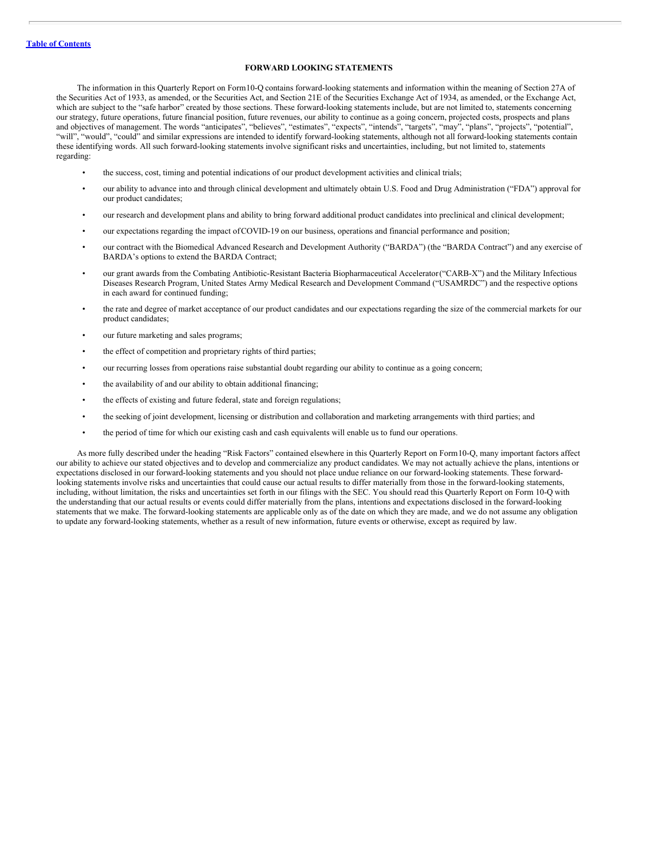# **FORWARD LOOKING STATEMENTS**

The information in this Quarterly Report on Form10-Q contains forward-looking statements and information within the meaning of Section 27A of the Securities Act of 1933, as amended, or the Securities Act, and Section 21E of the Securities Exchange Act of 1934, as amended, or the Exchange Act, which are subject to the "safe harbor" created by those sections. These forward-looking statements include, but are not limited to, statements concerning our strategy, future operations, future financial position, future revenues, our ability to continue as a going concern, projected costs, prospects and plans and objectives of management. The words "anticipates", "believes", "estimates", "expects", "intends", "targets", "may", "plans", "projects", "potential", "will", "would", "could" and similar expressions are intended to identify forward-looking statements, although not all forward-looking statements contain these identifying words. All such forward-looking statements involve significant risks and uncertainties, including, but not limited to, statements regarding:

- the success, cost, timing and potential indications of our product development activities and clinical trials;
- our ability to advance into and through clinical development and ultimately obtain U.S. Food and Drug Administration ("FDA") approval for our product candidates;
- our research and development plans and ability to bring forward additional product candidates into preclinical and clinical development;
- our expectations regarding the impact ofCOVID-19 on our business, operations and financial performance and position;
- our contract with the Biomedical Advanced Research and Development Authority ("BARDA") (the "BARDA Contract") and any exercise of BARDA's options to extend the BARDA Contract;
- our grant awards from the Combating Antibiotic-Resistant Bacteria Biopharmaceutical Accelerator("CARB-X") and the Military Infectious Diseases Research Program, United States Army Medical Research and Development Command ("USAMRDC") and the respective options in each award for continued funding;
- the rate and degree of market acceptance of our product candidates and our expectations regarding the size of the commercial markets for our product candidates;
- our future marketing and sales programs;
- the effect of competition and proprietary rights of third parties;
- our recurring losses from operations raise substantial doubt regarding our ability to continue as a going concern;
- the availability of and our ability to obtain additional financing;
- the effects of existing and future federal, state and foreign regulations;
- the seeking of joint development, licensing or distribution and collaboration and marketing arrangements with third parties; and
- the period of time for which our existing cash and cash equivalents will enable us to fund our operations.

As more fully described under the heading "Risk Factors" contained elsewhere in this Quarterly Report on Form10-Q, many important factors affect our ability to achieve our stated objectives and to develop and commercialize any product candidates. We may not actually achieve the plans, intentions or expectations disclosed in our forward-looking statements and you should not place undue reliance on our forward-looking statements. These forwardlooking statements involve risks and uncertainties that could cause our actual results to differ materially from those in the forward-looking statements, including, without limitation, the risks and uncertainties set forth in our filings with the SEC. You should read this Quarterly Report on Form 10-Q with the understanding that our actual results or events could differ materially from the plans, intentions and expectations disclosed in the forward-looking statements that we make. The forward-looking statements are applicable only as of the date on which they are made, and we do not assume any obligation to update any forward-looking statements, whether as a result of new information, future events or otherwise, except as required by law.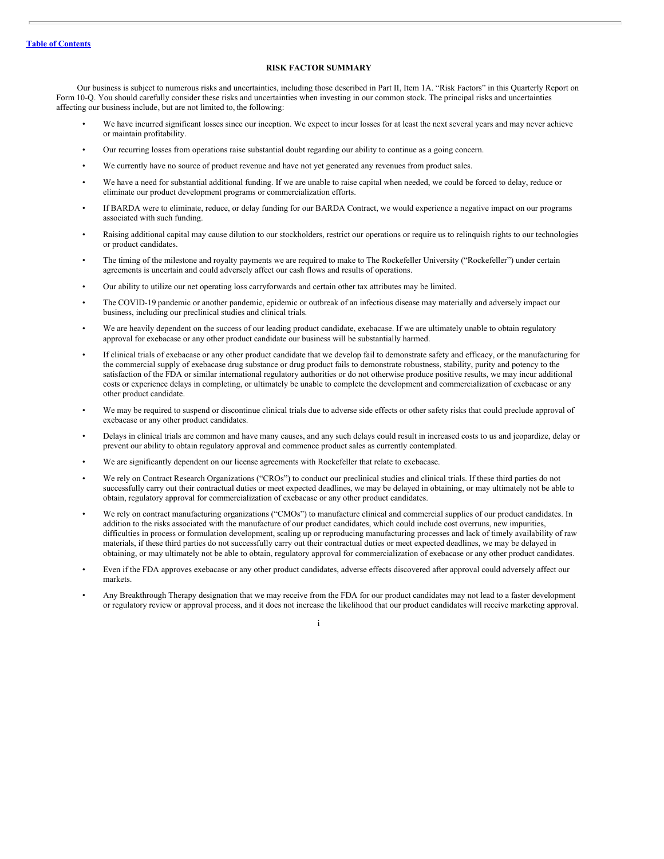#### **RISK FACTOR SUMMARY**

Our business is subject to numerous risks and uncertainties, including those described in Part II, Item 1A. "Risk Factors" in this Quarterly Report on Form 10-Q. You should carefully consider these risks and uncertainties when investing in our common stock. The principal risks and uncertainties affecting our business include, but are not limited to, the following:

- We have incurred significant losses since our inception. We expect to incur losses for at least the next several years and may never achieve or maintain profitability.
- Our recurring losses from operations raise substantial doubt regarding our ability to continue as a going concern.
- We currently have no source of product revenue and have not yet generated any revenues from product sales.
- We have a need for substantial additional funding. If we are unable to raise capital when needed, we could be forced to delay, reduce or eliminate our product development programs or commercialization efforts.
- If BARDA were to eliminate, reduce, or delay funding for our BARDA Contract, we would experience a negative impact on our programs associated with such funding.
- Raising additional capital may cause dilution to our stockholders, restrict our operations or require us to relinquish rights to our technologies or product candidates.
- The timing of the milestone and royalty payments we are required to make to The Rockefeller University ("Rockefeller") under certain agreements is uncertain and could adversely affect our cash flows and results of operations.
- Our ability to utilize our net operating loss carryforwards and certain other tax attributes may be limited.
- The COVID-19 pandemic or another pandemic, epidemic or outbreak of an infectious disease may materially and adversely impact our business, including our preclinical studies and clinical trials.
- We are heavily dependent on the success of our leading product candidate, exebacase. If we are ultimately unable to obtain regulatory approval for exebacase or any other product candidate our business will be substantially harmed.
- If clinical trials of exebacase or any other product candidate that we develop fail to demonstrate safety and efficacy, or the manufacturing for the commercial supply of exebacase drug substance or drug product fails to demonstrate robustness, stability, purity and potency to the satisfaction of the FDA or similar international regulatory authorities or do not otherwise produce positive results, we may incur additional costs or experience delays in completing, or ultimately be unable to complete the development and commercialization of exebacase or any other product candidate.
- We may be required to suspend or discontinue clinical trials due to adverse side effects or other safety risks that could preclude approval of exebacase or any other product candidates.
- Delays in clinical trials are common and have many causes, and any such delays could result in increased costs to us and jeopardize, delay or prevent our ability to obtain regulatory approval and commence product sales as currently contemplated.
- We are significantly dependent on our license agreements with Rockefeller that relate to exebacase.
- We rely on Contract Research Organizations ("CROs") to conduct our preclinical studies and clinical trials. If these third parties do not successfully carry out their contractual duties or meet expected deadlines, we may be delayed in obtaining, or may ultimately not be able to obtain, regulatory approval for commercialization of exebacase or any other product candidates.
- We rely on contract manufacturing organizations ("CMOs") to manufacture clinical and commercial supplies of our product candidates. In addition to the risks associated with the manufacture of our product candidates, which could include cost overruns, new impurities, difficulties in process or formulation development, scaling up or reproducing manufacturing processes and lack of timely availability of raw materials, if these third parties do not successfully carry out their contractual duties or meet expected deadlines, we may be delayed in obtaining, or may ultimately not be able to obtain, regulatory approval for commercialization of exebacase or any other product candidates.
- Even if the FDA approves exebacase or any other product candidates, adverse effects discovered after approval could adversely affect our markets.
- Any Breakthrough Therapy designation that we may receive from the FDA for our product candidates may not lead to a faster development or regulatory review or approval process, and it does not increase the likelihood that our product candidates will receive marketing approval.

i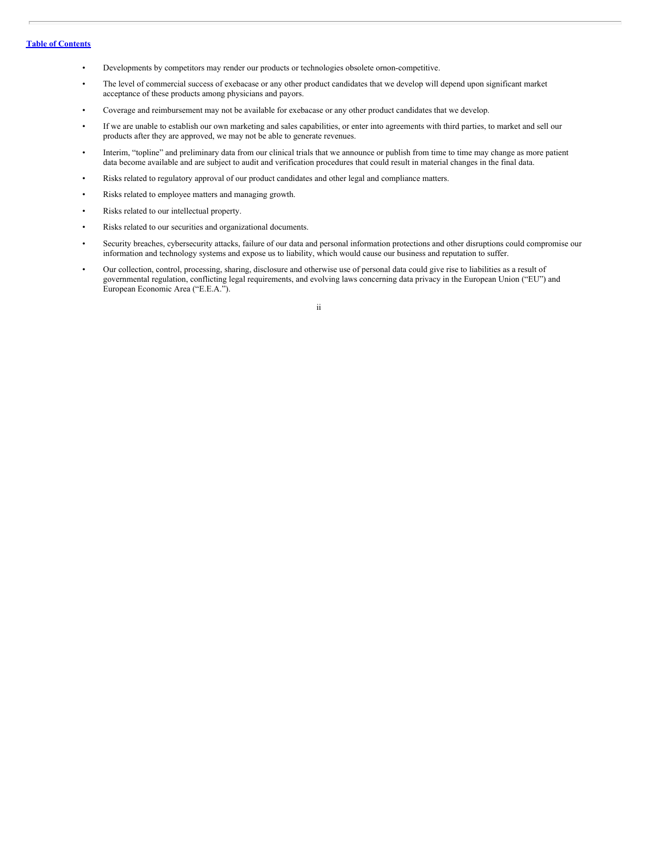# **Table of [Contents](#page-2-0)**

- Developments by competitors may render our products or technologies obsolete ornon-competitive.
- The level of commercial success of exebacase or any other product candidates that we develop will depend upon significant market acceptance of these products among physicians and payors.
- Coverage and reimbursement may not be available for exebacase or any other product candidates that we develop.
- If we are unable to establish our own marketing and sales capabilities, or enter into agreements with third parties, to market and sell our products after they are approved, we may not be able to generate revenues.
- Interim, "topline" and preliminary data from our clinical trials that we announce or publish from time to time may change as more patient data become available and are subject to audit and verification procedures that could result in material changes in the final data.
- Risks related to regulatory approval of our product candidates and other legal and compliance matters.
- Risks related to employee matters and managing growth.
- Risks related to our intellectual property.
- Risks related to our securities and organizational documents.
- Security breaches, cybersecurity attacks, failure of our data and personal information protections and other disruptions could compromise our information and technology systems and expose us to liability, which would cause our business and reputation to suffer.
- Our collection, control, processing, sharing, disclosure and otherwise use of personal data could give rise to liabilities as a result of governmental regulation, conflicting legal requirements, and evolving laws concerning data privacy in the European Union ("EU") and European Economic Area ("E.E.A.").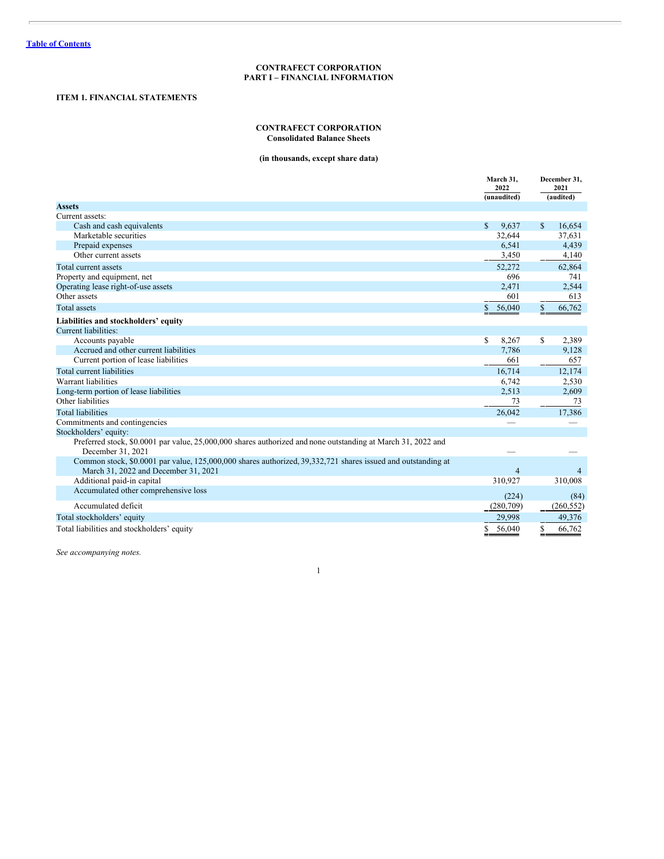# **CONTRAFECT CORPORATION PART I – FINANCIAL INFORMATION**

# <span id="page-6-1"></span><span id="page-6-0"></span>**ITEM 1. FINANCIAL STATEMENTS**

# **CONTRAFECT CORPORATION Consolidated Balance Sheets**

# **(in thousands, except share data)**

|                                                                                                                                                      | March 31,<br>2022<br>(unaudited) | December 31,<br>2021<br>(audited) |
|------------------------------------------------------------------------------------------------------------------------------------------------------|----------------------------------|-----------------------------------|
| <b>Assets</b>                                                                                                                                        |                                  |                                   |
| Current assets:                                                                                                                                      |                                  |                                   |
| Cash and cash equivalents                                                                                                                            | $\mathbf S$<br>9,637             | $\mathbb{S}$<br>16,654            |
| Marketable securities                                                                                                                                | 32,644                           | 37,631                            |
| Prepaid expenses                                                                                                                                     | 6,541                            | 4,439                             |
| Other current assets                                                                                                                                 | 3,450                            | 4,140                             |
| Total current assets                                                                                                                                 | 52,272                           | 62,864                            |
| Property and equipment, net                                                                                                                          | 696                              | 741                               |
| Operating lease right-of-use assets                                                                                                                  | 2,471                            | 2,544                             |
| Other assets                                                                                                                                         | 601                              | 613                               |
| <b>Total assets</b>                                                                                                                                  | 56,040<br>\$                     | \$<br>66.762                      |
| Liabilities and stockholders' equity                                                                                                                 |                                  |                                   |
| Current liabilities:                                                                                                                                 |                                  |                                   |
| Accounts payable                                                                                                                                     | S<br>8,267                       | \$<br>2,389                       |
| Accrued and other current liabilities                                                                                                                | 7,786                            | 9,128                             |
| Current portion of lease liabilities                                                                                                                 | 661                              | 657                               |
| Total current liabilities                                                                                                                            | 16.714                           | 12,174                            |
| Warrant liabilities                                                                                                                                  | 6,742                            | 2,530                             |
| Long-term portion of lease liabilities                                                                                                               | 2,513                            | 2,609                             |
| Other liabilities                                                                                                                                    | 73                               | 73                                |
| <b>Total liabilities</b>                                                                                                                             | 26,042                           | 17,386                            |
| Commitments and contingencies                                                                                                                        |                                  |                                   |
| Stockholders' equity:                                                                                                                                |                                  |                                   |
| Preferred stock, \$0.0001 par value, 25,000,000 shares authorized and none outstanding at March 31, 2022 and<br>December 31, 2021                    |                                  |                                   |
| Common stock, \$0.0001 par value, 125,000,000 shares authorized, 39,332,721 shares issued and outstanding at<br>March 31, 2022 and December 31, 2021 | $\overline{4}$                   |                                   |
| Additional paid-in capital                                                                                                                           | 310,927                          | 310,008                           |
| Accumulated other comprehensive loss                                                                                                                 | (224)                            | (84)                              |
| Accumulated deficit                                                                                                                                  | (280,709)                        | (260, 552)                        |
| Total stockholders' equity                                                                                                                           | 29,998                           | 49,376                            |
| Total liabilities and stockholders' equity                                                                                                           | S<br>56,040                      | \$<br>66,762                      |

1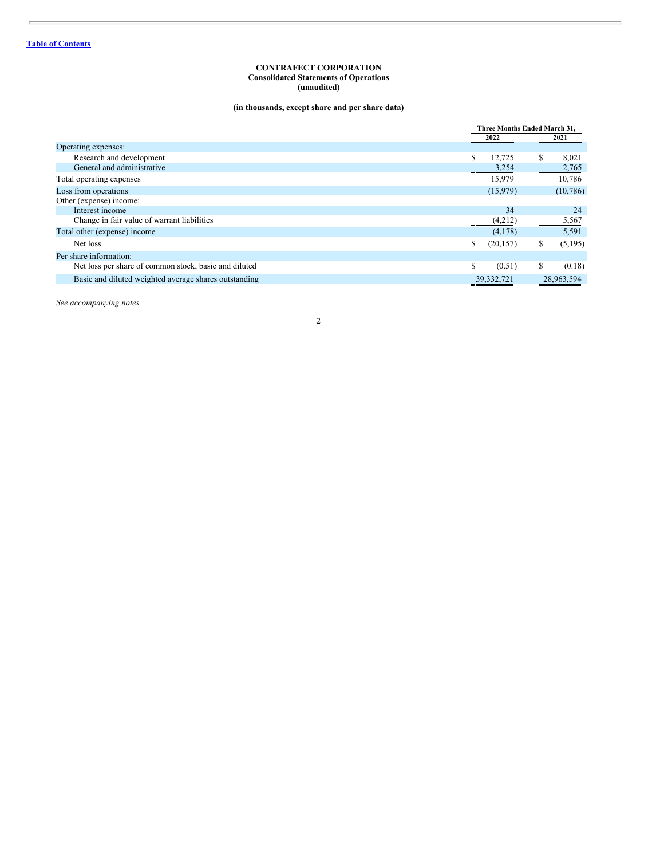# **CONTRAFECT CORPORATION Consolidated Statements of Operations (unaudited)**

# **(in thousands, except share and per share data)**

|                                                       |              | Three Months Ended March 31, |
|-------------------------------------------------------|--------------|------------------------------|
|                                                       | 2022         | 2021                         |
| Operating expenses:                                   |              |                              |
| Research and development                              | \$<br>12,725 | \$<br>8,021                  |
| General and administrative                            | 3,254        | 2,765                        |
| Total operating expenses                              | 15,979       | 10,786                       |
| Loss from operations                                  | (15,979)     | (10, 786)                    |
| Other (expense) income:                               |              |                              |
| Interest income                                       | 34           | 24                           |
| Change in fair value of warrant liabilities           | (4,212)      | 5,567                        |
| Total other (expense) income                          | (4,178)      | 5,591                        |
| Net loss                                              | (20, 157)    | (5, 195)                     |
| Per share information:                                |              |                              |
| Net loss per share of common stock, basic and diluted | (0.51)       | (0.18)                       |
| Basic and diluted weighted average shares outstanding | 39, 332, 721 | 28,963,594                   |

*See accompanying notes.*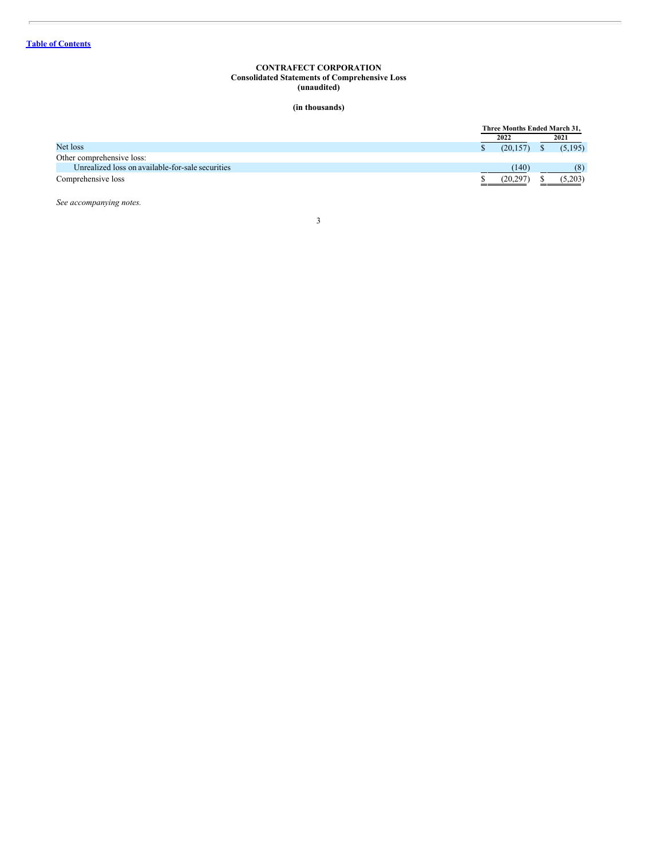# **CONTRAFECT CORPORATION Consolidated Statements of Comprehensive Loss (unaudited)**

# **(in thousands)**

|                                                  | Three Months Ended March 31, |           |  |          |
|--------------------------------------------------|------------------------------|-----------|--|----------|
|                                                  |                              | 2022      |  | 2021     |
| Net loss                                         |                              | (20.157)  |  | (5, 195) |
| Other comprehensive loss:                        |                              |           |  |          |
| Unrealized loss on available-for-sale securities |                              | (140)     |  | (8)      |
| Comprehensive loss                               |                              | (20, 297) |  | (5,203)  |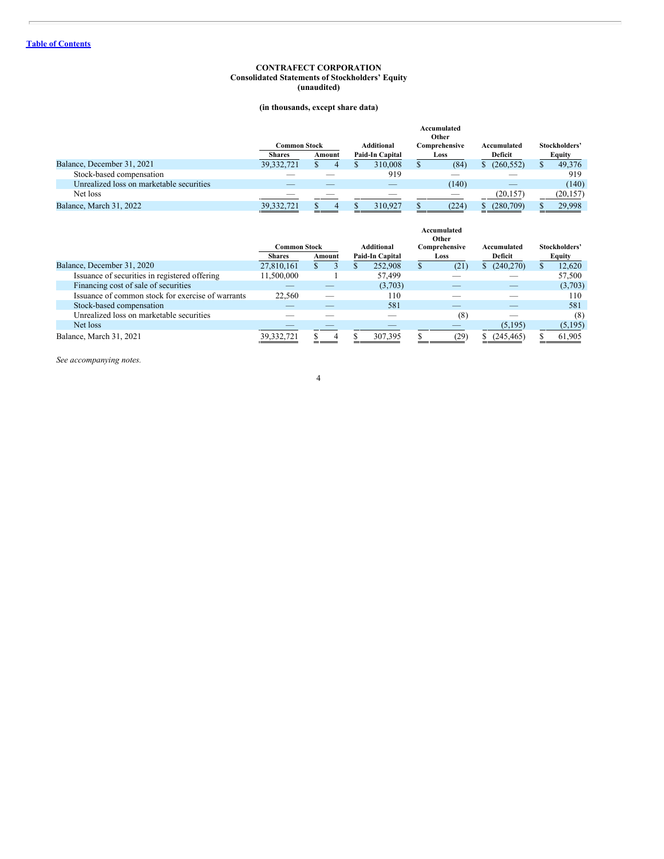### **CONTRAFECT CORPORATION Consolidated Statements of Stockholders' Equity (unaudited)**

# **(in thousands, except share data)**

|                                          |               |        |                   | Accumulated<br>Other |             |               |
|------------------------------------------|---------------|--------|-------------------|----------------------|-------------|---------------|
|                                          | Common Stock  |        | <b>Additional</b> | Comprehensive        | Accumulated | Stockholders' |
|                                          | <b>Shares</b> | Amount | Paid-In Capital   | Loss                 | Deficit     | Equity        |
| Balance, December 31, 2021               | 39, 332, 721  |        | 310,008           | (84)                 | (260.552)   | 49,376        |
| Stock-based compensation                 |               |        | 919               | __                   |             | 919           |
| Unrealized loss on marketable securities |               |        |                   | (140)                |             | (140)         |
| Net loss                                 |               |        |                   |                      | (20, 157)   | (20, 157)     |
| Balance, March 31, 2022                  | 39, 332, 721  |        | 310.927           | (224)                | (280,709)   | 29,998        |

|                                                   |                     |        |  |                   |                 | Accumulated<br>Other |             |   |               |  |  |  |         |        |  |
|---------------------------------------------------|---------------------|--------|--|-------------------|-----------------|----------------------|-------------|---|---------------|--|--|--|---------|--------|--|
|                                                   | <b>Common Stock</b> |        |  | <b>Additional</b> |                 | Comprehensive        | Accumulated |   | Stockholders' |  |  |  |         |        |  |
|                                                   | Shares              | Amount |  |                   | Paid-In Capital |                      | Loss        |   |               |  |  |  | Deficit | Equity |  |
| Balance, December 31, 2020                        | 27,810,161          | S.     |  | 252,908           |                 | (21)                 | (240,270)   | S | 12.620        |  |  |  |         |        |  |
| Issuance of securities in registered offering     | 11,500,000          |        |  | 57,499            |                 |                      |             |   | 57,500        |  |  |  |         |        |  |
| Financing cost of sale of securities              |                     |        |  | (3,703)           |                 |                      |             |   | (3,703)       |  |  |  |         |        |  |
| Issuance of common stock for exercise of warrants | 22,560              |        |  | 110               |                 |                      |             |   | 110           |  |  |  |         |        |  |
| Stock-based compensation                          |                     |        |  | 581               |                 |                      |             |   | 581           |  |  |  |         |        |  |
| Unrealized loss on marketable securities          |                     |        |  |                   |                 | (8)                  |             |   | (8)           |  |  |  |         |        |  |
| Net loss                                          |                     |        |  |                   |                 |                      | (5,195)     |   | (5,195)       |  |  |  |         |        |  |
| Balance, March 31, 2021                           | 39, 332, 721        |        |  | 307,395           |                 | (29)                 | (245, 465)  |   | 61,905        |  |  |  |         |        |  |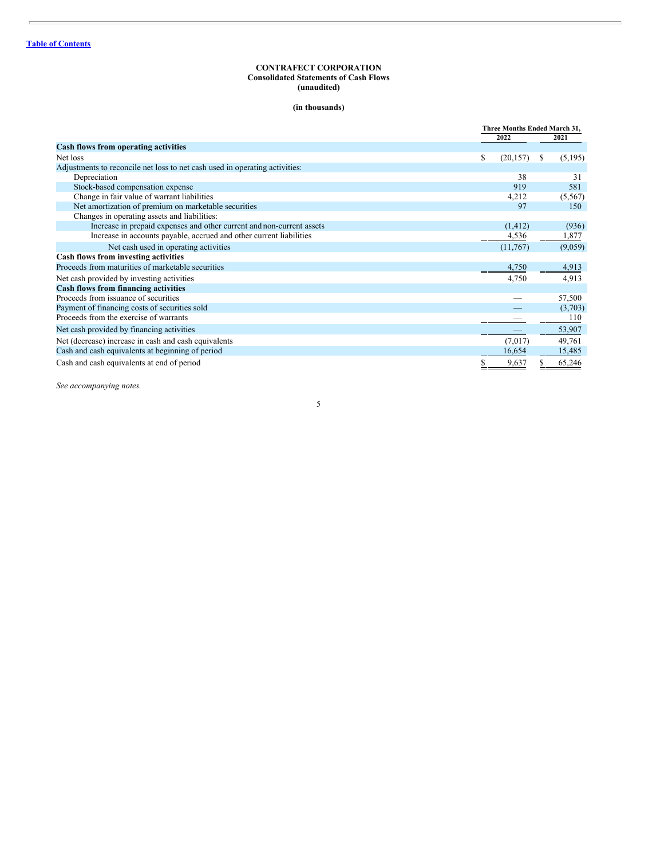# **CONTRAFECT CORPORATION Consolidated Statements of Cash Flows (unaudited)**

# **(in thousands)**

|                                                                             | Three Months Ended March 31, |           |   |          |
|-----------------------------------------------------------------------------|------------------------------|-----------|---|----------|
|                                                                             |                              | 2022      |   | 2021     |
| Cash flows from operating activities                                        |                              |           |   |          |
| Net loss                                                                    | \$                           | (20, 157) | S | (5,195)  |
| Adjustments to reconcile net loss to net cash used in operating activities: |                              |           |   |          |
| Depreciation                                                                |                              | 38        |   | 31       |
| Stock-based compensation expense                                            |                              | 919       |   | 581      |
| Change in fair value of warrant liabilities                                 |                              | 4,212     |   | (5, 567) |
| Net amortization of premium on marketable securities                        |                              | 97        |   | 150      |
| Changes in operating assets and liabilities:                                |                              |           |   |          |
| Increase in prepaid expenses and other current and non-current assets       |                              | (1, 412)  |   | (936)    |
| Increase in accounts payable, accrued and other current liabilities         |                              | 4,536     |   | 1,877    |
| Net cash used in operating activities                                       |                              | (11,767)  |   | (9,059)  |
| Cash flows from investing activities                                        |                              |           |   |          |
| Proceeds from maturities of marketable securities                           |                              | 4,750     |   | 4,913    |
| Net cash provided by investing activities                                   |                              | 4,750     |   | 4,913    |
| <b>Cash flows from financing activities</b>                                 |                              |           |   |          |
| Proceeds from issuance of securities                                        |                              |           |   | 57,500   |
| Payment of financing costs of securities sold                               |                              |           |   | (3,703)  |
| Proceeds from the exercise of warrants                                      |                              |           |   | 110      |
| Net cash provided by financing activities                                   |                              |           |   | 53,907   |
| Net (decrease) increase in cash and cash equivalents                        |                              | (7,017)   |   | 49,761   |
| Cash and cash equivalents at beginning of period                            |                              | 16,654    |   | 15,485   |
| Cash and cash equivalents at end of period                                  |                              | 9,637     |   | 65,246   |

5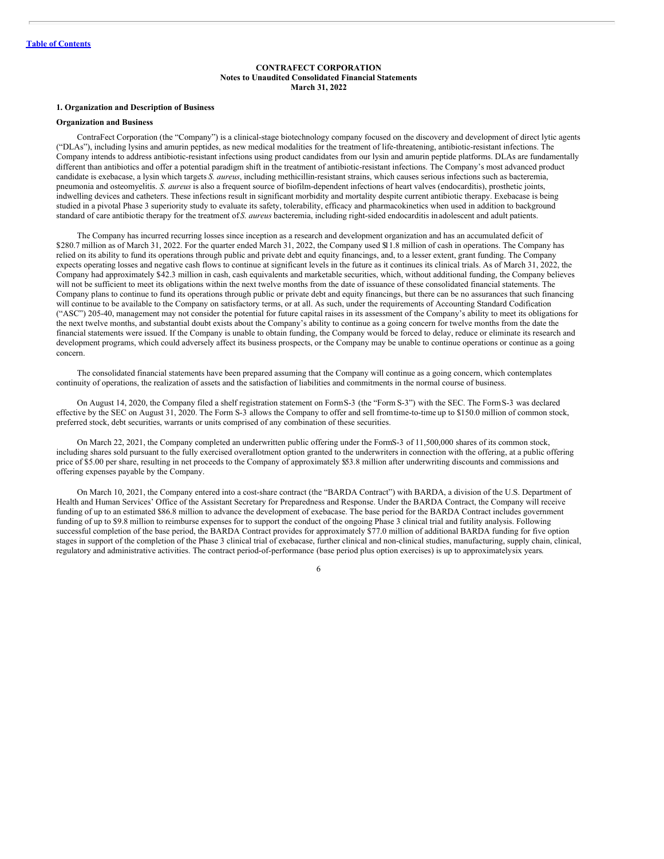# **CONTRAFECT CORPORATION Notes to Unaudited Consolidated Financial Statements March 31, 2022**

#### **1. Organization and Description of Business**

#### **Organization and Business**

ContraFect Corporation (the "Company") is a clinical-stage biotechnology company focused on the discovery and development of direct lytic agents ("DLAs"), including lysins and amurin peptides, as new medical modalities for the treatment of life-threatening, antibiotic-resistant infections. The Company intends to address antibiotic-resistant infections using product candidates from our lysin and amurin peptide platforms. DLAs are fundamentally different than antibiotics and offer a potential paradigm shift in the treatment of antibiotic-resistant infections. The Company's most advanced product candidate is exebacase, a lysin which targets *S. aureus*, including methicillin-resistant strains, which causes serious infections such as bacteremia, pneumonia and osteomyelitis. *S. aureus* is also a frequent source of biofilm-dependent infections of heart valves (endocarditis), prosthetic joints, indwelling devices and catheters. These infections result in significant morbidity and mortality despite current antibiotic therapy. Exebacase is being studied in a pivotal Phase 3 superiority study to evaluate its safety, tolerability, efficacy and pharmacokinetics when used in addition to background standard of care antibiotic therapy for the treatment of *S. aureus* bacteremia, including right-sided endocarditis inadolescent and adult patients.

The Company has incurred recurring losses since inception as a research and development organization and has an accumulated deficit of \$280.7 million as of March 31, 2022. For the quarter ended March 31, 2022, the Company used \$11.8 million of cash in operations. The Company has relied on its ability to fund its operations through public and private debt and equity financings, and, to a lesser extent, grant funding. The Company expects operating losses and negative cash flows to continue at significant levels in the future as it continues its clinical trials. As of March 31, 2022, the Company had approximately \$42.3 million in cash, cash equivalents and marketable securities, which, without additional funding, the Company believes will not be sufficient to meet its obligations within the next twelve months from the date of issuance of these consolidated financial statements. The Company plans to continue to fund its operations through public or private debt and equity financings, but there can be no assurances that such financing will continue to be available to the Company on satisfactory terms, or at all. As such, under the requirements of Accounting Standard Codification ("ASC") 205-40, management may not consider the potential for future capital raises in its assessment of the Company's ability to meet its obligations for the next twelve months, and substantial doubt exists about the Company's ability to continue as a going concern for twelve months from the date the financial statements were issued. If the Company is unable to obtain funding, the Company would be forced to delay, reduce or eliminate its research and development programs, which could adversely affect its business prospects, or the Company may be unable to continue operations or continue as a going concern.

The consolidated financial statements have been prepared assuming that the Company will continue as a going concern, which contemplates continuity of operations, the realization of assets and the satisfaction of liabilities and commitments in the normal course of business.

On August 14, 2020, the Company filed a shelf registration statement on FormS-3 (the "Form S-3") with the SEC. The FormS-3 was declared effective by the SEC on August 31, 2020. The Form S-3 allows the Company to offer and sell fromtime-to-time up to \$150.0 million of common stock, preferred stock, debt securities, warrants or units comprised of any combination of these securities.

On March 22, 2021, the Company completed an underwritten public offering under the FormS-3 of 11,500,000 shares of its common stock, including shares sold pursuant to the fully exercised overallotment option granted to the underwriters in connection with the offering, at a public offering price of \$5.00 per share, resulting in net proceeds to the Company of approximately \$53.8 million after underwriting discounts and commissions and offering expenses payable by the Company.

On March 10, 2021, the Company entered into a cost-share contract (the "BARDA Contract") with BARDA, a division of the U.S. Department of Health and Human Services' Office of the Assistant Secretary for Preparedness and Response. Under the BARDA Contract, the Company will receive funding of up to an estimated \$86.8 million to advance the development of exebacase. The base period for the BARDA Contract includes government funding of up to \$9.8 million to reimburse expenses for to support the conduct of the ongoing Phase 3 clinical trial and futility analysis. Following successful completion of the base period, the BARDA Contract provides for approximately \$77.0 million of additional BARDA funding for five option stages in support of the completion of the Phase 3 clinical trial of exebacase, further clinical and non-clinical studies, manufacturing, supply chain, clinical, regulatory and administrative activities. The contract period-of-performance (base period plus option exercises) is up to approximatelysix years.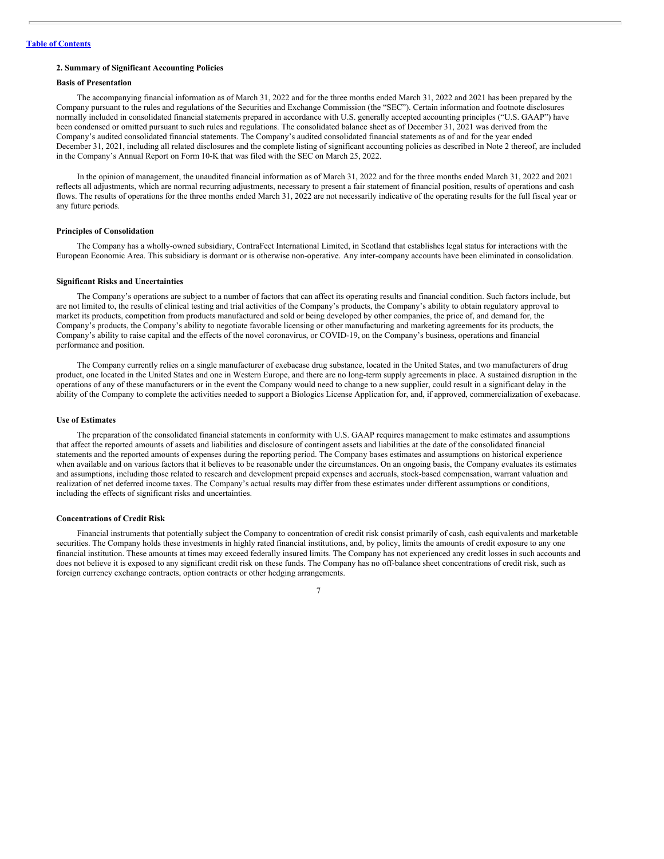# **2. Summary of Significant Accounting Policies**

# **Basis of Presentation**

The accompanying financial information as of March 31, 2022 and for the three months ended March 31, 2022 and 2021 has been prepared by the Company pursuant to the rules and regulations of the Securities and Exchange Commission (the "SEC"). Certain information and footnote disclosures normally included in consolidated financial statements prepared in accordance with U.S. generally accepted accounting principles ("U.S. GAAP") have been condensed or omitted pursuant to such rules and regulations. The consolidated balance sheet as of December 31, 2021 was derived from the Company's audited consolidated financial statements. The Company's audited consolidated financial statements as of and for the year ended December 31, 2021, including all related disclosures and the complete listing of significant accounting policies as described in Note 2 thereof, are included in the Company's Annual Report on Form 10-K that was filed with the SEC on March 25, 2022.

In the opinion of management, the unaudited financial information as of March 31, 2022 and for the three months ended March 31, 2022 and 2021 reflects all adjustments, which are normal recurring adjustments, necessary to present a fair statement of financial position, results of operations and cash flows. The results of operations for the three months ended March 31, 2022 are not necessarily indicative of the operating results for the full fiscal year or any future periods.

# **Principles of Consolidation**

The Company has a wholly-owned subsidiary, ContraFect International Limited, in Scotland that establishes legal status for interactions with the European Economic Area. This subsidiary is dormant or is otherwise non-operative. Any inter-company accounts have been eliminated in consolidation.

# **Significant Risks and Uncertainties**

The Company's operations are subject to a number of factors that can affect its operating results and financial condition. Such factors include, but are not limited to, the results of clinical testing and trial activities of the Company's products, the Company's ability to obtain regulatory approval to market its products, competition from products manufactured and sold or being developed by other companies, the price of, and demand for, the Company's products, the Company's ability to negotiate favorable licensing or other manufacturing and marketing agreements for its products, the Company's ability to raise capital and the effects of the novel coronavirus, or COVID-19, on the Company's business, operations and financial performance and position.

The Company currently relies on a single manufacturer of exebacase drug substance, located in the United States, and two manufacturers of drug product, one located in the United States and one in Western Europe, and there are no long-term supply agreements in place. A sustained disruption in the operations of any of these manufacturers or in the event the Company would need to change to a new supplier, could result in a significant delay in the ability of the Company to complete the activities needed to support a Biologics License Application for, and, if approved, commercialization of exebacase.

#### **Use of Estimates**

The preparation of the consolidated financial statements in conformity with U.S. GAAP requires management to make estimates and assumptions that affect the reported amounts of assets and liabilities and disclosure of contingent assets and liabilities at the date of the consolidated financial statements and the reported amounts of expenses during the reporting period. The Company bases estimates and assumptions on historical experience when available and on various factors that it believes to be reasonable under the circumstances. On an ongoing basis, the Company evaluates its estimates and assumptions, including those related to research and development prepaid expenses and accruals, stock-based compensation, warrant valuation and realization of net deferred income taxes. The Company's actual results may differ from these estimates under different assumptions or conditions, including the effects of significant risks and uncertainties.

#### **Concentrations of Credit Risk**

Financial instruments that potentially subject the Company to concentration of credit risk consist primarily of cash, cash equivalents and marketable securities. The Company holds these investments in highly rated financial institutions, and, by policy, limits the amounts of credit exposure to any one financial institution. These amounts at times may exceed federally insured limits. The Company has not experienced any credit losses in such accounts and does not believe it is exposed to any significant credit risk on these funds. The Company has no off-balance sheet concentrations of credit risk, such as foreign currency exchange contracts, option contracts or other hedging arrangements.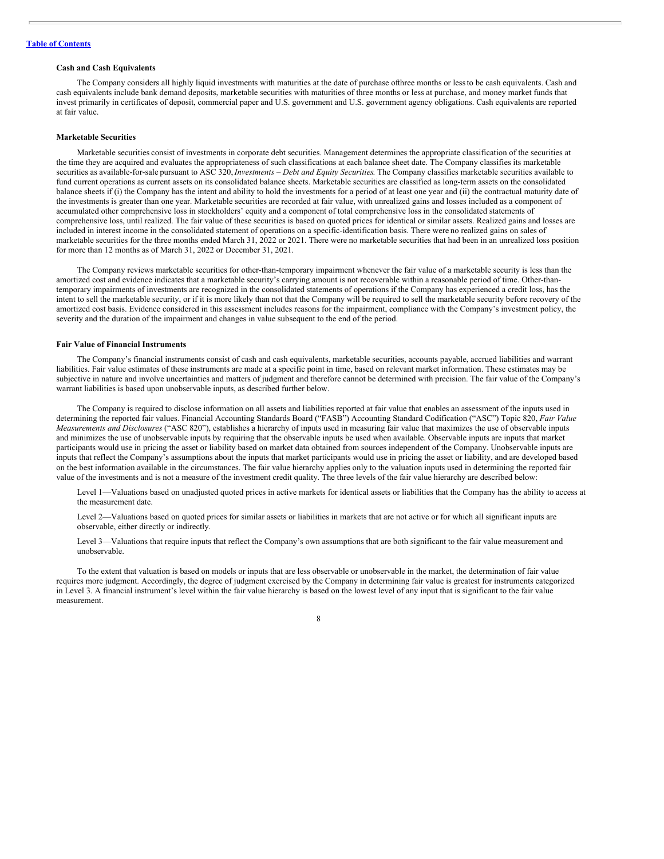#### **Cash and Cash Equivalents**

The Company considers all highly liquid investments with maturities at the date of purchase ofthree months or lessto be cash equivalents. Cash and cash equivalents include bank demand deposits, marketable securities with maturities of three months or less at purchase, and money market funds that invest primarily in certificates of deposit, commercial paper and U.S. government and U.S. government agency obligations. Cash equivalents are reported at fair value.

### **Marketable Securities**

Marketable securities consist of investments in corporate debt securities. Management determines the appropriate classification of the securities at the time they are acquired and evaluates the appropriateness of such classifications at each balance sheet date. The Company classifies its marketable securities as available-for-sale pursuant to ASC 320, *Investments – Debt and Equity Securities*. The Company classifies marketable securities available to fund current operations as current assets on its consolidated balance sheets. Marketable securities are classified as long-term assets on the consolidated balance sheets if (i) the Company has the intent and ability to hold the investments for a period of at least one year and (ii) the contractual maturity date of the investments is greater than one year. Marketable securities are recorded at fair value, with unrealized gains and losses included as a component of accumulated other comprehensive loss in stockholders' equity and a component of total comprehensive loss in the consolidated statements of comprehensive loss, until realized. The fair value of these securities is based on quoted prices for identical or similar assets. Realized gains and losses are included in interest income in the consolidated statement of operations on a specific-identification basis. There were no realized gains on sales of marketable securities for the three months ended March 31, 2022 or 2021. There were no marketable securities that had been in an unrealized loss position for more than 12 months as of March 31, 2022 or December 31, 2021.

The Company reviews marketable securities for other-than-temporary impairment whenever the fair value of a marketable security is less than the amortized cost and evidence indicates that a marketable security's carrying amount is not recoverable within a reasonable period of time. Other-thantemporary impairments of investments are recognized in the consolidated statements of operations if the Company has experienced a credit loss, has the intent to sell the marketable security, or if it is more likely than not that the Company will be required to sell the marketable security before recovery of the amortized cost basis. Evidence considered in this assessment includes reasons for the impairment, compliance with the Company's investment policy, the severity and the duration of the impairment and changes in value subsequent to the end of the period.

# **Fair Value of Financial Instruments**

The Company's financial instruments consist of cash and cash equivalents, marketable securities, accounts payable, accrued liabilities and warrant liabilities. Fair value estimates of these instruments are made at a specific point in time, based on relevant market information. These estimates may be subjective in nature and involve uncertainties and matters of judgment and therefore cannot be determined with precision. The fair value of the Company's warrant liabilities is based upon unobservable inputs, as described further below.

The Company is required to disclose information on all assets and liabilities reported at fair value that enables an assessment of the inputs used in determining the reported fair values. Financial Accounting Standards Board ("FASB") Accounting Standard Codification ("ASC") Topic 820, *Fair Value Measurements and Disclosures* ("ASC 820"), establishes a hierarchy of inputs used in measuring fair value that maximizes the use of observable inputs and minimizes the use of unobservable inputs by requiring that the observable inputs be used when available. Observable inputs are inputs that market participants would use in pricing the asset or liability based on market data obtained from sources independent of the Company. Unobservable inputs are inputs that reflect the Company's assumptions about the inputs that market participants would use in pricing the asset or liability, and are developed based on the best information available in the circumstances. The fair value hierarchy applies only to the valuation inputs used in determining the reported fair value of the investments and is not a measure of the investment credit quality. The three levels of the fair value hierarchy are described below:

Level 1—Valuations based on unadjusted quoted prices in active markets for identical assets or liabilities that the Company has the ability to access at the measurement date.

Level 2—Valuations based on quoted prices for similar assets or liabilities in markets that are not active or for which all significant inputs are observable, either directly or indirectly.

Level 3—Valuations that require inputs that reflect the Company's own assumptions that are both significant to the fair value measurement and unobservable.

To the extent that valuation is based on models or inputs that are less observable or unobservable in the market, the determination of fair value requires more judgment. Accordingly, the degree of judgment exercised by the Company in determining fair value is greatest for instruments categorized in Level 3. A financial instrument's level within the fair value hierarchy is based on the lowest level of any input that is significant to the fair value measurement.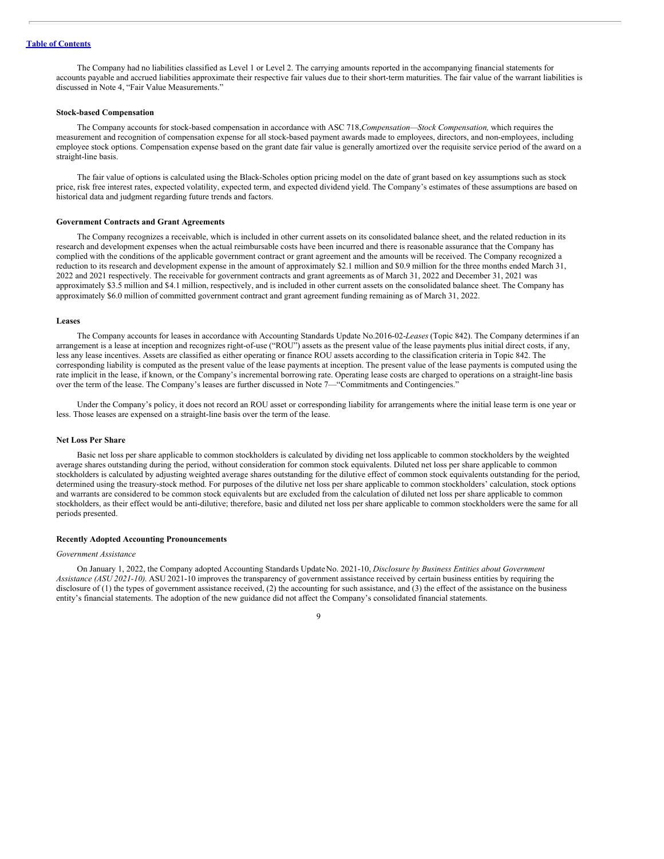# **Table of [Contents](#page-2-0)**

The Company had no liabilities classified as Level 1 or Level 2. The carrying amounts reported in the accompanying financial statements for accounts payable and accrued liabilities approximate their respective fair values due to their short-term maturities. The fair value of the warrant liabilities is discussed in Note 4, "Fair Value Measurements."

#### **Stock-based Compensation**

The Company accounts for stock-based compensation in accordance with ASC 718,*Compensation—Stock Compensation,* which requires the measurement and recognition of compensation expense for all stock-based payment awards made to employees, directors, and non-employees, including employee stock options. Compensation expense based on the grant date fair value is generally amortized over the requisite service period of the award on a straight-line basis.

The fair value of options is calculated using the Black-Scholes option pricing model on the date of grant based on key assumptions such as stock price, risk free interest rates, expected volatility, expected term, and expected dividend yield. The Company's estimates of these assumptions are based on historical data and judgment regarding future trends and factors.

#### **Government Contracts and Grant Agreements**

The Company recognizes a receivable, which is included in other current assets on its consolidated balance sheet, and the related reduction in its research and development expenses when the actual reimbursable costs have been incurred and there is reasonable assurance that the Company has complied with the conditions of the applicable government contract or grant agreement and the amounts will be received. The Company recognized a reduction to its research and development expense in the amount of approximately \$2.1 million and \$0.9 million for the three months ended March 31, 2022 and 2021 respectively. The receivable for government contracts and grant agreements as of March 31, 2022 and December 31, 2021 was approximately \$3.5 million and \$4.1 million, respectively, and is included in other current assets on the consolidated balance sheet. The Company has approximately \$6.0 million of committed government contract and grant agreement funding remaining as of March 31, 2022.

# **Leases**

The Company accounts for leases in accordance with Accounting Standards Update No.2016-02-*Leases* (Topic 842). The Company determines if an arrangement is a lease at inception and recognizes right-of-use ("ROU") assets as the present value of the lease payments plus initial direct costs, if any, less any lease incentives. Assets are classified as either operating or finance ROU assets according to the classification criteria in Topic 842. The corresponding liability is computed as the present value of the lease payments at inception. The present value of the lease payments is computed using the rate implicit in the lease, if known, or the Company's incremental borrowing rate. Operating lease costs are charged to operations on a straight-line basis over the term of the lease. The Company's leases are further discussed in Note 7—"Commitments and Contingencies."

Under the Company's policy, it does not record an ROU asset or corresponding liability for arrangements where the initial lease term is one year or less. Those leases are expensed on a straight-line basis over the term of the lease.

#### **Net Loss Per Share**

Basic net loss per share applicable to common stockholders is calculated by dividing net loss applicable to common stockholders by the weighted average shares outstanding during the period, without consideration for common stock equivalents. Diluted net loss per share applicable to common stockholders is calculated by adjusting weighted average shares outstanding for the dilutive effect of common stock equivalents outstanding for the period, determined using the treasury-stock method. For purposes of the dilutive net loss per share applicable to common stockholders' calculation, stock options and warrants are considered to be common stock equivalents but are excluded from the calculation of diluted net loss per share applicable to common stockholders, as their effect would be anti-dilutive; therefore, basic and diluted net loss per share applicable to common stockholders were the same for all periods presented.

# **Recently Adopted Accounting Pronouncements**

### *Government Assistance*

On January 1, 2022, the Company adopted Accounting Standards UpdateNo. 2021-10, *Disclosure by Business Entities about Government Assistance (ASU 2021-10)*. ASU 2021-10 improves the transparency of government assistance received by certain business entities by requiring the disclosure of (1) the types of government assistance received, (2) the accounting for such assistance, and (3) the effect of the assistance on the business entity's financial statements. The adoption of the new guidance did not affect the Company's consolidated financial statements.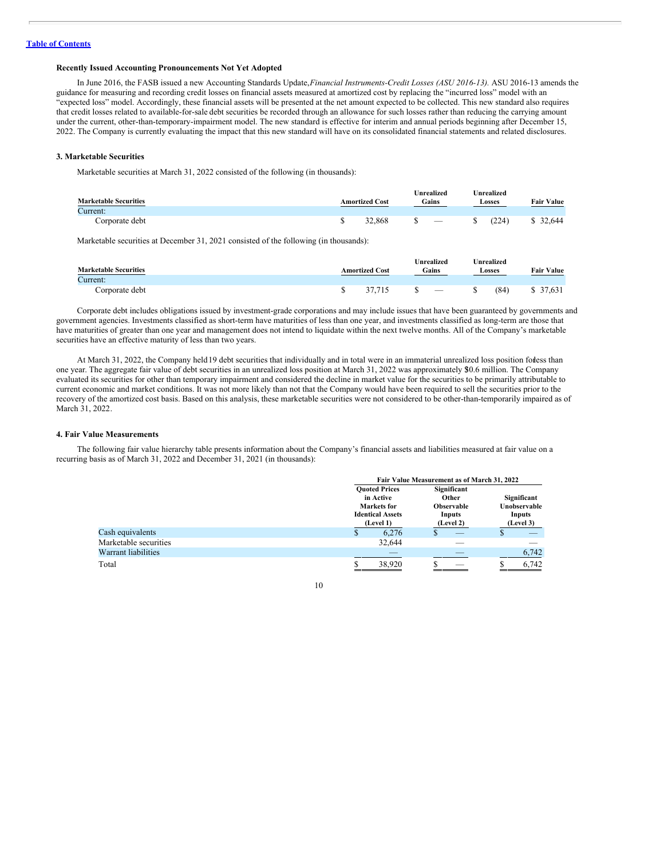#### **Recently Issued Accounting Pronouncements Not Yet Adopted**

In June 2016, the FASB issued a new Accounting Standards Update,*Financial Instruments-Credit Losses (ASU 2016-13).* ASU 2016-13 amends the guidance for measuring and recording credit losses on financial assets measured at amortized cost by replacing the "incurred loss" model with an "expected loss" model. Accordingly, these financial assets will be presented at the net amount expected to be collected. This new standard also requires that credit losses related to available-for-sale debt securities be recorded through an allowance for such losses rather than reducing the carrying amount under the current, other-than-temporary-impairment model. The new standard is effective for interim and annual periods beginning after December 15, 2022. The Company is currently evaluating the impact that this new standard will have on its consolidated financial statements and related disclosures.

#### **3. Marketable Securities**

Marketable securities at March 31, 2022 consisted of the following (in thousands):

| <b>Marketable Securities</b> | <b>Amortized Cost</b> | Unrealized<br>Gains      |    | Unrealized<br>Losses | <b>Fair Value</b> |
|------------------------------|-----------------------|--------------------------|----|----------------------|-------------------|
| Current:                     |                       |                          |    |                      |                   |
| Corporate debt               | 32,868                | $\overline{\phantom{a}}$ | S. | (224)                | \$ 32,644         |

Marketable securities at December 31, 2021 consisted of the following (in thousands):

|                              |                       | Unrealized | Unrealized |                   |
|------------------------------|-----------------------|------------|------------|-------------------|
| <b>Marketable Securities</b> | <b>Amortized Cost</b> | Gains      | Losses     | <b>Fair Value</b> |
| Current:                     |                       |            |            |                   |
| Corporate debt               | 37.715                | $s = s$    | (84)       | \$ 37.631         |

Corporate debt includes obligations issued by investment-grade corporations and may include issues that have been guaranteed by governments and government agencies. Investments classified as short-term have maturities of less than one year, and investments classified as long-term are those that have maturities of greater than one year and management does not intend to liquidate within the next twelve months. All of the Company's marketable securities have an effective maturity of less than two years.

At March 31, 2022, the Company held19 debt securities that individually and in total were in an immaterial unrealized loss position forless than one year. The aggregate fair value of debt securities in an unrealized loss position at March 31, 2022 was approximately \$30.6 million. The Company evaluated its securities for other than temporary impairment and considered the decline in market value for the securities to be primarily attributable to current economic and market conditions. It was not more likely than not that the Company would have been required to sell the securities prior to the recovery of the amortized cost basis. Based on this analysis, these marketable securities were not considered to be other-than-temporarily impaired as of March 31, 2022.

### **4. Fair Value Measurements**

The following fair value hierarchy table presents information about the Company's financial assets and liabilities measured at fair value on a recurring basis as of March 31, 2022 and December 31, 2021 (in thousands):

|                       |                                                                                          | Fair Value Measurement as of March 31, 2022                      |                                                    |  |  |  |  |
|-----------------------|------------------------------------------------------------------------------------------|------------------------------------------------------------------|----------------------------------------------------|--|--|--|--|
|                       | <b>Ouoted Prices</b><br>in Active<br>Markets for<br><b>Identical Assets</b><br>(Level 1) | Significant<br>Other<br><b>Observable</b><br>Inputs<br>(Level 2) | Significant<br>Unobservable<br>Inputs<br>(Level 3) |  |  |  |  |
| Cash equivalents      | 6,276<br>Ф                                                                               | ۰D                                                               | Φ                                                  |  |  |  |  |
| Marketable securities | 32,644                                                                                   | ___                                                              |                                                    |  |  |  |  |
| Warrant liabilities   |                                                                                          |                                                                  | 6,742                                              |  |  |  |  |
| Total                 | 38,920                                                                                   |                                                                  | 6.742                                              |  |  |  |  |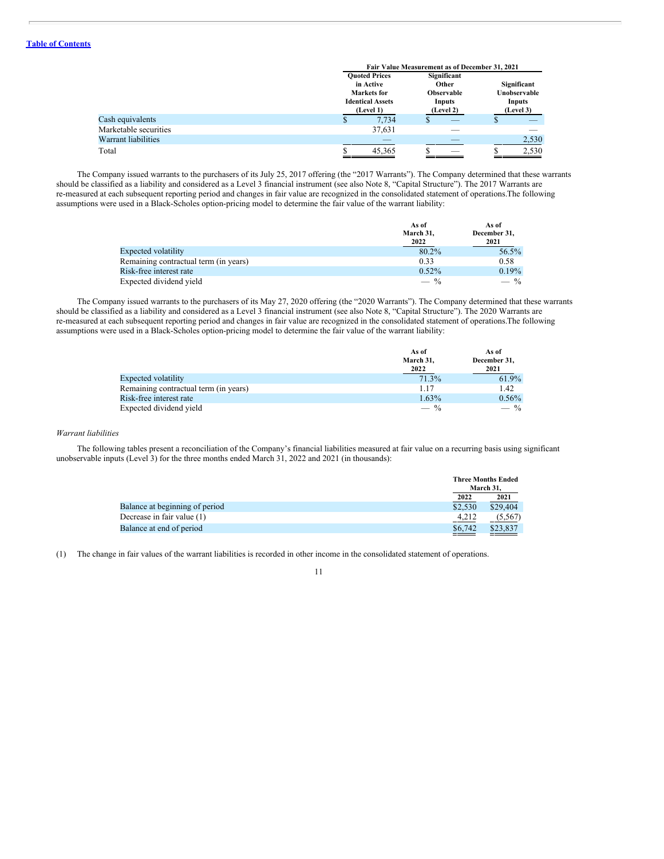# **Table of [Contents](#page-2-0)**

|                       | Fair Value Measurement as of December 31, 2021                                           |                                                                  |   |                                                    |
|-----------------------|------------------------------------------------------------------------------------------|------------------------------------------------------------------|---|----------------------------------------------------|
|                       | <b>Ouoted Prices</b><br>in Active<br>Markets for<br><b>Identical Assets</b><br>(Level 1) | Significant<br>Other<br><b>Observable</b><br>Inputs<br>(Level 2) |   | Significant<br>Unobservable<br>Inputs<br>(Level 3) |
| Cash equivalents      | 7.734                                                                                    |                                                                  | S |                                                    |
| Marketable securities | 37,631                                                                                   |                                                                  |   |                                                    |
| Warrant liabilities   | _                                                                                        |                                                                  |   | 2,530                                              |
| Total                 | 45,365                                                                                   |                                                                  |   | 2,530                                              |

The Company issued warrants to the purchasers of its July 25, 2017 offering (the "2017 Warrants"). The Company determined that these warrants should be classified as a liability and considered as a Level 3 financial instrument (see also Note 8, "Capital Structure"). The 2017 Warrants are re-measured at each subsequent reporting period and changes in fair value are recognized in the consolidated statement of operations.The following assumptions were used in a Black-Scholes option-pricing model to determine the fair value of the warrant liability:

|                                       | As of<br>March 31, | As of<br>December 31, |
|---------------------------------------|--------------------|-----------------------|
| Expected volatility                   | 2022<br>80.2%      | 2021<br>56.5%         |
| Remaining contractual term (in years) | 0.33               | 0.58                  |
| Risk-free interest rate               | 0.52%              | 0.19%                 |
| Expected dividend yield               | $-$ %              | $-$ %                 |

The Company issued warrants to the purchasers of its May 27, 2020 offering (the "2020 Warrants"). The Company determined that these warrants should be classified as a liability and considered as a Level 3 financial instrument (see also Note 8, "Capital Structure"). The 2020 Warrants are re-measured at each subsequent reporting period and changes in fair value are recognized in the consolidated statement of operations.The following assumptions were used in a Black-Scholes option-pricing model to determine the fair value of the warrant liability:

|                                       | As of     | As of        |  |
|---------------------------------------|-----------|--------------|--|
|                                       | March 31, | December 31, |  |
|                                       | 2022      | 2021         |  |
| Expected volatility                   | 71.3%     | 61.9%        |  |
| Remaining contractual term (in years) | 1.17      | 1.42         |  |
| Risk-free interest rate               | 1.63%     | 0.56%        |  |
| Expected dividend yield               | $-$ %     | $-$ %        |  |

# *Warrant liabilities*

The following tables present a reconciliation of the Company's financial liabilities measured at fair value on a recurring basis using significant unobservable inputs (Level 3) for the three months ended March 31, 2022 and 2021 (in thousands):

|                                |         | <b>Three Months Ended</b><br>March 31. |  |
|--------------------------------|---------|----------------------------------------|--|
|                                | 2022    | 2021                                   |  |
| Balance at beginning of period | \$2,530 | \$29,404                               |  |
| Decrease in fair value (1)     | 4,212   | (5, 567)                               |  |
| Balance at end of period       | \$6,742 | \$23,837                               |  |

(1) The change in fair values of the warrant liabilities is recorded in other income in the consolidated statement of operations.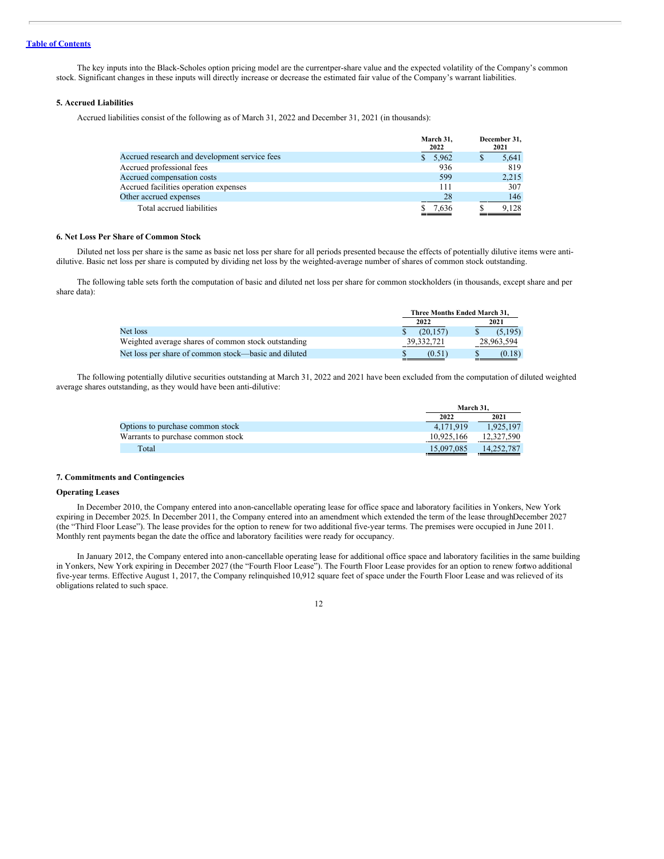The key inputs into the Black-Scholes option pricing model are the currentper-share value and the expected volatility of the Company's common stock. Significant changes in these inputs will directly increase or decrease the estimated fair value of the Company's warrant liabilities.

# **5. Accrued Liabilities**

Accrued liabilities consist of the following as of March 31, 2022 and December 31, 2021 (in thousands):

|                                               | March 31,<br>2022 | December 31,<br>2021 |
|-----------------------------------------------|-------------------|----------------------|
| Accrued research and development service fees | 5.962<br>S.       | 5,641                |
| Accrued professional fees                     | 936               | 819                  |
| Accrued compensation costs                    | 599               | 2.215                |
| Accrued facilities operation expenses         | 111               | 307                  |
| Other accrued expenses                        | 28                | 146                  |
| Total accrued liabilities                     | 7,636             | 9.128                |

# **6. Net Loss Per Share of Common Stock**

Diluted net loss per share is the same as basic net loss per share for all periods presented because the effects of potentially dilutive items were antidilutive. Basic net loss per share is computed by dividing net loss by the weighted-average number of shares of common stock outstanding.

The following table sets forth the computation of basic and diluted net loss per share for common stockholders (in thousands, except share and per share data):

|                                                      | Three Months Ended March 31. |            |
|------------------------------------------------------|------------------------------|------------|
|                                                      | 2022                         | 2021       |
| Net loss                                             | (20.157)                     | (5.195)    |
| Weighted average shares of common stock outstanding  | 39.332.721                   | 28,963,594 |
| Net loss per share of common stock—basic and diluted | (0.51)                       | (0.18)     |

The following potentially dilutive securities outstanding at March 31, 2022 and 2021 have been excluded from the computation of diluted weighted average shares outstanding, as they would have been anti-dilutive:

|                                   |            | March 31.  |  |
|-----------------------------------|------------|------------|--|
|                                   | 2022       | 2021       |  |
| Options to purchase common stock  | 4.171.919  | 1.925.197  |  |
| Warrants to purchase common stock | 10.925.166 | 12,327,590 |  |
| Total                             | 15,097,085 | 14.252.787 |  |

# **7. Commitments and Contingencies**

#### **Operating Leases**

In December 2010, the Company entered into anon-cancellable operating lease for office space and laboratory facilities in Yonkers, New York expiring in December 2025. In December 2011, the Company entered into an amendment which extended the term of the lease throughDecember 2027 (the "Third Floor Lease"). The lease provides for the option to renew for two additional five-year terms. The premises were occupied in June 2011. Monthly rent payments began the date the office and laboratory facilities were ready for occupancy.

In January 2012, the Company entered into anon-cancellable operating lease for additional office space and laboratory facilities in the same building in Yonkers, New York expiring in December 2027 (the "Fourth Floor Lease"). The Fourth Floor Lease provides for an option to renew fortwo additional five-year terms. Effective August 1, 2017, the Company relinquished 10,912 square feet of space under the Fourth Floor Lease and was relieved of its obligations related to such space.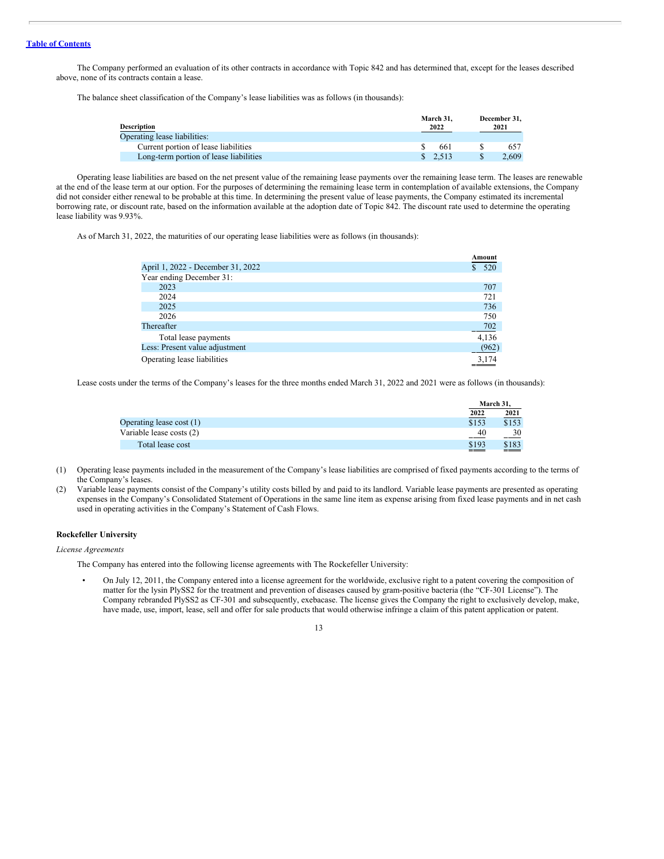The Company performed an evaluation of its other contracts in accordance with Topic 842 and has determined that, except for the leases described above, none of its contracts contain a lease.

The balance sheet classification of the Company's lease liabilities was as follows (in thousands):

| <b>Description</b>                     | March 31.<br>2022   | December 31.<br>2021 |
|----------------------------------------|---------------------|----------------------|
| Operating lease liabilities:           |                     |                      |
| Current portion of lease liabilities   | -661                | -657                 |
| Long-term portion of lease liabilities | $\frac{1}{2}$ 2.513 | 2.609                |

Operating lease liabilities are based on the net present value of the remaining lease payments over the remaining lease term. The leases are renewable at the end of the lease term at our option. For the purposes of determining the remaining lease term in contemplation of available extensions, the Company did not consider either renewal to be probable at this time. In determining the present value of lease payments, the Company estimated its incremental borrowing rate, or discount rate, based on the information available at the adoption date of Topic 842. The discount rate used to determine the operating lease liability was 9.93%.

As of March 31, 2022, the maturities of our operating lease liabilities were as follows (in thousands):

|                                   | Amount     |
|-----------------------------------|------------|
| April 1, 2022 - December 31, 2022 | 520<br>\$. |
| Year ending December 31:          |            |
| 2023                              | 707        |
| 2024                              | 721        |
| 2025                              | 736        |
| 2026                              | 750        |
| Thereafter                        | 702        |
| Total lease payments              | 4,136      |
| Less: Present value adjustment    | (962)      |
| Operating lease liabilities       | 3,174      |

Lease costs under the terms of the Company's leases for the three months ended March 31, 2022 and 2021 were as follows (in thousands):

|                          |       | March 31. |  |
|--------------------------|-------|-----------|--|
|                          | 2022  | 2021      |  |
| Operating lease cost (1) | \$153 | \$153     |  |
| Variable lease costs (2) | 40    | 30        |  |
| Total lease cost         | \$193 | \$183     |  |

- (1) Operating lease payments included in the measurement of the Company's lease liabilities are comprised of fixed payments according to the terms of the Company's leases.
- (2) Variable lease payments consist of the Company's utility costs billed by and paid to its landlord. Variable lease payments are presented as operating expenses in the Company's Consolidated Statement of Operations in the same line item as expense arising from fixed lease payments and in net cash used in operating activities in the Company's Statement of Cash Flows.

#### **Rockefeller University**

#### *License Agreements*

The Company has entered into the following license agreements with The Rockefeller University:

• On July 12, 2011, the Company entered into a license agreement for the worldwide, exclusive right to a patent covering the composition of matter for the lysin PlySS2 for the treatment and prevention of diseases caused by gram-positive bacteria (the "CF-301 License"). The Company rebranded PlySS2 as CF-301 and subsequently, exebacase. The license gives the Company the right to exclusively develop, make, have made, use, import, lease, sell and offer for sale products that would otherwise infringe a claim of this patent application or patent.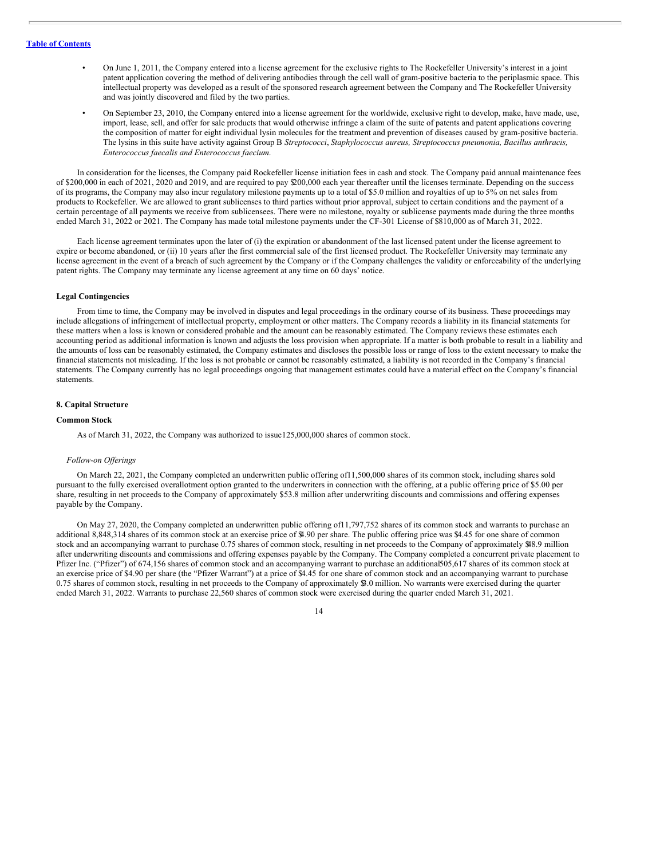- On June 1, 2011, the Company entered into a license agreement for the exclusive rights to The Rockefeller University's interest in a joint patent application covering the method of delivering antibodies through the cell wall of gram-positive bacteria to the periplasmic space. This intellectual property was developed as a result of the sponsored research agreement between the Company and The Rockefeller University and was jointly discovered and filed by the two parties.
- On September 23, 2010, the Company entered into a license agreement for the worldwide, exclusive right to develop, make, have made, use, import, lease, sell, and offer for sale products that would otherwise infringe a claim of the suite of patents and patent applications covering the composition of matter for eight individual lysin molecules for the treatment and prevention of diseases caused by gram-positive bacteria. The lysins in this suite have activity against Group B *Streptococci*, *Staphylococcus aureus, Streptococcus pneumonia, Bacillus anthracis, Enterococcus faecalis and Enterococcus faecium*.

In consideration for the licenses, the Company paid Rockefeller license initiation fees in cash and stock. The Company paid annual maintenance fees of \$200,000 in each of 2021, 2020 and 2019, and are required to pay \$200,000 each year thereafter until the licenses terminate. Depending on the success of its programs, the Company may also incur regulatory milestone payments up to a total of \$5.0 million and royalties of up to 5% on net sales from products to Rockefeller. We are allowed to grant sublicenses to third parties without prior approval, subject to certain conditions and the payment of a certain percentage of all payments we receive from sublicensees. There were no milestone, royalty or sublicense payments made during the three months ended March 31, 2022 or 2021. The Company has made total milestone payments under the CF-301 License of \$810,000 as of March 31, 2022.

Each license agreement terminates upon the later of (i) the expiration or abandonment of the last licensed patent under the license agreement to expire or become abandoned, or (ii) 10 years after the first commercial sale of the first licensed product. The Rockefeller University may terminate any license agreement in the event of a breach of such agreement by the Company or if the Company challenges the validity or enforceability of the underlying patent rights. The Company may terminate any license agreement at any time on 60 days' notice.

# **Legal Contingencies**

From time to time, the Company may be involved in disputes and legal proceedings in the ordinary course of its business. These proceedings may include allegations of infringement of intellectual property, employment or other matters. The Company records a liability in its financial statements for these matters when a loss is known or considered probable and the amount can be reasonably estimated. The Company reviews these estimates each accounting period as additional information is known and adjusts the loss provision when appropriate. If a matter is both probable to result in a liability and the amounts of loss can be reasonably estimated, the Company estimates and discloses the possible loss or range of loss to the extent necessary to make the financial statements not misleading. If the loss is not probable or cannot be reasonably estimated, a liability is not recorded in the Company's financial statements. The Company currently has no legal proceedings ongoing that management estimates could have a material effect on the Company's financial statements.

# **8. Capital Structure**

#### **Common Stock**

As of March 31, 2022, the Company was authorized to issue125,000,000 shares of common stock.

#### *Follow-on Of erings*

On March 22, 2021, the Company completed an underwritten public offering of11,500,000 shares of its common stock, including shares sold pursuant to the fully exercised overallotment option granted to the underwriters in connection with the offering, at a public offering price of \$5.00 per share, resulting in net proceeds to the Company of approximately \$53.8 million after underwriting discounts and commissions and offering expenses payable by the Company.

On May 27, 2020, the Company completed an underwritten public offering of11,797,752 shares of its common stock and warrants to purchase an additional 8,848,314 shares of its common stock at an exercise price of \$4.90 per share. The public offering price was \$4.45 for one share of common stock and an accompanying warrant to purchase 0.75 shares of common stock, resulting in net proceeds to the Company of approximately \$48.9 million after underwriting discounts and commissions and offering expenses payable by the Company. The Company completed a concurrent private placement to Pfizer Inc. ("Pfizer") of 674,156 shares of common stock and an accompanying warrant to purchase an additional505,617 shares of its common stock at an exercise price of \$4.90 per share (the "Pfizer Warrant") at a price of \$4.45 for one share of common stock and an accompanying warrant to purchase 0.75 shares of common stock, resulting in net proceeds to the Company of approximately \$3.0 million. No warrants were exercised during the quarter ended March 31, 2022. Warrants to purchase 22,560 shares of common stock were exercised during the quarter ended March 31, 2021.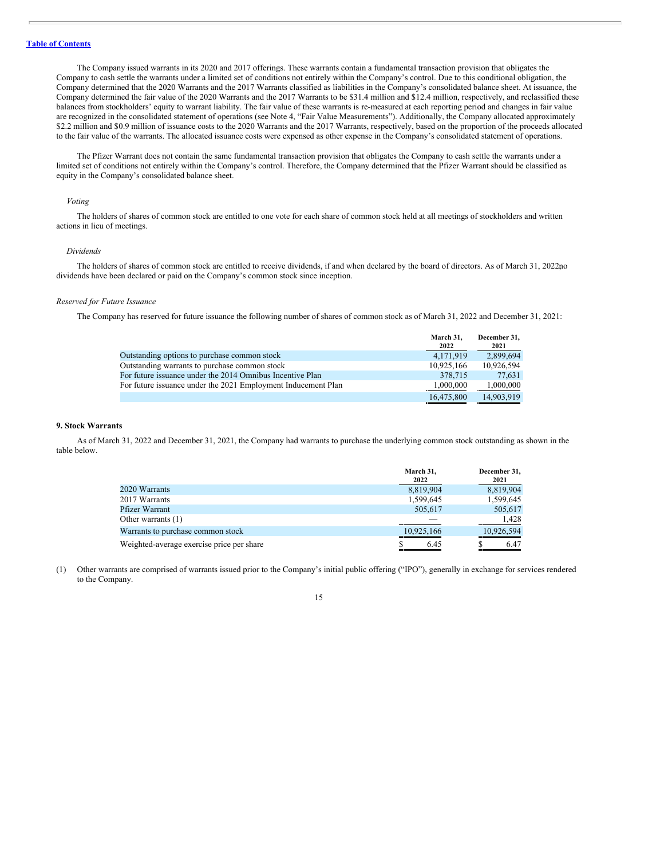The Company issued warrants in its 2020 and 2017 offerings. These warrants contain a fundamental transaction provision that obligates the Company to cash settle the warrants under a limited set of conditions not entirely within the Company's control. Due to this conditional obligation, the Company determined that the 2020 Warrants and the 2017 Warrants classified as liabilities in the Company's consolidated balance sheet. At issuance, the Company determined the fair value of the 2020 Warrants and the 2017 Warrants to be \$31.4 million and \$12.4 million, respectively, and reclassified these balances from stockholders' equity to warrant liability. The fair value of these warrants is re-measured at each reporting period and changes in fair value are recognized in the consolidated statement of operations (see Note 4, "Fair Value Measurements"). Additionally, the Company allocated approximately \$2.2 million and \$0.9 million of issuance costs to the 2020 Warrants and the 2017 Warrants, respectively, based on the proportion of the proceeds allocated to the fair value of the warrants. The allocated issuance costs were expensed as other expense in the Company's consolidated statement of operations.

The Pfizer Warrant does not contain the same fundamental transaction provision that obligates the Company to cash settle the warrants under a limited set of conditions not entirely within the Company's control. Therefore, the Company determined that the Pfizer Warrant should be classified as equity in the Company's consolidated balance sheet.

# *Voting*

The holders of shares of common stock are entitled to one vote for each share of common stock held at all meetings of stockholders and written actions in lieu of meetings.

#### *Dividends*

The holders of shares of common stock are entitled to receive dividends, if and when declared by the board of directors. As of March 31, 2022no dividends have been declared or paid on the Company's common stock since inception.

#### *Reserved for Future Issuance*

The Company has reserved for future issuance the following number of shares of common stock as of March 31, 2022 and December 31, 2021:

|                                                               | March 31,  | December 31, |
|---------------------------------------------------------------|------------|--------------|
|                                                               | 2022       | 2021         |
| Outstanding options to purchase common stock                  | 4,171,919  | 2,899,694    |
| Outstanding warrants to purchase common stock                 | 10,925,166 | 10,926,594   |
| For future issuance under the 2014 Omnibus Incentive Plan     | 378.715    | 77.631       |
| For future issuance under the 2021 Employment Inducement Plan | 1,000,000  | 1,000,000    |
|                                                               | 16,475,800 | 14,903,919   |

#### **9. Stock Warrants**

As of March 31, 2022 and December 31, 2021, the Company had warrants to purchase the underlying common stock outstanding as shown in the table below.

|                                           | March 31,<br>2022 | December 31.<br>2021 |
|-------------------------------------------|-------------------|----------------------|
| 2020 Warrants                             | 8,819,904         | 8,819,904            |
| 2017 Warrants                             | 1,599,645         | 1,599,645            |
| Pfizer Warrant                            | 505,617           | 505,617              |
| Other warrants (1)                        |                   | 1.428                |
| Warrants to purchase common stock         | 10,925,166        | 10,926,594           |
| Weighted-average exercise price per share | 6.45              | 6.47                 |

(1) Other warrants are comprised of warrants issued prior to the Company's initial public offering ("IPO"), generally in exchange for services rendered to the Company.

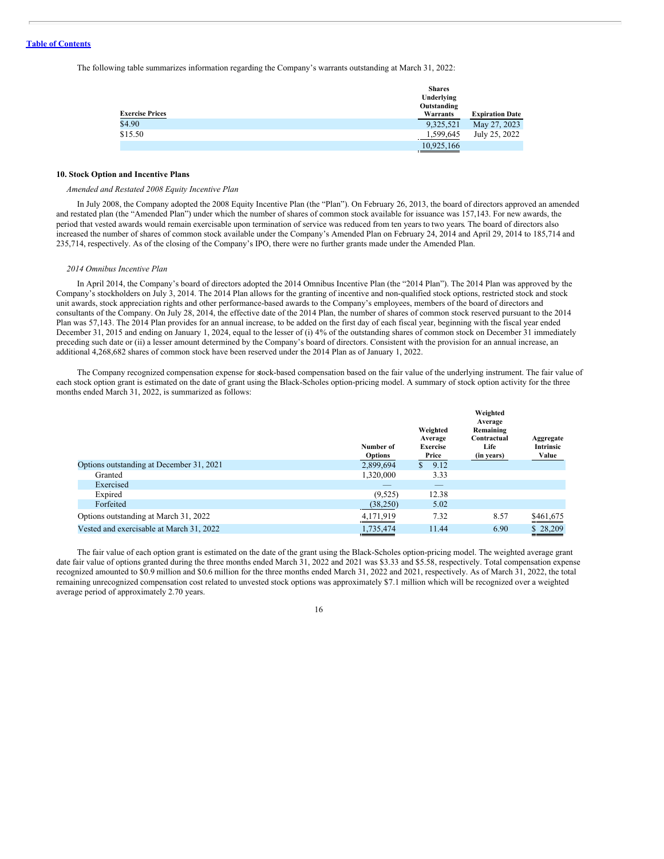The following table summarizes information regarding the Company's warrants outstanding at March 31, 2022:

|                        | <b>Shares</b> |                        |
|------------------------|---------------|------------------------|
|                        | Underlying    |                        |
|                        | Outstanding   |                        |
| <b>Exercise Prices</b> | Warrants      | <b>Expiration Date</b> |
| \$4.90                 | 9,325,521     | May 27, 2023           |
| \$15.50                | 1,599,645     | July 25, 2022          |
|                        | 10.925.166    |                        |

# **10. Stock Option and Incentive Plans**

# *Amended and Restated 2008 Equity Incentive Plan*

In July 2008, the Company adopted the 2008 Equity Incentive Plan (the "Plan"). On February 26, 2013, the board of directors approved an amended and restated plan (the "Amended Plan") under which the number of shares of common stock available for issuance was 157,143. For new awards, the period that vested awards would remain exercisable upon termination of service was reduced from ten years to two years. The board of directors also increased the number of shares of common stock available under the Company's Amended Plan on February 24, 2014 and April 29, 2014 to 185,714 and 235,714, respectively. As of the closing of the Company's IPO, there were no further grants made under the Amended Plan.

#### *2014 Omnibus Incentive Plan*

In April 2014, the Company's board of directors adopted the 2014 Omnibus Incentive Plan (the "2014 Plan"). The 2014 Plan was approved by the Company's stockholders on July 3, 2014. The 2014 Plan allows for the granting of incentive and non-qualified stock options, restricted stock and stock unit awards, stock appreciation rights and other performance-based awards to the Company's employees, members of the board of directors and consultants of the Company. On July 28, 2014, the effective date of the 2014 Plan, the number of shares of common stock reserved pursuant to the 2014 Plan was 57,143. The 2014 Plan provides for an annual increase, to be added on the first day of each fiscal year, beginning with the fiscal year ended December 31, 2015 and ending on January 1, 2024, equal to the lesser of (i) 4% of the outstanding shares of common stock on December 31 immediately preceding such date or (ii) a lesser amount determined by the Company's board of directors. Consistent with the provision for an annual increase, an additional 4,268,682 shares of common stock have been reserved under the 2014 Plan as of January 1, 2022.

The Company recognized compensation expense for stock-based compensation based on the fair value of the underlying instrument. The fair value of each stock option grant is estimated on the date of grant using the Black-Scholes option-pricing model. A summary of stock option activity for the three months ended March 31, 2022, is summarized as follows:

|                                          | Number of<br><b>Options</b> | Weighted<br>Average<br><b>Exercise</b><br>Price | Weighted<br>Average<br>Remaining<br>Contractual<br>Life<br>(in years) | Aggregate<br><b>Intrinsic</b><br>Value |
|------------------------------------------|-----------------------------|-------------------------------------------------|-----------------------------------------------------------------------|----------------------------------------|
| Options outstanding at December 31, 2021 | 2,899,694                   | 9.12<br>$\mathbb{S}$                            |                                                                       |                                        |
| Granted                                  | 1,320,000                   | 3.33                                            |                                                                       |                                        |
| Exercised                                |                             | _                                               |                                                                       |                                        |
| Expired                                  | (9,525)                     | 12.38                                           |                                                                       |                                        |
| Forfeited                                | (38,250)                    | 5.02                                            |                                                                       |                                        |
| Options outstanding at March 31, 2022    | 4,171,919                   | 7.32                                            | 8.57                                                                  | \$461,675                              |
| Vested and exercisable at March 31, 2022 | 1.735.474                   | 11.44                                           | 6.90                                                                  | \$28,209                               |

The fair value of each option grant is estimated on the date of the grant using the Black-Scholes option-pricing model. The weighted average grant date fair value of options granted during the three months ended March 31, 2022 and 2021 was \$3.33 and \$5.58, respectively. Total compensation expense recognized amounted to \$0.9 million and \$0.6 million for the three months ended March 31, 2022 and 2021, respectively. As of March 31, 2022, the total remaining unrecognized compensation cost related to unvested stock options was approximately \$7.1 million which will be recognized over a weighted average period of approximately 2.70 years.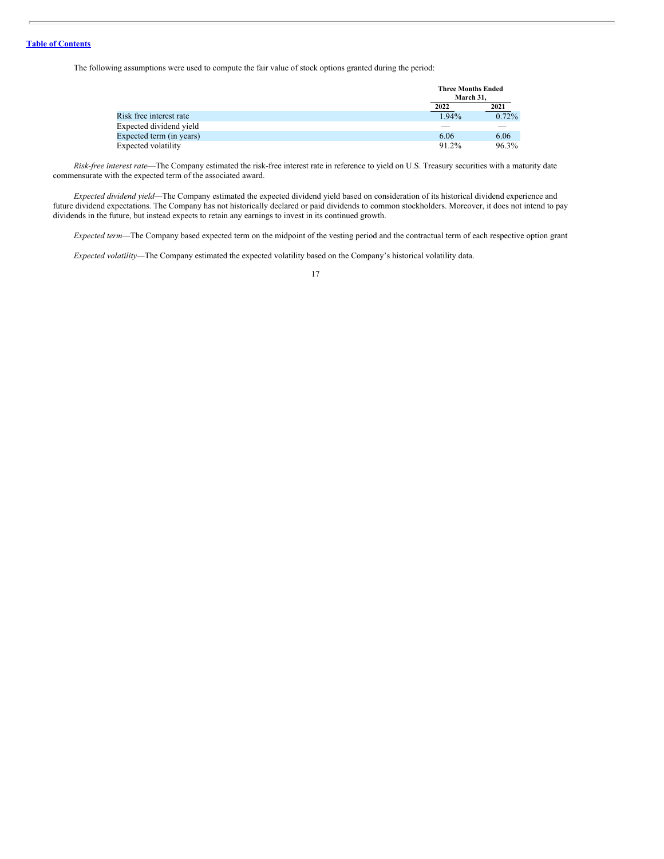The following assumptions were used to compute the fair value of stock options granted during the period:

|                          |       | <b>Three Months Ended</b><br>March 31. |  |  |
|--------------------------|-------|----------------------------------------|--|--|
|                          | 2022  | 2021                                   |  |  |
| Risk free interest rate  | 1.94% | 0.72%                                  |  |  |
| Expected dividend yield  |       |                                        |  |  |
| Expected term (in years) | 6.06  | 6.06                                   |  |  |
| Expected volatility      | 91.2% | 96.3%                                  |  |  |

*Risk-free interest rate*—The Company estimated the risk-free interest rate in reference to yield on U.S. Treasury securities with a maturity date commensurate with the expected term of the associated award.

*Expected dividend yield—*The Company estimated the expected dividend yield based on consideration of its historical dividend experience and future dividend expectations. The Company has not historically declared or paid dividends to common stockholders. Moreover, it does not intend to pay dividends in the future, but instead expects to retain any earnings to invest in its continued growth.

*Expected term—*The Company based expected term on the midpoint of the vesting period and the contractual term of each respective option grant

*Expected volatility—*The Company estimated the expected volatility based on the Company's historical volatility data.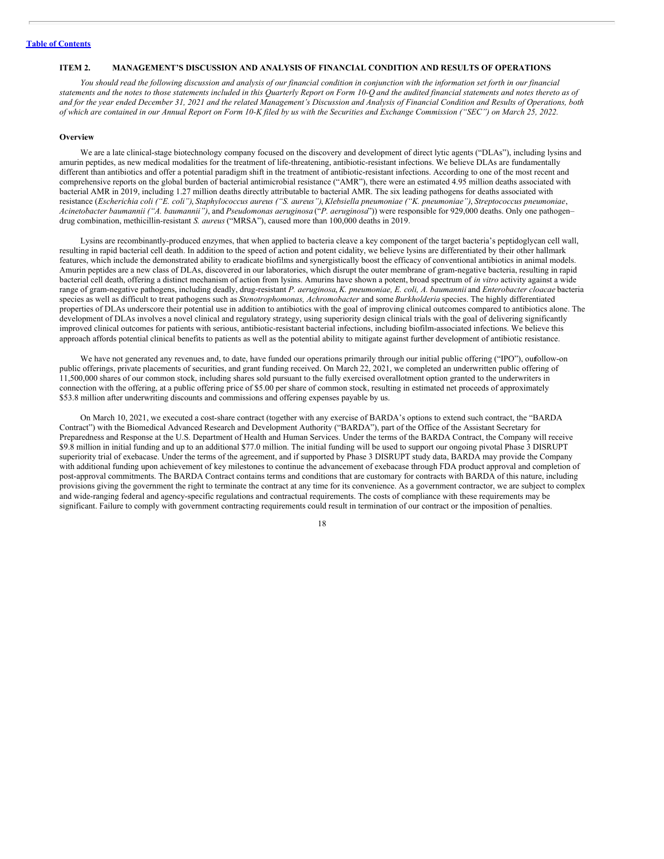#### <span id="page-23-0"></span>**ITEM 2. MANAGEMENT'S DISCUSSION AND ANALYSIS OF FINANCIAL CONDITION AND RESULTS OF OPERATIONS**

You should read the following discussion and analysis of our financial condition in conjunction with the information set forth in our financial statements and the notes to those statements included in this Quarterly Report on Form 10-Q and the audited financial statements and notes thereto as of and for the year ended December 31, 2021 and the related Management's Discussion and Analysis of Financial Condition and Results of Operations, both of which are contained in our Annual Report on Form 10-K filed by us with the Securities and Exchange Commission ("SEC") on March 25, 2022.

#### **Overview**

We are a late clinical-stage biotechnology company focused on the discovery and development of direct lytic agents ("DLAs"), including lysins and amurin peptides, as new medical modalities for the treatment of life-threatening, antibiotic-resistant infections. We believe DLAs are fundamentally different than antibiotics and offer a potential paradigm shift in the treatment of antibiotic-resistant infections. According to one of the most recent and comprehensive reports on the global burden of bacterial antimicrobial resistance ("AMR"), there were an estimated 4.95 million deaths associated with bacterial AMR in 2019, including 1.27 million deaths directly attributable to bacterial AMR. The six leading pathogens for deaths associated with resistance (Escherichia coli ("E. coli"), Staphylococcus aureus ("S. aureus"), Klebsiella pneumoniae ("K. pneumoniae"), Streptococcus pneumoniae, *Acinetobacter baumannii ("A. baumannii")*, and *Pseudomonas aeruginosa* ("*P. aeruginosa*")) were responsible for 929,000 deaths. Only one pathogen– drug combination, methicillin-resistant *S. aureus* ("MRSA"), caused more than 100,000 deaths in 2019.

Lysins are recombinantly-produced enzymes, that when applied to bacteria cleave a key component of the target bacteria's peptidoglycan cell wall, resulting in rapid bacterial cell death. In addition to the speed of action and potent cidality, we believe lysins are differentiated by their other hallmark features, which include the demonstrated ability to eradicate biofilms and synergistically boost the efficacy of conventional antibiotics in animal models. Amurin peptides are a new class of DLAs, discovered in our laboratories, which disrupt the outer membrane of gram-negative bacteria, resulting in rapid bacterial cell death, offering a distinct mechanism of action from lysins. Amurins have shown a potent, broad spectrum of *in vitro* activity against a wide range of gram-negative pathogens, including deadly, drug-resistant *P. aeruginosa*, *K. pneumoniae, E. coli, A. baumannii* and *Enterobacter cloacae* bacteria species as well as difficult to treat pathogens such as *Stenotrophomonas, Achromobacter* and some *Burkholderia* species. The highly differentiated properties of DLAs underscore their potential use in addition to antibiotics with the goal of improving clinical outcomes compared to antibiotics alone. The development of DLAs involves a novel clinical and regulatory strategy, using superiority design clinical trials with the goal of delivering significantly improved clinical outcomes for patients with serious, antibiotic-resistant bacterial infections, including biofilm-associated infections. We believe this approach affords potential clinical benefits to patients as well as the potential ability to mitigate against further development of antibiotic resistance.

We have not generated any revenues and, to date, have funded our operations primarily through our initial public offering ("IPO"), ourfollow-on public offerings, private placements of securities, and grant funding received. On March 22, 2021, we completed an underwritten public offering of 11,500,000 shares of our common stock, including shares sold pursuant to the fully exercised overallotment option granted to the underwriters in connection with the offering, at a public offering price of \$5.00 per share of common stock, resulting in estimated net proceeds of approximately \$53.8 million after underwriting discounts and commissions and offering expenses payable by us.

On March 10, 2021, we executed a cost-share contract (together with any exercise of BARDA's options to extend such contract, the "BARDA Contract") with the Biomedical Advanced Research and Development Authority ("BARDA"), part of the Office of the Assistant Secretary for Preparedness and Response at the U.S. Department of Health and Human Services. Under the terms of the BARDA Contract, the Company will receive \$9.8 million in initial funding and up to an additional \$77.0 million. The initial funding will be used to support our ongoing pivotal Phase 3 DISRUPT superiority trial of exebacase. Under the terms of the agreement, and if supported by Phase 3 DISRUPT study data, BARDA may provide the Company with additional funding upon achievement of key milestones to continue the advancement of exebacase through FDA product approval and completion of post-approval commitments. The BARDA Contract contains terms and conditions that are customary for contracts with BARDA of this nature, including provisions giving the government the right to terminate the contract at any time for its convenience. As a government contractor, we are subject to complex and wide-ranging federal and agency-specific regulations and contractual requirements. The costs of compliance with these requirements may be significant. Failure to comply with government contracting requirements could result in termination of our contract or the imposition of penalties.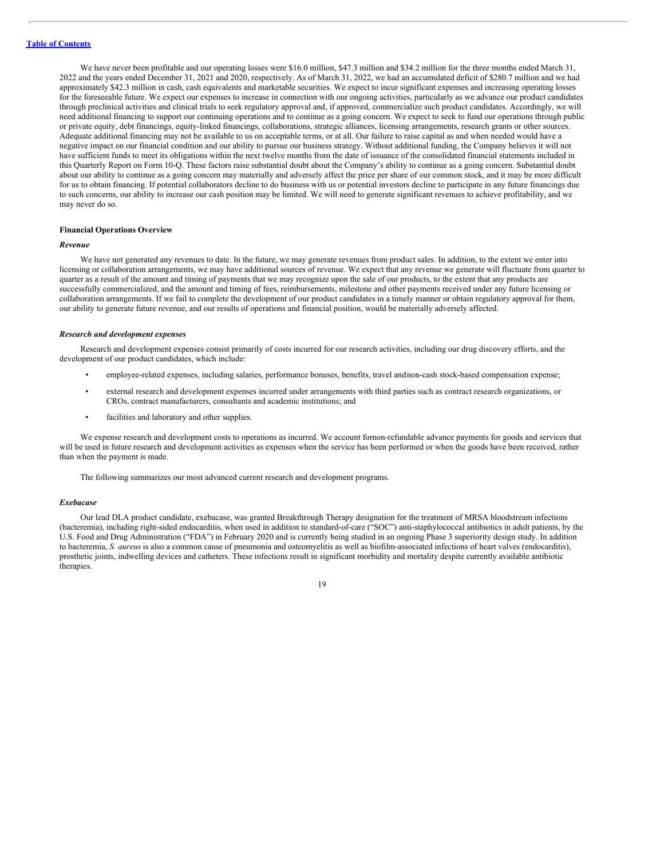We have never been profitable and our operating losses were \$16.0 million, \$47.3 million and \$34.2 million for the three months ended March 31, 2022 and the years ended December 31, 2021 and 2020, respectively. As of March 31, 2022, we had an accumulated deficit of \$280.7 million and we had approximately \$42.3 million in cash, cash equivalents and marketable securities. We expect to incur significant expenses and increasing operating losses for the foreseeable future. We expect our expenses to increase in connection with our ongoing activities, particularly as we advance our product candidates through preclinical activities and clinical trials to seek regulatory approval and, if approved, commercialize such product candidates. Accordingly, we will need additional financing to support our continuing operations and to continue as a going concern. We expect to seek to fund our operations through public or private equity, debt financings, equity-linked financings, collaborations, strategic alliances, licensing arrangements, research grants or other sources. Adequate additional financing may not be available to us on acceptable terms, or at all. Our failure to raise capital as and when needed would have a negative impact on our financial condition and our ability to pursue our business strategy. Without additional funding, the Company believes it will not have sufficient funds to meet its obligations within the next twelve months from the date of issuance of the consolidated financial statements included in this Quarterly Report on Form 10-Q. These factors raise substantial doubt about the Company's ability to continue as a going concern. Substantial doubt about our ability to continue as a going concern may materially and adversely affect the price per share of our common stock, and it may be more difficult for us to obtain financing. If potential collaborators decline to do business with us or potential investors decline to participate in any future financings due to such concerns, our ability to increase our cash position may be limited. We will need to generate significant revenues to achieve profitability, and we may never do so.

# **Financial Operations Overview**

# *Revenue*

We have not generated any revenues to date. In the future, we may generate revenues from product sales. In addition, to the extent we enter into licensing or collaboration arrangements, we may have additional sources of revenue. We expect that any revenue we generate will fluctuate from quarter to quarter as a result of the amount and timing of payments that we may recognize upon the sale of our products, to the extent that any products are successfully commercialized, and the amount and timing of fees, reimbursements, milestone and other payments received under any future licensing or collaboration arrangements. If we fail to complete the development of our product candidates in a timely manner or obtain regulatory approval for them, our ability to generate future revenue, and our results of operations and financial position, would be materially adversely affected.

#### *Research and development expenses*

Research and development expenses consist primarily of costs incurred for our research activities, including our drug discovery efforts, and the development of our product candidates, which include:

- employee-related expenses, including salaries, performance bonuses, benefits, travel andnon-cash stock-based compensation expense;
- external research and development expenses incurred under arrangements with third parties such as contract research organizations, or CROs, contract manufacturers, consultants and academic institutions; and
- facilities and laboratory and other supplies.

We expense research and development costs to operations as incurred. We account formon-refundable advance payments for goods and services that will be used in future research and development activities as expenses when the service has been performed or when the goods have been received, rather than when the payment is made.

The following summarizes our most advanced current research and development programs.

#### *Exebacase*

Our lead DLA product candidate, exebacase, was granted Breakthrough Therapy designation for the treatment of MRSA bloodstream infections (bacteremia), including right-sided endocarditis, when used in addition to standard-of-care ("SOC") anti-staphylococcal antibiotics in adult patients, by the U.S. Food and Drug Administration ("FDA") in February 2020 and is currently being studied in an ongoing Phase 3 superiority design study. In addition to bacteremia, *S. aureus* is also a common cause of pneumonia and osteomyelitis as well as biofilm-associated infections of heart valves (endocarditis), prosthetic joints, indwelling devices and catheters. These infections result in significant morbidity and mortality despite currently available antibiotic therapies.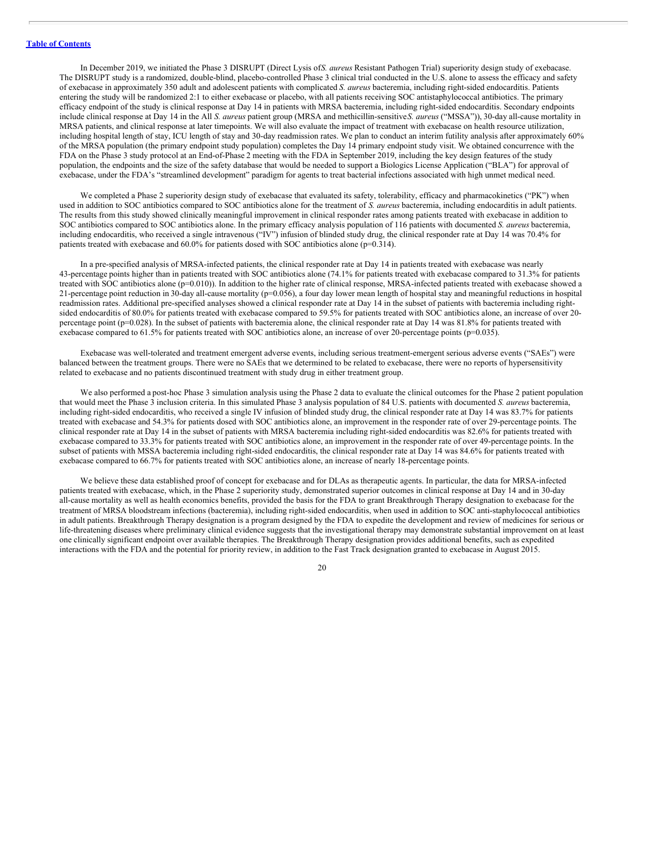In December 2019, we initiated the Phase 3 DISRUPT (Direct Lysis of*S. aureus* Resistant Pathogen Trial) superiority design study of exebacase. The DISRUPT study is a randomized, double-blind, placebo-controlled Phase 3 clinical trial conducted in the U.S. alone to assess the efficacy and safety of exebacase in approximately 350 adult and adolescent patients with complicated *S. aureus* bacteremia, including right-sided endocarditis. Patients entering the study will be randomized 2:1 to either exebacase or placebo, with all patients receiving SOC antistaphylococcal antibiotics. The primary efficacy endpoint of the study is clinical response at Day 14 in patients with MRSA bacteremia, including right-sided endocarditis. Secondary endpoints include clinical response at Day 14 in the All *S. aureus* patient group (MRSA and methicillin-sensitive*S. aureus* ("MSSA")), 30-day all-cause mortality in MRSA patients, and clinical response at later timepoints. We will also evaluate the impact of treatment with exebacase on health resource utilization, including hospital length of stay, ICU length of stay and 30-day readmission rates. We plan to conduct an interim futility analysis after approximately 60% of the MRSA population (the primary endpoint study population) completes the Day 14 primary endpoint study visit. We obtained concurrence with the FDA on the Phase 3 study protocol at an End-of-Phase 2 meeting with the FDA in September 2019, including the key design features of the study population, the endpoints and the size of the safety database that would be needed to support a Biologics License Application ("BLA") for approval of exebacase, under the FDA's "streamlined development" paradigm for agents to treat bacterial infections associated with high unmet medical need.

We completed a Phase 2 superiority design study of exebacase that evaluated its safety, tolerability, efficacy and pharmacokinetics ("PK") when used in addition to SOC antibiotics compared to SOC antibiotics alone for the treatment of *S. aureus* bacteremia, including endocarditis in adult patients. The results from this study showed clinically meaningful improvement in clinical responder rates among patients treated with exebacase in addition to SOC antibiotics compared to SOC antibiotics alone. In the primary efficacy analysis population of 116 patients with documented *S. aureus* bacteremia, including endocarditis, who received a single intravenous ("IV") infusion of blinded study drug, the clinical responder rate at Day 14 was 70.4% for patients treated with exebacase and 60.0% for patients dosed with SOC antibiotics alone (p=0.314).

In a pre-specified analysis of MRSA-infected patients, the clinical responder rate at Day 14 in patients treated with exebacase was nearly 43-percentage points higher than in patients treated with SOC antibiotics alone (74.1% for patients treated with exebacase compared to 31.3% for patients treated with SOC antibiotics alone (p=0.010)). In addition to the higher rate of clinical response, MRSA-infected patients treated with exebacase showed a 21-percentage point reduction in 30-day all-cause mortality ( $p=0.056$ ), a four day lower mean length of hospital stay and meaningful reductions in hospital readmission rates. Additional pre-specified analyses showed a clinical responder rate at Day 14 in the subset of patients with bacteremia including rightsided endocarditis of 80.0% for patients treated with exebacase compared to 59.5% for patients treated with SOC antibiotics alone, an increase of over 20 percentage point (p=0.028). In the subset of patients with bacteremia alone, the clinical responder rate at Day 14 was 81.8% for patients treated with exebacase compared to 61.5% for patients treated with SOC antibiotics alone, an increase of over 20-percentage points ( $p=0.035$ ).

Exebacase was well-tolerated and treatment emergent adverse events, including serious treatment-emergent serious adverse events ("SAEs") were balanced between the treatment groups. There were no SAEs that we determined to be related to exebacase, there were no reports of hypersensitivity related to exebacase and no patients discontinued treatment with study drug in either treatment group.

We also performed a post-hoc Phase 3 simulation analysis using the Phase 2 data to evaluate the clinical outcomes for the Phase 2 patient population that would meet the Phase 3 inclusion criteria. In this simulated Phase 3 analysis population of 84 U.S. patients with documented *S. aureus* bacteremia, including right-sided endocarditis, who received a single IV infusion of blinded study drug, the clinical responder rate at Day 14 was 83.7% for patients treated with exebacase and 54.3% for patients dosed with SOC antibiotics alone, an improvement in the responder rate of over 29-percentage points. The clinical responder rate at Day 14 in the subset of patients with MRSA bacteremia including right-sided endocarditis was 82.6% for patients treated with exebacase compared to 33.3% for patients treated with SOC antibiotics alone, an improvement in the responder rate of over 49-percentage points. In the subset of patients with MSSA bacteremia including right-sided endocarditis, the clinical responder rate at Day 14 was 84.6% for patients treated with exebacase compared to 66.7% for patients treated with SOC antibiotics alone, an increase of nearly 18-percentage points.

We believe these data established proof of concept for exebacase and for DLAs as therapeutic agents. In particular, the data for MRSA-infected patients treated with exebacase, which, in the Phase 2 superiority study, demonstrated superior outcomes in clinical response at Day 14 and in 30-day all-cause mortality as well as health economics benefits, provided the basis for the FDA to grant Breakthrough Therapy designation to exebacase for the treatment of MRSA bloodstream infections (bacteremia), including right-sided endocarditis, when used in addition to SOC anti-staphylococcal antibiotics in adult patients. Breakthrough Therapy designation is a program designed by the FDA to expedite the development and review of medicines for serious or life-threatening diseases where preliminary clinical evidence suggests that the investigational therapy may demonstrate substantial improvement on at least one clinically significant endpoint over available therapies. The Breakthrough Therapy designation provides additional benefits, such as expedited interactions with the FDA and the potential for priority review, in addition to the Fast Track designation granted to exebacase in August 2015.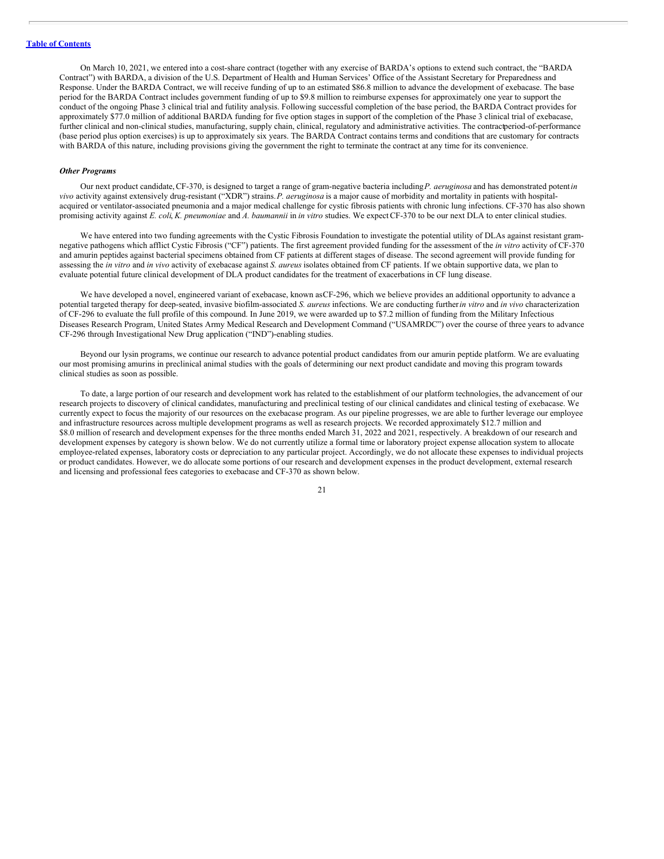On March 10, 2021, we entered into a cost-share contract (together with any exercise of BARDA's options to extend such contract, the "BARDA Contract") with BARDA, a division of the U.S. Department of Health and Human Services' Office of the Assistant Secretary for Preparedness and Response. Under the BARDA Contract, we will receive funding of up to an estimated \$86.8 million to advance the development of exebacase. The base period for the BARDA Contract includes government funding of up to \$9.8 million to reimburse expenses for approximately one year to support the conduct of the ongoing Phase 3 clinical trial and futility analysis. Following successful completion of the base period, the BARDA Contract provides for approximately \$77.0 million of additional BARDA funding for five option stages in support of the completion of the Phase 3 clinical trial of exebacase, further clinical and non-clinical studies, manufacturing, supply chain, clinical, regulatory and administrative activities. The contractperiod-of-performance (base period plus option exercises) is up to approximately six years. The BARDA Contract contains terms and conditions that are customary for contracts with BARDA of this nature, including provisions giving the government the right to terminate the contract at any time for its convenience.

# *Other Programs*

Our next product candidate,CF-370, is designed to target a range of gram-negative bacteria including*P. aeruginosa* and has demonstrated potent*in vivo* activity against extensively drug-resistant ("XDR") strains.*P. aeruginosa* is a major cause of morbidity and mortality in patients with hospitalacquired or ventilator-associated pneumonia and a major medical challenge for cystic fibrosis patients with chronic lung infections. CF-370 has also shown promising activity against *E. coli*, *K. pneumoniae* and *A. baumannii* in *in vitro* studies. We expectCF-370 to be our next DLA to enter clinical studies.

We have entered into two funding agreements with the Cystic Fibrosis Foundation to investigate the potential utility of DLAs against resistant gramnegative pathogens which afflict Cystic Fibrosis ("CF") patients. The first agreement provided funding for the assessment of the *in vitro* activity of CF-370 and amurin peptides against bacterial specimens obtained from CF patients at different stages of disease. The second agreement will provide funding for assessing the *in vitro* and *in vivo* activity of exebacase against *S. aureus* isolates obtained from CF patients. If we obtain supportive data, we plan to evaluate potential future clinical development of DLA product candidates for the treatment of exacerbations in CF lung disease.

We have developed a novel, engineered variant of exebacase, known asCF-296, which we believe provides an additional opportunity to advance a potential targeted therapy for deep-seated, invasive biofilm-associated *S. aureus* infections. We are conducting further*in vitro* and *in vivo* characterization of CF-296 to evaluate the full profile of this compound. In June 2019, we were awarded up to \$7.2 million of funding from the Military Infectious Diseases Research Program, United States Army Medical Research and Development Command ("USAMRDC") over the course of three years to advance CF-296 through Investigational New Drug application ("IND")-enabling studies.

Beyond our lysin programs, we continue our research to advance potential product candidates from our amurin peptide platform. We are evaluating our most promising amurins in preclinical animal studies with the goals of determining our next product candidate and moving this program towards clinical studies as soon as possible.

To date, a large portion of our research and development work has related to the establishment of our platform technologies, the advancement of our research projects to discovery of clinical candidates, manufacturing and preclinical testing of our clinical candidates and clinical testing of exebacase. We currently expect to focus the majority of our resources on the exebacase program. As our pipeline progresses, we are able to further leverage our employee and infrastructure resources across multiple development programs as well as research projects. We recorded approximately \$12.7 million and \$8.0 million of research and development expenses for the three months ended March 31, 2022 and 2021, respectively. A breakdown of our research and development expenses by category is shown below. We do not currently utilize a formal time or laboratory project expense allocation system to allocate employee-related expenses, laboratory costs or depreciation to any particular project. Accordingly, we do not allocate these expenses to individual projects or product candidates. However, we do allocate some portions of our research and development expenses in the product development, external research and licensing and professional fees categories to exebacase and CF-370 as shown below.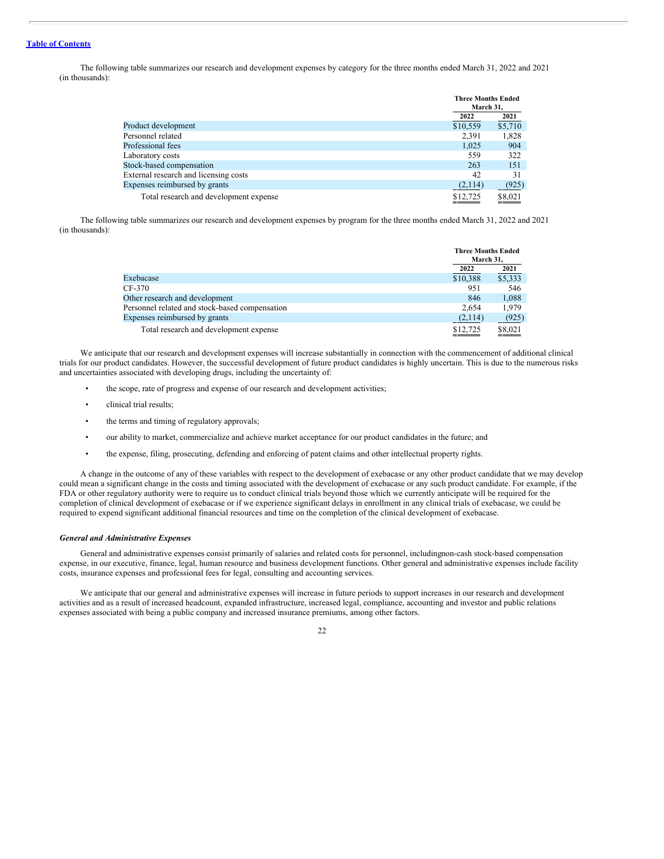The following table summarizes our research and development expenses by category for the three months ended March 31, 2022 and 2021 (in thousands):

|                                        |          | <b>Three Months Ended</b><br>March 31, |  |  |
|----------------------------------------|----------|----------------------------------------|--|--|
|                                        | 2022     | 2021                                   |  |  |
| Product development                    | \$10,559 | \$5,710                                |  |  |
| Personnel related                      | 2,391    | 1,828                                  |  |  |
| Professional fees                      | 1,025    | 904                                    |  |  |
| Laboratory costs                       | 559      | 322                                    |  |  |
| Stock-based compensation               | 263      | 151                                    |  |  |
| External research and licensing costs  | 42       | 31                                     |  |  |
| Expenses reimbursed by grants          | (2,114)  | (925)                                  |  |  |
| Total research and development expense | \$12,725 | \$8,021                                |  |  |

The following table summarizes our research and development expenses by program for the three months ended March 31, 2022 and 2021 (in thousands):

|                                                |          | <b>Three Months Ended</b><br>March 31. |  |  |
|------------------------------------------------|----------|----------------------------------------|--|--|
|                                                | 2022     | 2021                                   |  |  |
| Exebacase                                      | \$10,388 | \$5,333                                |  |  |
| CF-370                                         | 951      | 546                                    |  |  |
| Other research and development                 | 846      | 1,088                                  |  |  |
| Personnel related and stock-based compensation | 2.654    | 1.979                                  |  |  |
| Expenses reimbursed by grants                  | (2,114)  | (925)                                  |  |  |
| Total research and development expense         | \$12,725 | 8,021                                  |  |  |

We anticipate that our research and development expenses will increase substantially in connection with the commencement of additional clinical trials for our product candidates. However, the successful development of future product candidates is highly uncertain. This is due to the numerous risks and uncertainties associated with developing drugs, including the uncertainty of:

- the scope, rate of progress and expense of our research and development activities;
- clinical trial results;
- the terms and timing of regulatory approvals;
- our ability to market, commercialize and achieve market acceptance for our product candidates in the future; and
- the expense, filing, prosecuting, defending and enforcing of patent claims and other intellectual property rights.

A change in the outcome of any of these variables with respect to the development of exebacase or any other product candidate that we may develop could mean a significant change in the costs and timing associated with the development of exebacase or any such product candidate. For example, if the FDA or other regulatory authority were to require us to conduct clinical trials beyond those which we currently anticipate will be required for the completion of clinical development of exebacase or if we experience significant delays in enrollment in any clinical trials of exebacase, we could be required to expend significant additional financial resources and time on the completion of the clinical development of exebacase.

# *General and Administrative Expenses*

General and administrative expenses consist primarily of salaries and related costs for personnel, includingnon-cash stock-based compensation expense, in our executive, finance, legal, human resource and business development functions. Other general and administrative expenses include facility costs, insurance expenses and professional fees for legal, consulting and accounting services.

We anticipate that our general and administrative expenses will increase in future periods to support increases in our research and development activities and as a result of increased headcount, expanded infrastructure, increased legal, compliance, accounting and investor and public relations expenses associated with being a public company and increased insurance premiums, among other factors.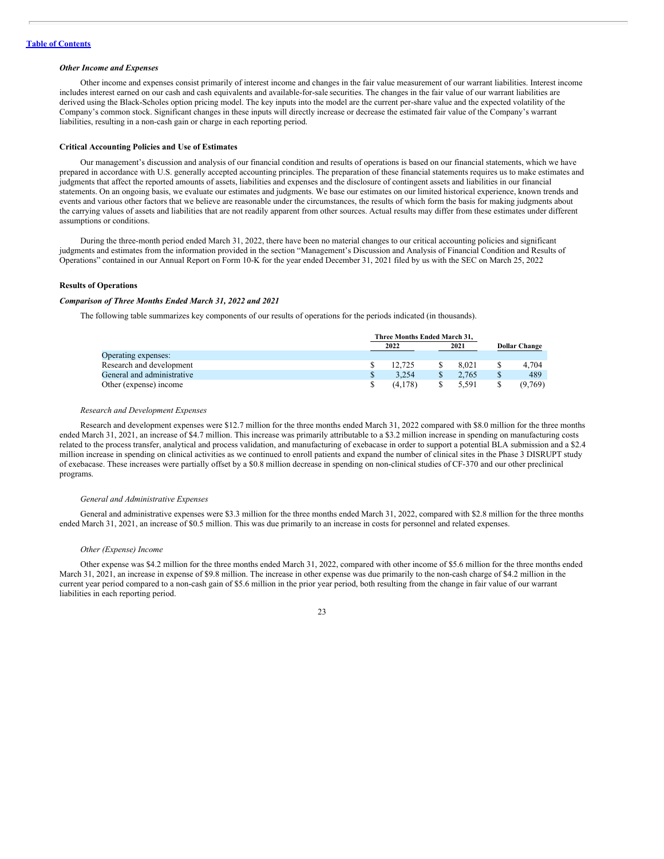#### *Other Income and Expenses*

Other income and expenses consist primarily of interest income and changes in the fair value measurement of our warrant liabilities. Interest income includes interest earned on our cash and cash equivalents and available-for-sale securities. The changes in the fair value of our warrant liabilities are derived using the Black-Scholes option pricing model. The key inputs into the model are the current per-share value and the expected volatility of the Company's common stock. Significant changes in these inputs will directly increase or decrease the estimated fair value of the Company's warrant liabilities, resulting in a non-cash gain or charge in each reporting period.

#### **Critical Accounting Policies and Use of Estimates**

Our management's discussion and analysis of our financial condition and results of operations is based on our financial statements, which we have prepared in accordance with U.S. generally accepted accounting principles. The preparation of these financial statements requires us to make estimates and judgments that affect the reported amounts of assets, liabilities and expenses and the disclosure of contingent assets and liabilities in our financial statements. On an ongoing basis, we evaluate our estimates and judgments. We base our estimates on our limited historical experience, known trends and events and various other factors that we believe are reasonable under the circumstances, the results of which form the basis for making judgments about the carrying values of assets and liabilities that are not readily apparent from other sources. Actual results may differ from these estimates under different assumptions or conditions.

During the three-month period ended March 31, 2022, there have been no material changes to our critical accounting policies and significant judgments and estimates from the information provided in the section "Management's Discussion and Analysis of Financial Condition and Results of Operations" contained in our Annual Report on Form 10-K for the year ended December 31, 2021 filed by us with the SEC on March 25, 2022*.*

# **Results of Operations**

#### *Comparison of Three Months Ended March 31, 2022 and 2021*

The following table summarizes key components of our results of operations for the periods indicated (in thousands).

|                            | Three Months Ended March 31. |  |       |  |                      |
|----------------------------|------------------------------|--|-------|--|----------------------|
|                            | 2022                         |  | 2021  |  | <b>Dollar Change</b> |
| Operating expenses:        |                              |  |       |  |                      |
| Research and development   | 12.725                       |  | 8.021 |  | 4.704                |
| General and administrative | 3.254                        |  | 2.765 |  | 489                  |
| Other (expense) income     | (4.178)                      |  | 5.591 |  | (9.769)              |

#### *Research and Development Expenses*

Research and development expenses were \$12.7 million for the three months ended March 31, 2022 compared with \$8.0 million for the three months ended March 31, 2021, an increase of \$4.7 million. This increase was primarily attributable to a \$3.2 million increase in spending on manufacturing costs related to the process transfer, analytical and process validation, and manufacturing of exebacase in order to support a potential BLA submission and a \$2.4 million increase in spending on clinical activities as we continued to enroll patients and expand the number of clinical sites in the Phase 3 DISRUPT study of exebacase. These increases were partially offset by a \$0.8 million decrease in spending on non-clinical studies of CF-370 and our other preclinical programs.

#### *General and Administrative Expenses*

General and administrative expenses were \$3.3 million for the three months ended March 31, 2022, compared with \$2.8 million for the three months ended March 31, 2021, an increase of \$0.5 million. This was due primarily to an increase in costs for personnel and related expenses.

#### *Other (Expense) Income*

Other expense was \$4.2 million for the three months ended March 31, 2022, compared with other income of \$5.6 million for the three months ended March 31, 2021, an increase in expense of \$9.8 million. The increase in other expense was due primarily to the non-cash charge of \$4.2 million in the current year period compared to a non-cash gain of \$5.6 million in the prior year period, both resulting from the change in fair value of our warrant liabilities in each reporting period.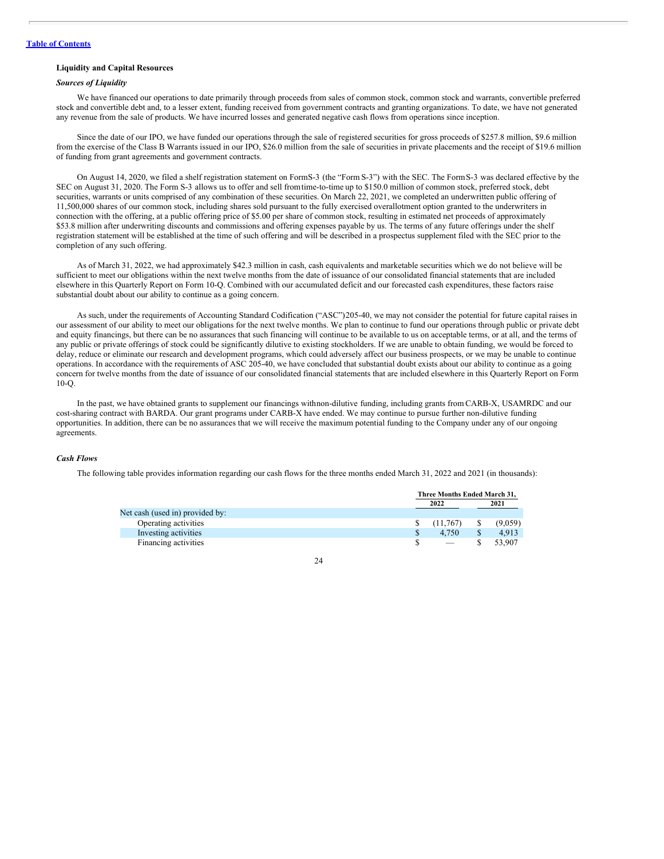#### **Liquidity and Capital Resources**

# *Sources of Liquidity*

We have financed our operations to date primarily through proceeds from sales of common stock, common stock and warrants, convertible preferred stock and convertible debt and, to a lesser extent, funding received from government contracts and granting organizations. To date, we have not generated any revenue from the sale of products. We have incurred losses and generated negative cash flows from operations since inception.

Since the date of our IPO, we have funded our operations through the sale of registered securities for gross proceeds of \$257.8 million, \$9.6 million from the exercise of the Class B Warrants issued in our IPO, \$26.0 million from the sale of securities in private placements and the receipt of \$19.6 million of funding from grant agreements and government contracts.

On August 14, 2020, we filed a shelf registration statement on FormS-3 (the "Form S-3") with the SEC. The FormS-3 was declared effective by the SEC on August 31, 2020. The Form S-3 allows us to offer and sell fromtime-to-time up to \$150.0 million of common stock, preferred stock, debt securities, warrants or units comprised of any combination of these securities. On March 22, 2021, we completed an underwritten public offering of 11,500,000 shares of our common stock, including shares sold pursuant to the fully exercised overallotment option granted to the underwriters in connection with the offering, at a public offering price of \$5.00 per share of common stock, resulting in estimated net proceeds of approximately \$53.8 million after underwriting discounts and commissions and offering expenses payable by us. The terms of any future offerings under the shelf registration statement will be established at the time of such offering and will be described in a prospectus supplement filed with the SEC prior to the completion of any such offering.

As of March 31, 2022, we had approximately \$42.3 million in cash, cash equivalents and marketable securities which we do not believe will be sufficient to meet our obligations within the next twelve months from the date of issuance of our consolidated financial statements that are included elsewhere in this Quarterly Report on Form 10-Q. Combined with our accumulated deficit and our forecasted cash expenditures, these factors raise substantial doubt about our ability to continue as a going concern.

As such, under the requirements of Accounting Standard Codification ("ASC")205-40, we may not consider the potential for future capital raises in our assessment of our ability to meet our obligations for the next twelve months. We plan to continue to fund our operations through public or private debt and equity financings, but there can be no assurances that such financing will continue to be available to us on acceptable terms, or at all, and the terms of any public or private offerings of stock could be significantly dilutive to existing stockholders. If we are unable to obtain funding, we would be forced to delay, reduce or eliminate our research and development programs, which could adversely affect our business prospects, or we may be unable to continue operations. In accordance with the requirements of ASC 205-40, we have concluded that substantial doubt exists about our ability to continue as a going concern for twelve months from the date of issuance of our consolidated financial statements that are included elsewhere in this Quarterly Report on Form 10-Q.

In the past, we have obtained grants to supplement our financings withnon-dilutive funding, including grants from CARB-X, USAMRDC and our cost-sharing contract with BARDA. Our grant programs under CARB-X have ended. We may continue to pursue further non-dilutive funding opportunities. In addition, there can be no assurances that we will receive the maximum potential funding to the Company under any of our ongoing agreements.

# *Cash Flows*

The following table provides information regarding our cash flows for the three months ended March 31, 2022 and 2021 (in thousands):

|                                 | Three Months Ended March 31,          |  |         |  |
|---------------------------------|---------------------------------------|--|---------|--|
|                                 | 2022                                  |  | 2021    |  |
| Net cash (used in) provided by: |                                       |  |         |  |
| Operating activities            | (11.767)                              |  | (9,059) |  |
| Investing activities            | 4.750                                 |  | 4.913   |  |
| Financing activities            | $\hspace{1.0cm} \rule{1.5cm}{0.15cm}$ |  | 53,907  |  |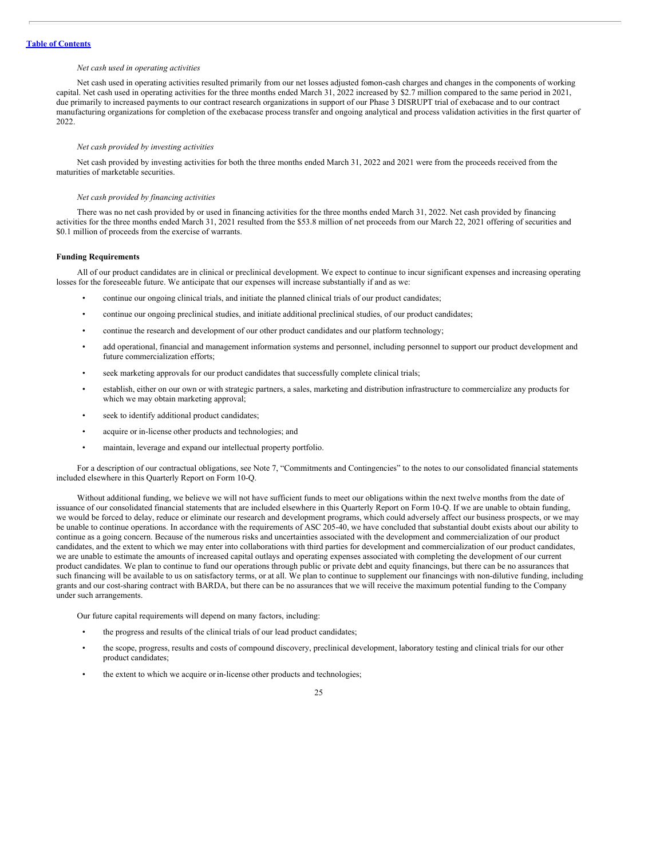#### *Net cash used in operating activities*

Net cash used in operating activities resulted primarily from our net losses adjusted fornon-cash charges and changes in the components of working capital. Net cash used in operating activities for the three months ended March 31, 2022 increased by \$2.7 million compared to the same period in 2021, due primarily to increased payments to our contract research organizations in support of our Phase 3 DISRUPT trial of exebacase and to our contract manufacturing organizations for completion of the exebacase process transfer and ongoing analytical and process validation activities in the first quarter of 2022.

#### *Net cash provided by investing activities*

Net cash provided by investing activities for both the three months ended March 31, 2022 and 2021 were from the proceeds received from the maturities of marketable securities.

#### *Net cash provided by financing activities*

There was no net cash provided by or used in financing activities for the three months ended March 31, 2022. Net cash provided by financing activities for the three months ended March 31, 2021 resulted from the \$53.8 million of net proceeds from our March 22, 2021 offering of securities and \$0.1 million of proceeds from the exercise of warrants.

#### **Funding Requirements**

All of our product candidates are in clinical or preclinical development. We expect to continue to incur significant expenses and increasing operating losses for the foreseeable future. We anticipate that our expenses will increase substantially if and as we:

- continue our ongoing clinical trials, and initiate the planned clinical trials of our product candidates;
- continue our ongoing preclinical studies, and initiate additional preclinical studies, of our product candidates;
- continue the research and development of our other product candidates and our platform technology;
- add operational, financial and management information systems and personnel, including personnel to support our product development and future commercialization efforts;
- seek marketing approvals for our product candidates that successfully complete clinical trials;
- establish, either on our own or with strategic partners, a sales, marketing and distribution infrastructure to commercialize any products for which we may obtain marketing approval;
- seek to identify additional product candidates;
- acquire or in-license other products and technologies; and
- maintain, leverage and expand our intellectual property portfolio.

For a description of our contractual obligations, see Note 7, "Commitments and Contingencies" to the notes to our consolidated financial statements included elsewhere in this Quarterly Report on Form 10-Q.

Without additional funding, we believe we will not have sufficient funds to meet our obligations within the next twelve months from the date of issuance of our consolidated financial statements that are included elsewhere in this Quarterly Report on Form 10-Q. If we are unable to obtain funding, we would be forced to delay, reduce or eliminate our research and development programs, which could adversely affect our business prospects, or we may be unable to continue operations. In accordance with the requirements of ASC 205-40, we have concluded that substantial doubt exists about our ability to continue as a going concern. Because of the numerous risks and uncertainties associated with the development and commercialization of our product candidates, and the extent to which we may enter into collaborations with third parties for development and commercialization of our product candidates, we are unable to estimate the amounts of increased capital outlays and operating expenses associated with completing the development of our current product candidates. We plan to continue to fund our operations through public or private debt and equity financings, but there can be no assurances that such financing will be available to us on satisfactory terms, or at all. We plan to continue to supplement our financings with non-dilutive funding, including grants and our cost-sharing contract with BARDA, but there can be no assurances that we will receive the maximum potential funding to the Company under such arrangements.

Our future capital requirements will depend on many factors, including:

- the progress and results of the clinical trials of our lead product candidates;
- the scope, progress, results and costs of compound discovery, preclinical development, laboratory testing and clinical trials for our other product candidates;
- the extent to which we acquire or in-license other products and technologies;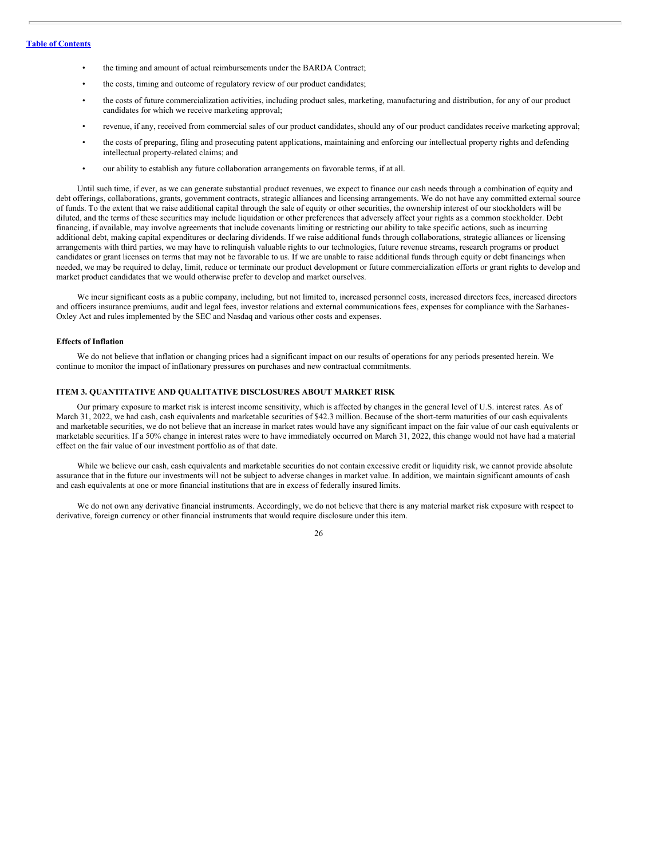- the timing and amount of actual reimbursements under the BARDA Contract;
- the costs, timing and outcome of regulatory review of our product candidates;
- the costs of future commercialization activities, including product sales, marketing, manufacturing and distribution, for any of our product candidates for which we receive marketing approval;
- revenue, if any, received from commercial sales of our product candidates, should any of our product candidates receive marketing approval;
- the costs of preparing, filing and prosecuting patent applications, maintaining and enforcing our intellectual property rights and defending intellectual property-related claims; and
- our ability to establish any future collaboration arrangements on favorable terms, if at all.

Until such time, if ever, as we can generate substantial product revenues, we expect to finance our cash needs through a combination of equity and debt offerings, collaborations, grants, government contracts, strategic alliances and licensing arrangements. We do not have any committed external source of funds. To the extent that we raise additional capital through the sale of equity or other securities, the ownership interest of our stockholders will be diluted, and the terms of these securities may include liquidation or other preferences that adversely affect your rights as a common stockholder. Debt financing, if available, may involve agreements that include covenants limiting or restricting our ability to take specific actions, such as incurring additional debt, making capital expenditures or declaring dividends. If we raise additional funds through collaborations, strategic alliances or licensing arrangements with third parties, we may have to relinquish valuable rights to our technologies, future revenue streams, research programs or product candidates or grant licenses on terms that may not be favorable to us. If we are unable to raise additional funds through equity or debt financings when needed, we may be required to delay, limit, reduce or terminate our product development or future commercialization efforts or grant rights to develop and market product candidates that we would otherwise prefer to develop and market ourselves.

We incur significant costs as a public company, including, but not limited to, increased personnel costs, increased directors fees, increased directors and officers insurance premiums, audit and legal fees, investor relations and external communications fees, expenses for compliance with the Sarbanes-Oxley Act and rules implemented by the SEC and Nasdaq and various other costs and expenses.

#### **Effects of Inflation**

We do not believe that inflation or changing prices had a significant impact on our results of operations for any periods presented herein. We continue to monitor the impact of inflationary pressures on purchases and new contractual commitments.

# <span id="page-31-0"></span>**ITEM 3. QUANTITATIVE AND QUALITATIVE DISCLOSURES ABOUT MARKET RISK**

Our primary exposure to market risk is interest income sensitivity, which is affected by changes in the general level of U.S. interest rates. As of March 31, 2022, we had cash, cash equivalents and marketable securities of \$42.3 million. Because of the short-term maturities of our cash equivalents and marketable securities, we do not believe that an increase in market rates would have any significant impact on the fair value of our cash equivalents or marketable securities. If a 50% change in interest rates were to have immediately occurred on March 31, 2022, this change would not have had a material effect on the fair value of our investment portfolio as of that date.

While we believe our cash, cash equivalents and marketable securities do not contain excessive credit or liquidity risk, we cannot provide absolute assurance that in the future our investments will not be subject to adverse changes in market value. In addition, we maintain significant amounts of cash and cash equivalents at one or more financial institutions that are in excess of federally insured limits.

We do not own any derivative financial instruments. Accordingly, we do not believe that there is any material market risk exposure with respect to derivative, foreign currency or other financial instruments that would require disclosure under this item.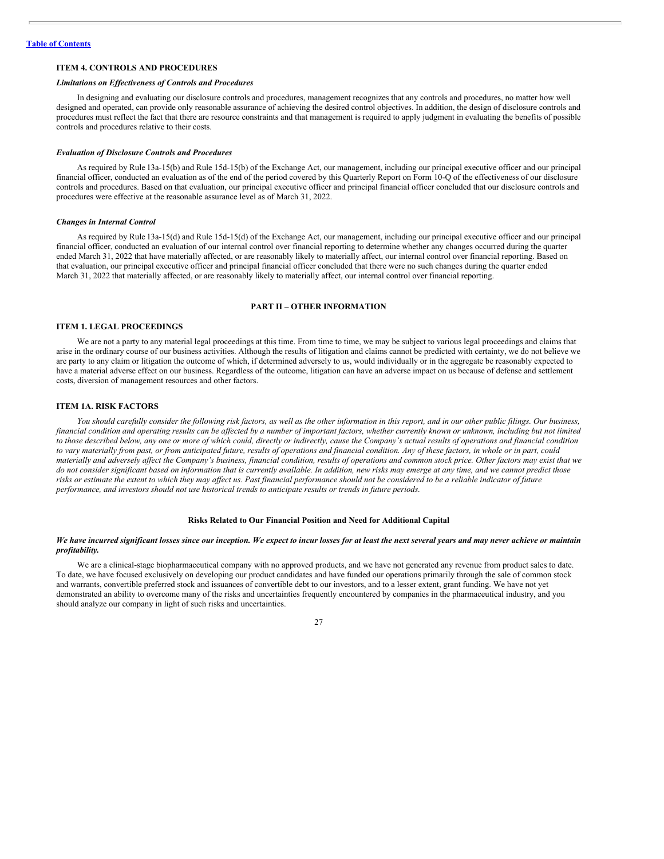#### <span id="page-32-0"></span>**ITEM 4. CONTROLS AND PROCEDURES**

#### *Limitations on Ef ectiveness of Controls and Procedures*

In designing and evaluating our disclosure controls and procedures, management recognizes that any controls and procedures, no matter how well designed and operated, can provide only reasonable assurance of achieving the desired control objectives. In addition, the design of disclosure controls and procedures must reflect the fact that there are resource constraints and that management is required to apply judgment in evaluating the benefits of possible controls and procedures relative to their costs.

#### *Evaluation of Disclosure Controls and Procedures*

As required by Rule 13a-15(b) and Rule 15d-15(b) of the Exchange Act, our management, including our principal executive officer and our principal financial officer, conducted an evaluation as of the end of the period covered by this Quarterly Report on Form 10-Q of the effectiveness of our disclosure controls and procedures. Based on that evaluation, our principal executive officer and principal financial officer concluded that our disclosure controls and procedures were effective at the reasonable assurance level as of March 31, 2022.

#### *Changes in Internal Control*

As required by Rule 13a-15(d) and Rule 15d-15(d) of the Exchange Act, our management, including our principal executive officer and our principal financial officer, conducted an evaluation of our internal control over financial reporting to determine whether any changes occurred during the quarter ended March 31, 2022 that have materially affected, or are reasonably likely to materially affect, our internal control over financial reporting. Based on that evaluation, our principal executive officer and principal financial officer concluded that there were no such changes during the quarter ended March 31, 2022 that materially affected, or are reasonably likely to materially affect, our internal control over financial reporting.

# **PART II – OTHER INFORMATION**

# <span id="page-32-2"></span><span id="page-32-1"></span>**ITEM 1. LEGAL PROCEEDINGS**

We are not a party to any material legal proceedings at this time. From time to time, we may be subject to various legal proceedings and claims that arise in the ordinary course of our business activities. Although the results of litigation and claims cannot be predicted with certainty, we do not believe we are party to any claim or litigation the outcome of which, if determined adversely to us, would individually or in the aggregate be reasonably expected to have a material adverse effect on our business. Regardless of the outcome, litigation can have an adverse impact on us because of defense and settlement costs, diversion of management resources and other factors.

### <span id="page-32-3"></span>**ITEM 1A. RISK FACTORS**

You should carefully consider the following risk factors, as well as the other information in this report, and in our other public filings. Our business, financial condition and operating results can be affected by a number of important factors, whether currently known or unknown, including but not limited to those described below, any one or more of which could, directly or indirectly, cause the Company's actual results of operations and financial condition to vary materially from past, or from anticipated future, results of operations and financial condition. Any of these factors, in whole or in part, could materially and adversely affect the Company's business, financial condition, results of operations and common stock price. Other factors may exist that we do not consider significant based on information that is currently available. In addition, new risks may emerge at any time, and we cannot predict those risks or estimate the extent to which they may affect us. Past financial performance should not be considered to be a reliable indicator of future *performance, and investors should not use historical trends to anticipate results or trends in future periods.*

#### **Risks Related to Our Financial Position and Need for Additional Capital**

# We have incurred significant losses since our inception. We expect to incur losses for at least the next several years and may never achieve or maintain *profitability.*

We are a clinical-stage biopharmaceutical company with no approved products, and we have not generated any revenue from product sales to date. To date, we have focused exclusively on developing our product candidates and have funded our operations primarily through the sale of common stock and warrants, convertible preferred stock and issuances of convertible debt to our investors, and to a lesser extent, grant funding. We have not yet demonstrated an ability to overcome many of the risks and uncertainties frequently encountered by companies in the pharmaceutical industry, and you should analyze our company in light of such risks and uncertainties.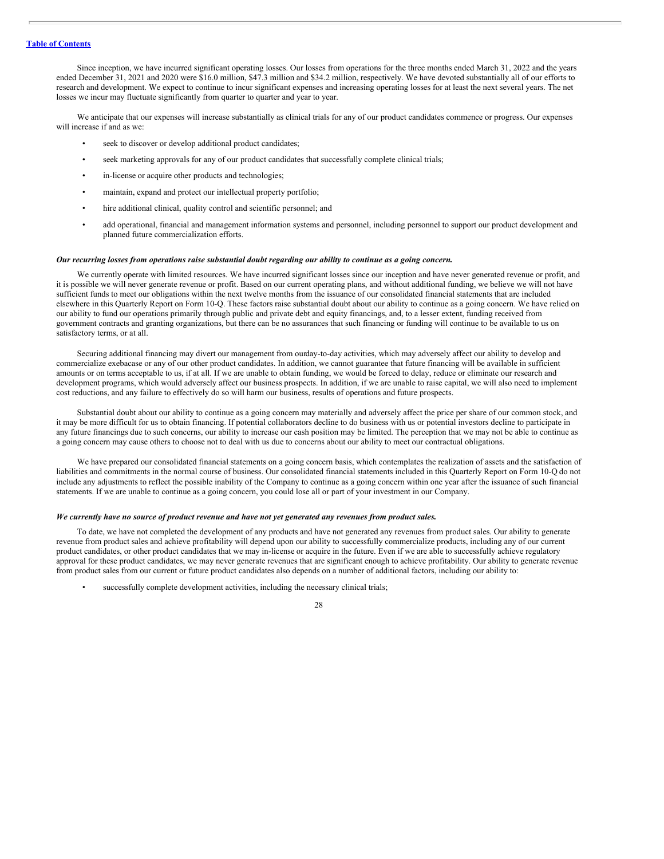Since inception, we have incurred significant operating losses. Our losses from operations for the three months ended March 31, 2022 and the years ended December 31, 2021 and 2020 were \$16.0 million, \$47.3 million and \$34.2 million, respectively. We have devoted substantially all of our efforts to research and development. We expect to continue to incur significant expenses and increasing operating losses for at least the next several years. The net losses we incur may fluctuate significantly from quarter to quarter and year to year.

We anticipate that our expenses will increase substantially as clinical trials for any of our product candidates commence or progress. Our expenses will increase if and as we:

- seek to discover or develop additional product candidates;
- seek marketing approvals for any of our product candidates that successfully complete clinical trials;
- in-license or acquire other products and technologies;
- maintain, expand and protect our intellectual property portfolio;
- hire additional clinical, quality control and scientific personnel; and
- add operational, financial and management information systems and personnel, including personnel to support our product development and planned future commercialization efforts.

#### Our recurring losses from operations raise substantial doubt regarding our ability to continue as a going concern.

We currently operate with limited resources. We have incurred significant losses since our inception and have never generated revenue or profit, and it is possible we will never generate revenue or profit. Based on our current operating plans, and without additional funding, we believe we will not have sufficient funds to meet our obligations within the next twelve months from the issuance of our consolidated financial statements that are included elsewhere in this Quarterly Report on Form 10-Q. These factors raise substantial doubt about our ability to continue as a going concern. We have relied on our ability to fund our operations primarily through public and private debt and equity financings, and, to a lesser extent, funding received from government contracts and granting organizations, but there can be no assurances that such financing or funding will continue to be available to us on satisfactory terms, or at all.

Securing additional financing may divert our management from ourday-to-day activities, which may adversely affect our ability to develop and commercialize exebacase or any of our other product candidates. In addition, we cannot guarantee that future financing will be available in sufficient amounts or on terms acceptable to us, if at all. If we are unable to obtain funding, we would be forced to delay, reduce or eliminate our research and development programs, which would adversely affect our business prospects. In addition, if we are unable to raise capital, we will also need to implement cost reductions, and any failure to effectively do so will harm our business, results of operations and future prospects.

Substantial doubt about our ability to continue as a going concern may materially and adversely affect the price per share of our common stock, and it may be more difficult for us to obtain financing. If potential collaborators decline to do business with us or potential investors decline to participate in any future financings due to such concerns, our ability to increase our cash position may be limited. The perception that we may not be able to continue as a going concern may cause others to choose not to deal with us due to concerns about our ability to meet our contractual obligations.

We have prepared our consolidated financial statements on a going concern basis, which contemplates the realization of assets and the satisfaction of liabilities and commitments in the normal course of business. Our consolidated financial statements included in this Quarterly Report on Form 10-Q do not include any adjustments to reflect the possible inability of the Company to continue as a going concern within one year after the issuance of such financial statements. If we are unable to continue as a going concern, you could lose all or part of your investment in our Company.

#### We currently have no source of product revenue and have not yet generated any revenues from product sales.

To date, we have not completed the development of any products and have not generated any revenues from product sales. Our ability to generate revenue from product sales and achieve profitability will depend upon our ability to successfully commercialize products, including any of our current product candidates, or other product candidates that we may in-license or acquire in the future. Even if we are able to successfully achieve regulatory approval for these product candidates, we may never generate revenues that are significant enough to achieve profitability. Our ability to generate revenue from product sales from our current or future product candidates also depends on a number of additional factors, including our ability to:

successfully complete development activities, including the necessary clinical trials;

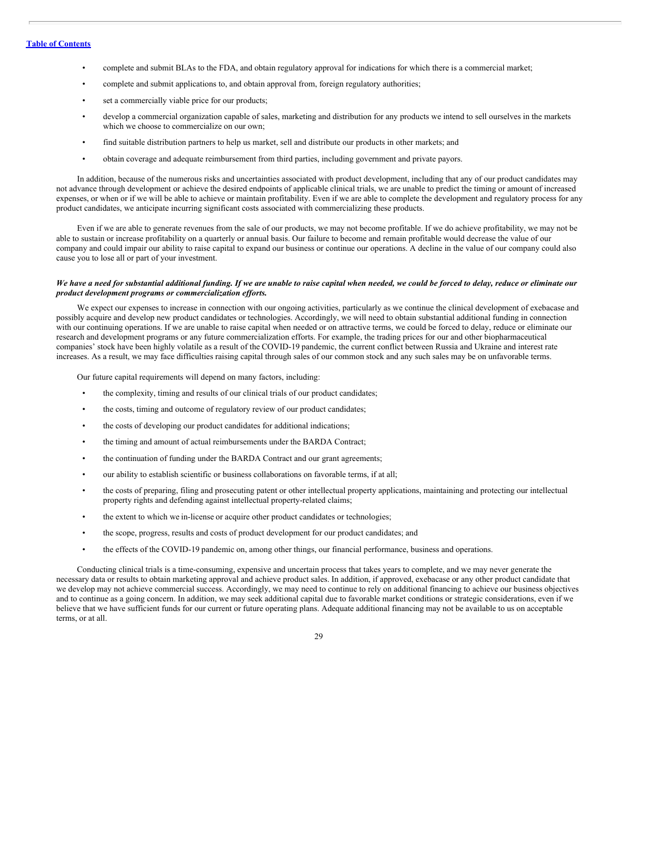- complete and submit BLAs to the FDA, and obtain regulatory approval for indications for which there is a commercial market;
- complete and submit applications to, and obtain approval from, foreign regulatory authorities;
- set a commercially viable price for our products;
- develop a commercial organization capable of sales, marketing and distribution for any products we intend to sell ourselves in the markets which we choose to commercialize on our own;
- find suitable distribution partners to help us market, sell and distribute our products in other markets; and
- obtain coverage and adequate reimbursement from third parties, including government and private payors.

In addition, because of the numerous risks and uncertainties associated with product development, including that any of our product candidates may not advance through development or achieve the desired endpoints of applicable clinical trials, we are unable to predict the timing or amount of increased expenses, or when or if we will be able to achieve or maintain profitability. Even if we are able to complete the development and regulatory process for any product candidates, we anticipate incurring significant costs associated with commercializing these products.

Even if we are able to generate revenues from the sale of our products, we may not become profitable. If we do achieve profitability, we may not be able to sustain or increase profitability on a quarterly or annual basis. Our failure to become and remain profitable would decrease the value of our company and could impair our ability to raise capital to expand our business or continue our operations. A decline in the value of our company could also cause you to lose all or part of your investment.

#### We have a need for substantial additional funding. If we are unable to raise capital when needed, we could be forced to delay, reduce or eliminate our *product development programs or commercialization ef orts.*

We expect our expenses to increase in connection with our ongoing activities, particularly as we continue the clinical development of exebacase and possibly acquire and develop new product candidates or technologies. Accordingly, we will need to obtain substantial additional funding in connection with our continuing operations. If we are unable to raise capital when needed or on attractive terms, we could be forced to delay, reduce or eliminate our research and development programs or any future commercialization efforts. For example, the trading prices for our and other biopharmaceutical companies' stock have been highly volatile as a result of the COVID-19 pandemic, the current conflict between Russia and Ukraine and interest rate increases. As a result, we may face difficulties raising capital through sales of our common stock and any such sales may be on unfavorable terms.

Our future capital requirements will depend on many factors, including:

- the complexity, timing and results of our clinical trials of our product candidates;
- the costs, timing and outcome of regulatory review of our product candidates;
- the costs of developing our product candidates for additional indications;
- the timing and amount of actual reimbursements under the BARDA Contract;
- the continuation of funding under the BARDA Contract and our grant agreements;
- our ability to establish scientific or business collaborations on favorable terms, if at all;
- the costs of preparing, filing and prosecuting patent or other intellectual property applications, maintaining and protecting our intellectual property rights and defending against intellectual property-related claims;
- the extent to which we in-license or acquire other product candidates or technologies;
- the scope, progress, results and costs of product development for our product candidates; and
- the effects of the COVID-19 pandemic on, among other things, our financial performance, business and operations.

Conducting clinical trials is a time-consuming, expensive and uncertain process that takes years to complete, and we may never generate the necessary data or results to obtain marketing approval and achieve product sales. In addition, if approved, exebacase or any other product candidate that we develop may not achieve commercial success. Accordingly, we may need to continue to rely on additional financing to achieve our business objectives and to continue as a going concern. In addition, we may seek additional capital due to favorable market conditions or strategic considerations, even if we believe that we have sufficient funds for our current or future operating plans. Adequate additional financing may not be available to us on acceptable terms, or at all.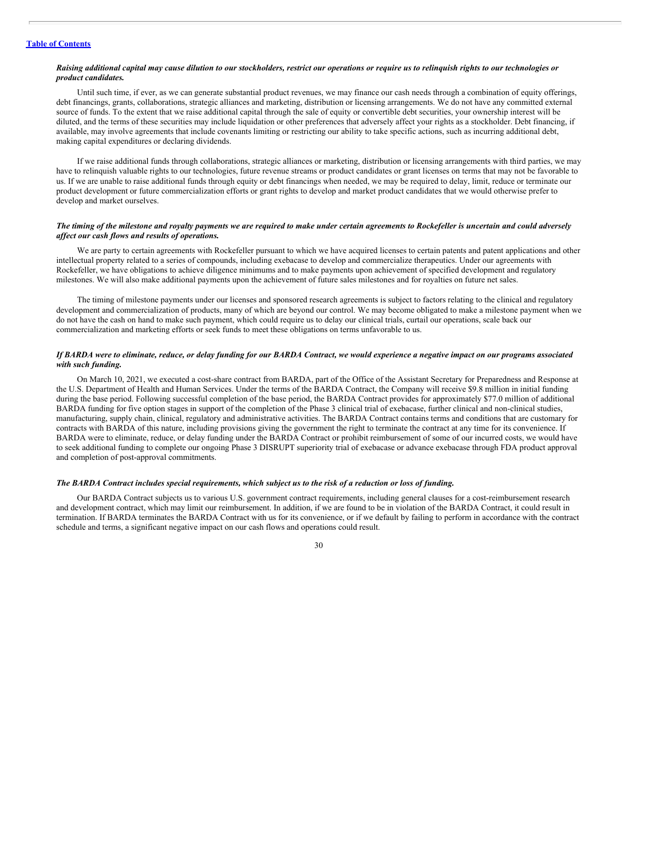#### Raising additional capital may cause dilution to our stockholders, restrict our operations or require us to relinguish rights to our technologies or *product candidates.*

Until such time, if ever, as we can generate substantial product revenues, we may finance our cash needs through a combination of equity offerings, debt financings, grants, collaborations, strategic alliances and marketing, distribution or licensing arrangements. We do not have any committed external source of funds. To the extent that we raise additional capital through the sale of equity or convertible debt securities, your ownership interest will be diluted, and the terms of these securities may include liquidation or other preferences that adversely affect your rights as a stockholder. Debt financing, if available, may involve agreements that include covenants limiting or restricting our ability to take specific actions, such as incurring additional debt, making capital expenditures or declaring dividends.

If we raise additional funds through collaborations, strategic alliances or marketing, distribution or licensing arrangements with third parties, we may have to relinquish valuable rights to our technologies, future revenue streams or product candidates or grant licenses on terms that may not be favorable to us. If we are unable to raise additional funds through equity or debt financings when needed, we may be required to delay, limit, reduce or terminate our product development or future commercialization efforts or grant rights to develop and market product candidates that we would otherwise prefer to develop and market ourselves.

# The timing of the milestone and royalty payments we are required to make under certain agreements to Rockefeller is uncertain and could adversely *af ect our cash flows and results of operations.*

We are party to certain agreements with Rockefeller pursuant to which we have acquired licenses to certain patents and patent applications and other intellectual property related to a series of compounds, including exebacase to develop and commercialize therapeutics. Under our agreements with Rockefeller, we have obligations to achieve diligence minimums and to make payments upon achievement of specified development and regulatory milestones. We will also make additional payments upon the achievement of future sales milestones and for royalties on future net sales.

The timing of milestone payments under our licenses and sponsored research agreements is subject to factors relating to the clinical and regulatory development and commercialization of products, many of which are beyond our control. We may become obligated to make a milestone payment when we do not have the cash on hand to make such payment, which could require us to delay our clinical trials, curtail our operations, scale back our commercialization and marketing efforts or seek funds to meet these obligations on terms unfavorable to us.

# If BARDA were to eliminate, reduce, or delay funding for our BARDA Contract, we would experience a negative impact on our programs associated *with such funding.*

On March 10, 2021, we executed a cost-share contract from BARDA, part of the Office of the Assistant Secretary for Preparedness and Response at the U.S. Department of Health and Human Services. Under the terms of the BARDA Contract, the Company will receive \$9.8 million in initial funding during the base period. Following successful completion of the base period, the BARDA Contract provides for approximately \$77.0 million of additional BARDA funding for five option stages in support of the completion of the Phase 3 clinical trial of exebacase, further clinical and non-clinical studies, manufacturing, supply chain, clinical, regulatory and administrative activities. The BARDA Contract contains terms and conditions that are customary for contracts with BARDA of this nature, including provisions giving the government the right to terminate the contract at any time for its convenience. If BARDA were to eliminate, reduce, or delay funding under the BARDA Contract or prohibit reimbursement of some of our incurred costs, we would have to seek additional funding to complete our ongoing Phase 3 DISRUPT superiority trial of exebacase or advance exebacase through FDA product approval and completion of post-approval commitments.

#### The BARDA Contract includes special requirements, which subject us to the risk of a reduction or loss of funding.

Our BARDA Contract subjects us to various U.S. government contract requirements, including general clauses for a cost-reimbursement research and development contract, which may limit our reimbursement. In addition, if we are found to be in violation of the BARDA Contract, it could result in termination. If BARDA terminates the BARDA Contract with us for its convenience, or if we default by failing to perform in accordance with the contract schedule and terms, a significant negative impact on our cash flows and operations could result.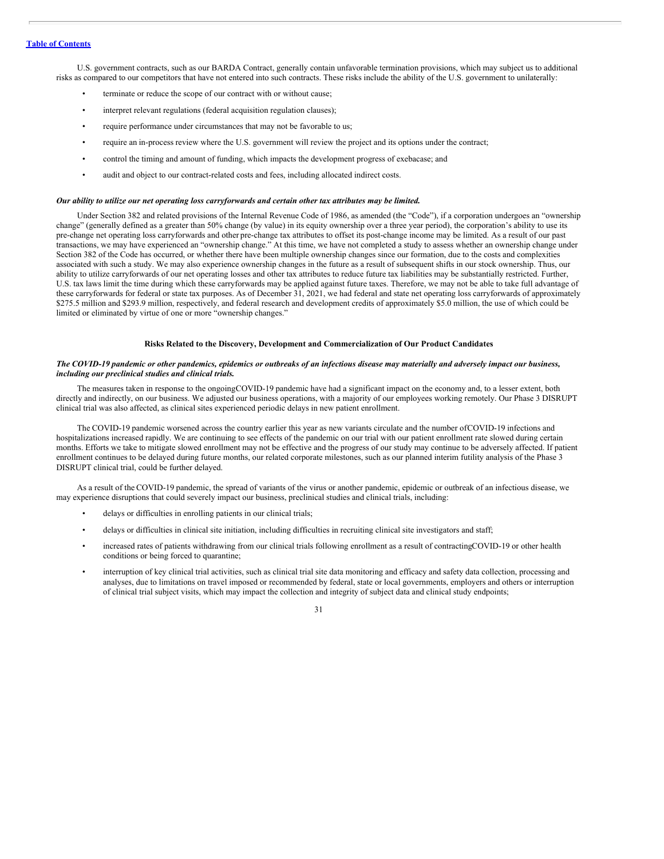U.S. government contracts, such as our BARDA Contract, generally contain unfavorable termination provisions, which may subject us to additional risks as compared to our competitors that have not entered into such contracts. These risks include the ability of the U.S. government to unilaterally:

- terminate or reduce the scope of our contract with or without cause;
- interpret relevant regulations (federal acquisition regulation clauses);
- require performance under circumstances that may not be favorable to us;
- require an in-process review where the U.S. government will review the project and its options under the contract;
- control the timing and amount of funding, which impacts the development progress of exebacase; and
- audit and object to our contract-related costs and fees, including allocated indirect costs.

#### Our ability to utilize our net operating loss carryforwards and certain other tax attributes may be limited.

Under Section 382 and related provisions of the Internal Revenue Code of 1986, as amended (the "Code"), if a corporation undergoes an "ownership change" (generally defined as a greater than 50% change (by value) in its equity ownership over a three year period), the corporation's ability to use its pre-change net operating loss carryforwards and other pre-change tax attributes to offset its post-change income may be limited. As a result of our past transactions, we may have experienced an "ownership change." At this time, we have not completed a study to assess whether an ownership change under Section 382 of the Code has occurred, or whether there have been multiple ownership changes since our formation, due to the costs and complexities associated with such a study. We may also experience ownership changes in the future as a result of subsequent shifts in our stock ownership. Thus, our ability to utilize carryforwards of our net operating losses and other tax attributes to reduce future tax liabilities may be substantially restricted. Further, U.S. tax laws limit the time during which these carryforwards may be applied against future taxes. Therefore, we may not be able to take full advantage of these carryforwards for federal or state tax purposes. As of December 31, 2021, we had federal and state net operating loss carryforwards of approximately \$275.5 million and \$293.9 million, respectively, and federal research and development credits of approximately \$5.0 million, the use of which could be limited or eliminated by virtue of one or more "ownership changes."

#### **Risks Related to the Discovery, Development and Commercialization of Our Product Candidates**

# The COVID-19 pandemic or other pandemics, epidemics or outbreaks of an infectious disease may materially and adversely impact our business, *including our preclinical studies and clinical trials.*

The measures taken in response to the ongoingCOVID-19 pandemic have had a significant impact on the economy and, to a lesser extent, both directly and indirectly, on our business. We adjusted our business operations, with a majority of our employees working remotely. Our Phase 3 DISRUPT clinical trial was also affected, as clinical sites experienced periodic delays in new patient enrollment.

The COVID-19 pandemic worsened across the country earlier this year as new variants circulate and the number ofCOVID-19 infections and hospitalizations increased rapidly. We are continuing to see effects of the pandemic on our trial with our patient enrollment rate slowed during certain months. Efforts we take to mitigate slowed enrollment may not be effective and the progress of our study may continue to be adversely affected. If patient enrollment continues to be delayed during future months, our related corporate milestones, such as our planned interim futility analysis of the Phase 3 DISRUPT clinical trial, could be further delayed.

As a result of the COVID-19 pandemic, the spread of variants of the virus or another pandemic, epidemic or outbreak of an infectious disease, we may experience disruptions that could severely impact our business, preclinical studies and clinical trials, including:

- delays or difficulties in enrolling patients in our clinical trials;
- delays or difficulties in clinical site initiation, including difficulties in recruiting clinical site investigators and staff;
- increased rates of patients withdrawing from our clinical trials following enrollment as a result of contractingCOVID-19 or other health conditions or being forced to quarantine;
- interruption of key clinical trial activities, such as clinical trial site data monitoring and efficacy and safety data collection, processing and analyses, due to limitations on travel imposed or recommended by federal, state or local governments, employers and others or interruption of clinical trial subject visits, which may impact the collection and integrity of subject data and clinical study endpoints;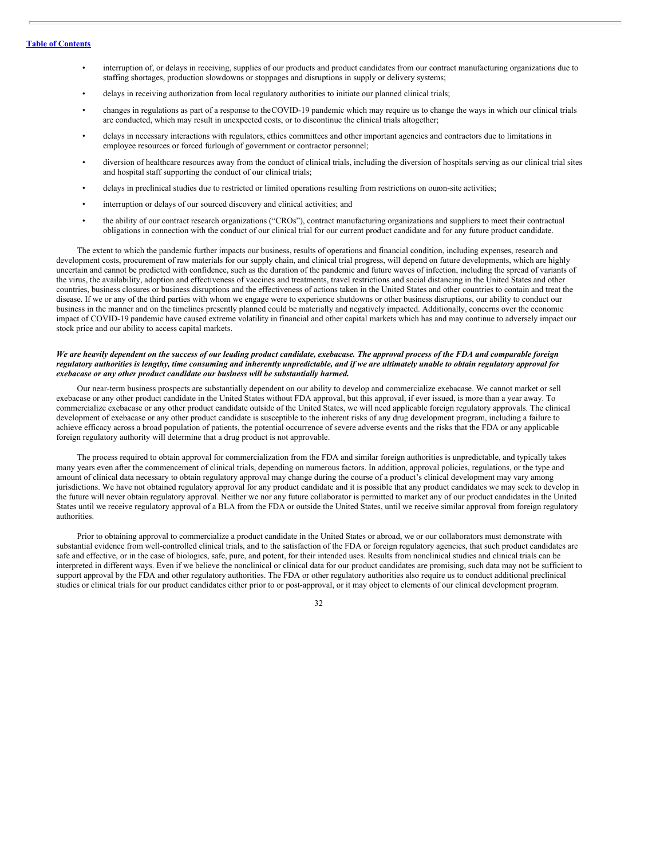- interruption of, or delays in receiving, supplies of our products and product candidates from our contract manufacturing organizations due to staffing shortages, production slowdowns or stoppages and disruptions in supply or delivery systems;
- delays in receiving authorization from local regulatory authorities to initiate our planned clinical trials;
- changes in regulations as part of a response to theCOVID-19 pandemic which may require us to change the ways in which our clinical trials are conducted, which may result in unexpected costs, or to discontinue the clinical trials altogether;
- delays in necessary interactions with regulators, ethics committees and other important agencies and contractors due to limitations in employee resources or forced furlough of government or contractor personnel;
- diversion of healthcare resources away from the conduct of clinical trials, including the diversion of hospitals serving as our clinical trial sites and hospital staff supporting the conduct of our clinical trials;
- delays in preclinical studies due to restricted or limited operations resulting from restrictions on ouron-site activities;
- interruption or delays of our sourced discovery and clinical activities; and
- the ability of our contract research organizations ("CROs"), contract manufacturing organizations and suppliers to meet their contractual obligations in connection with the conduct of our clinical trial for our current product candidate and for any future product candidate.

The extent to which the pandemic further impacts our business, results of operations and financial condition, including expenses, research and development costs, procurement of raw materials for our supply chain, and clinical trial progress, will depend on future developments, which are highly uncertain and cannot be predicted with confidence, such as the duration of the pandemic and future waves of infection, including the spread of variants of the virus, the availability, adoption and effectiveness of vaccines and treatments, travel restrictions and social distancing in the United States and other countries, business closures or business disruptions and the effectiveness of actions taken in the United States and other countries to contain and treat the disease. If we or any of the third parties with whom we engage were to experience shutdowns or other business disruptions, our ability to conduct our business in the manner and on the timelines presently planned could be materially and negatively impacted. Additionally, concerns over the economic impact of COVID-19 pandemic have caused extreme volatility in financial and other capital markets which has and may continue to adversely impact our stock price and our ability to access capital markets.

## We are heavily dependent on the success of our leading product candidate, exebacase. The approval process of the FDA and comparable foreign regulatory authorities is lengthy, time consuming and inherently unpredictable, and if we are ultimately unable to obtain regulatory approval for *exebacase or any other product candidate our business will be substantially harmed.*

Our near-term business prospects are substantially dependent on our ability to develop and commercialize exebacase. We cannot market or sell exebacase or any other product candidate in the United States without FDA approval, but this approval, if ever issued, is more than a year away. To commercialize exebacase or any other product candidate outside of the United States, we will need applicable foreign regulatory approvals. The clinical development of exebacase or any other product candidate is susceptible to the inherent risks of any drug development program, including a failure to achieve efficacy across a broad population of patients, the potential occurrence of severe adverse events and the risks that the FDA or any applicable foreign regulatory authority will determine that a drug product is not approvable.

The process required to obtain approval for commercialization from the FDA and similar foreign authorities is unpredictable, and typically takes many years even after the commencement of clinical trials, depending on numerous factors. In addition, approval policies, regulations, or the type and amount of clinical data necessary to obtain regulatory approval may change during the course of a product's clinical development may vary among jurisdictions. We have not obtained regulatory approval for any product candidate and it is possible that any product candidates we may seek to develop in the future will never obtain regulatory approval. Neither we nor any future collaborator is permitted to market any of our product candidates in the United States until we receive regulatory approval of a BLA from the FDA or outside the United States, until we receive similar approval from foreign regulatory authorities.

Prior to obtaining approval to commercialize a product candidate in the United States or abroad, we or our collaborators must demonstrate with substantial evidence from well-controlled clinical trials, and to the satisfaction of the FDA or foreign regulatory agencies, that such product candidates are safe and effective, or in the case of biologics, safe, pure, and potent, for their intended uses. Results from nonclinical studies and clinical trials can be interpreted in different ways. Even if we believe the nonclinical or clinical data for our product candidates are promising, such data may not be sufficient to support approval by the FDA and other regulatory authorities. The FDA or other regulatory authorities also require us to conduct additional preclinical studies or clinical trials for our product candidates either prior to or post-approval, or it may object to elements of our clinical development program.

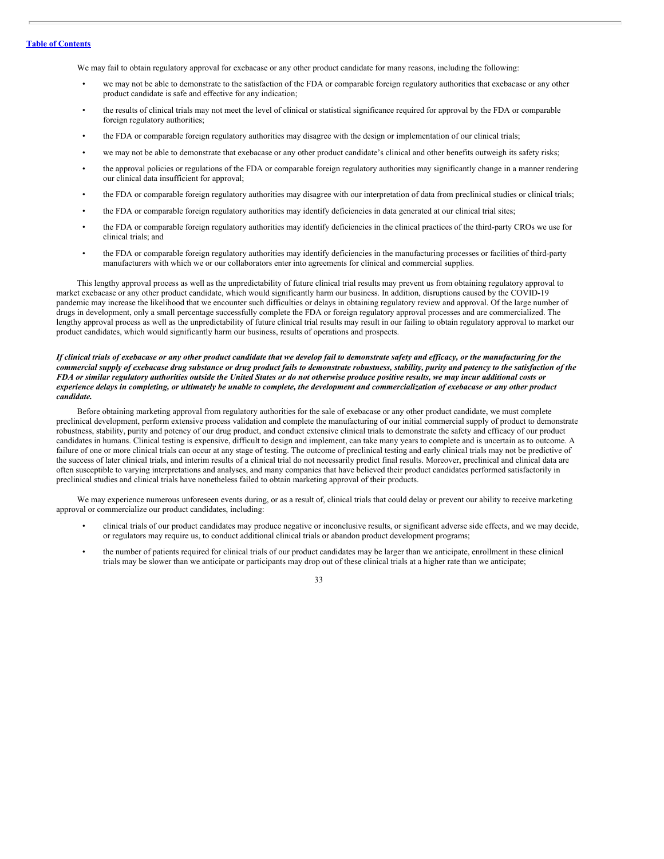We may fail to obtain regulatory approval for exebacase or any other product candidate for many reasons, including the following:

- we may not be able to demonstrate to the satisfaction of the FDA or comparable foreign regulatory authorities that exebacase or any other product candidate is safe and effective for any indication;
- the results of clinical trials may not meet the level of clinical or statistical significance required for approval by the FDA or comparable foreign regulatory authorities;
- the FDA or comparable foreign regulatory authorities may disagree with the design or implementation of our clinical trials;
- we may not be able to demonstrate that exebacase or any other product candidate's clinical and other benefits outweigh its safety risks;
- the approval policies or regulations of the FDA or comparable foreign regulatory authorities may significantly change in a manner rendering our clinical data insufficient for approval;
- the FDA or comparable foreign regulatory authorities may disagree with our interpretation of data from preclinical studies or clinical trials;
- the FDA or comparable foreign regulatory authorities may identify deficiencies in data generated at our clinical trial sites;
- the FDA or comparable foreign regulatory authorities may identify deficiencies in the clinical practices of the third-party CROs we use for clinical trials; and
- the FDA or comparable foreign regulatory authorities may identify deficiencies in the manufacturing processes or facilities of third-party manufacturers with which we or our collaborators enter into agreements for clinical and commercial supplies.

This lengthy approval process as well as the unpredictability of future clinical trial results may prevent us from obtaining regulatory approval to market exebacase or any other product candidate, which would significantly harm our business. In addition, disruptions caused by the COVID-19 pandemic may increase the likelihood that we encounter such difficulties or delays in obtaining regulatory review and approval. Of the large number of drugs in development, only a small percentage successfully complete the FDA or foreign regulatory approval processes and are commercialized. The lengthy approval process as well as the unpredictability of future clinical trial results may result in our failing to obtain regulatory approval to market our product candidates, which would significantly harm our business, results of operations and prospects.

# If clinical trials of exebacase or any other product candidate that we develop fail to demonstrate safety and efficacy, or the manufacturing for the commercial supply of exebacase drug substance or drug product fails to demonstrate robustness, stability, purity and potency to the satisfaction of the FDA or similar regulatory authorities outside the United States or do not otherwise produce positive results, we may incur additional costs or experience delays in completing, or ultimately be unable to complete, the development and commercialization of exebacase or any other product *candidate.*

Before obtaining marketing approval from regulatory authorities for the sale of exebacase or any other product candidate, we must complete preclinical development, perform extensive process validation and complete the manufacturing of our initial commercial supply of product to demonstrate robustness, stability, purity and potency of our drug product, and conduct extensive clinical trials to demonstrate the safety and efficacy of our product candidates in humans. Clinical testing is expensive, difficult to design and implement, can take many years to complete and is uncertain as to outcome. A failure of one or more clinical trials can occur at any stage of testing. The outcome of preclinical testing and early clinical trials may not be predictive of the success of later clinical trials, and interim results of a clinical trial do not necessarily predict final results. Moreover, preclinical and clinical data are often susceptible to varying interpretations and analyses, and many companies that have believed their product candidates performed satisfactorily in preclinical studies and clinical trials have nonetheless failed to obtain marketing approval of their products.

We may experience numerous unforeseen events during, or as a result of, clinical trials that could delay or prevent our ability to receive marketing approval or commercialize our product candidates, including:

- clinical trials of our product candidates may produce negative or inconclusive results, or significant adverse side effects, and we may decide, or regulators may require us, to conduct additional clinical trials or abandon product development programs;
- the number of patients required for clinical trials of our product candidates may be larger than we anticipate, enrollment in these clinical trials may be slower than we anticipate or participants may drop out of these clinical trials at a higher rate than we anticipate;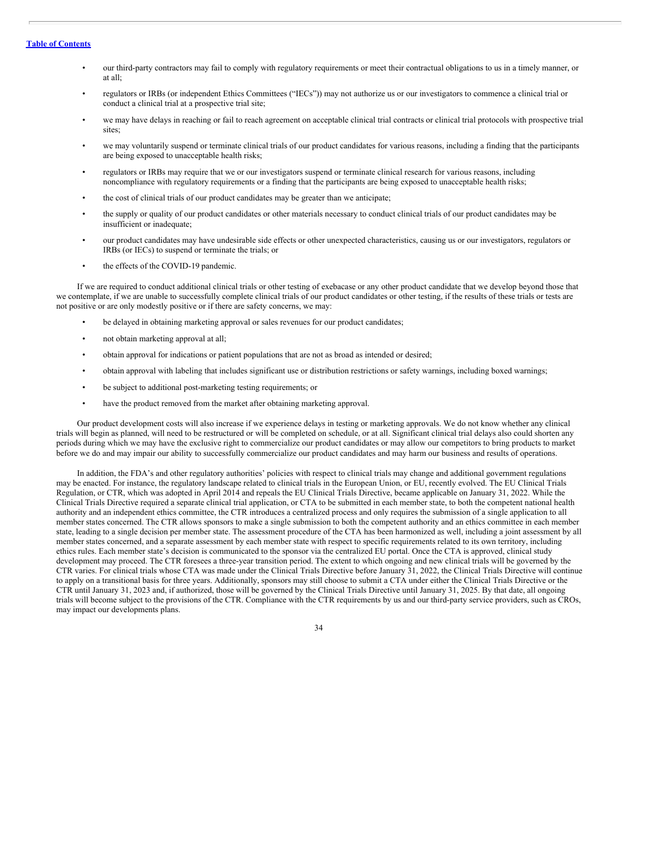- our third-party contractors may fail to comply with regulatory requirements or meet their contractual obligations to us in a timely manner, or at all;
- regulators or IRBs (or independent Ethics Committees ("IECs")) may not authorize us or our investigators to commence a clinical trial or conduct a clinical trial at a prospective trial site;
- we may have delays in reaching or fail to reach agreement on acceptable clinical trial contracts or clinical trial protocols with prospective trial sites:
- we may voluntarily suspend or terminate clinical trials of our product candidates for various reasons, including a finding that the participants are being exposed to unacceptable health risks;
- regulators or IRBs may require that we or our investigators suspend or terminate clinical research for various reasons, including noncompliance with regulatory requirements or a finding that the participants are being exposed to unacceptable health risks;
- the cost of clinical trials of our product candidates may be greater than we anticipate;
- the supply or quality of our product candidates or other materials necessary to conduct clinical trials of our product candidates may be insufficient or inadequate;
- our product candidates may have undesirable side effects or other unexpected characteristics, causing us or our investigators, regulators or IRBs (or IECs) to suspend or terminate the trials; or
- the effects of the COVID-19 pandemic.

If we are required to conduct additional clinical trials or other testing of exebacase or any other product candidate that we develop beyond those that we contemplate, if we are unable to successfully complete clinical trials of our product candidates or other testing, if the results of these trials or tests are not positive or are only modestly positive or if there are safety concerns, we may:

- be delayed in obtaining marketing approval or sales revenues for our product candidates;
- not obtain marketing approval at all;
- obtain approval for indications or patient populations that are not as broad as intended or desired;
- obtain approval with labeling that includes significant use or distribution restrictions or safety warnings, including boxed warnings;
- be subject to additional post-marketing testing requirements; or
- have the product removed from the market after obtaining marketing approval.

Our product development costs will also increase if we experience delays in testing or marketing approvals. We do not know whether any clinical trials will begin as planned, will need to be restructured or will be completed on schedule, or at all. Significant clinical trial delays also could shorten any periods during which we may have the exclusive right to commercialize our product candidates or may allow our competitors to bring products to market before we do and may impair our ability to successfully commercialize our product candidates and may harm our business and results of operations.

In addition, the FDA's and other regulatory authorities' policies with respect to clinical trials may change and additional government regulations may be enacted. For instance, the regulatory landscape related to clinical trials in the European Union, or EU, recently evolved. The EU Clinical Trials Regulation, or CTR, which was adopted in April 2014 and repeals the EU Clinical Trials Directive, became applicable on January 31, 2022. While the Clinical Trials Directive required a separate clinical trial application, or CTA to be submitted in each member state, to both the competent national health authority and an independent ethics committee, the CTR introduces a centralized process and only requires the submission of a single application to all member states concerned. The CTR allows sponsors to make a single submission to both the competent authority and an ethics committee in each member state, leading to a single decision per member state. The assessment procedure of the CTA has been harmonized as well, including a joint assessment by all member states concerned, and a separate assessment by each member state with respect to specific requirements related to its own territory, including ethics rules. Each member state's decision is communicated to the sponsor via the centralized EU portal. Once the CTA is approved, clinical study development may proceed. The CTR foresees a three-year transition period. The extent to which ongoing and new clinical trials will be governed by the CTR varies. For clinical trials whose CTA was made under the Clinical Trials Directive before January 31, 2022, the Clinical Trials Directive will continue to apply on a transitional basis for three years. Additionally, sponsors may still choose to submit a CTA under either the Clinical Trials Directive or the CTR until January 31, 2023 and, if authorized, those will be governed by the Clinical Trials Directive until January 31, 2025. By that date, all ongoing trials will become subject to the provisions of the CTR. Compliance with the CTR requirements by us and our third-party service providers, such as CROs, may impact our developments plans.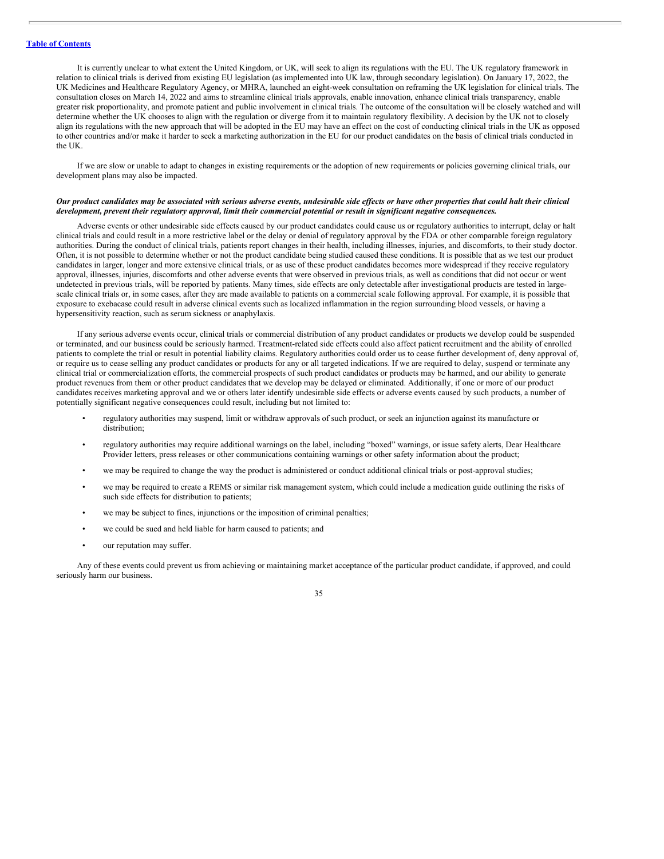It is currently unclear to what extent the United Kingdom, or UK, will seek to align its regulations with the EU. The UK regulatory framework in relation to clinical trials is derived from existing EU legislation (as implemented into UK law, through secondary legislation). On January 17, 2022, the UK Medicines and Healthcare Regulatory Agency, or MHRA, launched an eight-week consultation on reframing the UK legislation for clinical trials. The consultation closes on March 14, 2022 and aims to streamline clinical trials approvals, enable innovation, enhance clinical trials transparency, enable greater risk proportionality, and promote patient and public involvement in clinical trials. The outcome of the consultation will be closely watched and will determine whether the UK chooses to align with the regulation or diverge from it to maintain regulatory flexibility. A decision by the UK not to closely align its regulations with the new approach that will be adopted in the EU may have an effect on the cost of conducting clinical trials in the UK as opposed to other countries and/or make it harder to seek a marketing authorization in the EU for our product candidates on the basis of clinical trials conducted in the UK.

If we are slow or unable to adapt to changes in existing requirements or the adoption of new requirements or policies governing clinical trials, our development plans may also be impacted.

## Our product candidates may be associated with serious adverse events, undesirable side effects or have other properties that could halt their clinical development, prevent their regulatory approval, limit their commercial potential or result in significant negative consequences.

Adverse events or other undesirable side effects caused by our product candidates could cause us or regulatory authorities to interrupt, delay or halt clinical trials and could result in a more restrictive label or the delay or denial of regulatory approval by the FDA or other comparable foreign regulatory authorities. During the conduct of clinical trials, patients report changes in their health, including illnesses, injuries, and discomforts, to their study doctor. Often, it is not possible to determine whether or not the product candidate being studied caused these conditions. It is possible that as we test our product candidates in larger, longer and more extensive clinical trials, or as use of these product candidates becomes more widespread if they receive regulatory approval, illnesses, injuries, discomforts and other adverse events that were observed in previous trials, as well as conditions that did not occur or went undetected in previous trials, will be reported by patients. Many times, side effects are only detectable after investigational products are tested in largescale clinical trials or, in some cases, after they are made available to patients on a commercial scale following approval. For example, it is possible that exposure to exebacase could result in adverse clinical events such as localized inflammation in the region surrounding blood vessels, or having a hypersensitivity reaction, such as serum sickness or anaphylaxis.

If any serious adverse events occur, clinical trials or commercial distribution of any product candidates or products we develop could be suspended or terminated, and our business could be seriously harmed. Treatment-related side effects could also affect patient recruitment and the ability of enrolled patients to complete the trial or result in potential liability claims. Regulatory authorities could order us to cease further development of, deny approval of, or require us to cease selling any product candidates or products for any or all targeted indications. If we are required to delay, suspend or terminate any clinical trial or commercialization efforts, the commercial prospects of such product candidates or products may be harmed, and our ability to generate product revenues from them or other product candidates that we develop may be delayed or eliminated. Additionally, if one or more of our product candidates receives marketing approval and we or others later identify undesirable side effects or adverse events caused by such products, a number of potentially significant negative consequences could result, including but not limited to:

- regulatory authorities may suspend, limit or withdraw approvals of such product, or seek an injunction against its manufacture or distribution;
- regulatory authorities may require additional warnings on the label, including "boxed" warnings, or issue safety alerts, Dear Healthcare Provider letters, press releases or other communications containing warnings or other safety information about the product;
- we may be required to change the way the product is administered or conduct additional clinical trials or post-approval studies;
- we may be required to create a REMS or similar risk management system, which could include a medication guide outlining the risks of such side effects for distribution to patients;
- we may be subject to fines, injunctions or the imposition of criminal penalties;
- we could be sued and held liable for harm caused to patients; and
- our reputation may suffer.

Any of these events could prevent us from achieving or maintaining market acceptance of the particular product candidate, if approved, and could seriously harm our business.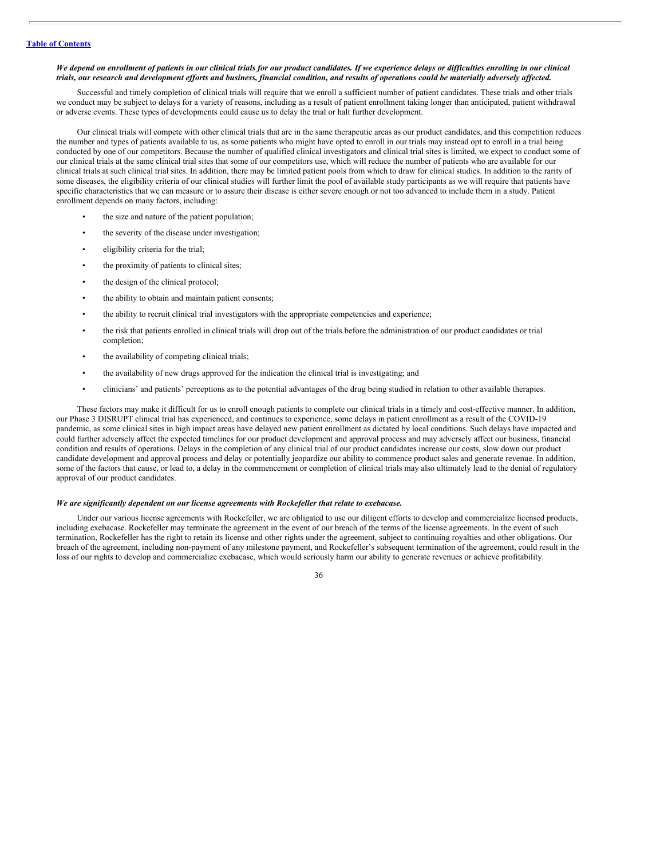## We depend on enrollment of patients in our clinical trials for our product candidates. If we experience delays or difficulties enrolling in our clinical trials, our research and development efforts and business, financial condition, and results of operations could be materially adversely affected.

Successful and timely completion of clinical trials will require that we enroll a sufficient number of patient candidates. These trials and other trials we conduct may be subject to delays for a variety of reasons, including as a result of patient enrollment taking longer than anticipated, patient withdrawal or adverse events. These types of developments could cause us to delay the trial or halt further development.

Our clinical trials will compete with other clinical trials that are in the same therapeutic areas as our product candidates, and this competition reduces the number and types of patients available to us, as some patients who might have opted to enroll in our trials may instead opt to enroll in a trial being conducted by one of our competitors. Because the number of qualified clinical investigators and clinical trial sites is limited, we expect to conduct some of our clinical trials at the same clinical trial sites that some of our competitors use, which will reduce the number of patients who are available for our clinical trials at such clinical trial sites. In addition, there may be limited patient pools from which to draw for clinical studies. In addition to the rarity of some diseases, the eligibility criteria of our clinical studies will further limit the pool of available study participants as we will require that patients have specific characteristics that we can measure or to assure their disease is either severe enough or not too advanced to include them in a study. Patient enrollment depends on many factors, including:

- the size and nature of the patient population;
- the severity of the disease under investigation;
- eligibility criteria for the trial;
- the proximity of patients to clinical sites;
- the design of the clinical protocol;
- the ability to obtain and maintain patient consents;
- the ability to recruit clinical trial investigators with the appropriate competencies and experience;
- the risk that patients enrolled in clinical trials will drop out of the trials before the administration of our product candidates or trial completion;
- the availability of competing clinical trials;
- the availability of new drugs approved for the indication the clinical trial is investigating; and
- clinicians' and patients' perceptions as to the potential advantages of the drug being studied in relation to other available therapies.

These factors may make it difficult for us to enroll enough patients to complete our clinical trials in a timely and cost-effective manner. In addition, our Phase 3 DISRUPT clinical trial has experienced, and continues to experience, some delays in patient enrollment as a result of the COVID-19 pandemic, as some clinical sites in high impact areas have delayed new patient enrollment as dictated by local conditions. Such delays have impacted and could further adversely affect the expected timelines for our product development and approval process and may adversely affect our business, financial condition and results of operations. Delays in the completion of any clinical trial of our product candidates increase our costs, slow down our product candidate development and approval process and delay or potentially jeopardize our ability to commence product sales and generate revenue. In addition, some of the factors that cause, or lead to, a delay in the commencement or completion of clinical trials may also ultimately lead to the denial of regulatory approval of our product candidates.

## *We are significantly dependent on our license agreements with Rockefeller that relate to exebacase.*

Under our various license agreements with Rockefeller, we are obligated to use our diligent efforts to develop and commercialize licensed products, including exebacase. Rockefeller may terminate the agreement in the event of our breach of the terms of the license agreements. In the event of such termination, Rockefeller has the right to retain its license and other rights under the agreement, subject to continuing royalties and other obligations. Our breach of the agreement, including non-payment of any milestone payment, and Rockefeller's subsequent termination of the agreement, could result in the loss of our rights to develop and commercialize exebacase, which would seriously harm our ability to generate revenues or achieve profitability.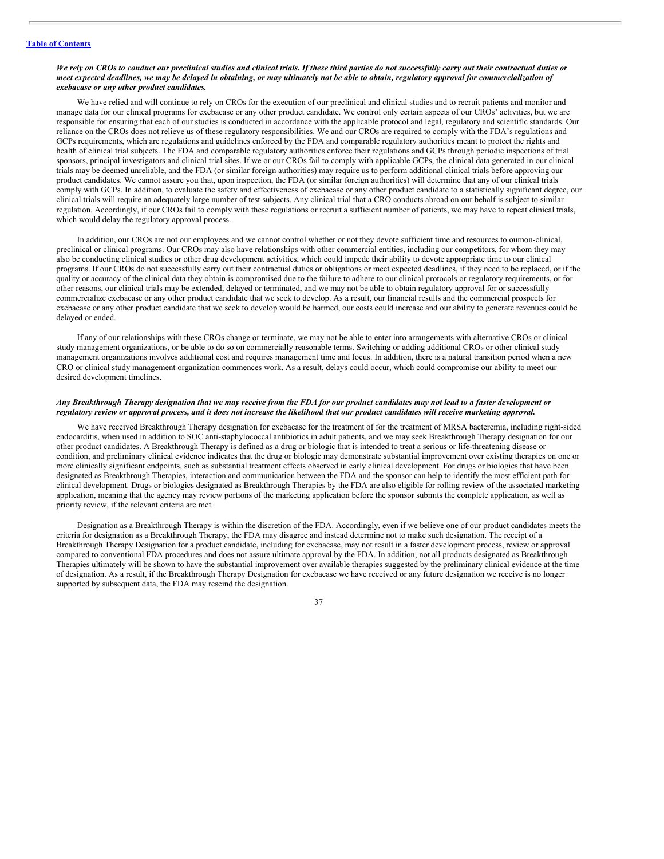## We rely on CROs to conduct our preclinical studies and clinical trials. If these third parties do not successfully carry out their contractual duties or meet expected deadlines, we may be delayed in obtaining, or may ultimately not be able to obtain, regulatory approval for commercialization of *exebacase or any other product candidates.*

We have relied and will continue to rely on CROs for the execution of our preclinical and clinical studies and to recruit patients and monitor and manage data for our clinical programs for exebacase or any other product candidate. We control only certain aspects of our CROs' activities, but we are responsible for ensuring that each of our studies is conducted in accordance with the applicable protocol and legal, regulatory and scientific standards. Our reliance on the CROs does not relieve us of these regulatory responsibilities. We and our CROs are required to comply with the FDA's regulations and GCPs requirements, which are regulations and guidelines enforced by the FDA and comparable regulatory authorities meant to protect the rights and health of clinical trial subjects. The FDA and comparable regulatory authorities enforce their regulations and GCPs through periodic inspections of trial sponsors, principal investigators and clinical trial sites. If we or our CROs fail to comply with applicable GCPs, the clinical data generated in our clinical trials may be deemed unreliable, and the FDA (or similar foreign authorities) may require us to perform additional clinical trials before approving our product candidates. We cannot assure you that, upon inspection, the FDA (or similar foreign authorities) will determine that any of our clinical trials comply with GCPs. In addition, to evaluate the safety and effectiveness of exebacase or any other product candidate to a statistically significant degree, our clinical trials will require an adequately large number of test subjects. Any clinical trial that a CRO conducts abroad on our behalf is subject to similar regulation. Accordingly, if our CROs fail to comply with these regulations or recruit a sufficient number of patients, we may have to repeat clinical trials, which would delay the regulatory approval process.

In addition, our CROs are not our employees and we cannot control whether or not they devote sufficient time and resources to ournon-clinical, preclinical or clinical programs. Our CROs may also have relationships with other commercial entities, including our competitors, for whom they may also be conducting clinical studies or other drug development activities, which could impede their ability to devote appropriate time to our clinical programs. If our CROs do not successfully carry out their contractual duties or obligations or meet expected deadlines, if they need to be replaced, or if the quality or accuracy of the clinical data they obtain is compromised due to the failure to adhere to our clinical protocols or regulatory requirements, or for other reasons, our clinical trials may be extended, delayed or terminated, and we may not be able to obtain regulatory approval for or successfully commercialize exebacase or any other product candidate that we seek to develop. As a result, our financial results and the commercial prospects for exebacase or any other product candidate that we seek to develop would be harmed, our costs could increase and our ability to generate revenues could be delayed or ended.

If any of our relationships with these CROs change or terminate, we may not be able to enter into arrangements with alternative CROs or clinical study management organizations, or be able to do so on commercially reasonable terms. Switching or adding additional CROs or other clinical study management organizations involves additional cost and requires management time and focus. In addition, there is a natural transition period when a new CRO or clinical study management organization commences work. As a result, delays could occur, which could compromise our ability to meet our desired development timelines.

# Any Breakthrough Therapy designation that we may receive from the FDA for our product candidates may not lead to a faster development or regulatory review or approval process, and it does not increase the likelihood that our product candidates will receive marketing approval.

We have received Breakthrough Therapy designation for exebacase for the treatment of for the treatment of MRSA bacteremia, including right-sided endocarditis, when used in addition to SOC anti-staphylococcal antibiotics in adult patients, and we may seek Breakthrough Therapy designation for our other product candidates. A Breakthrough Therapy is defined as a drug or biologic that is intended to treat a serious or life-threatening disease or condition, and preliminary clinical evidence indicates that the drug or biologic may demonstrate substantial improvement over existing therapies on one or more clinically significant endpoints, such as substantial treatment effects observed in early clinical development. For drugs or biologics that have been designated as Breakthrough Therapies, interaction and communication between the FDA and the sponsor can help to identify the most efficient path for clinical development. Drugs or biologics designated as Breakthrough Therapies by the FDA are also eligible for rolling review of the associated marketing application, meaning that the agency may review portions of the marketing application before the sponsor submits the complete application, as well as priority review, if the relevant criteria are met.

Designation as a Breakthrough Therapy is within the discretion of the FDA. Accordingly, even if we believe one of our product candidates meets the criteria for designation as a Breakthrough Therapy, the FDA may disagree and instead determine not to make such designation. The receipt of a Breakthrough Therapy Designation for a product candidate, including for exebacase, may not result in a faster development process, review or approval compared to conventional FDA procedures and does not assure ultimate approval by the FDA. In addition, not all products designated as Breakthrough Therapies ultimately will be shown to have the substantial improvement over available therapies suggested by the preliminary clinical evidence at the time of designation. As a result, if the Breakthrough Therapy Designation for exebacase we have received or any future designation we receive is no longer supported by subsequent data, the FDA may rescind the designation.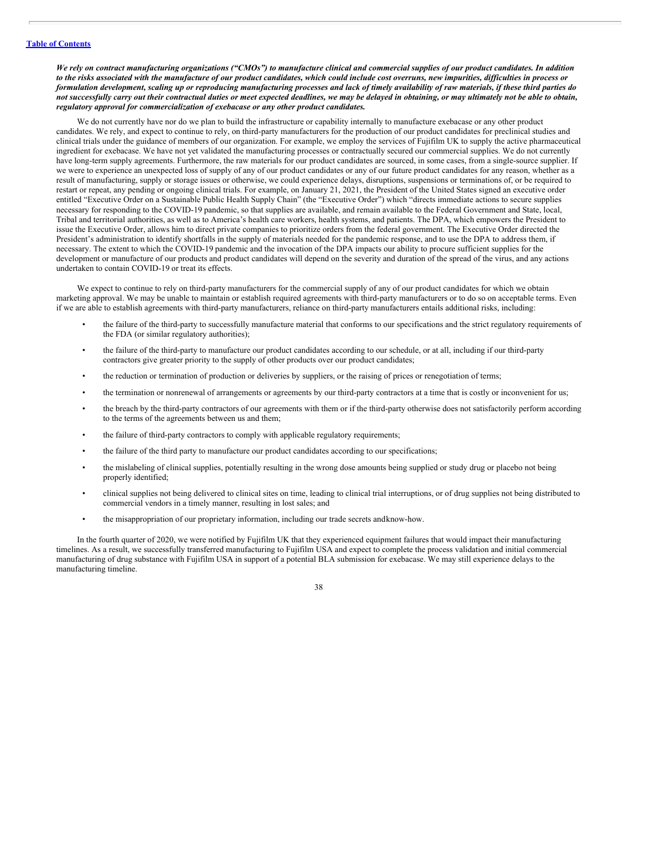We rely on contract manufacturing organizations ("CMOs") to manufacture clinical and commercial supplies of our product candidates. In addition to the risks associated with the manufacture of our product candidates, which could include cost overruns, new impurities, difficulties in process or formulation development, scaling up or reproducing manufacturing processes and lack of timely availability of raw materials, if these third parties do not successfully carry out their contractual duties or meet expected deadlines, we may be delayed in obtaining, or may ultimately not be able to obtain, *regulatory approval for commercialization of exebacase or any other product candidates.*

We do not currently have nor do we plan to build the infrastructure or capability internally to manufacture exebacase or any other product candidates. We rely, and expect to continue to rely, on third-party manufacturers for the production of our product candidates for preclinical studies and clinical trials under the guidance of members of our organization. For example, we employ the services of Fujifilm UK to supply the active pharmaceutical ingredient for exebacase. We have not yet validated the manufacturing processes or contractually secured our commercial supplies. We do not currently have long-term supply agreements. Furthermore, the raw materials for our product candidates are sourced, in some cases, from a single-source supplier. If we were to experience an unexpected loss of supply of any of our product candidates or any of our future product candidates for any reason, whether as a result of manufacturing, supply or storage issues or otherwise, we could experience delays, disruptions, suspensions or terminations of, or be required to restart or repeat, any pending or ongoing clinical trials. For example, on January 21, 2021, the President of the United States signed an executive order entitled "Executive Order on a Sustainable Public Health Supply Chain" (the "Executive Order") which "directs immediate actions to secure supplies necessary for responding to the COVID-19 pandemic, so that supplies are available, and remain available to the Federal Government and State, local, Tribal and territorial authorities, as well as to America's health care workers, health systems, and patients. The DPA, which empowers the President to issue the Executive Order, allows him to direct private companies to prioritize orders from the federal government. The Executive Order directed the President's administration to identify shortfalls in the supply of materials needed for the pandemic response, and to use the DPA to address them, if necessary. The extent to which the COVID-19 pandemic and the invocation of the DPA impacts our ability to procure sufficient supplies for the development or manufacture of our products and product candidates will depend on the severity and duration of the spread of the virus, and any actions undertaken to contain COVID-19 or treat its effects.

We expect to continue to rely on third-party manufacturers for the commercial supply of any of our product candidates for which we obtain marketing approval. We may be unable to maintain or establish required agreements with third-party manufacturers or to do so on acceptable terms. Even if we are able to establish agreements with third-party manufacturers, reliance on third-party manufacturers entails additional risks, including:

- the failure of the third-party to successfully manufacture material that conforms to our specifications and the strict regulatory requirements of the FDA (or similar regulatory authorities);
- the failure of the third-party to manufacture our product candidates according to our schedule, or at all, including if our third-party contractors give greater priority to the supply of other products over our product candidates;
- the reduction or termination of production or deliveries by suppliers, or the raising of prices or renegotiation of terms;
- the termination or nonrenewal of arrangements or agreements by our third-party contractors at a time that is costly or inconvenient for us;
- the breach by the third-party contractors of our agreements with them or if the third-party otherwise does not satisfactorily perform according to the terms of the agreements between us and them;
- the failure of third-party contractors to comply with applicable regulatory requirements;
- the failure of the third party to manufacture our product candidates according to our specifications;
- the mislabeling of clinical supplies, potentially resulting in the wrong dose amounts being supplied or study drug or placebo not being properly identified;
- clinical supplies not being delivered to clinical sites on time, leading to clinical trial interruptions, or of drug supplies not being distributed to commercial vendors in a timely manner, resulting in lost sales; and
- the misappropriation of our proprietary information, including our trade secrets andknow-how.

In the fourth quarter of 2020, we were notified by Fujifilm UK that they experienced equipment failures that would impact their manufacturing timelines. As a result, we successfully transferred manufacturing to Fujifilm USA and expect to complete the process validation and initial commercial manufacturing of drug substance with Fujifilm USA in support of a potential BLA submission for exebacase. We may still experience delays to the manufacturing timeline.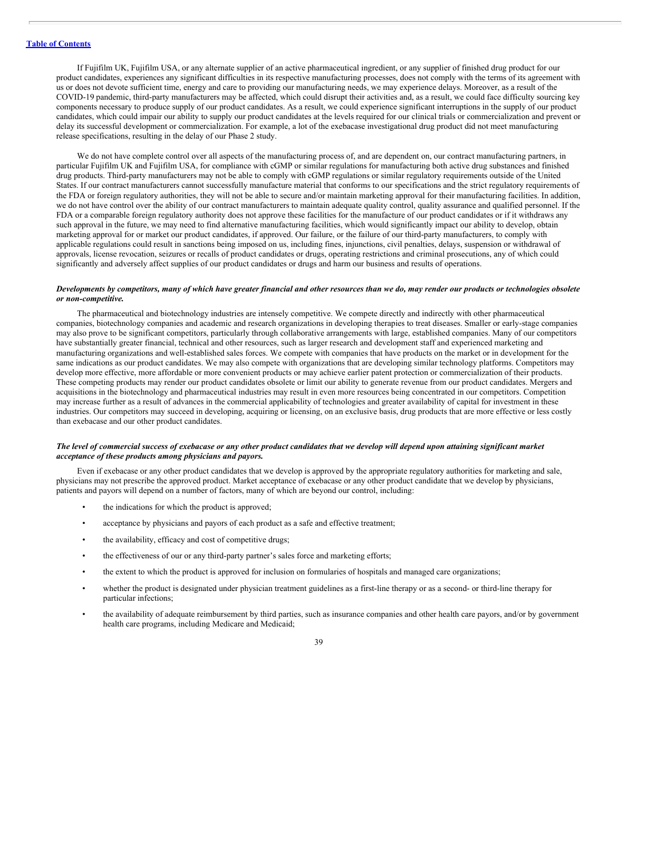If Fujifilm UK, Fujifilm USA, or any alternate supplier of an active pharmaceutical ingredient, or any supplier of finished drug product for our product candidates, experiences any significant difficulties in its respective manufacturing processes, does not comply with the terms of its agreement with us or does not devote sufficient time, energy and care to providing our manufacturing needs, we may experience delays. Moreover, as a result of the COVID-19 pandemic, third-party manufacturers may be affected, which could disrupt their activities and, as a result, we could face difficulty sourcing key components necessary to produce supply of our product candidates. As a result, we could experience significant interruptions in the supply of our product candidates, which could impair our ability to supply our product candidates at the levels required for our clinical trials or commercialization and prevent or delay its successful development or commercialization. For example, a lot of the exebacase investigational drug product did not meet manufacturing release specifications, resulting in the delay of our Phase 2 study.

We do not have complete control over all aspects of the manufacturing process of, and are dependent on, our contract manufacturing partners, in particular Fujifilm UK and Fujifilm USA, for compliance with cGMP or similar regulations for manufacturing both active drug substances and finished drug products. Third-party manufacturers may not be able to comply with cGMP regulations or similar regulatory requirements outside of the United States. If our contract manufacturers cannot successfully manufacture material that conforms to our specifications and the strict regulatory requirements of the FDA or foreign regulatory authorities, they will not be able to secure and/or maintain marketing approval for their manufacturing facilities. In addition, we do not have control over the ability of our contract manufacturers to maintain adequate quality control, quality assurance and qualified personnel. If the FDA or a comparable foreign regulatory authority does not approve these facilities for the manufacture of our product candidates or if it withdraws any such approval in the future, we may need to find alternative manufacturing facilities, which would significantly impact our ability to develop, obtain marketing approval for or market our product candidates, if approved. Our failure, or the failure of our third-party manufacturers, to comply with applicable regulations could result in sanctions being imposed on us, including fines, injunctions, civil penalties, delays, suspension or withdrawal of approvals, license revocation, seizures or recalls of product candidates or drugs, operating restrictions and criminal prosecutions, any of which could significantly and adversely affect supplies of our product candidates or drugs and harm our business and results of operations.

## Developments by competitors, many of which have greater financial and other resources than we do, may render our products or technologies obsolete *or non-competitive.*

The pharmaceutical and biotechnology industries are intensely competitive. We compete directly and indirectly with other pharmaceutical companies, biotechnology companies and academic and research organizations in developing therapies to treat diseases. Smaller or early-stage companies may also prove to be significant competitors, particularly through collaborative arrangements with large, established companies. Many of our competitors have substantially greater financial, technical and other resources, such as larger research and development staff and experienced marketing and manufacturing organizations and well-established sales forces. We compete with companies that have products on the market or in development for the same indications as our product candidates. We may also compete with organizations that are developing similar technology platforms. Competitors may develop more effective, more affordable or more convenient products or may achieve earlier patent protection or commercialization of their products. These competing products may render our product candidates obsolete or limit our ability to generate revenue from our product candidates. Mergers and acquisitions in the biotechnology and pharmaceutical industries may result in even more resources being concentrated in our competitors. Competition may increase further as a result of advances in the commercial applicability of technologies and greater availability of capital for investment in these industries. Our competitors may succeed in developing, acquiring or licensing, on an exclusive basis, drug products that are more effective or less costly than exebacase and our other product candidates.

# The level of commercial success of exebacase or any other product candidates that we develop will depend upon attaining significant market *acceptance of these products among physicians and payors.*

Even if exebacase or any other product candidates that we develop is approved by the appropriate regulatory authorities for marketing and sale, physicians may not prescribe the approved product. Market acceptance of exebacase or any other product candidate that we develop by physicians, patients and payors will depend on a number of factors, many of which are beyond our control, including:

- the indications for which the product is approved;
- acceptance by physicians and payors of each product as a safe and effective treatment;
- the availability, efficacy and cost of competitive drugs;
- the effectiveness of our or any third-party partner's sales force and marketing efforts;
- the extent to which the product is approved for inclusion on formularies of hospitals and managed care organizations;
- whether the product is designated under physician treatment guidelines as a first-line therapy or as a second- or third-line therapy for particular infections;
- the availability of adequate reimbursement by third parties, such as insurance companies and other health care payors, and/or by government health care programs, including Medicare and Medicaid;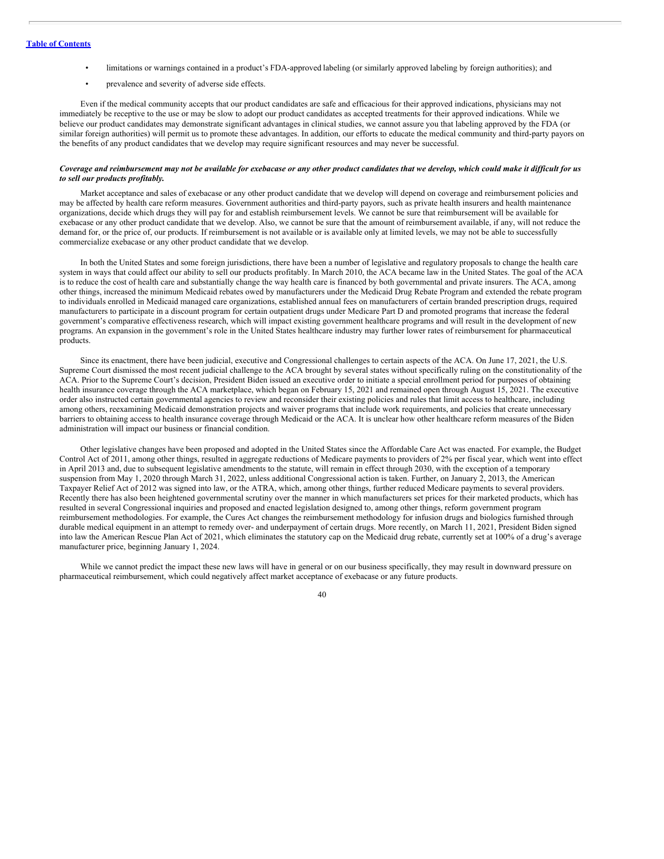- limitations or warnings contained in a product's FDA-approved labeling (or similarly approved labeling by foreign authorities); and
- prevalence and severity of adverse side effects.

Even if the medical community accepts that our product candidates are safe and efficacious for their approved indications, physicians may not immediately be receptive to the use or may be slow to adopt our product candidates as accepted treatments for their approved indications. While we believe our product candidates may demonstrate significant advantages in clinical studies, we cannot assure you that labeling approved by the FDA (or similar foreign authorities) will permit us to promote these advantages. In addition, our efforts to educate the medical community and third-party payors on the benefits of any product candidates that we develop may require significant resources and may never be successful.

# Coverage and reimbursement may not be available for exebacase or any other product candidates that we develop, which could make it difficult for us *to sell our products profitably.*

Market acceptance and sales of exebacase or any other product candidate that we develop will depend on coverage and reimbursement policies and may be affected by health care reform measures. Government authorities and third-party payors, such as private health insurers and health maintenance organizations, decide which drugs they will pay for and establish reimbursement levels. We cannot be sure that reimbursement will be available for exebacase or any other product candidate that we develop. Also, we cannot be sure that the amount of reimbursement available, if any, will not reduce the demand for, or the price of, our products. If reimbursement is not available or is available only at limited levels, we may not be able to successfully commercialize exebacase or any other product candidate that we develop.

In both the United States and some foreign jurisdictions, there have been a number of legislative and regulatory proposals to change the health care system in ways that could affect our ability to sell our products profitably. In March 2010, the ACA became law in the United States. The goal of the ACA is to reduce the cost of health care and substantially change the way health care is financed by both governmental and private insurers. The ACA, among other things, increased the minimum Medicaid rebates owed by manufacturers under the Medicaid Drug Rebate Program and extended the rebate program to individuals enrolled in Medicaid managed care organizations, established annual fees on manufacturers of certain branded prescription drugs, required manufacturers to participate in a discount program for certain outpatient drugs under Medicare Part D and promoted programs that increase the federal government's comparative effectiveness research, which will impact existing government healthcare programs and will result in the development of new programs. An expansion in the government's role in the United States healthcare industry may further lower rates of reimbursement for pharmaceutical products.

Since its enactment, there have been judicial, executive and Congressional challenges to certain aspects of the ACA. On June 17, 2021, the U.S. Supreme Court dismissed the most recent judicial challenge to the ACA brought by several states without specifically ruling on the constitutionality of the ACA. Prior to the Supreme Court's decision, President Biden issued an executive order to initiate a special enrollment period for purposes of obtaining health insurance coverage through the ACA marketplace, which began on February 15, 2021 and remained open through August 15, 2021. The executive order also instructed certain governmental agencies to review and reconsider their existing policies and rules that limit access to healthcare, including among others, reexamining Medicaid demonstration projects and waiver programs that include work requirements, and policies that create unnecessary barriers to obtaining access to health insurance coverage through Medicaid or the ACA. It is unclear how other healthcare reform measures of the Biden administration will impact our business or financial condition.

Other legislative changes have been proposed and adopted in the United States since the Affordable Care Act was enacted. For example, the Budget Control Act of 2011, among other things, resulted in aggregate reductions of Medicare payments to providers of 2% per fiscal year, which went into effect in April 2013 and, due to subsequent legislative amendments to the statute, will remain in effect through 2030, with the exception of a temporary suspension from May 1, 2020 through March 31, 2022, unless additional Congressional action is taken. Further, on January 2, 2013, the American Taxpayer Relief Act of 2012 was signed into law, or the ATRA, which, among other things, further reduced Medicare payments to several providers. Recently there has also been heightened governmental scrutiny over the manner in which manufacturers set prices for their marketed products, which has resulted in several Congressional inquiries and proposed and enacted legislation designed to, among other things, reform government program reimbursement methodologies. For example, the Cures Act changes the reimbursement methodology for infusion drugs and biologics furnished through durable medical equipment in an attempt to remedy over- and underpayment of certain drugs. More recently, on March 11, 2021, President Biden signed into law the American Rescue Plan Act of 2021, which eliminates the statutory cap on the Medicaid drug rebate, currently set at 100% of a drug's average manufacturer price, beginning January 1, 2024.

While we cannot predict the impact these new laws will have in general or on our business specifically, they may result in downward pressure on pharmaceutical reimbursement, which could negatively affect market acceptance of exebacase or any future products.

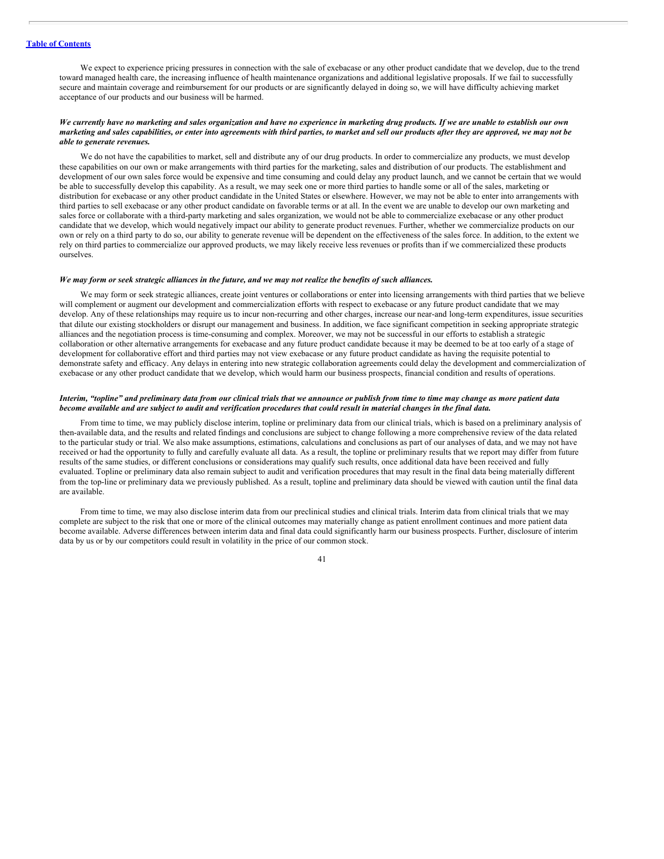We expect to experience pricing pressures in connection with the sale of exebacase or any other product candidate that we develop, due to the trend toward managed health care, the increasing influence of health maintenance organizations and additional legislative proposals. If we fail to successfully secure and maintain coverage and reimbursement for our products or are significantly delayed in doing so, we will have difficulty achieving market acceptance of our products and our business will be harmed.

## We currently have no marketing and sales organization and have no experience in marketing drug products. If we are unable to establish our own marketing and sales capabilities, or enter into agreements with third parties, to market and sell our products after they are approved, we may not be *able to generate revenues.*

We do not have the capabilities to market, sell and distribute any of our drug products. In order to commercialize any products, we must develop these capabilities on our own or make arrangements with third parties for the marketing, sales and distribution of our products. The establishment and development of our own sales force would be expensive and time consuming and could delay any product launch, and we cannot be certain that we would be able to successfully develop this capability. As a result, we may seek one or more third parties to handle some or all of the sales, marketing or distribution for exebacase or any other product candidate in the United States or elsewhere. However, we may not be able to enter into arrangements with third parties to sell exebacase or any other product candidate on favorable terms or at all. In the event we are unable to develop our own marketing and sales force or collaborate with a third-party marketing and sales organization, we would not be able to commercialize exebacase or any other product candidate that we develop, which would negatively impact our ability to generate product revenues. Further, whether we commercialize products on our own or rely on a third party to do so, our ability to generate revenue will be dependent on the effectiveness of the sales force. In addition, to the extent we rely on third parties to commercialize our approved products, we may likely receive less revenues or profits than if we commercialized these products ourselves.

## We may form or seek strategic alliances in the future, and we may not realize the benefits of such alliances.

We may form or seek strategic alliances, create joint ventures or collaborations or enter into licensing arrangements with third parties that we believe will complement or augment our development and commercialization efforts with respect to exebacase or any future product candidate that we may develop. Any of these relationships may require us to incur non-recurring and other charges, increase our near-and long-term expenditures, issue securities that dilute our existing stockholders or disrupt our management and business. In addition, we face significant competition in seeking appropriate strategic alliances and the negotiation process is time-consuming and complex. Moreover, we may not be successful in our efforts to establish a strategic collaboration or other alternative arrangements for exebacase and any future product candidate because it may be deemed to be at too early of a stage of development for collaborative effort and third parties may not view exebacase or any future product candidate as having the requisite potential to demonstrate safety and efficacy. Any delays in entering into new strategic collaboration agreements could delay the development and commercialization of exebacase or any other product candidate that we develop, which would harm our business prospects, financial condition and results of operations.

## Interim, "topline" and preliminary data from our clinical trials that we announce or publish from time to time may change as more patient data become available and are subject to audit and verification procedures that could result in material changes in the final data.

From time to time, we may publicly disclose interim, topline or preliminary data from our clinical trials, which is based on a preliminary analysis of then-available data, and the results and related findings and conclusions are subject to change following a more comprehensive review of the data related to the particular study or trial. We also make assumptions, estimations, calculations and conclusions as part of our analyses of data, and we may not have received or had the opportunity to fully and carefully evaluate all data. As a result, the topline or preliminary results that we report may differ from future results of the same studies, or different conclusions or considerations may qualify such results, once additional data have been received and fully evaluated. Topline or preliminary data also remain subject to audit and verification procedures that may result in the final data being materially different from the top-line or preliminary data we previously published. As a result, topline and preliminary data should be viewed with caution until the final data are available.

From time to time, we may also disclose interim data from our preclinical studies and clinical trials. Interim data from clinical trials that we may complete are subject to the risk that one or more of the clinical outcomes may materially change as patient enrollment continues and more patient data become available. Adverse differences between interim data and final data could significantly harm our business prospects. Further, disclosure of interim data by us or by our competitors could result in volatility in the price of our common stock.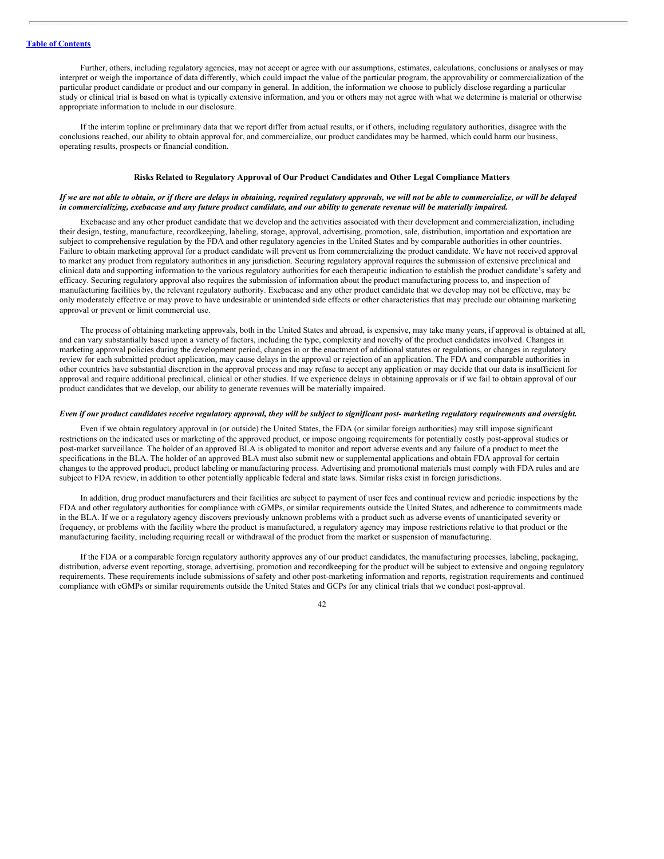Further, others, including regulatory agencies, may not accept or agree with our assumptions, estimates, calculations, conclusions or analyses or may interpret or weigh the importance of data differently, which could impact the value of the particular program, the approvability or commercialization of the particular product candidate or product and our company in general. In addition, the information we choose to publicly disclose regarding a particular study or clinical trial is based on what is typically extensive information, and you or others may not agree with what we determine is material or otherwise appropriate information to include in our disclosure.

If the interim topline or preliminary data that we report differ from actual results, or if others, including regulatory authorities, disagree with the conclusions reached, our ability to obtain approval for, and commercialize, our product candidates may be harmed, which could harm our business, operating results, prospects or financial condition.

# **Risks Related to Regulatory Approval of Our Product Candidates and Other Legal Compliance Matters**

# If we are not able to obtain, or if there are delays in obtaining, required regulatory approvals, we will not be able to commercialize, or will be delayed in commercializing, exebacase and any future product candidate, and our ability to generate revenue will be materially impaired.

Exebacase and any other product candidate that we develop and the activities associated with their development and commercialization, including their design, testing, manufacture, recordkeeping, labeling, storage, approval, advertising, promotion, sale, distribution, importation and exportation are subject to comprehensive regulation by the FDA and other regulatory agencies in the United States and by comparable authorities in other countries. Failure to obtain marketing approval for a product candidate will prevent us from commercializing the product candidate. We have not received approval to market any product from regulatory authorities in any jurisdiction. Securing regulatory approval requires the submission of extensive preclinical and clinical data and supporting information to the various regulatory authorities for each therapeutic indication to establish the product candidate's safety and efficacy. Securing regulatory approval also requires the submission of information about the product manufacturing process to, and inspection of manufacturing facilities by, the relevant regulatory authority. Exebacase and any other product candidate that we develop may not be effective, may be only moderately effective or may prove to have undesirable or unintended side effects or other characteristics that may preclude our obtaining marketing approval or prevent or limit commercial use.

The process of obtaining marketing approvals, both in the United States and abroad, is expensive, may take many years, if approval is obtained at all, and can vary substantially based upon a variety of factors, including the type, complexity and novelty of the product candidates involved. Changes in marketing approval policies during the development period, changes in or the enactment of additional statutes or regulations, or changes in regulatory review for each submitted product application, may cause delays in the approval or rejection of an application. The FDA and comparable authorities in other countries have substantial discretion in the approval process and may refuse to accept any application or may decide that our data is insufficient for approval and require additional preclinical, clinical or other studies. If we experience delays in obtaining approvals or if we fail to obtain approval of our product candidates that we develop, our ability to generate revenues will be materially impaired.

#### Even if our product candidates receive regulatory approval, they will be subject to significant post-marketing regulatory requirements and oversight.

Even if we obtain regulatory approval in (or outside) the United States, the FDA (or similar foreign authorities) may still impose significant restrictions on the indicated uses or marketing of the approved product, or impose ongoing requirements for potentially costly post-approval studies or post-market surveillance. The holder of an approved BLA is obligated to monitor and report adverse events and any failure of a product to meet the specifications in the BLA. The holder of an approved BLA must also submit new or supplemental applications and obtain FDA approval for certain changes to the approved product, product labeling or manufacturing process. Advertising and promotional materials must comply with FDA rules and are subject to FDA review, in addition to other potentially applicable federal and state laws. Similar risks exist in foreign jurisdictions.

In addition, drug product manufacturers and their facilities are subject to payment of user fees and continual review and periodic inspections by the FDA and other regulatory authorities for compliance with cGMPs, or similar requirements outside the United States, and adherence to commitments made in the BLA. If we or a regulatory agency discovers previously unknown problems with a product such as adverse events of unanticipated severity or frequency, or problems with the facility where the product is manufactured, a regulatory agency may impose restrictions relative to that product or the manufacturing facility, including requiring recall or withdrawal of the product from the market or suspension of manufacturing.

If the FDA or a comparable foreign regulatory authority approves any of our product candidates, the manufacturing processes, labeling, packaging, distribution, adverse event reporting, storage, advertising, promotion and recordkeeping for the product will be subject to extensive and ongoing regulatory requirements. These requirements include submissions of safety and other post-marketing information and reports, registration requirements and continued compliance with cGMPs or similar requirements outside the United States and GCPs for any clinical trials that we conduct post-approval.

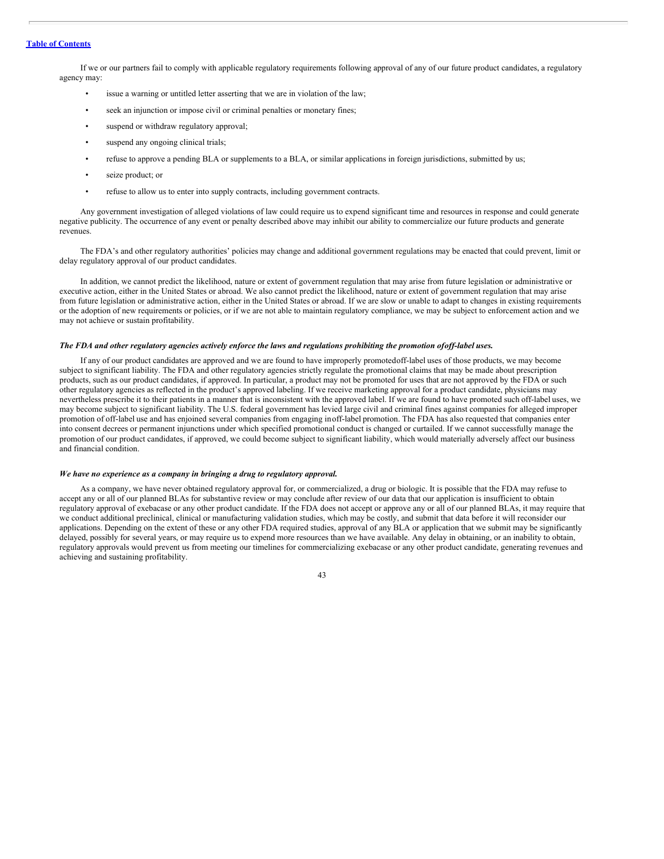If we or our partners fail to comply with applicable regulatory requirements following approval of any of our future product candidates, a regulatory agency may:

- issue a warning or untitled letter asserting that we are in violation of the law;
- seek an injunction or impose civil or criminal penalties or monetary fines;
- suspend or withdraw regulatory approval;
- suspend any ongoing clinical trials;
- refuse to approve a pending BLA or supplements to a BLA, or similar applications in foreign jurisdictions, submitted by us;
- seize product: or
- refuse to allow us to enter into supply contracts, including government contracts.

Any government investigation of alleged violations of law could require us to expend significant time and resources in response and could generate negative publicity. The occurrence of any event or penalty described above may inhibit our ability to commercialize our future products and generate revenues.

The FDA's and other regulatory authorities' policies may change and additional government regulations may be enacted that could prevent, limit or delay regulatory approval of our product candidates.

In addition, we cannot predict the likelihood, nature or extent of government regulation that may arise from future legislation or administrative or executive action, either in the United States or abroad. We also cannot predict the likelihood, nature or extent of government regulation that may arise from future legislation or administrative action, either in the United States or abroad. If we are slow or unable to adapt to changes in existing requirements or the adoption of new requirements or policies, or if we are not able to maintain regulatory compliance, we may be subject to enforcement action and we may not achieve or sustain profitability.

#### The FDA and other regulatory agencies actively enforce the laws and regulations prohibiting the promotion of off-label uses.

If any of our product candidates are approved and we are found to have improperly promotedoff-label uses of those products, we may become subject to significant liability. The FDA and other regulatory agencies strictly regulate the promotional claims that may be made about prescription products, such as our product candidates, if approved. In particular, a product may not be promoted for uses that are not approved by the FDA or such other regulatory agencies as reflected in the product's approved labeling. If we receive marketing approval for a product candidate, physicians may nevertheless prescribe it to their patients in a manner that is inconsistent with the approved label. If we are found to have promoted such off-label uses, we may become subject to significant liability. The U.S. federal government has levied large civil and criminal fines against companies for alleged improper promotion of off-label use and has enjoined several companies from engaging inoff-label promotion. The FDA has also requested that companies enter into consent decrees or permanent injunctions under which specified promotional conduct is changed or curtailed. If we cannot successfully manage the promotion of our product candidates, if approved, we could become subject to significant liability, which would materially adversely affect our business and financial condition.

#### *We have no experience as a company in bringing a drug to regulatory approval.*

As a company, we have never obtained regulatory approval for, or commercialized, a drug or biologic. It is possible that the FDA may refuse to accept any or all of our planned BLAs for substantive review or may conclude after review of our data that our application is insufficient to obtain regulatory approval of exebacase or any other product candidate. If the FDA does not accept or approve any or all of our planned BLAs, it may require that we conduct additional preclinical, clinical or manufacturing validation studies, which may be costly, and submit that data before it will reconsider our applications. Depending on the extent of these or any other FDA required studies, approval of any BLA or application that we submit may be significantly delayed, possibly for several years, or may require us to expend more resources than we have available. Any delay in obtaining, or an inability to obtain, regulatory approvals would prevent us from meeting our timelines for commercializing exebacase or any other product candidate, generating revenues and achieving and sustaining profitability.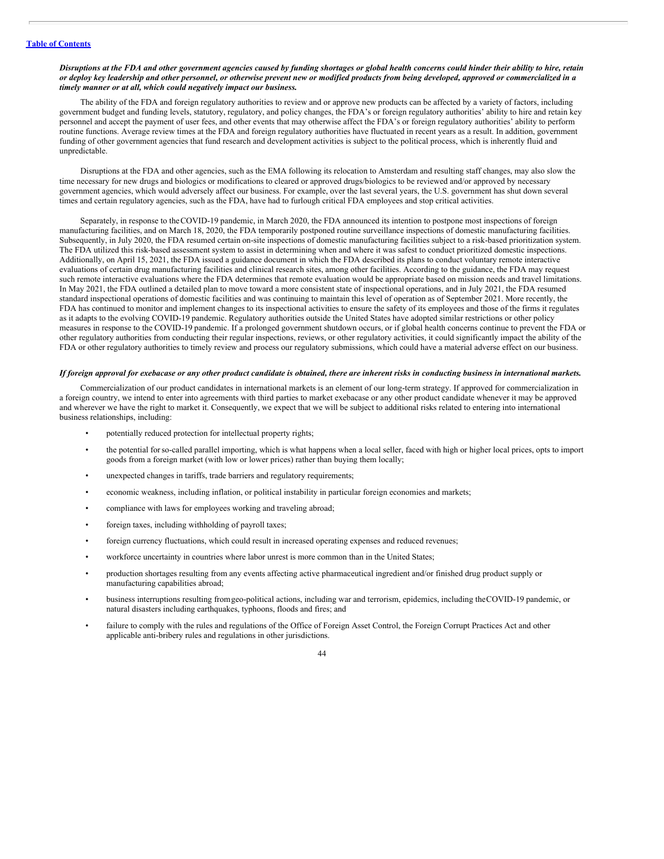## Disruptions at the FDA and other government agencies caused by funding shortages or global health concerns could hinder their ability to hire, retain or deploy key leadership and other personnel, or otherwise prevent new or modified products from being developed, approved or commercialized in a *timely manner or at all, which could negatively impact our business.*

The ability of the FDA and foreign regulatory authorities to review and or approve new products can be affected by a variety of factors, including government budget and funding levels, statutory, regulatory, and policy changes, the FDA's or foreign regulatory authorities' ability to hire and retain key personnel and accept the payment of user fees, and other events that may otherwise affect the FDA's or foreign regulatory authorities' ability to perform routine functions. Average review times at the FDA and foreign regulatory authorities have fluctuated in recent years as a result. In addition, government funding of other government agencies that fund research and development activities is subject to the political process, which is inherently fluid and unpredictable.

Disruptions at the FDA and other agencies, such as the EMA following its relocation to Amsterdam and resulting staff changes, may also slow the time necessary for new drugs and biologics or modifications to cleared or approved drugs/biologics to be reviewed and/or approved by necessary government agencies, which would adversely affect our business. For example, over the last several years, the U.S. government has shut down several times and certain regulatory agencies, such as the FDA, have had to furlough critical FDA employees and stop critical activities.

Separately, in response to theCOVID-19 pandemic, in March 2020, the FDA announced its intention to postpone most inspections of foreign manufacturing facilities, and on March 18, 2020, the FDA temporarily postponed routine surveillance inspections of domestic manufacturing facilities. Subsequently, in July 2020, the FDA resumed certain on-site inspections of domestic manufacturing facilities subject to a risk-based prioritization system. The FDA utilized this risk-based assessment system to assist in determining when and where it was safest to conduct prioritized domestic inspections. Additionally, on April 15, 2021, the FDA issued a guidance document in which the FDA described its plans to conduct voluntary remote interactive evaluations of certain drug manufacturing facilities and clinical research sites, among other facilities. According to the guidance, the FDA may request such remote interactive evaluations where the FDA determines that remote evaluation would be appropriate based on mission needs and travel limitations. In May 2021, the FDA outlined a detailed plan to move toward a more consistent state of inspectional operations, and in July 2021, the FDA resumed standard inspectional operations of domestic facilities and was continuing to maintain this level of operation as of September 2021. More recently, the FDA has continued to monitor and implement changes to its inspectional activities to ensure the safety of its employees and those of the firms it regulates as it adapts to the evolving COVID-19 pandemic. Regulatory authorities outside the United States have adopted similar restrictions or other policy measures in response to the COVID-19 pandemic. If a prolonged government shutdown occurs, or if global health concerns continue to prevent the FDA or other regulatory authorities from conducting their regular inspections, reviews, or other regulatory activities, it could significantly impact the ability of the FDA or other regulatory authorities to timely review and process our regulatory submissions, which could have a material adverse effect on our business.

#### If foreign approval for exebacase or any other product candidate is obtained, there are inherent risks in conducting business in international markets.

Commercialization of our product candidates in international markets is an element of our long-term strategy. If approved for commercialization in a foreign country, we intend to enter into agreements with third parties to market exebacase or any other product candidate whenever it may be approved and wherever we have the right to market it. Consequently, we expect that we will be subject to additional risks related to entering into international business relationships, including:

- potentially reduced protection for intellectual property rights;
- the potential forso-called parallel importing, which is what happens when a local seller, faced with high or higher local prices, opts to import goods from a foreign market (with low or lower prices) rather than buying them locally;
- unexpected changes in tariffs, trade barriers and regulatory requirements;
- economic weakness, including inflation, or political instability in particular foreign economies and markets;
- compliance with laws for employees working and traveling abroad;
- foreign taxes, including withholding of payroll taxes;
- foreign currency fluctuations, which could result in increased operating expenses and reduced revenues;
- workforce uncertainty in countries where labor unrest is more common than in the United States;
- production shortages resulting from any events affecting active pharmaceutical ingredient and/or finished drug product supply or manufacturing capabilities abroad;
- business interruptions resulting fromgeo-political actions, including war and terrorism, epidemics, including theCOVID-19 pandemic, or natural disasters including earthquakes, typhoons, floods and fires; and
- failure to comply with the rules and regulations of the Office of Foreign Asset Control, the Foreign Corrupt Practices Act and other applicable anti-bribery rules and regulations in other jurisdictions.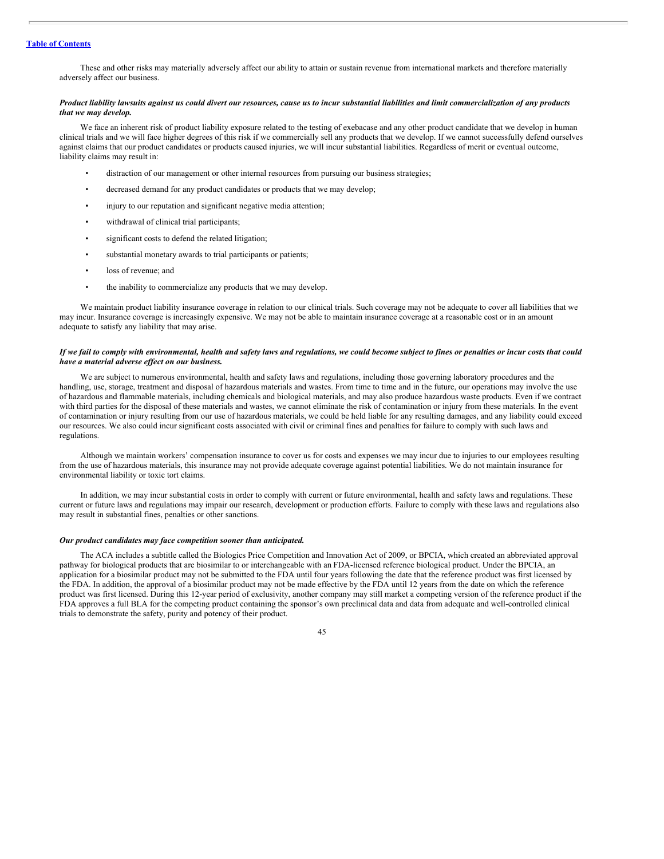These and other risks may materially adversely affect our ability to attain or sustain revenue from international markets and therefore materially adversely affect our business.

# Product liability lawsuits against us could divert our resources, cause us to incur substantial liabilities and limit commercialization of any products *that we may develop.*

We face an inherent risk of product liability exposure related to the testing of exebacase and any other product candidate that we develop in human clinical trials and we will face higher degrees of this risk if we commercially sell any products that we develop. If we cannot successfully defend ourselves against claims that our product candidates or products caused injuries, we will incur substantial liabilities. Regardless of merit or eventual outcome, liability claims may result in:

- distraction of our management or other internal resources from pursuing our business strategies;
- decreased demand for any product candidates or products that we may develop;
- injury to our reputation and significant negative media attention;
- withdrawal of clinical trial participants;
- significant costs to defend the related litigation;
- substantial monetary awards to trial participants or patients;
- loss of revenue; and
- the inability to commercialize any products that we may develop.

We maintain product liability insurance coverage in relation to our clinical trials. Such coverage may not be adequate to cover all liabilities that we may incur. Insurance coverage is increasingly expensive. We may not be able to maintain insurance coverage at a reasonable cost or in an amount adequate to satisfy any liability that may arise.

## If we fail to comply with environmental, health and safety laws and regulations, we could become subject to fines or penalties or incur costs that could *have a material adverse ef ect on our business.*

We are subject to numerous environmental, health and safety laws and regulations, including those governing laboratory procedures and the handling, use, storage, treatment and disposal of hazardous materials and wastes. From time to time and in the future, our operations may involve the use of hazardous and flammable materials, including chemicals and biological materials, and may also produce hazardous waste products. Even if we contract with third parties for the disposal of these materials and wastes, we cannot eliminate the risk of contamination or injury from these materials. In the event of contamination or injury resulting from our use of hazardous materials, we could be held liable for any resulting damages, and any liability could exceed our resources. We also could incur significant costs associated with civil or criminal fines and penalties for failure to comply with such laws and regulations.

Although we maintain workers' compensation insurance to cover us for costs and expenses we may incur due to injuries to our employees resulting from the use of hazardous materials, this insurance may not provide adequate coverage against potential liabilities. We do not maintain insurance for environmental liability or toxic tort claims.

In addition, we may incur substantial costs in order to comply with current or future environmental, health and safety laws and regulations. These current or future laws and regulations may impair our research, development or production efforts. Failure to comply with these laws and regulations also may result in substantial fines, penalties or other sanctions.

### *Our product candidates may face competition sooner than anticipated.*

The ACA includes a subtitle called the Biologics Price Competition and Innovation Act of 2009, or BPCIA, which created an abbreviated approval pathway for biological products that are biosimilar to or interchangeable with an FDA-licensed reference biological product. Under the BPCIA, an application for a biosimilar product may not be submitted to the FDA until four years following the date that the reference product was first licensed by the FDA. In addition, the approval of a biosimilar product may not be made effective by the FDA until 12 years from the date on which the reference product was first licensed. During this 12-year period of exclusivity, another company may still market a competing version of the reference product if the FDA approves a full BLA for the competing product containing the sponsor's own preclinical data and data from adequate and well-controlled clinical trials to demonstrate the safety, purity and potency of their product.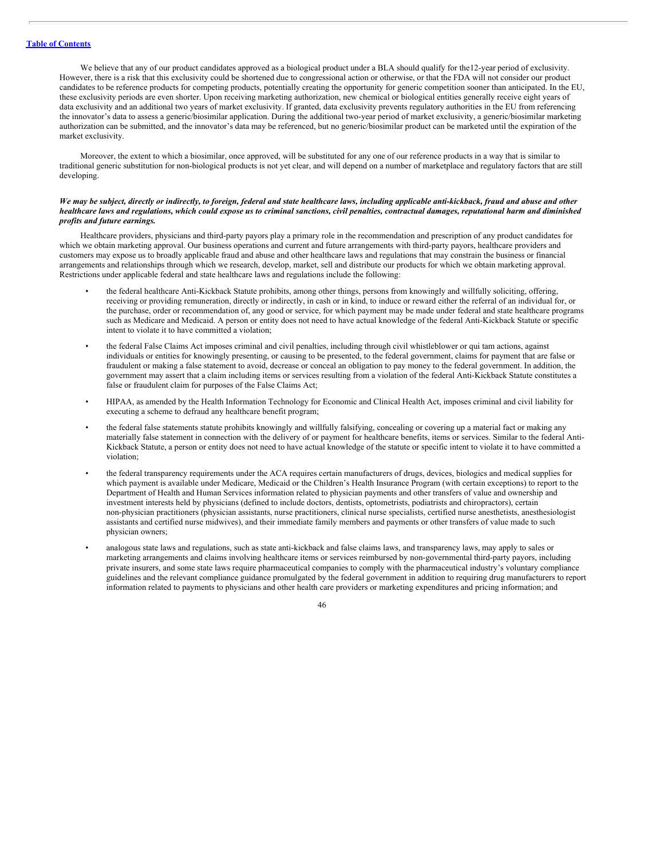We believe that any of our product candidates approved as a biological product under a BLA should qualify for the12-year period of exclusivity. However, there is a risk that this exclusivity could be shortened due to congressional action or otherwise, or that the FDA will not consider our product candidates to be reference products for competing products, potentially creating the opportunity for generic competition sooner than anticipated. In the EU, these exclusivity periods are even shorter. Upon receiving marketing authorization, new chemical or biological entities generally receive eight years of data exclusivity and an additional two years of market exclusivity. If granted, data exclusivity prevents regulatory authorities in the EU from referencing the innovator's data to assess a generic/biosimilar application. During the additional two-year period of market exclusivity, a generic/biosimilar marketing authorization can be submitted, and the innovator's data may be referenced, but no generic/biosimilar product can be marketed until the expiration of the market exclusivity.

Moreover, the extent to which a biosimilar, once approved, will be substituted for any one of our reference products in a way that is similar to traditional generic substitution for non-biological products is not yet clear, and will depend on a number of marketplace and regulatory factors that are still developing.

# We may be subject, directly or indirectly, to foreign, federal and state healthcare laws, including applicable anti-kickback, fraud and abuse and other healthcare laws and regulations, which could expose us to criminal sanctions, civil penalties, contractual damages, reputational harm and diminished *profits and future earnings.*

Healthcare providers, physicians and third-party payors play a primary role in the recommendation and prescription of any product candidates for which we obtain marketing approval. Our business operations and current and future arrangements with third-party payors, healthcare providers and customers may expose us to broadly applicable fraud and abuse and other healthcare laws and regulations that may constrain the business or financial arrangements and relationships through which we research, develop, market, sell and distribute our products for which we obtain marketing approval. Restrictions under applicable federal and state healthcare laws and regulations include the following:

- the federal healthcare Anti-Kickback Statute prohibits, among other things, persons from knowingly and willfully soliciting, offering, receiving or providing remuneration, directly or indirectly, in cash or in kind, to induce or reward either the referral of an individual for, or the purchase, order or recommendation of, any good or service, for which payment may be made under federal and state healthcare programs such as Medicare and Medicaid. A person or entity does not need to have actual knowledge of the federal Anti-Kickback Statute or specific intent to violate it to have committed a violation;
- the federal False Claims Act imposes criminal and civil penalties, including through civil whistleblower or qui tam actions, against individuals or entities for knowingly presenting, or causing to be presented, to the federal government, claims for payment that are false or fraudulent or making a false statement to avoid, decrease or conceal an obligation to pay money to the federal government. In addition, the government may assert that a claim including items or services resulting from a violation of the federal Anti-Kickback Statute constitutes a false or fraudulent claim for purposes of the False Claims Act;
- HIPAA, as amended by the Health Information Technology for Economic and Clinical Health Act, imposes criminal and civil liability for executing a scheme to defraud any healthcare benefit program;
- the federal false statements statute prohibits knowingly and willfully falsifying, concealing or covering up a material fact or making any materially false statement in connection with the delivery of or payment for healthcare benefits, items or services. Similar to the federal Anti-Kickback Statute, a person or entity does not need to have actual knowledge of the statute or specific intent to violate it to have committed a violation;
- the federal transparency requirements under the ACA requires certain manufacturers of drugs, devices, biologics and medical supplies for which payment is available under Medicare, Medicaid or the Children's Health Insurance Program (with certain exceptions) to report to the Department of Health and Human Services information related to physician payments and other transfers of value and ownership and investment interests held by physicians (defined to include doctors, dentists, optometrists, podiatrists and chiropractors), certain non-physician practitioners (physician assistants, nurse practitioners, clinical nurse specialists, certified nurse anesthetists, anesthesiologist assistants and certified nurse midwives), and their immediate family members and payments or other transfers of value made to such physician owners;
- analogous state laws and regulations, such as state anti-kickback and false claims laws, and transparency laws, may apply to sales or marketing arrangements and claims involving healthcare items or services reimbursed by non-governmental third-party payors, including private insurers, and some state laws require pharmaceutical companies to comply with the pharmaceutical industry's voluntary compliance guidelines and the relevant compliance guidance promulgated by the federal government in addition to requiring drug manufacturers to report information related to payments to physicians and other health care providers or marketing expenditures and pricing information; and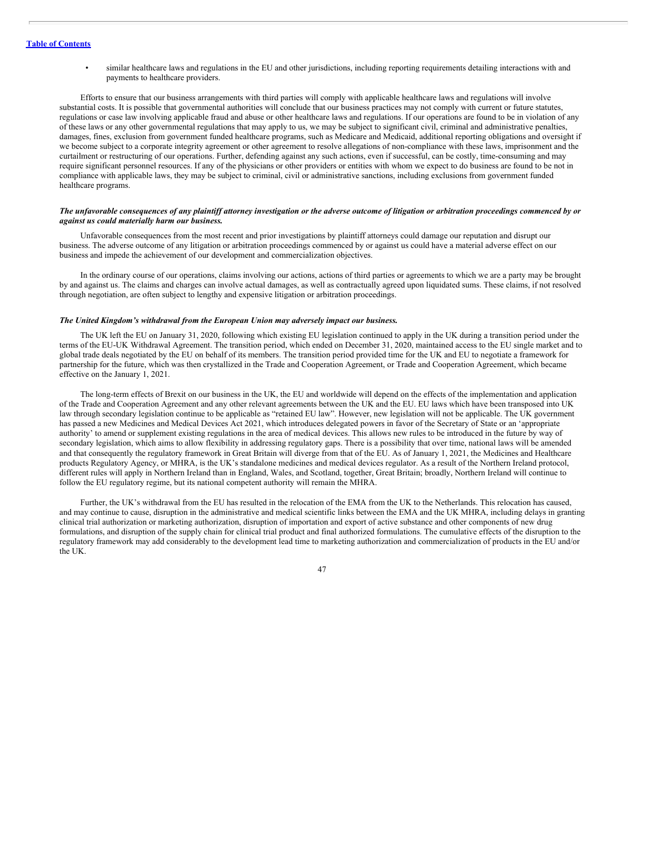similar healthcare laws and regulations in the EU and other jurisdictions, including reporting requirements detailing interactions with and payments to healthcare providers.

Efforts to ensure that our business arrangements with third parties will comply with applicable healthcare laws and regulations will involve substantial costs. It is possible that governmental authorities will conclude that our business practices may not comply with current or future statutes, regulations or case law involving applicable fraud and abuse or other healthcare laws and regulations. If our operations are found to be in violation of any of these laws or any other governmental regulations that may apply to us, we may be subject to significant civil, criminal and administrative penalties, damages, fines, exclusion from government funded healthcare programs, such as Medicare and Medicaid, additional reporting obligations and oversight if we become subject to a corporate integrity agreement or other agreement to resolve allegations of non-compliance with these laws, imprisonment and the curtailment or restructuring of our operations. Further, defending against any such actions, even if successful, can be costly, time-consuming and may require significant personnel resources. If any of the physicians or other providers or entities with whom we expect to do business are found to be not in compliance with applicable laws, they may be subject to criminal, civil or administrative sanctions, including exclusions from government funded healthcare programs.

#### The unfavorable consequences of any plaintiff attorney investigation or the adverse outcome of litigation or arbitration proceedings commenced by or *against us could materially harm our business.*

Unfavorable consequences from the most recent and prior investigations by plaintiff attorneys could damage our reputation and disrupt our business. The adverse outcome of any litigation or arbitration proceedings commenced by or against us could have a material adverse effect on our business and impede the achievement of our development and commercialization objectives.

In the ordinary course of our operations, claims involving our actions, actions of third parties or agreements to which we are a party may be brought by and against us. The claims and charges can involve actual damages, as well as contractually agreed upon liquidated sums. These claims, if not resolved through negotiation, are often subject to lengthy and expensive litigation or arbitration proceedings.

# *The United Kingdom's withdrawal from the European Union may adversely impact our business.*

The UK left the EU on January 31, 2020, following which existing EU legislation continued to apply in the UK during a transition period under the terms of the EU-UK Withdrawal Agreement. The transition period, which ended on December 31, 2020, maintained access to the EU single market and to global trade deals negotiated by the EU on behalf of its members. The transition period provided time for the UK and EU to negotiate a framework for partnership for the future, which was then crystallized in the Trade and Cooperation Agreement, or Trade and Cooperation Agreement, which became effective on the January 1, 2021.

The long-term effects of Brexit on our business in the UK, the EU and worldwide will depend on the effects of the implementation and application of the Trade and Cooperation Agreement and any other relevant agreements between the UK and the EU. EU laws which have been transposed into UK law through secondary legislation continue to be applicable as "retained EU law". However, new legislation will not be applicable. The UK government has passed a new Medicines and Medical Devices Act 2021, which introduces delegated powers in favor of the Secretary of State or an 'appropriate authority' to amend or supplement existing regulations in the area of medical devices. This allows new rules to be introduced in the future by way of secondary legislation, which aims to allow flexibility in addressing regulatory gaps. There is a possibility that over time, national laws will be amended and that consequently the regulatory framework in Great Britain will diverge from that of the EU. As of January 1, 2021, the Medicines and Healthcare products Regulatory Agency, or MHRA, is the UK's standalone medicines and medical devices regulator. As a result of the Northern Ireland protocol, different rules will apply in Northern Ireland than in England, Wales, and Scotland, together, Great Britain; broadly, Northern Ireland will continue to follow the EU regulatory regime, but its national competent authority will remain the MHRA.

Further, the UK's withdrawal from the EU has resulted in the relocation of the EMA from the UK to the Netherlands. This relocation has caused, and may continue to cause, disruption in the administrative and medical scientific links between the EMA and the UK MHRA, including delays in granting clinical trial authorization or marketing authorization, disruption of importation and export of active substance and other components of new drug formulations, and disruption of the supply chain for clinical trial product and final authorized formulations. The cumulative effects of the disruption to the regulatory framework may add considerably to the development lead time to marketing authorization and commercialization of products in the EU and/or the UK.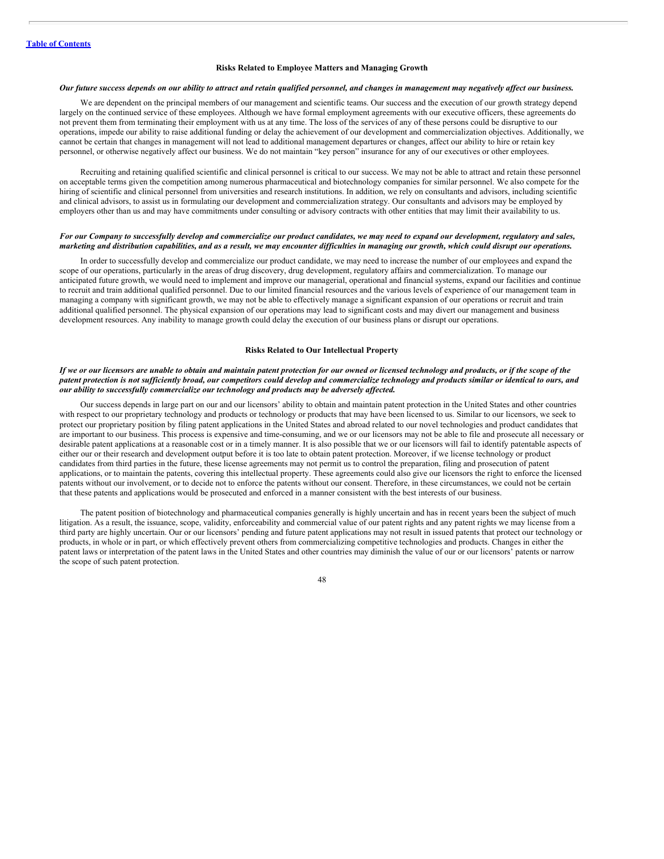## **Risks Related to Employee Matters and Managing Growth**

## Our future success depends on our ability to attract and retain qualified personnel, and changes in management may negatively affect our business.

We are dependent on the principal members of our management and scientific teams. Our success and the execution of our growth strategy depend largely on the continued service of these employees. Although we have formal employment agreements with our executive officers, these agreements do not prevent them from terminating their employment with us at any time. The loss of the services of any of these persons could be disruptive to our operations, impede our ability to raise additional funding or delay the achievement of our development and commercialization objectives. Additionally, we cannot be certain that changes in management will not lead to additional management departures or changes, affect our ability to hire or retain key personnel, or otherwise negatively affect our business. We do not maintain "key person" insurance for any of our executives or other employees.

Recruiting and retaining qualified scientific and clinical personnel is critical to our success. We may not be able to attract and retain these personnel on acceptable terms given the competition among numerous pharmaceutical and biotechnology companies for similar personnel. We also compete for the hiring of scientific and clinical personnel from universities and research institutions. In addition, we rely on consultants and advisors, including scientific and clinical advisors, to assist us in formulating our development and commercialization strategy. Our consultants and advisors may be employed by employers other than us and may have commitments under consulting or advisory contracts with other entities that may limit their availability to us.

## For our Company to successfully develop and commercialize our product candidates, we may need to expand our development, regulatory and sales, marketing and distribution capabilities, and as a result, we may encounter difficulties in managing our growth, which could disrupt our operations.

In order to successfully develop and commercialize our product candidate, we may need to increase the number of our employees and expand the scope of our operations, particularly in the areas of drug discovery, drug development, regulatory affairs and commercialization. To manage our anticipated future growth, we would need to implement and improve our managerial, operational and financial systems, expand our facilities and continue to recruit and train additional qualified personnel. Due to our limited financial resources and the various levels of experience of our management team in managing a company with significant growth, we may not be able to effectively manage a significant expansion of our operations or recruit and train additional qualified personnel. The physical expansion of our operations may lead to significant costs and may divert our management and business development resources. Any inability to manage growth could delay the execution of our business plans or disrupt our operations.

# **Risks Related to Our Intellectual Property**

## If we or our licensors are unable to obtain and maintain patent protection for our owned or licensed technology and products, or if the scope of the patent protection is not sufficiently broad, our competitors could develop and commercialize technology and products similar or identical to ours, and *our ability to successfully commercialize our technology and products may be adversely af ected.*

Our success depends in large part on our and our licensors' ability to obtain and maintain patent protection in the United States and other countries with respect to our proprietary technology and products or technology or products that may have been licensed to us. Similar to our licensors, we seek to protect our proprietary position by filing patent applications in the United States and abroad related to our novel technologies and product candidates that are important to our business. This process is expensive and time-consuming, and we or our licensors may not be able to file and prosecute all necessary or desirable patent applications at a reasonable cost or in a timely manner. It is also possible that we or our licensors will fail to identify patentable aspects of either our or their research and development output before it is too late to obtain patent protection. Moreover, if we license technology or product candidates from third parties in the future, these license agreements may not permit us to control the preparation, filing and prosecution of patent applications, or to maintain the patents, covering this intellectual property. These agreements could also give our licensors the right to enforce the licensed patents without our involvement, or to decide not to enforce the patents without our consent. Therefore, in these circumstances, we could not be certain that these patents and applications would be prosecuted and enforced in a manner consistent with the best interests of our business.

The patent position of biotechnology and pharmaceutical companies generally is highly uncertain and has in recent years been the subject of much litigation. As a result, the issuance, scope, validity, enforceability and commercial value of our patent rights and any patent rights we may license from a third party are highly uncertain. Our or our licensors' pending and future patent applications may not result in issued patents that protect our technology or products, in whole or in part, or which effectively prevent others from commercializing competitive technologies and products. Changes in either the patent laws or interpretation of the patent laws in the United States and other countries may diminish the value of our or our licensors' patents or narrow the scope of such patent protection.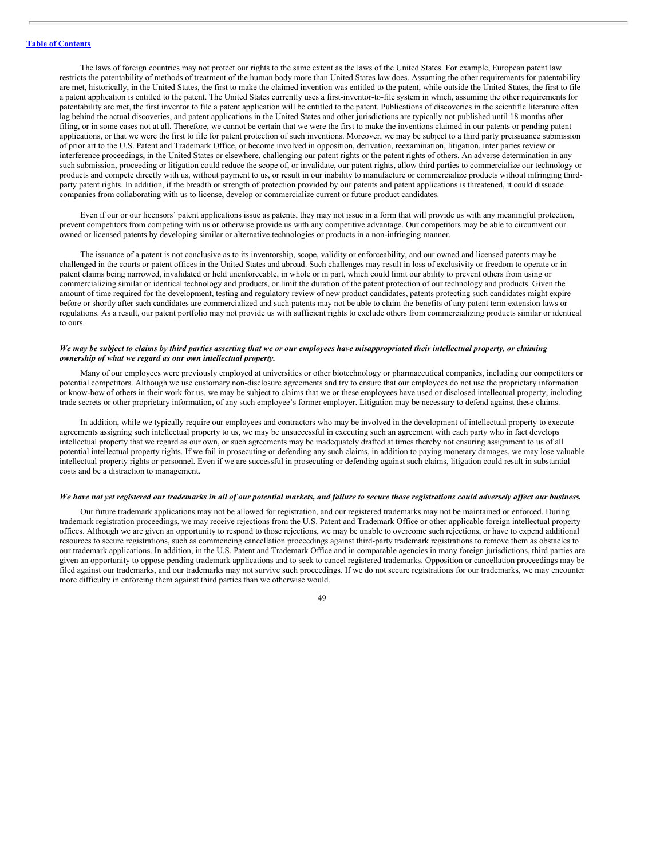The laws of foreign countries may not protect our rights to the same extent as the laws of the United States. For example, European patent law restricts the patentability of methods of treatment of the human body more than United States law does. Assuming the other requirements for patentability are met, historically, in the United States, the first to make the claimed invention was entitled to the patent, while outside the United States, the first to file a patent application is entitled to the patent. The United States currently uses a first-inventor-to-file system in which, assuming the other requirements for patentability are met, the first inventor to file a patent application will be entitled to the patent. Publications of discoveries in the scientific literature often lag behind the actual discoveries, and patent applications in the United States and other jurisdictions are typically not published until 18 months after filing, or in some cases not at all. Therefore, we cannot be certain that we were the first to make the inventions claimed in our patents or pending patent applications, or that we were the first to file for patent protection of such inventions. Moreover, we may be subject to a third party preissuance submission of prior art to the U.S. Patent and Trademark Office, or become involved in opposition, derivation, reexamination, litigation, inter partes review or interference proceedings, in the United States or elsewhere, challenging our patent rights or the patent rights of others. An adverse determination in any such submission, proceeding or litigation could reduce the scope of, or invalidate, our patent rights, allow third parties to commercialize our technology or products and compete directly with us, without payment to us, or result in our inability to manufacture or commercialize products without infringing thirdparty patent rights. In addition, if the breadth or strength of protection provided by our patents and patent applications is threatened, it could dissuade companies from collaborating with us to license, develop or commercialize current or future product candidates.

Even if our or our licensors' patent applications issue as patents, they may not issue in a form that will provide us with any meaningful protection, prevent competitors from competing with us or otherwise provide us with any competitive advantage. Our competitors may be able to circumvent our owned or licensed patents by developing similar or alternative technologies or products in a non-infringing manner.

The issuance of a patent is not conclusive as to its inventorship, scope, validity or enforceability, and our owned and licensed patents may be challenged in the courts or patent offices in the United States and abroad. Such challenges may result in loss of exclusivity or freedom to operate or in patent claims being narrowed, invalidated or held unenforceable, in whole or in part, which could limit our ability to prevent others from using or commercializing similar or identical technology and products, or limit the duration of the patent protection of our technology and products. Given the amount of time required for the development, testing and regulatory review of new product candidates, patents protecting such candidates might expire before or shortly after such candidates are commercialized and such patents may not be able to claim the benefits of any patent term extension laws or regulations. As a result, our patent portfolio may not provide us with sufficient rights to exclude others from commercializing products similar or identical to ours.

## We may be subject to claims by third parties asserting that we or our employees have misappropriated their intellectual property, or claiming *ownership of what we regard as our own intellectual property.*

Many of our employees were previously employed at universities or other biotechnology or pharmaceutical companies, including our competitors or potential competitors. Although we use customary non-disclosure agreements and try to ensure that our employees do not use the proprietary information or know-how of others in their work for us, we may be subject to claims that we or these employees have used or disclosed intellectual property, including trade secrets or other proprietary information, of any such employee's former employer. Litigation may be necessary to defend against these claims.

In addition, while we typically require our employees and contractors who may be involved in the development of intellectual property to execute agreements assigning such intellectual property to us, we may be unsuccessful in executing such an agreement with each party who in fact develops intellectual property that we regard as our own, or such agreements may be inadequately drafted at times thereby not ensuring assignment to us of all potential intellectual property rights. If we fail in prosecuting or defending any such claims, in addition to paying monetary damages, we may lose valuable intellectual property rights or personnel. Even if we are successful in prosecuting or defending against such claims, litigation could result in substantial costs and be a distraction to management.

#### We have not yet registered our trademarks in all of our potential markets, and failure to secure those registrations could adversely affect our business.

Our future trademark applications may not be allowed for registration, and our registered trademarks may not be maintained or enforced. During trademark registration proceedings, we may receive rejections from the U.S. Patent and Trademark Office or other applicable foreign intellectual property offices. Although we are given an opportunity to respond to those rejections, we may be unable to overcome such rejections, or have to expend additional resources to secure registrations, such as commencing cancellation proceedings against third-party trademark registrations to remove them as obstacles to our trademark applications. In addition, in the U.S. Patent and Trademark Office and in comparable agencies in many foreign jurisdictions, third parties are given an opportunity to oppose pending trademark applications and to seek to cancel registered trademarks. Opposition or cancellation proceedings may be filed against our trademarks, and our trademarks may not survive such proceedings. If we do not secure registrations for our trademarks, we may encounter more difficulty in enforcing them against third parties than we otherwise would.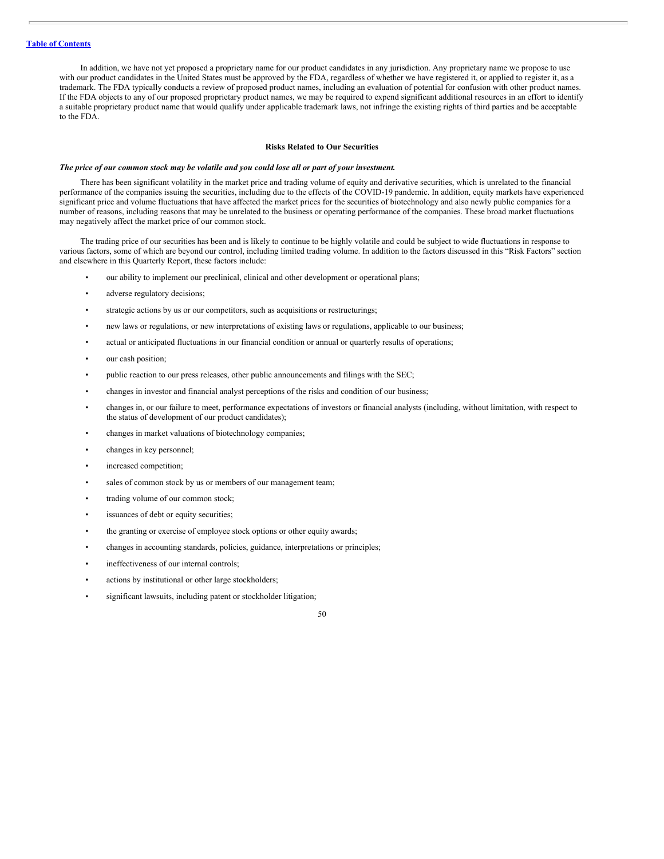In addition, we have not yet proposed a proprietary name for our product candidates in any jurisdiction. Any proprietary name we propose to use with our product candidates in the United States must be approved by the FDA, regardless of whether we have registered it, or applied to register it, as a trademark. The FDA typically conducts a review of proposed product names, including an evaluation of potential for confusion with other product names. If the FDA objects to any of our proposed proprietary product names, we may be required to expend significant additional resources in an effort to identify a suitable proprietary product name that would qualify under applicable trademark laws, not infringe the existing rights of third parties and be acceptable to the FDA.

## **Risks Related to Our Securities**

## The price of our common stock may be volatile and you could lose all or part of your investment.

There has been significant volatility in the market price and trading volume of equity and derivative securities, which is unrelated to the financial performance of the companies issuing the securities, including due to the effects of the COVID-19 pandemic. In addition, equity markets have experienced significant price and volume fluctuations that have affected the market prices for the securities of biotechnology and also newly public companies for a number of reasons, including reasons that may be unrelated to the business or operating performance of the companies. These broad market fluctuations may negatively affect the market price of our common stock.

The trading price of our securities has been and is likely to continue to be highly volatile and could be subject to wide fluctuations in response to various factors, some of which are beyond our control, including limited trading volume. In addition to the factors discussed in this "Risk Factors" section and elsewhere in this Quarterly Report, these factors include:

- our ability to implement our preclinical, clinical and other development or operational plans;
- adverse regulatory decisions;
- strategic actions by us or our competitors, such as acquisitions or restructurings;
- new laws or regulations, or new interpretations of existing laws or regulations, applicable to our business;
- actual or anticipated fluctuations in our financial condition or annual or quarterly results of operations;
- our cash position;
- public reaction to our press releases, other public announcements and filings with the SEC;
- changes in investor and financial analyst perceptions of the risks and condition of our business;
- changes in, or our failure to meet, performance expectations of investors or financial analysts (including, without limitation, with respect to the status of development of our product candidates);
- changes in market valuations of biotechnology companies;
- changes in key personnel;
- increased competition;
- sales of common stock by us or members of our management team;
- trading volume of our common stock;
- issuances of debt or equity securities;
- the granting or exercise of employee stock options or other equity awards;
- changes in accounting standards, policies, guidance, interpretations or principles;
- ineffectiveness of our internal controls;
- actions by institutional or other large stockholders;
- significant lawsuits, including patent or stockholder litigation;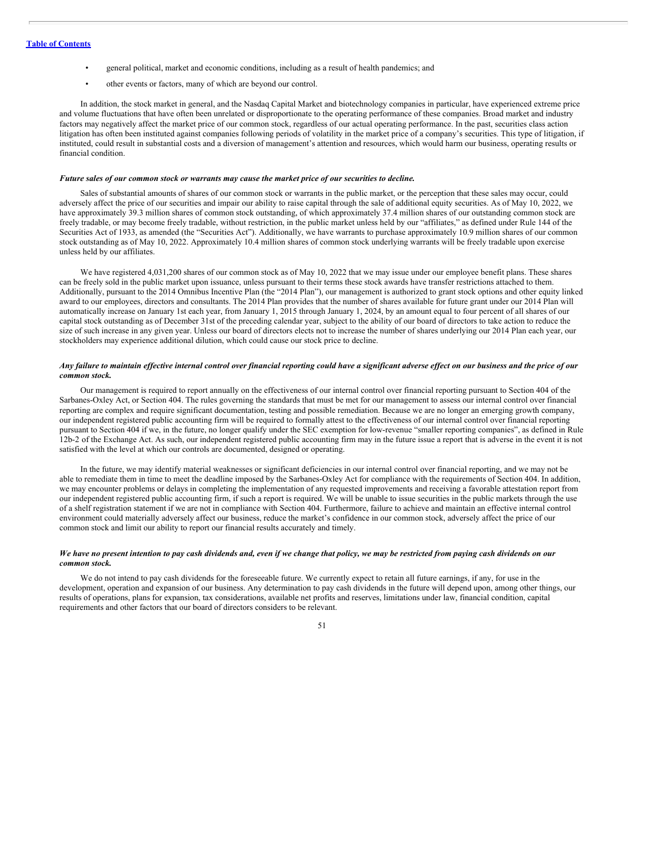- general political, market and economic conditions, including as a result of health pandemics; and
- other events or factors, many of which are beyond our control.

In addition, the stock market in general, and the Nasdaq Capital Market and biotechnology companies in particular, have experienced extreme price and volume fluctuations that have often been unrelated or disproportionate to the operating performance of these companies. Broad market and industry factors may negatively affect the market price of our common stock, regardless of our actual operating performance. In the past, securities class action litigation has often been instituted against companies following periods of volatility in the market price of a company's securities. This type of litigation, if instituted, could result in substantial costs and a diversion of management's attention and resources, which would harm our business, operating results or financial condition.

#### Future sales of our common stock or warrants may cause the market price of our securities to decline.

Sales of substantial amounts of shares of our common stock or warrants in the public market, or the perception that these sales may occur, could adversely affect the price of our securities and impair our ability to raise capital through the sale of additional equity securities. As of May 10, 2022, we have approximately 39.3 million shares of common stock outstanding, of which approximately 37.4 million shares of our outstanding common stock are freely tradable, or may become freely tradable, without restriction, in the public market unless held by our "affiliates," as defined under Rule 144 of the Securities Act of 1933, as amended (the "Securities Act"). Additionally, we have warrants to purchase approximately 10.9 million shares of our common stock outstanding as of May 10, 2022. Approximately 10.4 million shares of common stock underlying warrants will be freely tradable upon exercise unless held by our affiliates.

We have registered 4,031,200 shares of our common stock as of May 10, 2022 that we may issue under our employee benefit plans. These shares can be freely sold in the public market upon issuance, unless pursuant to their terms these stock awards have transfer restrictions attached to them. Additionally, pursuant to the 2014 Omnibus Incentive Plan (the "2014 Plan"), our management is authorized to grant stock options and other equity linked award to our employees, directors and consultants. The 2014 Plan provides that the number of shares available for future grant under our 2014 Plan will automatically increase on January 1st each year, from January 1, 2015 through January 1, 2024, by an amount equal to four percent of all shares of our capital stock outstanding as of December 31st of the preceding calendar year, subject to the ability of our board of directors to take action to reduce the size of such increase in any given year. Unless our board of directors elects not to increase the number of shares underlying our 2014 Plan each year, our stockholders may experience additional dilution, which could cause our stock price to decline.

## Any failure to maintain effective internal control over financial reporting could have a significant adverse effect on our business and the price of our *common stock.*

Our management is required to report annually on the effectiveness of our internal control over financial reporting pursuant to Section 404 of the Sarbanes-Oxley Act, or Section 404. The rules governing the standards that must be met for our management to assess our internal control over financial reporting are complex and require significant documentation, testing and possible remediation. Because we are no longer an emerging growth company, our independent registered public accounting firm will be required to formally attest to the effectiveness of our internal control over financial reporting pursuant to Section 404 if we, in the future, no longer qualify under the SEC exemption for low-revenue "smaller reporting companies", as defined in Rule 12b-2 of the Exchange Act. As such, our independent registered public accounting firm may in the future issue a report that is adverse in the event it is not satisfied with the level at which our controls are documented, designed or operating.

In the future, we may identify material weaknesses or significant deficiencies in our internal control over financial reporting, and we may not be able to remediate them in time to meet the deadline imposed by the Sarbanes-Oxley Act for compliance with the requirements of Section 404. In addition, we may encounter problems or delays in completing the implementation of any requested improvements and receiving a favorable attestation report from our independent registered public accounting firm, if such a report is required. We will be unable to issue securities in the public markets through the use of a shelf registration statement if we are not in compliance with Section 404. Furthermore, failure to achieve and maintain an effective internal control environment could materially adversely affect our business, reduce the market's confidence in our common stock, adversely affect the price of our common stock and limit our ability to report our financial results accurately and timely.

# We have no present intention to pay cash dividends and, even if we change that policy, we may be restricted from paying cash dividends on our *common stock.*

We do not intend to pay cash dividends for the foreseeable future. We currently expect to retain all future earnings, if any, for use in the development, operation and expansion of our business. Any determination to pay cash dividends in the future will depend upon, among other things, our results of operations, plans for expansion, tax considerations, available net profits and reserves, limitations under law, financial condition, capital requirements and other factors that our board of directors considers to be relevant.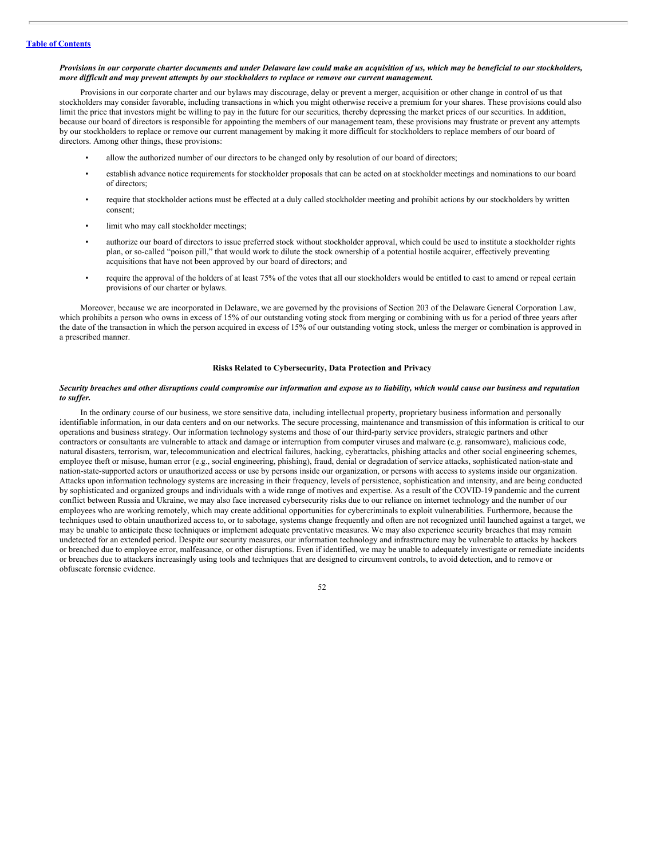## Provisions in our corporate charter documents and under Delaware law could make an acquisition of us, which may be beneficial to our stockholders, *more dif icult and may prevent attempts by our stockholders to replace or remove our current management.*

Provisions in our corporate charter and our bylaws may discourage, delay or prevent a merger, acquisition or other change in control of us that stockholders may consider favorable, including transactions in which you might otherwise receive a premium for your shares. These provisions could also limit the price that investors might be willing to pay in the future for our securities, thereby depressing the market prices of our securities. In addition, because our board of directors is responsible for appointing the members of our management team, these provisions may frustrate or prevent any attempts by our stockholders to replace or remove our current management by making it more difficult for stockholders to replace members of our board of directors. Among other things, these provisions:

- allow the authorized number of our directors to be changed only by resolution of our board of directors;
- establish advance notice requirements for stockholder proposals that can be acted on at stockholder meetings and nominations to our board of directors;
- require that stockholder actions must be effected at a duly called stockholder meeting and prohibit actions by our stockholders by written consent;
- limit who may call stockholder meetings;
- authorize our board of directors to issue preferred stock without stockholder approval, which could be used to institute a stockholder rights plan, or so-called "poison pill," that would work to dilute the stock ownership of a potential hostile acquirer, effectively preventing acquisitions that have not been approved by our board of directors; and
- require the approval of the holders of at least 75% of the votes that all our stockholders would be entitled to cast to amend or repeal certain provisions of our charter or bylaws.

Moreover, because we are incorporated in Delaware, we are governed by the provisions of Section 203 of the Delaware General Corporation Law, which prohibits a person who owns in excess of 15% of our outstanding voting stock from merging or combining with us for a period of three years after the date of the transaction in which the person acquired in excess of 15% of our outstanding voting stock, unless the merger or combination is approved in a prescribed manner.

# **Risks Related to Cybersecurity, Data Protection and Privacy**

## Security breaches and other disruptions could compromise our information and expose us to liability, which would cause our business and reputation  $to$  *suffer.*

In the ordinary course of our business, we store sensitive data, including intellectual property, proprietary business information and personally identifiable information, in our data centers and on our networks. The secure processing, maintenance and transmission of this information is critical to our operations and business strategy. Our information technology systems and those of our third-party service providers, strategic partners and other contractors or consultants are vulnerable to attack and damage or interruption from computer viruses and malware (e.g. ransomware), malicious code, natural disasters, terrorism, war, telecommunication and electrical failures, hacking, cyberattacks, phishing attacks and other social engineering schemes, employee theft or misuse, human error (e.g., social engineering, phishing), fraud, denial or degradation of service attacks, sophisticated nation-state and nation-state-supported actors or unauthorized access or use by persons inside our organization, or persons with access to systems inside our organization. Attacks upon information technology systems are increasing in their frequency, levels of persistence, sophistication and intensity, and are being conducted by sophisticated and organized groups and individuals with a wide range of motives and expertise. As a result of the COVID-19 pandemic and the current conflict between Russia and Ukraine, we may also face increased cybersecurity risks due to our reliance on internet technology and the number of our employees who are working remotely, which may create additional opportunities for cybercriminals to exploit vulnerabilities. Furthermore, because the techniques used to obtain unauthorized access to, or to sabotage, systems change frequently and often are not recognized until launched against a target, we may be unable to anticipate these techniques or implement adequate preventative measures. We may also experience security breaches that may remain undetected for an extended period. Despite our security measures, our information technology and infrastructure may be vulnerable to attacks by hackers or breached due to employee error, malfeasance, or other disruptions. Even if identified, we may be unable to adequately investigate or remediate incidents or breaches due to attackers increasingly using tools and techniques that are designed to circumvent controls, to avoid detection, and to remove or obfuscate forensic evidence.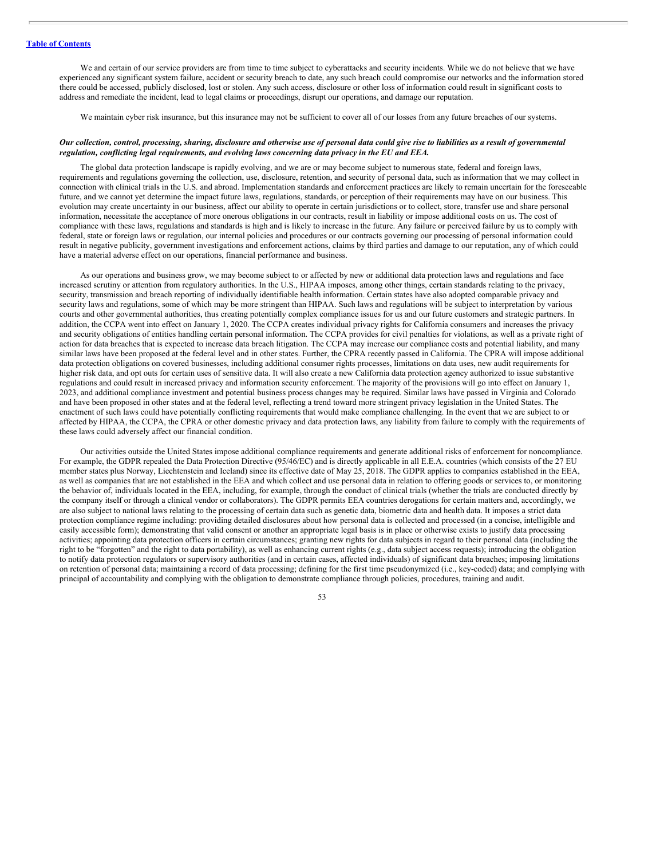We and certain of our service providers are from time to time subject to cyberattacks and security incidents. While we do not believe that we have experienced any significant system failure, accident or security breach to date, any such breach could compromise our networks and the information stored there could be accessed, publicly disclosed, lost or stolen. Any such access, disclosure or other loss of information could result in significant costs to address and remediate the incident, lead to legal claims or proceedings, disrupt our operations, and damage our reputation.

We maintain cyber risk insurance, but this insurance may not be sufficient to cover all of our losses from any future breaches of our systems.

## Our collection, control, processing, sharing, disclosure and otherwise use of personal data could give rise to liabilities as a result of governmental *regulation, conflicting legal requirements, and evolving laws concerning data privacy in the EU and EEA.*

The global data protection landscape is rapidly evolving, and we are or may become subject to numerous state, federal and foreign laws, requirements and regulations governing the collection, use, disclosure, retention, and security of personal data, such as information that we may collect in connection with clinical trials in the U.S. and abroad. Implementation standards and enforcement practices are likely to remain uncertain for the foreseeable future, and we cannot yet determine the impact future laws, regulations, standards, or perception of their requirements may have on our business. This evolution may create uncertainty in our business, affect our ability to operate in certain jurisdictions or to collect, store, transfer use and share personal information, necessitate the acceptance of more onerous obligations in our contracts, result in liability or impose additional costs on us. The cost of compliance with these laws, regulations and standards is high and is likely to increase in the future. Any failure or perceived failure by us to comply with federal, state or foreign laws or regulation, our internal policies and procedures or our contracts governing our processing of personal information could result in negative publicity, government investigations and enforcement actions, claims by third parties and damage to our reputation, any of which could have a material adverse effect on our operations, financial performance and business.

As our operations and business grow, we may become subject to or affected by new or additional data protection laws and regulations and face increased scrutiny or attention from regulatory authorities. In the U.S., HIPAA imposes, among other things, certain standards relating to the privacy, security, transmission and breach reporting of individually identifiable health information. Certain states have also adopted comparable privacy and security laws and regulations, some of which may be more stringent than HIPAA. Such laws and regulations will be subject to interpretation by various courts and other governmental authorities, thus creating potentially complex compliance issues for us and our future customers and strategic partners. In addition, the CCPA went into effect on January 1, 2020. The CCPA creates individual privacy rights for California consumers and increases the privacy and security obligations of entities handling certain personal information. The CCPA provides for civil penalties for violations, as well as a private right of action for data breaches that is expected to increase data breach litigation. The CCPA may increase our compliance costs and potential liability, and many similar laws have been proposed at the federal level and in other states. Further, the CPRA recently passed in California. The CPRA will impose additional data protection obligations on covered businesses, including additional consumer rights processes, limitations on data uses, new audit requirements for higher risk data, and opt outs for certain uses of sensitive data. It will also create a new California data protection agency authorized to issue substantive regulations and could result in increased privacy and information security enforcement. The majority of the provisions will go into effect on January 1, 2023, and additional compliance investment and potential business process changes may be required. Similar laws have passed in Virginia and Colorado and have been proposed in other states and at the federal level, reflecting a trend toward more stringent privacy legislation in the United States. The enactment of such laws could have potentially conflicting requirements that would make compliance challenging. In the event that we are subject to or affected by HIPAA, the CCPA, the CPRA or other domestic privacy and data protection laws, any liability from failure to comply with the requirements of these laws could adversely affect our financial condition.

Our activities outside the United States impose additional compliance requirements and generate additional risks of enforcement for noncompliance. For example, the GDPR repealed the Data Protection Directive (95/46/EC) and is directly applicable in all E.E.A. countries (which consists of the 27 EU member states plus Norway, Liechtenstein and Iceland) since its effective date of May 25, 2018. The GDPR applies to companies established in the EEA, as well as companies that are not established in the EEA and which collect and use personal data in relation to offering goods or services to, or monitoring the behavior of, individuals located in the EEA, including, for example, through the conduct of clinical trials (whether the trials are conducted directly by the company itself or through a clinical vendor or collaborators). The GDPR permits EEA countries derogations for certain matters and, accordingly, we are also subject to national laws relating to the processing of certain data such as genetic data, biometric data and health data. It imposes a strict data protection compliance regime including: providing detailed disclosures about how personal data is collected and processed (in a concise, intelligible and easily accessible form); demonstrating that valid consent or another an appropriate legal basis is in place or otherwise exists to justify data processing activities; appointing data protection officers in certain circumstances; granting new rights for data subjects in regard to their personal data (including the right to be "forgotten" and the right to data portability), as well as enhancing current rights (e.g., data subject access requests); introducing the obligation to notify data protection regulators or supervisory authorities (and in certain cases, affected individuals) of significant data breaches; imposing limitations on retention of personal data; maintaining a record of data processing; defining for the first time pseudonymized (i.e., key-coded) data; and complying with principal of accountability and complying with the obligation to demonstrate compliance through policies, procedures, training and audit.

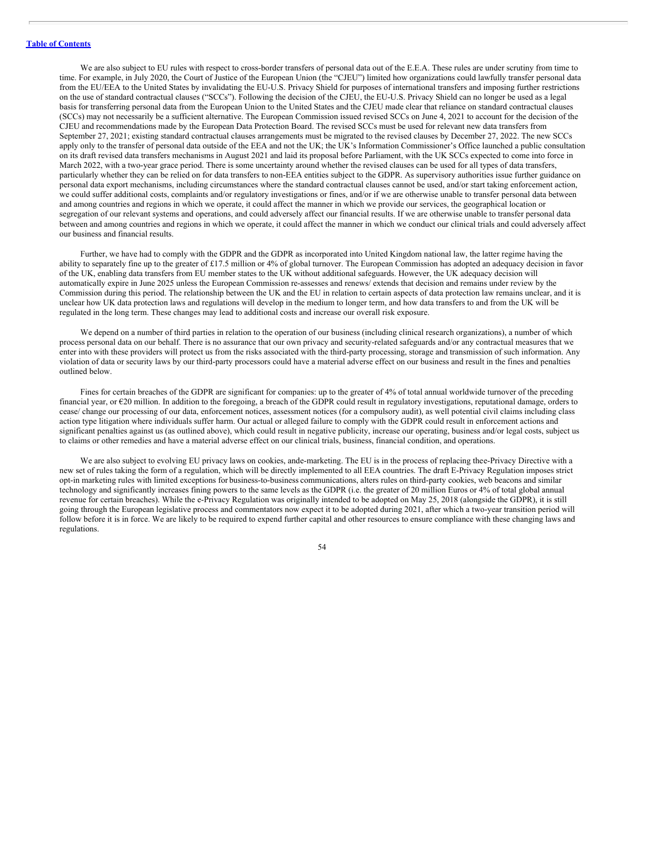We are also subject to EU rules with respect to cross-border transfers of personal data out of the E.E.A. These rules are under scrutiny from time to time. For example, in July 2020, the Court of Justice of the European Union (the "CJEU") limited how organizations could lawfully transfer personal data from the EU/EEA to the United States by invalidating the EU-U.S. Privacy Shield for purposes of international transfers and imposing further restrictions on the use of standard contractual clauses ("SCCs"). Following the decision of the CJEU, the EU-U.S. Privacy Shield can no longer be used as a legal basis for transferring personal data from the European Union to the United States and the CJEU made clear that reliance on standard contractual clauses (SCCs) may not necessarily be a sufficient alternative. The European Commission issued revised SCCs on June 4, 2021 to account for the decision of the CJEU and recommendations made by the European Data Protection Board. The revised SCCs must be used for relevant new data transfers from September 27, 2021; existing standard contractual clauses arrangements must be migrated to the revised clauses by December 27, 2022. The new SCCs apply only to the transfer of personal data outside of the EEA and not the UK; the UK's Information Commissioner's Office launched a public consultation on its draft revised data transfers mechanisms in August 2021 and laid its proposal before Parliament, with the UK SCCs expected to come into force in March 2022, with a two-year grace period. There is some uncertainty around whether the revised clauses can be used for all types of data transfers, particularly whether they can be relied on for data transfers to non-EEA entities subject to the GDPR. As supervisory authorities issue further guidance on personal data export mechanisms, including circumstances where the standard contractual clauses cannot be used, and/or start taking enforcement action, we could suffer additional costs, complaints and/or regulatory investigations or fines, and/or if we are otherwise unable to transfer personal data between and among countries and regions in which we operate, it could affect the manner in which we provide our services, the geographical location or segregation of our relevant systems and operations, and could adversely affect our financial results. If we are otherwise unable to transfer personal data between and among countries and regions in which we operate, it could affect the manner in which we conduct our clinical trials and could adversely affect our business and financial results.

Further, we have had to comply with the GDPR and the GDPR as incorporated into United Kingdom national law, the latter regime having the ability to separately fine up to the greater of £17.5 million or 4% of global turnover. The European Commission has adopted an adequacy decision in favor of the UK, enabling data transfers from EU member states to the UK without additional safeguards. However, the UK adequacy decision will automatically expire in June 2025 unless the European Commission re-assesses and renews/ extends that decision and remains under review by the Commission during this period. The relationship between the UK and the EU in relation to certain aspects of data protection law remains unclear, and it is unclear how UK data protection laws and regulations will develop in the medium to longer term, and how data transfers to and from the UK will be regulated in the long term. These changes may lead to additional costs and increase our overall risk exposure.

We depend on a number of third parties in relation to the operation of our business (including clinical research organizations), a number of which process personal data on our behalf. There is no assurance that our own privacy and security-related safeguards and/or any contractual measures that we enter into with these providers will protect us from the risks associated with the third-party processing, storage and transmission of such information. Any violation of data or security laws by our third-party processors could have a material adverse effect on our business and result in the fines and penalties outlined below.

Fines for certain breaches of the GDPR are significant for companies: up to the greater of 4% of total annual worldwide turnover of the preceding financial year, or €20 million. In addition to the foregoing, a breach of the GDPR could result in regulatory investigations, reputational damage, orders to cease/ change our processing of our data, enforcement notices, assessment notices (for a compulsory audit), as well potential civil claims including class action type litigation where individuals suffer harm. Our actual or alleged failure to comply with the GDPR could result in enforcement actions and significant penalties against us (as outlined above), which could result in negative publicity, increase our operating, business and/or legal costs, subject us to claims or other remedies and have a material adverse effect on our clinical trials, business, financial condition, and operations.

We are also subject to evolving EU privacy laws on cookies, ande-marketing. The EU is in the process of replacing thee-Privacy Directive with a new set of rules taking the form of a regulation, which will be directly implemented to all EEA countries. The draft E-Privacy Regulation imposes strict opt-in marketing rules with limited exceptions for business-to-business communications, alters rules on third-party cookies, web beacons and similar technology and significantly increases fining powers to the same levels as the GDPR (i.e. the greater of 20 million Euros or 4% of total global annual revenue for certain breaches). While the e-Privacy Regulation was originally intended to be adopted on May 25, 2018 (alongside the GDPR), it is still going through the European legislative process and commentators now expect it to be adopted during 2021, after which a two-year transition period will follow before it is in force. We are likely to be required to expend further capital and other resources to ensure compliance with these changing laws and regulations.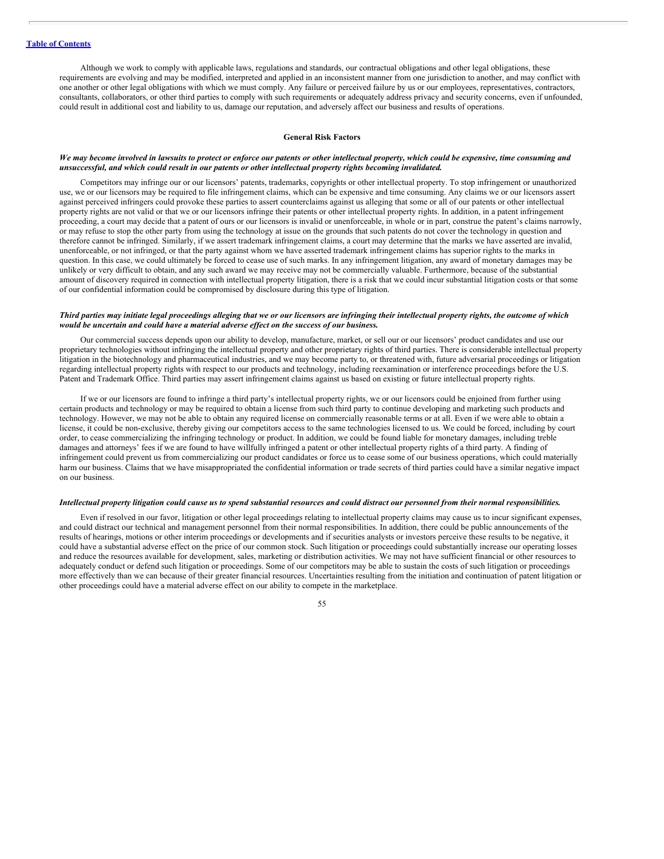Although we work to comply with applicable laws, regulations and standards, our contractual obligations and other legal obligations, these requirements are evolving and may be modified, interpreted and applied in an inconsistent manner from one jurisdiction to another, and may conflict with one another or other legal obligations with which we must comply. Any failure or perceived failure by us or our employees, representatives, contractors, consultants, collaborators, or other third parties to comply with such requirements or adequately address privacy and security concerns, even if unfounded, could result in additional cost and liability to us, damage our reputation, and adversely affect our business and results of operations.

# **General Risk Factors**

## We may become involved in lawsuits to protect or enforce our patents or other intellectual property, which could be expensive, time consuming and *unsuccessful, and which could result in our patents or other intellectual property rights becoming invalidated.*

Competitors may infringe our or our licensors' patents, trademarks, copyrights or other intellectual property. To stop infringement or unauthorized use, we or our licensors may be required to file infringement claims, which can be expensive and time consuming. Any claims we or our licensors assert against perceived infringers could provoke these parties to assert counterclaims against us alleging that some or all of our patents or other intellectual property rights are not valid or that we or our licensors infringe their patents or other intellectual property rights. In addition, in a patent infringement proceeding, a court may decide that a patent of ours or our licensors is invalid or unenforceable, in whole or in part, construe the patent's claims narrowly, or may refuse to stop the other party from using the technology at issue on the grounds that such patents do not cover the technology in question and therefore cannot be infringed. Similarly, if we assert trademark infringement claims, a court may determine that the marks we have asserted are invalid, unenforceable, or not infringed, or that the party against whom we have asserted trademark infringement claims has superior rights to the marks in question. In this case, we could ultimately be forced to cease use of such marks. In any infringement litigation, any award of monetary damages may be unlikely or very difficult to obtain, and any such award we may receive may not be commercially valuable. Furthermore, because of the substantial amount of discovery required in connection with intellectual property litigation, there is a risk that we could incur substantial litigation costs or that some of our confidential information could be compromised by disclosure during this type of litigation.

## Third parties may initiate legal proceedings alleging that we or our licensors are infringing their intellectual property rights, the outcome of which *would be uncertain and could have a material adverse ef ect on the success of our business.*

Our commercial success depends upon our ability to develop, manufacture, market, or sell our or our licensors' product candidates and use our proprietary technologies without infringing the intellectual property and other proprietary rights of third parties. There is considerable intellectual property litigation in the biotechnology and pharmaceutical industries, and we may become party to, or threatened with, future adversarial proceedings or litigation regarding intellectual property rights with respect to our products and technology, including reexamination or interference proceedings before the U.S. Patent and Trademark Office. Third parties may assert infringement claims against us based on existing or future intellectual property rights.

If we or our licensors are found to infringe a third party's intellectual property rights, we or our licensors could be enjoined from further using certain products and technology or may be required to obtain a license from such third party to continue developing and marketing such products and technology. However, we may not be able to obtain any required license on commercially reasonable terms or at all. Even if we were able to obtain a license, it could be non-exclusive, thereby giving our competitors access to the same technologies licensed to us. We could be forced, including by court order, to cease commercializing the infringing technology or product. In addition, we could be found liable for monetary damages, including treble damages and attorneys' fees if we are found to have willfully infringed a patent or other intellectual property rights of a third party. A finding of infringement could prevent us from commercializing our product candidates or force us to cease some of our business operations, which could materially harm our business. Claims that we have misappropriated the confidential information or trade secrets of third parties could have a similar negative impact on our business.

#### Intellectual property litigation could cause us to spend substantial resources and could distract our personnel from their normal responsibilities.

Even if resolved in our favor, litigation or other legal proceedings relating to intellectual property claims may cause us to incur significant expenses, and could distract our technical and management personnel from their normal responsibilities. In addition, there could be public announcements of the results of hearings, motions or other interim proceedings or developments and if securities analysts or investors perceive these results to be negative, it could have a substantial adverse effect on the price of our common stock. Such litigation or proceedings could substantially increase our operating losses and reduce the resources available for development, sales, marketing or distribution activities. We may not have sufficient financial or other resources to adequately conduct or defend such litigation or proceedings. Some of our competitors may be able to sustain the costs of such litigation or proceedings more effectively than we can because of their greater financial resources. Uncertainties resulting from the initiation and continuation of patent litigation or other proceedings could have a material adverse effect on our ability to compete in the marketplace.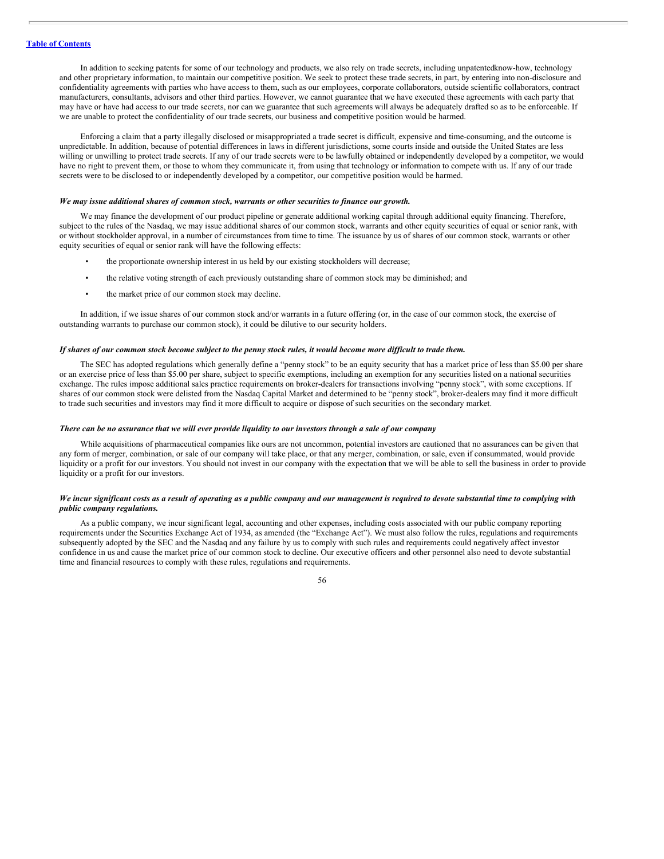In addition to seeking patents for some of our technology and products, we also rely on trade secrets, including unpatentedknow-how, technology and other proprietary information, to maintain our competitive position. We seek to protect these trade secrets, in part, by entering into non-disclosure and confidentiality agreements with parties who have access to them, such as our employees, corporate collaborators, outside scientific collaborators, contract manufacturers, consultants, advisors and other third parties. However, we cannot guarantee that we have executed these agreements with each party that may have or have had access to our trade secrets, nor can we guarantee that such agreements will always be adequately drafted so as to be enforceable. If we are unable to protect the confidentiality of our trade secrets, our business and competitive position would be harmed.

Enforcing a claim that a party illegally disclosed or misappropriated a trade secret is difficult, expensive and time-consuming, and the outcome is unpredictable. In addition, because of potential differences in laws in different jurisdictions, some courts inside and outside the United States are less willing or unwilling to protect trade secrets. If any of our trade secrets were to be lawfully obtained or independently developed by a competitor, we would have no right to prevent them, or those to whom they communicate it, from using that technology or information to compete with us. If any of our trade secrets were to be disclosed to or independently developed by a competitor, our competitive position would be harmed.

## *We may issue additional shares of common stock, warrants or other securities to finance our growth.*

We may finance the development of our product pipeline or generate additional working capital through additional equity financing. Therefore, subject to the rules of the Nasdaq, we may issue additional shares of our common stock, warrants and other equity securities of equal or senior rank, with or without stockholder approval, in a number of circumstances from time to time. The issuance by us of shares of our common stock, warrants or other equity securities of equal or senior rank will have the following effects:

- the proportionate ownership interest in us held by our existing stockholders will decrease;
- the relative voting strength of each previously outstanding share of common stock may be diminished; and
- the market price of our common stock may decline.

In addition, if we issue shares of our common stock and/or warrants in a future offering (or, in the case of our common stock, the exercise of outstanding warrants to purchase our common stock), it could be dilutive to our security holders.

#### If shares of our common stock become subject to the penny stock rules, it would become more difficult to trade them.

The SEC has adopted regulations which generally define a "penny stock" to be an equity security that has a market price of less than \$5.00 per share or an exercise price of less than \$5.00 per share, subject to specific exemptions, including an exemption for any securities listed on a national securities exchange. The rules impose additional sales practice requirements on broker-dealers for transactions involving "penny stock", with some exceptions. If shares of our common stock were delisted from the Nasdaq Capital Market and determined to be "penny stock", broker-dealers may find it more difficult to trade such securities and investors may find it more difficult to acquire or dispose of such securities on the secondary market.

## There can be no assurance that we will ever provide liquidity to our investors through a sale of our company

While acquisitions of pharmaceutical companies like ours are not uncommon, potential investors are cautioned that no assurances can be given that any form of merger, combination, or sale of our company will take place, or that any merger, combination, or sale, even if consummated, would provide liquidity or a profit for our investors. You should not invest in our company with the expectation that we will be able to sell the business in order to provide liquidity or a profit for our investors.

# We incur significant costs as a result of operating as a public company and our management is required to devote substantial time to complying with *public company regulations.*

As a public company, we incur significant legal, accounting and other expenses, including costs associated with our public company reporting requirements under the Securities Exchange Act of 1934, as amended (the "Exchange Act"). We must also follow the rules, regulations and requirements subsequently adopted by the SEC and the Nasdaq and any failure by us to comply with such rules and requirements could negatively affect investor confidence in us and cause the market price of our common stock to decline. Our executive officers and other personnel also need to devote substantial time and financial resources to comply with these rules, regulations and requirements.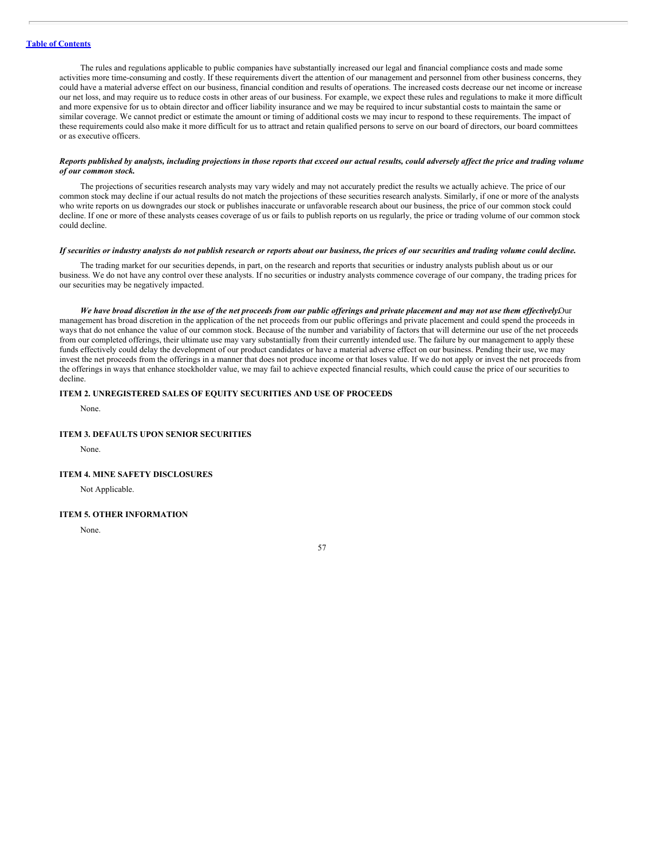The rules and regulations applicable to public companies have substantially increased our legal and financial compliance costs and made some activities more time-consuming and costly. If these requirements divert the attention of our management and personnel from other business concerns, they could have a material adverse effect on our business, financial condition and results of operations. The increased costs decrease our net income or increase our net loss, and may require us to reduce costs in other areas of our business. For example, we expect these rules and regulations to make it more difficult and more expensive for us to obtain director and officer liability insurance and we may be required to incur substantial costs to maintain the same or similar coverage. We cannot predict or estimate the amount or timing of additional costs we may incur to respond to these requirements. The impact of these requirements could also make it more difficult for us to attract and retain qualified persons to serve on our board of directors, our board committees or as executive officers.

## Reports published by analysts, including projections in those reports that exceed our actual results, could adversely affect the price and trading volume *of our common stock.*

The projections of securities research analysts may vary widely and may not accurately predict the results we actually achieve. The price of our common stock may decline if our actual results do not match the projections of these securities research analysts. Similarly, if one or more of the analysts who write reports on us downgrades our stock or publishes inaccurate or unfavorable research about our business, the price of our common stock could decline. If one or more of these analysts ceases coverage of us or fails to publish reports on us regularly, the price or trading volume of our common stock could decline.

## If securities or industry analysts do not publish research or reports about our business, the prices of our securities and trading volume could decline.

The trading market for our securities depends, in part, on the research and reports that securities or industry analysts publish about us or our business. We do not have any control over these analysts. If no securities or industry analysts commence coverage of our company, the trading prices for our securities may be negatively impacted.

We have broad discretion in the use of the net proceeds from our public offerings and private placement and may not use them effectively.Our management has broad discretion in the application of the net proceeds from our public offerings and private placement and could spend the proceeds in ways that do not enhance the value of our common stock. Because of the number and variability of factors that will determine our use of the net proceeds from our completed offerings, their ultimate use may vary substantially from their currently intended use. The failure by our management to apply these funds effectively could delay the development of our product candidates or have a material adverse effect on our business. Pending their use, we may invest the net proceeds from the offerings in a manner that does not produce income or that loses value. If we do not apply or invest the net proceeds from the offerings in ways that enhance stockholder value, we may fail to achieve expected financial results, which could cause the price of our securities to decline.

# **ITEM 2. UNREGISTERED SALES OF EQUITY SECURITIES AND USE OF PROCEEDS**

None.

# **ITEM 3. DEFAULTS UPON SENIOR SECURITIES**

None.

## **ITEM 4. MINE SAFETY DISCLOSURES**

Not Applicable.

## **ITEM 5. OTHER INFORMATION**

None.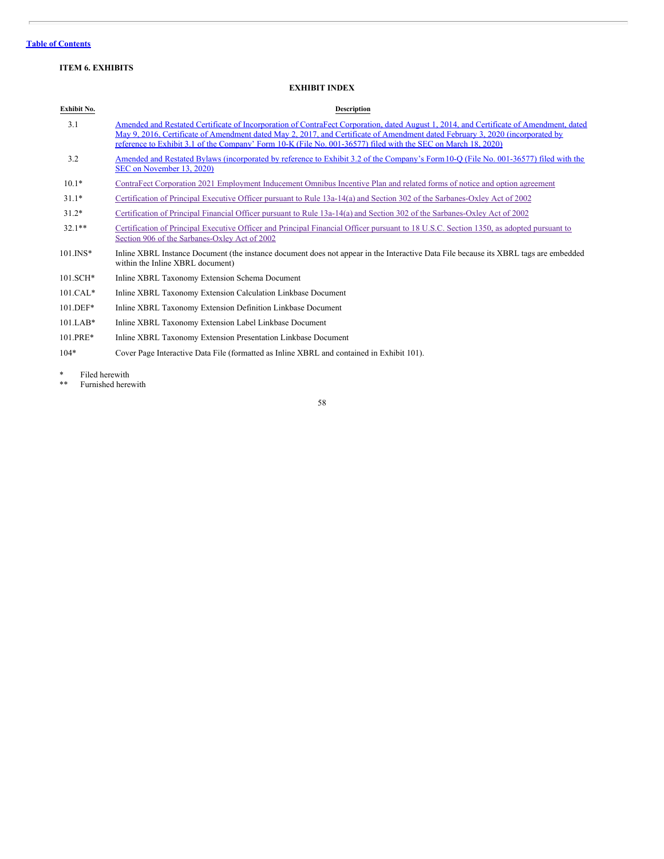# **ITEM 6. EXHIBITS**

# **EXHIBIT INDEX**

| Exhibit No. | <b>Description</b>                                                                                                                                                                                                                                                                                                                                                                       |
|-------------|------------------------------------------------------------------------------------------------------------------------------------------------------------------------------------------------------------------------------------------------------------------------------------------------------------------------------------------------------------------------------------------|
| 3.1         | Amended and Restated Certificate of Incorporation of ContraFect Corporation, dated August 1, 2014, and Certificate of Amendment, dated<br>May 9, 2016, Certificate of Amendment dated May 2, 2017, and Certificate of Amendment dated February 3, 2020 (incorporated by<br>reference to Exhibit 3.1 of the Company' Form 10-K (File No. 001-36577) filed with the SEC on March 18, 2020) |
| 3.2         | Amended and Restated Bylaws (incorporated by reference to Exhibit 3.2 of the Company's Form 10-Q (File No. 001-36577) filed with the<br>SEC on November 13, 2020)                                                                                                                                                                                                                        |
| $10.1*$     | ContraFect Corporation 2021 Employment Inducement Omnibus Incentive Plan and related forms of notice and option agreement                                                                                                                                                                                                                                                                |
| $31.1*$     | Certification of Principal Executive Officer pursuant to Rule 13a-14(a) and Section 302 of the Sarbanes-Oxley Act of 2002                                                                                                                                                                                                                                                                |
| $31.2*$     | Certification of Principal Financial Officer pursuant to Rule 13a-14(a) and Section 302 of the Sarbanes-Oxley Act of 2002                                                                                                                                                                                                                                                                |
| $32.1**$    | Certification of Principal Executive Officer and Principal Financial Officer pursuant to 18 U.S.C. Section 1350, as adopted pursuant to<br>Section 906 of the Sarbanes-Oxley Act of 2002                                                                                                                                                                                                 |
| $101.$ INS* | Inline XBRL Instance Document (the instance document does not appear in the Interactive Data File because its XBRL tags are embedded<br>within the Inline XBRL document)                                                                                                                                                                                                                 |
| $101.SCH*$  | Inline XBRL Taxonomy Extension Schema Document                                                                                                                                                                                                                                                                                                                                           |
| $101.CAL*$  | Inline XBRL Taxonomy Extension Calculation Linkbase Document                                                                                                                                                                                                                                                                                                                             |
| $101.DEF*$  | Inline XBRL Taxonomy Extension Definition Linkbase Document                                                                                                                                                                                                                                                                                                                              |
| $101.LAB*$  | Inline XBRL Taxonomy Extension Label Linkbase Document                                                                                                                                                                                                                                                                                                                                   |
| 101.PRE*    | Inline XBRL Taxonomy Extension Presentation Linkbase Document                                                                                                                                                                                                                                                                                                                            |
| $104*$      | Cover Page Interactive Data File (formatted as Inline XBRL and contained in Exhibit 101).                                                                                                                                                                                                                                                                                                |

\* Filed herewith

\*\* Furnished herewith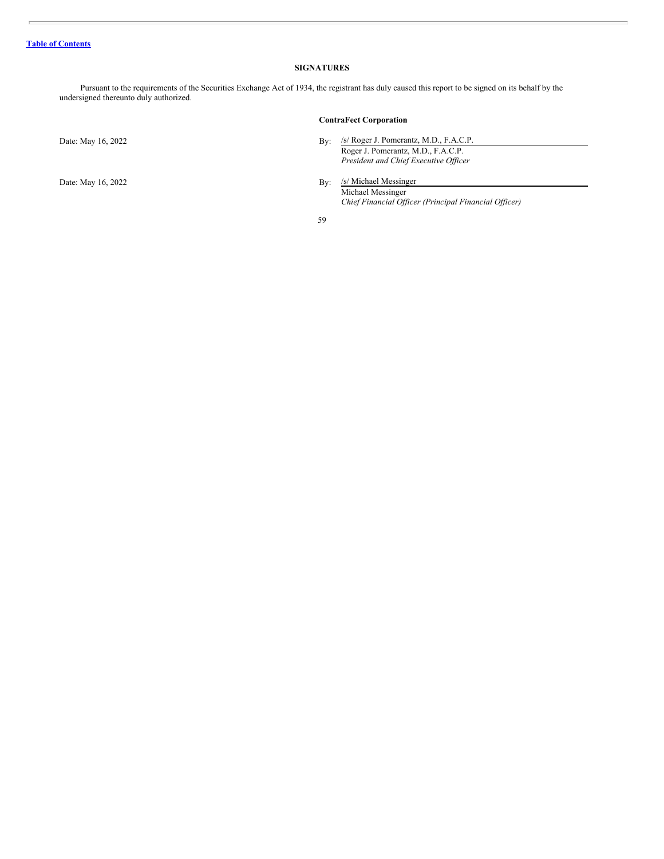# **SIGNATURES**

Pursuant to the requirements of the Securities Exchange Act of 1934, the registrant has duly caused this report to be signed on its behalf by the undersigned thereunto duly authorized.

|                    | <b>ContraFect Corporation</b>                         |
|--------------------|-------------------------------------------------------|
| Date: May 16, 2022 | /s/ Roger J. Pomerantz, M.D., F.A.C.P.<br>Bv:         |
|                    | Roger J. Pomerantz, M.D., F.A.C.P.                    |
|                    | President and Chief Executive Officer                 |
| Date: May 16, 2022 | /s/ Michael Messinger<br>Bv:                          |
|                    | Michael Messinger                                     |
|                    | Chief Financial Officer (Principal Financial Officer) |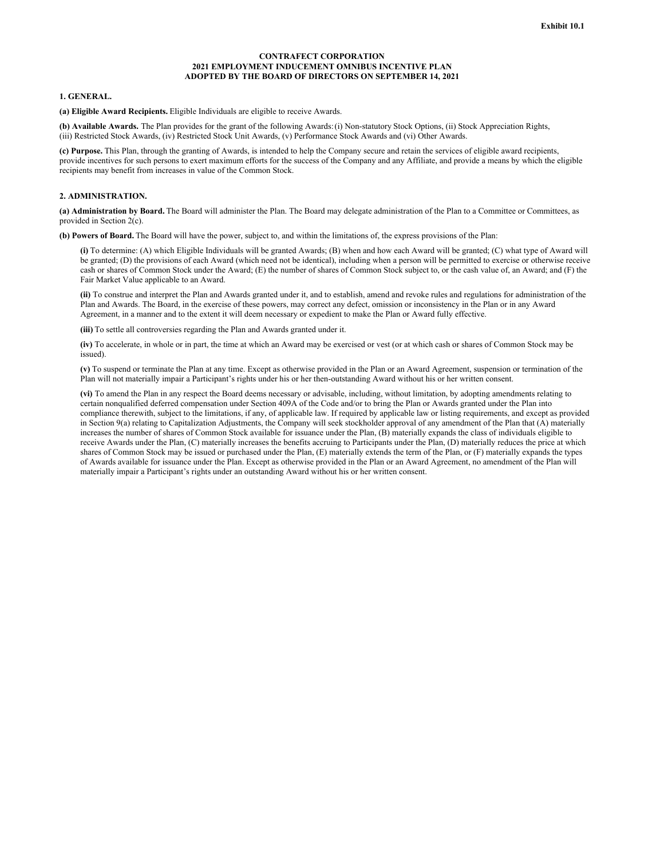# **CONTRAFECT CORPORATION 2021 EMPLOYMENT INDUCEMENT OMNIBUS INCENTIVE PLAN ADOPTED BY THE BOARD OF DIRECTORS ON SEPTEMBER 14, 2021**

# **1. GENERAL.**

**(a) Eligible Award Recipients.** Eligible Individuals are eligible to receive Awards.

**(b) Available Awards.** The Plan provides for the grant of the following Awards:(i) Non-statutory Stock Options, (ii) Stock Appreciation Rights, (iii) Restricted Stock Awards, (iv) Restricted Stock Unit Awards, (v) Performance Stock Awards and (vi) Other Awards.

**(c) Purpose.** This Plan, through the granting of Awards, is intended to help the Company secure and retain the services of eligible award recipients, provide incentives for such persons to exert maximum efforts for the success of the Company and any Affiliate, and provide a means by which the eligible recipients may benefit from increases in value of the Common Stock.

# **2. ADMINISTRATION.**

**(a) Administration by Board.** The Board will administer the Plan. The Board may delegate administration of the Plan to a Committee or Committees, as provided in Section 2(c).

**(b) Powers of Board.** The Board will have the power, subject to, and within the limitations of, the express provisions of the Plan:

**(i)** To determine: (A) which Eligible Individuals will be granted Awards; (B) when and how each Award will be granted; (C) what type of Award will be granted; (D) the provisions of each Award (which need not be identical), including when a person will be permitted to exercise or otherwise receive cash or shares of Common Stock under the Award; (E) the number of shares of Common Stock subject to, or the cash value of, an Award; and (F) the Fair Market Value applicable to an Award.

**(ii)** To construe and interpret the Plan and Awards granted under it, and to establish, amend and revoke rules and regulations for administration of the Plan and Awards. The Board, in the exercise of these powers, may correct any defect, omission or inconsistency in the Plan or in any Award Agreement, in a manner and to the extent it will deem necessary or expedient to make the Plan or Award fully effective.

**(iii)** To settle all controversies regarding the Plan and Awards granted under it.

**(iv)** To accelerate, in whole or in part, the time at which an Award may be exercised or vest (or at which cash or shares of Common Stock may be issued).

**(v)** To suspend or terminate the Plan at any time. Except as otherwise provided in the Plan or an Award Agreement, suspension or termination of the Plan will not materially impair a Participant's rights under his or her then-outstanding Award without his or her written consent.

**(vi)** To amend the Plan in any respect the Board deems necessary or advisable, including, without limitation, by adopting amendments relating to certain nonqualified deferred compensation under Section 409A of the Code and/or to bring the Plan or Awards granted under the Plan into compliance therewith, subject to the limitations, if any, of applicable law. If required by applicable law or listing requirements, and except as provided in Section 9(a) relating to Capitalization Adjustments, the Company will seek stockholder approval of any amendment of the Plan that (A) materially increases the number of shares of Common Stock available for issuance under the Plan, (B) materially expands the class of individuals eligible to receive Awards under the Plan, (C) materially increases the benefits accruing to Participants under the Plan, (D) materially reduces the price at which shares of Common Stock may be issued or purchased under the Plan, (E) materially extends the term of the Plan, or (F) materially expands the types of Awards available for issuance under the Plan. Except as otherwise provided in the Plan or an Award Agreement, no amendment of the Plan will materially impair a Participant's rights under an outstanding Award without his or her written consent.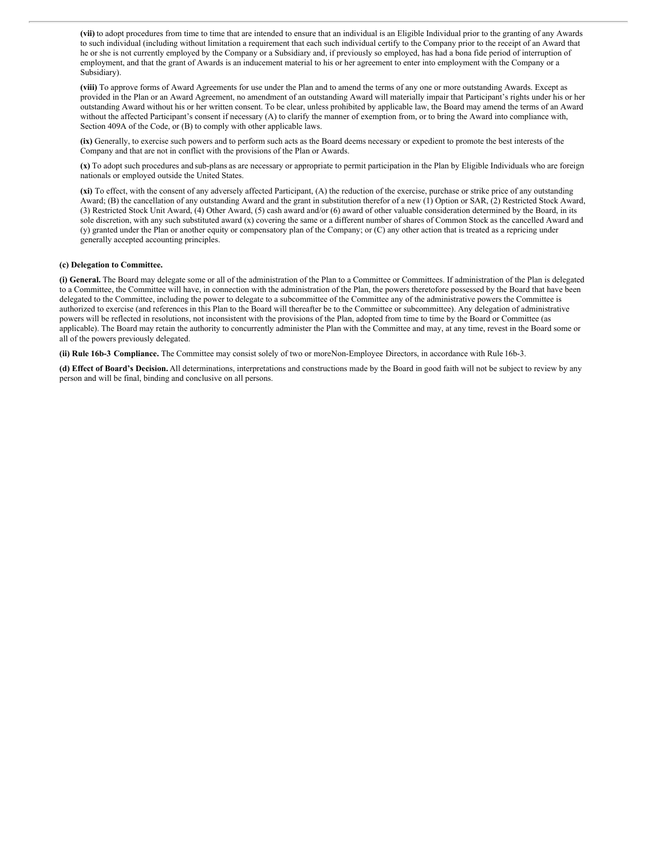**(vii)** to adopt procedures from time to time that are intended to ensure that an individual is an Eligible Individual prior to the granting of any Awards to such individual (including without limitation a requirement that each such individual certify to the Company prior to the receipt of an Award that he or she is not currently employed by the Company or a Subsidiary and, if previously so employed, has had a bona fide period of interruption of employment, and that the grant of Awards is an inducement material to his or her agreement to enter into employment with the Company or a Subsidiary).

**(viii)** To approve forms of Award Agreements for use under the Plan and to amend the terms of any one or more outstanding Awards. Except as provided in the Plan or an Award Agreement, no amendment of an outstanding Award will materially impair that Participant's rights under his or her outstanding Award without his or her written consent. To be clear, unless prohibited by applicable law, the Board may amend the terms of an Award without the affected Participant's consent if necessary (A) to clarify the manner of exemption from, or to bring the Award into compliance with, Section 409A of the Code, or (B) to comply with other applicable laws.

**(ix)** Generally, to exercise such powers and to perform such acts as the Board deems necessary or expedient to promote the best interests of the Company and that are not in conflict with the provisions of the Plan or Awards.

**(x)** To adopt such procedures and sub-plans as are necessary or appropriate to permit participation in the Plan by Eligible Individuals who are foreign nationals or employed outside the United States.

**(xi)** To effect, with the consent of any adversely affected Participant, (A) the reduction of the exercise, purchase or strike price of any outstanding Award; (B) the cancellation of any outstanding Award and the grant in substitution therefor of a new (1) Option or SAR, (2) Restricted Stock Award, (3) Restricted Stock Unit Award, (4) Other Award, (5) cash award and/or (6) award of other valuable consideration determined by the Board, in its sole discretion, with any such substituted award (x) covering the same or a different number of shares of Common Stock as the cancelled Award and (y) granted under the Plan or another equity or compensatory plan of the Company; or (C) any other action that is treated as a repricing under generally accepted accounting principles.

## **(c) Delegation to Committee.**

**(i) General.** The Board may delegate some or all of the administration of the Plan to a Committee or Committees. If administration of the Plan is delegated to a Committee, the Committee will have, in connection with the administration of the Plan, the powers theretofore possessed by the Board that have been delegated to the Committee, including the power to delegate to a subcommittee of the Committee any of the administrative powers the Committee is authorized to exercise (and references in this Plan to the Board will thereafter be to the Committee or subcommittee). Any delegation of administrative powers will be reflected in resolutions, not inconsistent with the provisions of the Plan, adopted from time to time by the Board or Committee (as applicable). The Board may retain the authority to concurrently administer the Plan with the Committee and may, at any time, revest in the Board some or all of the powers previously delegated.

**(ii) Rule 16b-3 Compliance.** The Committee may consist solely of two or moreNon-Employee Directors, in accordance with Rule 16b-3.

**(d) Effect of Board's Decision.** All determinations, interpretations and constructions made by the Board in good faith will not be subject to review by any person and will be final, binding and conclusive on all persons.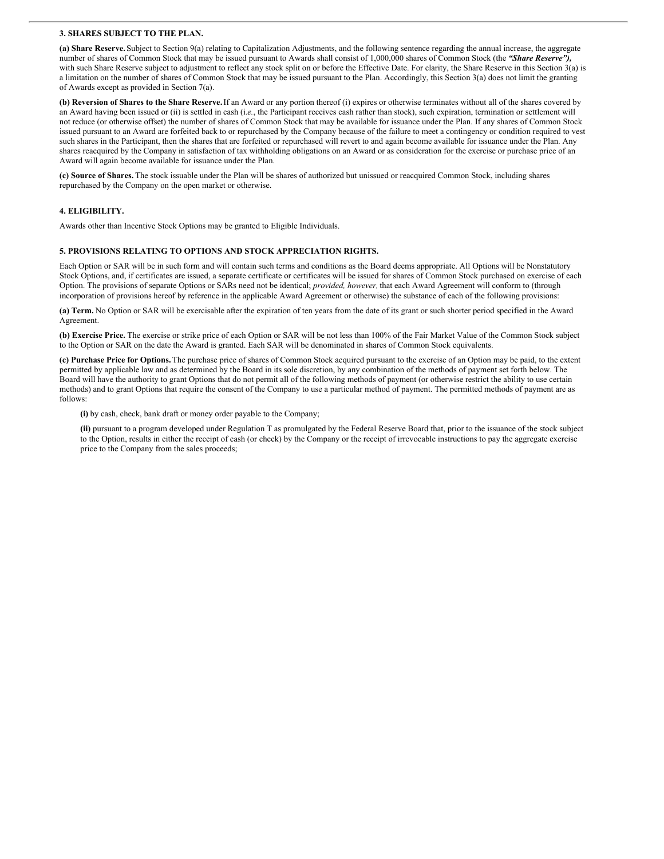# **3. SHARES SUBJECT TO THE PLAN.**

**(a) Share Reserve.**Subject to Section 9(a) relating to Capitalization Adjustments, and the following sentence regarding the annual increase, the aggregate number of shares of Common Stock that may be issued pursuant to Awards shall consist of 1,000,000 shares of Common Stock (the *"Share Reserve"),* with such Share Reserve subject to adjustment to reflect any stock split on or before the Effective Date. For clarity, the Share Reserve in this Section 3(a) is a limitation on the number of shares of Common Stock that may be issued pursuant to the Plan. Accordingly, this Section 3(a) does not limit the granting of Awards except as provided in Section 7(a).

**(b) Reversion of Shares to the Share Reserve.**If an Award or any portion thereof (i) expires or otherwise terminates without all of the shares covered by an Award having been issued or (ii) is settled in cash (i.*e.*, the Participant receives cash rather than stock), such expiration, termination or settlement will not reduce (or otherwise offset) the number of shares of Common Stock that may be available for issuance under the Plan. If any shares of Common Stock issued pursuant to an Award are forfeited back to or repurchased by the Company because of the failure to meet a contingency or condition required to vest such shares in the Participant, then the shares that are forfeited or repurchased will revert to and again become available for issuance under the Plan. Any shares reacquired by the Company in satisfaction of tax withholding obligations on an Award or as consideration for the exercise or purchase price of an Award will again become available for issuance under the Plan.

**(c) Source of Shares.** The stock issuable under the Plan will be shares of authorized but unissued or reacquired Common Stock, including shares repurchased by the Company on the open market or otherwise.

# **4. ELIGIBILITY.**

Awards other than Incentive Stock Options may be granted to Eligible Individuals.

## **5. PROVISIONS RELATING TO OPTIONS AND STOCK APPRECIATION RIGHTS.**

Each Option or SAR will be in such form and will contain such terms and conditions as the Board deems appropriate. All Options will be Nonstatutory Stock Options, and, if certificates are issued, a separate certificate or certificates will be issued for shares of Common Stock purchased on exercise of each Option. The provisions of separate Options or SARs need not be identical; *provided, however,* that each Award Agreement will conform to (through incorporation of provisions hereof by reference in the applicable Award Agreement or otherwise) the substance of each of the following provisions:

**(a) Term.** No Option or SAR will be exercisable after the expiration of ten years from the date of its grant or such shorter period specified in the Award Agreement.

**(b) Exercise Price.** The exercise or strike price of each Option or SAR will be not less than 100% of the Fair Market Value of the Common Stock subject to the Option or SAR on the date the Award is granted. Each SAR will be denominated in shares of Common Stock equivalents.

**(c) Purchase Price for Options.**The purchase price of shares of Common Stock acquired pursuant to the exercise of an Option may be paid, to the extent permitted by applicable law and as determined by the Board in its sole discretion, by any combination of the methods of payment set forth below. The Board will have the authority to grant Options that do not permit all of the following methods of payment (or otherwise restrict the ability to use certain methods) and to grant Options that require the consent of the Company to use a particular method of payment. The permitted methods of payment are as follows:

**(i)** by cash, check, bank draft or money order payable to the Company;

**(ii)** pursuant to a program developed under Regulation T as promulgated by the Federal Reserve Board that, prior to the issuance of the stock subject to the Option, results in either the receipt of cash (or check) by the Company or the receipt of irrevocable instructions to pay the aggregate exercise price to the Company from the sales proceeds;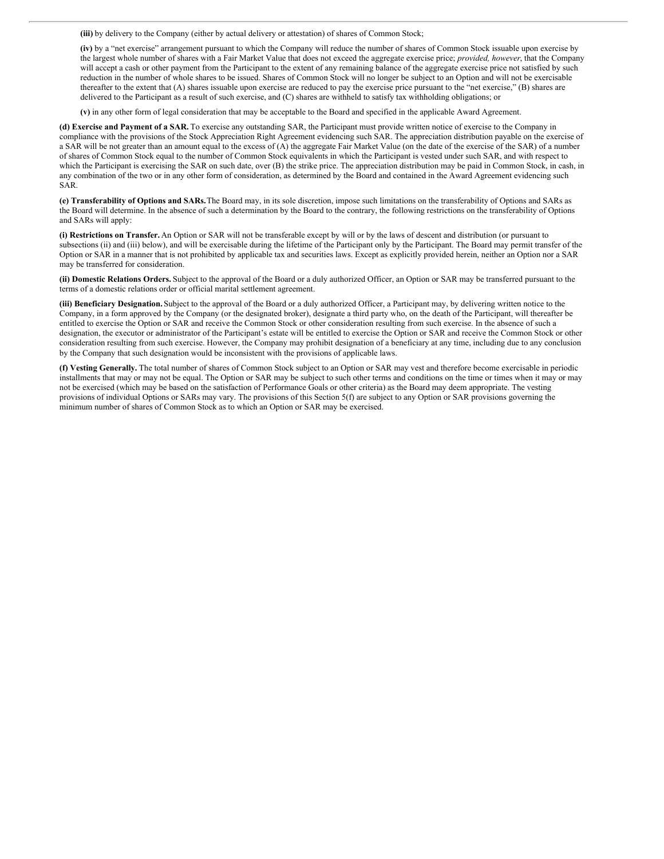**(iii)** by delivery to the Company (either by actual delivery or attestation) of shares of Common Stock;

**(iv)** by a "net exercise" arrangement pursuant to which the Company will reduce the number of shares of Common Stock issuable upon exercise by the largest whole number of shares with a Fair Market Value that does not exceed the aggregate exercise price; *provided, however*, that the Company will accept a cash or other payment from the Participant to the extent of any remaining balance of the aggregate exercise price not satisfied by such reduction in the number of whole shares to be issued. Shares of Common Stock will no longer be subject to an Option and will not be exercisable thereafter to the extent that (A) shares issuable upon exercise are reduced to pay the exercise price pursuant to the "net exercise," (B) shares are delivered to the Participant as a result of such exercise, and (C) shares are withheld to satisfy tax withholding obligations; or

**(v)** in any other form of legal consideration that may be acceptable to the Board and specified in the applicable Award Agreement.

**(d) Exercise and Payment of a SAR.** To exercise any outstanding SAR, the Participant must provide written notice of exercise to the Company in compliance with the provisions of the Stock Appreciation Right Agreement evidencing such SAR. The appreciation distribution payable on the exercise of a SAR will be not greater than an amount equal to the excess of (A) the aggregate Fair Market Value (on the date of the exercise of the SAR) of a number of shares of Common Stock equal to the number of Common Stock equivalents in which the Participant is vested under such SAR, and with respect to which the Participant is exercising the SAR on such date, over (B) the strike price. The appreciation distribution may be paid in Common Stock, in cash, in any combination of the two or in any other form of consideration, as determined by the Board and contained in the Award Agreement evidencing such SAR.

**(e) Transferability of Options and SARs.**The Board may, in its sole discretion, impose such limitations on the transferability of Options and SARs as the Board will determine. In the absence of such a determination by the Board to the contrary, the following restrictions on the transferability of Options and SARs will apply:

**(i) Restrictions on Transfer.** An Option or SAR will not be transferable except by will or by the laws of descent and distribution (or pursuant to subsections (ii) and (iii) below), and will be exercisable during the lifetime of the Participant only by the Participant. The Board may permit transfer of the Option or SAR in a manner that is not prohibited by applicable tax and securities laws. Except as explicitly provided herein, neither an Option nor a SAR may be transferred for consideration.

**(ii) Domestic Relations Orders.** Subject to the approval of the Board or a duly authorized Officer, an Option or SAR may be transferred pursuant to the terms of a domestic relations order or official marital settlement agreement.

**(iii) Beneficiary Designation.** Subject to the approval of the Board or a duly authorized Officer, a Participant may, by delivering written notice to the Company, in a form approved by the Company (or the designated broker), designate a third party who, on the death of the Participant, will thereafter be entitled to exercise the Option or SAR and receive the Common Stock or other consideration resulting from such exercise. In the absence of such a designation, the executor or administrator of the Participant's estate will be entitled to exercise the Option or SAR and receive the Common Stock or other consideration resulting from such exercise. However, the Company may prohibit designation of a beneficiary at any time, including due to any conclusion by the Company that such designation would be inconsistent with the provisions of applicable laws.

**(f) Vesting Generally.** The total number of shares of Common Stock subject to an Option or SAR may vest and therefore become exercisable in periodic installments that may or may not be equal. The Option or SAR may be subject to such other terms and conditions on the time or times when it may or may not be exercised (which may be based on the satisfaction of Performance Goals or other criteria) as the Board may deem appropriate. The vesting provisions of individual Options or SARs may vary. The provisions of this Section 5(f) are subject to any Option or SAR provisions governing the minimum number of shares of Common Stock as to which an Option or SAR may be exercised.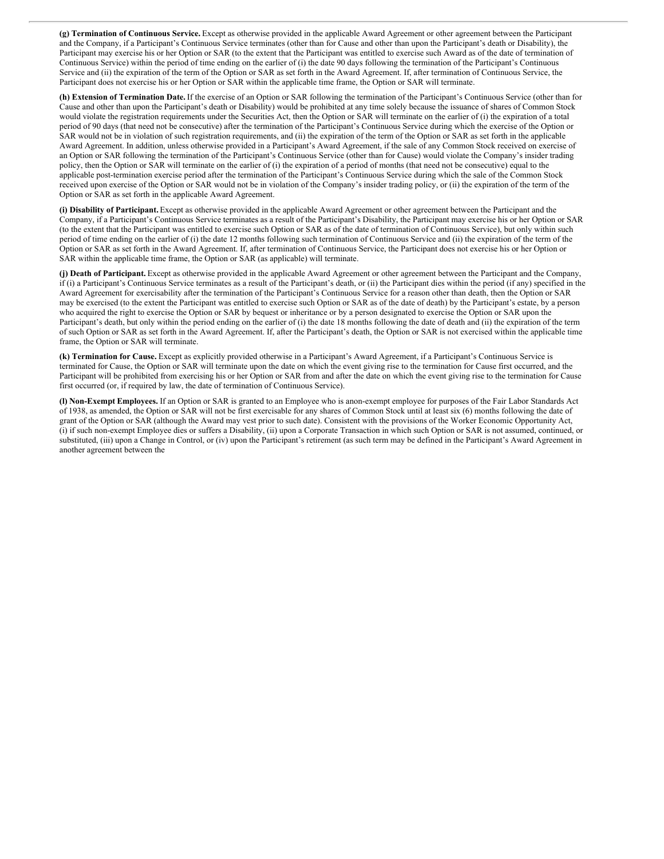**(g) Termination of Continuous Service.** Except as otherwise provided in the applicable Award Agreement or other agreement between the Participant and the Company, if a Participant's Continuous Service terminates (other than for Cause and other than upon the Participant's death or Disability), the Participant may exercise his or her Option or SAR (to the extent that the Participant was entitled to exercise such Award as of the date of termination of Continuous Service) within the period of time ending on the earlier of (i) the date 90 days following the termination of the Participant's Continuous Service and (ii) the expiration of the term of the Option or SAR as set forth in the Award Agreement. If, after termination of Continuous Service, the Participant does not exercise his or her Option or SAR within the applicable time frame, the Option or SAR will terminate.

**(h) Extension of Termination Date.** If the exercise of an Option or SAR following the termination of the Participant's Continuous Service (other than for Cause and other than upon the Participant's death or Disability) would be prohibited at any time solely because the issuance of shares of Common Stock would violate the registration requirements under the Securities Act, then the Option or SAR will terminate on the earlier of (i) the expiration of a total period of 90 days (that need not be consecutive) after the termination of the Participant's Continuous Service during which the exercise of the Option or SAR would not be in violation of such registration requirements, and (ii) the expiration of the term of the Option or SAR as set forth in the applicable Award Agreement. In addition, unless otherwise provided in a Participant's Award Agreement, if the sale of any Common Stock received on exercise of an Option or SAR following the termination of the Participant's Continuous Service (other than for Cause) would violate the Company's insider trading policy, then the Option or SAR will terminate on the earlier of (i) the expiration of a period of months (that need not be consecutive) equal to the applicable post-termination exercise period after the termination of the Participant's Continuous Service during which the sale of the Common Stock received upon exercise of the Option or SAR would not be in violation of the Company's insider trading policy, or (ii) the expiration of the term of the Option or SAR as set forth in the applicable Award Agreement.

**(i) Disability of Participant.** Except as otherwise provided in the applicable Award Agreement or other agreement between the Participant and the Company, if a Participant's Continuous Service terminates as a result of the Participant's Disability, the Participant may exercise his or her Option or SAR (to the extent that the Participant was entitled to exercise such Option or SAR as of the date of termination of Continuous Service), but only within such period of time ending on the earlier of (i) the date 12 months following such termination of Continuous Service and (ii) the expiration of the term of the Option or SAR as set forth in the Award Agreement. If, after termination of Continuous Service, the Participant does not exercise his or her Option or SAR within the applicable time frame, the Option or SAR (as applicable) will terminate.

**(j) Death of Participant.** Except as otherwise provided in the applicable Award Agreement or other agreement between the Participant and the Company, if (i) a Participant's Continuous Service terminates as a result of the Participant's death, or (ii) the Participant dies within the period (if any) specified in the Award Agreement for exercisability after the termination of the Participant's Continuous Service for a reason other than death, then the Option or SAR may be exercised (to the extent the Participant was entitled to exercise such Option or SAR as of the date of death) by the Participant's estate, by a person who acquired the right to exercise the Option or SAR by bequest or inheritance or by a person designated to exercise the Option or SAR upon the Participant's death, but only within the period ending on the earlier of (i) the date 18 months following the date of death and (ii) the expiration of the term of such Option or SAR as set forth in the Award Agreement. If, after the Participant's death, the Option or SAR is not exercised within the applicable time frame, the Option or SAR will terminate.

**(k) Termination for Cause.** Except as explicitly provided otherwise in a Participant's Award Agreement, if a Participant's Continuous Service is terminated for Cause, the Option or SAR will terminate upon the date on which the event giving rise to the termination for Cause first occurred, and the Participant will be prohibited from exercising his or her Option or SAR from and after the date on which the event giving rise to the termination for Cause first occurred (or, if required by law, the date of termination of Continuous Service).

**(l) Non-Exempt Employees.** If an Option or SAR is granted to an Employee who is anon-exempt employee for purposes of the Fair Labor Standards Act of 1938, as amended, the Option or SAR will not be first exercisable for any shares of Common Stock until at least six (6) months following the date of grant of the Option or SAR (although the Award may vest prior to such date). Consistent with the provisions of the Worker Economic Opportunity Act, (i) if such non-exempt Employee dies or suffers a Disability, (ii) upon a Corporate Transaction in which such Option or SAR is not assumed, continued, or substituted, (iii) upon a Change in Control, or (iv) upon the Participant's retirement (as such term may be defined in the Participant's Award Agreement in another agreement between the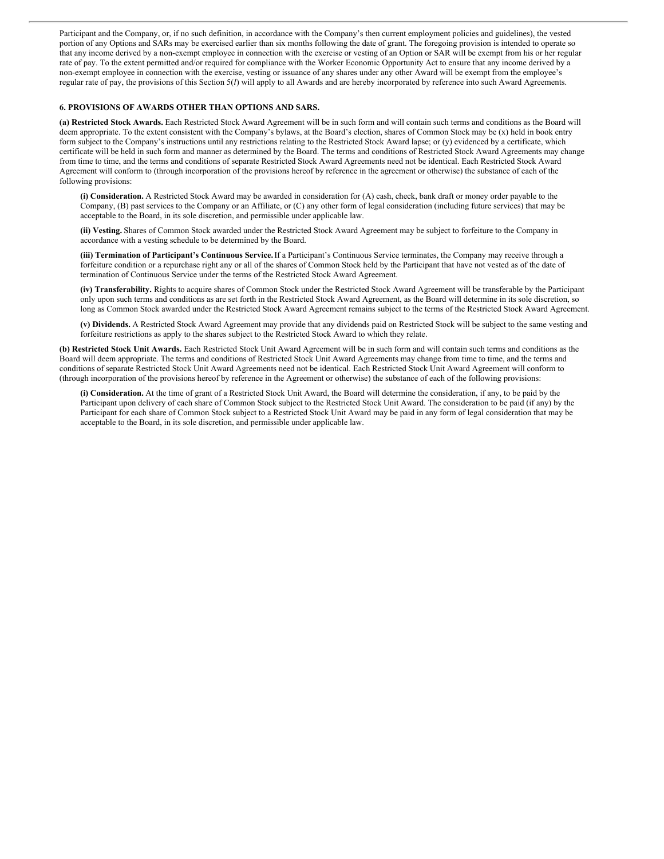Participant and the Company, or, if no such definition, in accordance with the Company's then current employment policies and guidelines), the vested portion of any Options and SARs may be exercised earlier than six months following the date of grant. The foregoing provision is intended to operate so that any income derived by a non-exempt employee in connection with the exercise or vesting of an Option or SAR will be exempt from his or her regular rate of pay. To the extent permitted and/or required for compliance with the Worker Economic Opportunity Act to ensure that any income derived by a non-exempt employee in connection with the exercise, vesting or issuance of any shares under any other Award will be exempt from the employee's regular rate of pay, the provisions of this Section 5(*l*) will apply to all Awards and are hereby incorporated by reference into such Award Agreements.

# **6. PROVISIONS OF AWARDS OTHER THAN OPTIONS AND SARS.**

**(a) Restricted Stock Awards.** Each Restricted Stock Award Agreement will be in such form and will contain such terms and conditions as the Board will deem appropriate. To the extent consistent with the Company's bylaws, at the Board's election, shares of Common Stock may be (x) held in book entry form subject to the Company's instructions until any restrictions relating to the Restricted Stock Award lapse; or (y) evidenced by a certificate, which certificate will be held in such form and manner as determined by the Board. The terms and conditions of Restricted Stock Award Agreements may change from time to time, and the terms and conditions of separate Restricted Stock Award Agreements need not be identical. Each Restricted Stock Award Agreement will conform to (through incorporation of the provisions hereof by reference in the agreement or otherwise) the substance of each of the following provisions:

**(i) Consideration.** A Restricted Stock Award may be awarded in consideration for (A) cash, check, bank draft or money order payable to the Company, (B) past services to the Company or an Affiliate, or (C) any other form of legal consideration (including future services) that may be acceptable to the Board, in its sole discretion, and permissible under applicable law.

**(ii) Vesting.** Shares of Common Stock awarded under the Restricted Stock Award Agreement may be subject to forfeiture to the Company in accordance with a vesting schedule to be determined by the Board.

**(iii) Termination of Participant's Continuous Service.**If a Participant's Continuous Service terminates, the Company may receive through a forfeiture condition or a repurchase right any or all of the shares of Common Stock held by the Participant that have not vested as of the date of termination of Continuous Service under the terms of the Restricted Stock Award Agreement.

**(iv) Transferability.** Rights to acquire shares of Common Stock under the Restricted Stock Award Agreement will be transferable by the Participant only upon such terms and conditions as are set forth in the Restricted Stock Award Agreement, as the Board will determine in its sole discretion, so long as Common Stock awarded under the Restricted Stock Award Agreement remains subject to the terms of the Restricted Stock Award Agreement.

**(v) Dividends.** A Restricted Stock Award Agreement may provide that any dividends paid on Restricted Stock will be subject to the same vesting and forfeiture restrictions as apply to the shares subject to the Restricted Stock Award to which they relate.

**(b) Restricted Stock Unit Awards.** Each Restricted Stock Unit Award Agreement will be in such form and will contain such terms and conditions as the Board will deem appropriate. The terms and conditions of Restricted Stock Unit Award Agreements may change from time to time, and the terms and conditions of separate Restricted Stock Unit Award Agreements need not be identical. Each Restricted Stock Unit Award Agreement will conform to (through incorporation of the provisions hereof by reference in the Agreement or otherwise) the substance of each of the following provisions:

**(i) Consideration.** At the time of grant of a Restricted Stock Unit Award, the Board will determine the consideration, if any, to be paid by the Participant upon delivery of each share of Common Stock subject to the Restricted Stock Unit Award. The consideration to be paid (if any) by the Participant for each share of Common Stock subject to a Restricted Stock Unit Award may be paid in any form of legal consideration that may be acceptable to the Board, in its sole discretion, and permissible under applicable law.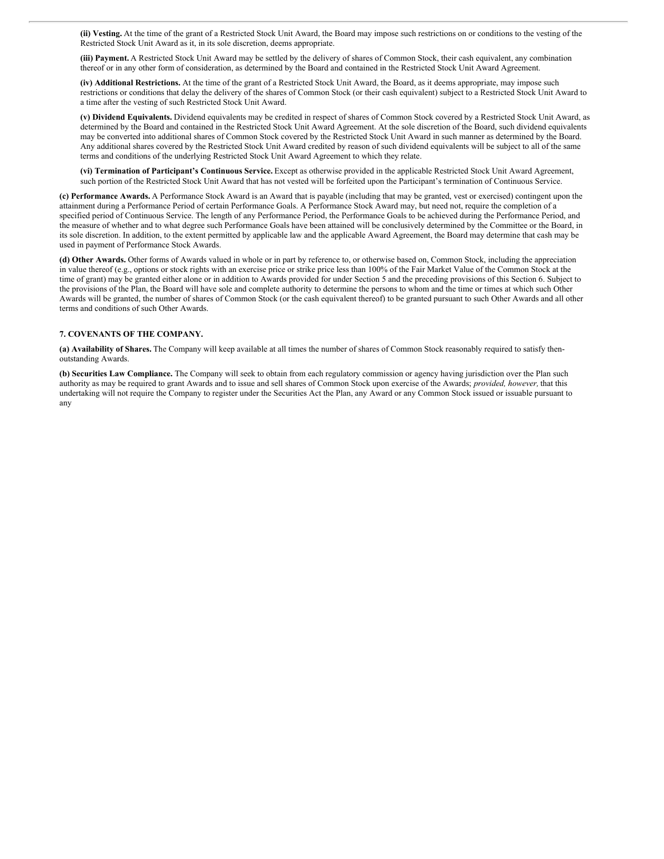**(ii) Vesting.** At the time of the grant of a Restricted Stock Unit Award, the Board may impose such restrictions on or conditions to the vesting of the Restricted Stock Unit Award as it, in its sole discretion, deems appropriate.

**(iii) Payment.** A Restricted Stock Unit Award may be settled by the delivery of shares of Common Stock, their cash equivalent, any combination thereof or in any other form of consideration, as determined by the Board and contained in the Restricted Stock Unit Award Agreement.

**(iv) Additional Restrictions.** At the time of the grant of a Restricted Stock Unit Award, the Board, as it deems appropriate, may impose such restrictions or conditions that delay the delivery of the shares of Common Stock (or their cash equivalent) subject to a Restricted Stock Unit Award to a time after the vesting of such Restricted Stock Unit Award.

**(v) Dividend Equivalents.** Dividend equivalents may be credited in respect of shares of Common Stock covered by a Restricted Stock Unit Award, as determined by the Board and contained in the Restricted Stock Unit Award Agreement. At the sole discretion of the Board, such dividend equivalents may be converted into additional shares of Common Stock covered by the Restricted Stock Unit Award in such manner as determined by the Board. Any additional shares covered by the Restricted Stock Unit Award credited by reason of such dividend equivalents will be subject to all of the same terms and conditions of the underlying Restricted Stock Unit Award Agreement to which they relate.

**(vi) Termination of Participant's Continuous Service.** Except as otherwise provided in the applicable Restricted Stock Unit Award Agreement, such portion of the Restricted Stock Unit Award that has not vested will be forfeited upon the Participant's termination of Continuous Service.

**(c) Performance Awards.** A Performance Stock Award is an Award that is payable (including that may be granted, vest or exercised) contingent upon the attainment during a Performance Period of certain Performance Goals. A Performance Stock Award may, but need not, require the completion of a specified period of Continuous Service. The length of any Performance Period, the Performance Goals to be achieved during the Performance Period, and the measure of whether and to what degree such Performance Goals have been attained will be conclusively determined by the Committee or the Board, in its sole discretion. In addition, to the extent permitted by applicable law and the applicable Award Agreement, the Board may determine that cash may be used in payment of Performance Stock Awards.

**(d) Other Awards.** Other forms of Awards valued in whole or in part by reference to, or otherwise based on, Common Stock, including the appreciation in value thereof (e.g., options or stock rights with an exercise price or strike price less than 100% of the Fair Market Value of the Common Stock at the time of grant) may be granted either alone or in addition to Awards provided for under Section 5 and the preceding provisions of this Section 6. Subject to the provisions of the Plan, the Board will have sole and complete authority to determine the persons to whom and the time or times at which such Other Awards will be granted, the number of shares of Common Stock (or the cash equivalent thereof) to be granted pursuant to such Other Awards and all other terms and conditions of such Other Awards.

# **7. COVENANTS OF THE COMPANY.**

**(a) Availability of Shares.** The Company will keep available at all times the number of shares of Common Stock reasonably required to satisfy thenoutstanding Awards.

**(b) Securities Law Compliance.** The Company will seek to obtain from each regulatory commission or agency having jurisdiction over the Plan such authority as may be required to grant Awards and to issue and sell shares of Common Stock upon exercise of the Awards; *provided, however,* that this undertaking will not require the Company to register under the Securities Act the Plan, any Award or any Common Stock issued or issuable pursuant to any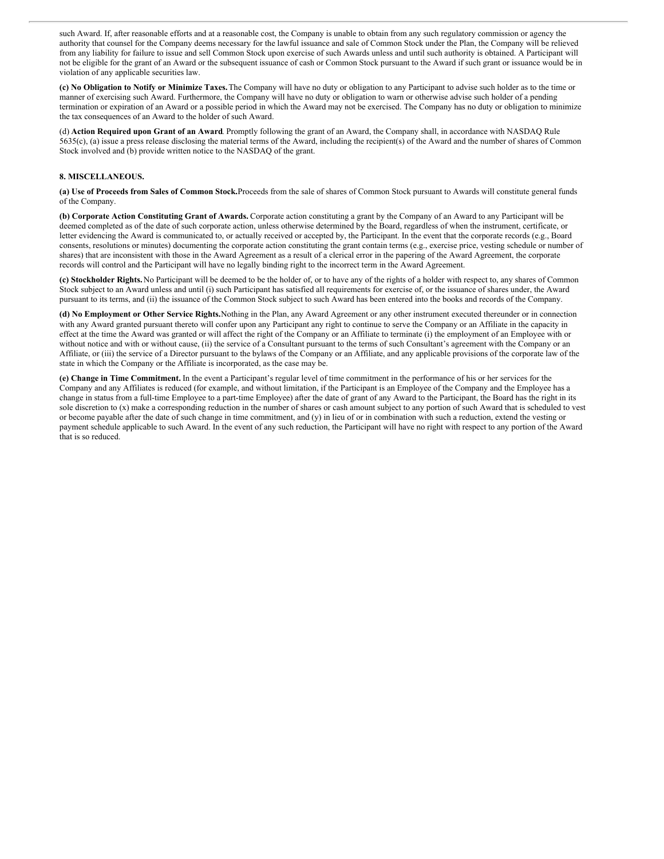such Award. If, after reasonable efforts and at a reasonable cost, the Company is unable to obtain from any such regulatory commission or agency the authority that counsel for the Company deems necessary for the lawful issuance and sale of Common Stock under the Plan, the Company will be relieved from any liability for failure to issue and sell Common Stock upon exercise of such Awards unless and until such authority is obtained. A Participant will not be eligible for the grant of an Award or the subsequent issuance of cash or Common Stock pursuant to the Award if such grant or issuance would be in violation of any applicable securities law.

**(c) No Obligation to Notify or Minimize Taxes.**The Company will have no duty or obligation to any Participant to advise such holder as to the time or manner of exercising such Award. Furthermore, the Company will have no duty or obligation to warn or otherwise advise such holder of a pending termination or expiration of an Award or a possible period in which the Award may not be exercised. The Company has no duty or obligation to minimize the tax consequences of an Award to the holder of such Award.

(d) **Action Required upon Grant of an Award**. Promptly following the grant of an Award, the Company shall, in accordance with NASDAQ Rule 5635(c), (a) issue a press release disclosing the material terms of the Award, including the recipient(s) of the Award and the number of shares of Common Stock involved and (b) provide written notice to the NASDAQ of the grant.

## **8. MISCELLANEOUS.**

**(a) Use of Proceeds from Sales of Common Stock.**Proceeds from the sale of shares of Common Stock pursuant to Awards will constitute general funds of the Company.

**(b) Corporate Action Constituting Grant of Awards.** Corporate action constituting a grant by the Company of an Award to any Participant will be deemed completed as of the date of such corporate action, unless otherwise determined by the Board, regardless of when the instrument, certificate, or letter evidencing the Award is communicated to, or actually received or accepted by, the Participant. In the event that the corporate records (e.g., Board consents, resolutions or minutes) documenting the corporate action constituting the grant contain terms (e.g., exercise price, vesting schedule or number of shares) that are inconsistent with those in the Award Agreement as a result of a clerical error in the papering of the Award Agreement, the corporate records will control and the Participant will have no legally binding right to the incorrect term in the Award Agreement.

**(c) Stockholder Rights.** No Participant will be deemed to be the holder of, or to have any of the rights of a holder with respect to, any shares of Common Stock subject to an Award unless and until (i) such Participant has satisfied all requirements for exercise of, or the issuance of shares under, the Award pursuant to its terms, and (ii) the issuance of the Common Stock subject to such Award has been entered into the books and records of the Company.

**(d) No Employment or Other Service Rights.**Nothing in the Plan, any Award Agreement or any other instrument executed thereunder or in connection with any Award granted pursuant thereto will confer upon any Participant any right to continue to serve the Company or an Affiliate in the capacity in effect at the time the Award was granted or will affect the right of the Company or an Affiliate to terminate (i) the employment of an Employee with or without notice and with or without cause, (ii) the service of a Consultant pursuant to the terms of such Consultant's agreement with the Company or an Affiliate, or (iii) the service of a Director pursuant to the bylaws of the Company or an Affiliate, and any applicable provisions of the corporate law of the state in which the Company or the Affiliate is incorporated, as the case may be.

**(e) Change in Time Commitment.** In the event a Participant's regular level of time commitment in the performance of his or her services for the Company and any Affiliates is reduced (for example, and without limitation, if the Participant is an Employee of the Company and the Employee has a change in status from a full-time Employee to a part-time Employee) after the date of grant of any Award to the Participant, the Board has the right in its sole discretion to  $(x)$  make a corresponding reduction in the number of shares or cash amount subject to any portion of such Award that is scheduled to vest or become payable after the date of such change in time commitment, and (y) in lieu of or in combination with such a reduction, extend the vesting or payment schedule applicable to such Award. In the event of any such reduction, the Participant will have no right with respect to any portion of the Award that is so reduced.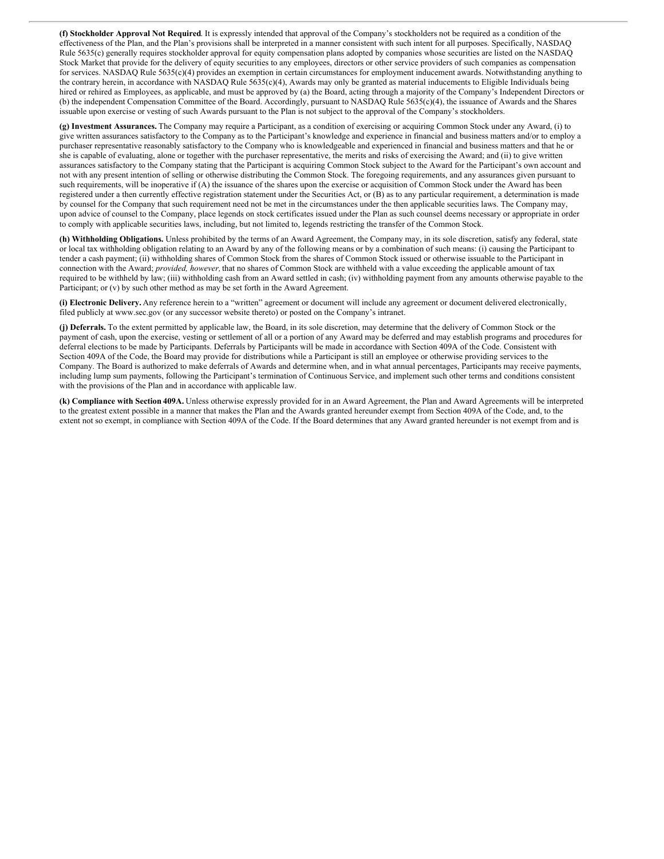**(f) Stockholder Approval Not Required**. It is expressly intended that approval of the Company's stockholders not be required as a condition of the effectiveness of the Plan, and the Plan's provisions shall be interpreted in a manner consistent with such intent for all purposes. Specifically, NASDAQ Rule 5635(c) generally requires stockholder approval for equity compensation plans adopted by companies whose securities are listed on the NASDAQ Stock Market that provide for the delivery of equity securities to any employees, directors or other service providers of such companies as compensation for services. NASDAQ Rule 5635(c)(4) provides an exemption in certain circumstances for employment inducement awards. Notwithstanding anything to the contrary herein, in accordance with NASDAQ Rule 5635(c)(4), Awards may only be granted as material inducements to Eligible Individuals being hired or rehired as Employees, as applicable, and must be approved by (a) the Board, acting through a majority of the Company's Independent Directors or (b) the independent Compensation Committee of the Board. Accordingly, pursuant to NASDAQ Rule 5635(c)(4), the issuance of Awards and the Shares issuable upon exercise or vesting of such Awards pursuant to the Plan is not subject to the approval of the Company's stockholders.

**(g) Investment Assurances.** The Company may require a Participant, as a condition of exercising or acquiring Common Stock under any Award, (i) to give written assurances satisfactory to the Company as to the Participant's knowledge and experience in financial and business matters and/or to employ a purchaser representative reasonably satisfactory to the Company who is knowledgeable and experienced in financial and business matters and that he or she is capable of evaluating, alone or together with the purchaser representative, the merits and risks of exercising the Award; and (ii) to give written assurances satisfactory to the Company stating that the Participant is acquiring Common Stock subject to the Award for the Participant's own account and not with any present intention of selling or otherwise distributing the Common Stock. The foregoing requirements, and any assurances given pursuant to such requirements, will be inoperative if (A) the issuance of the shares upon the exercise or acquisition of Common Stock under the Award has been registered under a then currently effective registration statement under the Securities Act, or (B) as to any particular requirement, a determination is made by counsel for the Company that such requirement need not be met in the circumstances under the then applicable securities laws. The Company may, upon advice of counsel to the Company, place legends on stock certificates issued under the Plan as such counsel deems necessary or appropriate in order to comply with applicable securities laws, including, but not limited to, legends restricting the transfer of the Common Stock.

**(h) Withholding Obligations.** Unless prohibited by the terms of an Award Agreement, the Company may, in its sole discretion, satisfy any federal, state or local tax withholding obligation relating to an Award by any of the following means or by a combination of such means: (i) causing the Participant to tender a cash payment; (ii) withholding shares of Common Stock from the shares of Common Stock issued or otherwise issuable to the Participant in connection with the Award; *provided, however,* that no shares of Common Stock are withheld with a value exceeding the applicable amount of tax required to be withheld by law; (iii) withholding cash from an Award settled in cash; (iv) withholding payment from any amounts otherwise payable to the Participant; or (v) by such other method as may be set forth in the Award Agreement.

**(i) Electronic Delivery.** Any reference herein to a "written" agreement or document will include any agreement or document delivered electronically, filed publicly at www.sec.gov (or any successor website thereto) or posted on the Company's intranet.

**(j) Deferrals.** To the extent permitted by applicable law, the Board, in its sole discretion, may determine that the delivery of Common Stock or the payment of cash, upon the exercise, vesting or settlement of all or a portion of any Award may be deferred and may establish programs and procedures for deferral elections to be made by Participants. Deferrals by Participants will be made in accordance with Section 409A of the Code. Consistent with Section 409A of the Code, the Board may provide for distributions while a Participant is still an employee or otherwise providing services to the Company. The Board is authorized to make deferrals of Awards and determine when, and in what annual percentages, Participants may receive payments, including lump sum payments, following the Participant's termination of Continuous Service, and implement such other terms and conditions consistent with the provisions of the Plan and in accordance with applicable law.

**(k) Compliance with Section 409A.** Unless otherwise expressly provided for in an Award Agreement, the Plan and Award Agreements will be interpreted to the greatest extent possible in a manner that makes the Plan and the Awards granted hereunder exempt from Section 409A of the Code, and, to the extent not so exempt, in compliance with Section 409A of the Code. If the Board determines that any Award granted hereunder is not exempt from and is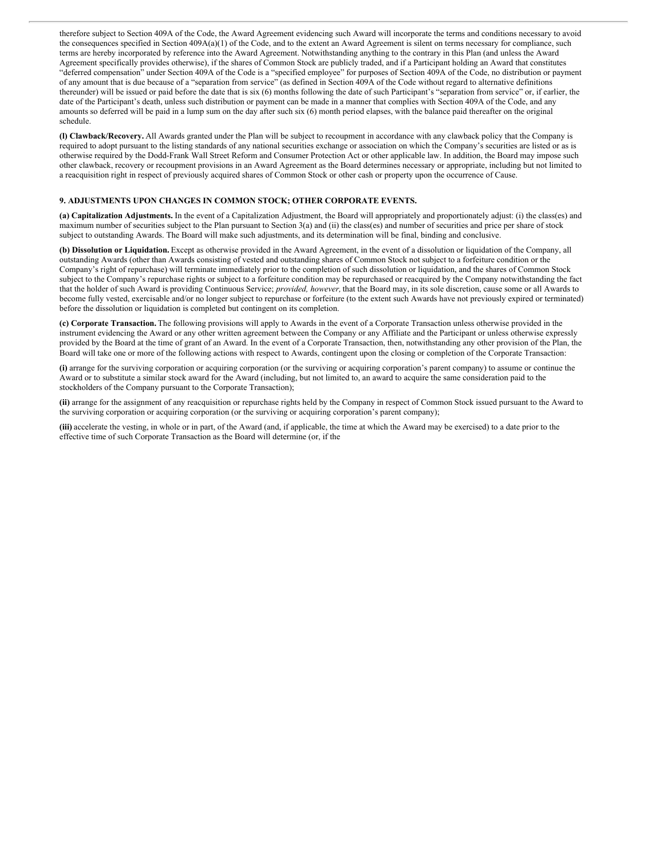therefore subject to Section 409A of the Code, the Award Agreement evidencing such Award will incorporate the terms and conditions necessary to avoid the consequences specified in Section 409A(a)(1) of the Code, and to the extent an Award Agreement is silent on terms necessary for compliance, such terms are hereby incorporated by reference into the Award Agreement. Notwithstanding anything to the contrary in this Plan (and unless the Award Agreement specifically provides otherwise), if the shares of Common Stock are publicly traded, and if a Participant holding an Award that constitutes "deferred compensation" under Section 409A of the Code is a "specified employee" for purposes of Section 409A of the Code, no distribution or payment of any amount that is due because of a "separation from service" (as defined in Section 409A of the Code without regard to alternative definitions thereunder) will be issued or paid before the date that is six (6) months following the date of such Participant's "separation from service" or, if earlier, the date of the Participant's death, unless such distribution or payment can be made in a manner that complies with Section 409A of the Code, and any amounts so deferred will be paid in a lump sum on the day after such six (6) month period elapses, with the balance paid thereafter on the original schedule.

**(l) Clawback/Recovery.** All Awards granted under the Plan will be subject to recoupment in accordance with any clawback policy that the Company is required to adopt pursuant to the listing standards of any national securities exchange or association on which the Company's securities are listed or as is otherwise required by the Dodd-Frank Wall Street Reform and Consumer Protection Act or other applicable law. In addition, the Board may impose such other clawback, recovery or recoupment provisions in an Award Agreement as the Board determines necessary or appropriate, including but not limited to a reacquisition right in respect of previously acquired shares of Common Stock or other cash or property upon the occurrence of Cause.

## **9. ADJUSTMENTS UPON CHANGES IN COMMON STOCK; OTHER CORPORATE EVENTS.**

**(a) Capitalization Adjustments.** In the event of a Capitalization Adjustment, the Board will appropriately and proportionately adjust: (i) the class(es) and maximum number of securities subject to the Plan pursuant to Section 3(a) and (ii) the class(es) and number of securities and price per share of stock subject to outstanding Awards. The Board will make such adjustments, and its determination will be final, binding and conclusive.

**(b) Dissolution or Liquidation.** Except as otherwise provided in the Award Agreement, in the event of a dissolution or liquidation of the Company, all outstanding Awards (other than Awards consisting of vested and outstanding shares of Common Stock not subject to a forfeiture condition or the Company's right of repurchase) will terminate immediately prior to the completion of such dissolution or liquidation, and the shares of Common Stock subject to the Company's repurchase rights or subject to a forfeiture condition may be repurchased or reacquired by the Company notwithstanding the fact that the holder of such Award is providing Continuous Service; *provided, however,* that the Board may, in its sole discretion, cause some or all Awards to become fully vested, exercisable and/or no longer subject to repurchase or forfeiture (to the extent such Awards have not previously expired or terminated) before the dissolution or liquidation is completed but contingent on its completion.

**(c) Corporate Transaction.** The following provisions will apply to Awards in the event of a Corporate Transaction unless otherwise provided in the instrument evidencing the Award or any other written agreement between the Company or any Affiliate and the Participant or unless otherwise expressly provided by the Board at the time of grant of an Award. In the event of a Corporate Transaction, then, notwithstanding any other provision of the Plan, the Board will take one or more of the following actions with respect to Awards, contingent upon the closing or completion of the Corporate Transaction:

**(i)** arrange for the surviving corporation or acquiring corporation (or the surviving or acquiring corporation's parent company) to assume or continue the Award or to substitute a similar stock award for the Award (including, but not limited to, an award to acquire the same consideration paid to the stockholders of the Company pursuant to the Corporate Transaction);

**(ii)** arrange for the assignment of any reacquisition or repurchase rights held by the Company in respect of Common Stock issued pursuant to the Award to the surviving corporation or acquiring corporation (or the surviving or acquiring corporation's parent company);

**(iii)** accelerate the vesting, in whole or in part, of the Award (and, if applicable, the time at which the Award may be exercised) to a date prior to the effective time of such Corporate Transaction as the Board will determine (or, if the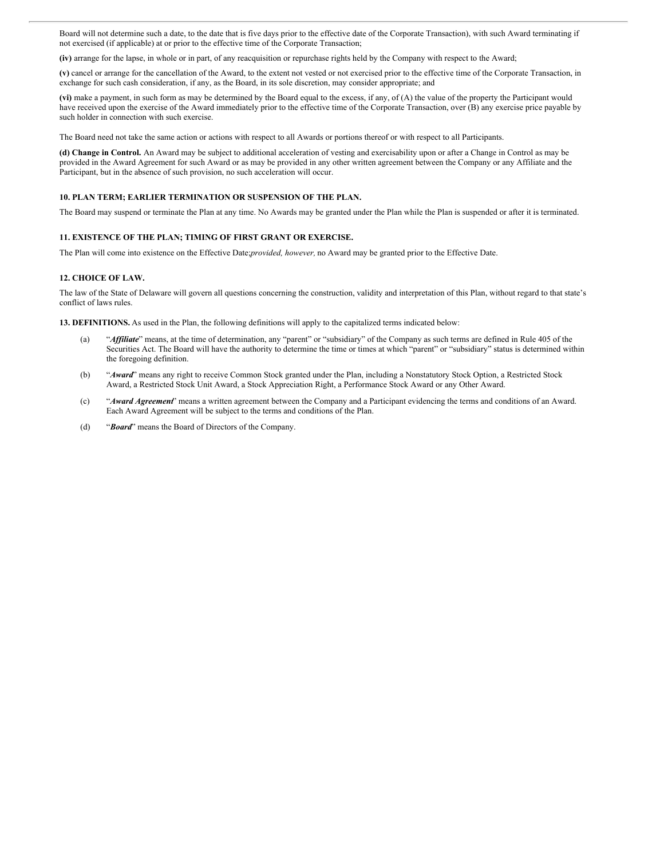Board will not determine such a date, to the date that is five days prior to the effective date of the Corporate Transaction), with such Award terminating if not exercised (if applicable) at or prior to the effective time of the Corporate Transaction;

**(iv)** arrange for the lapse, in whole or in part, of any reacquisition or repurchase rights held by the Company with respect to the Award;

**(v)** cancel or arrange for the cancellation of the Award, to the extent not vested or not exercised prior to the effective time of the Corporate Transaction, in exchange for such cash consideration, if any, as the Board, in its sole discretion, may consider appropriate; and

**(vi)** make a payment, in such form as may be determined by the Board equal to the excess, if any, of (A) the value of the property the Participant would have received upon the exercise of the Award immediately prior to the effective time of the Corporate Transaction, over (B) any exercise price payable by such holder in connection with such exercise.

The Board need not take the same action or actions with respect to all Awards or portions thereof or with respect to all Participants.

**(d) Change in Control.** An Award may be subject to additional acceleration of vesting and exercisability upon or after a Change in Control as may be provided in the Award Agreement for such Award or as may be provided in any other written agreement between the Company or any Affiliate and the Participant, but in the absence of such provision, no such acceleration will occur.

### **10. PLAN TERM; EARLIER TERMINATION OR SUSPENSION OF THE PLAN.**

The Board may suspend or terminate the Plan at any time. No Awards may be granted under the Plan while the Plan is suspended or after it is terminated.

# **11. EXISTENCE OF THE PLAN; TIMING OF FIRST GRANT OR EXERCISE.**

The Plan will come into existence on the Effective Date;*provided, however,* no Award may be granted prior to the Effective Date.

### **12. CHOICE OF LAW.**

The law of the State of Delaware will govern all questions concerning the construction, validity and interpretation of this Plan, without regard to that state's conflict of laws rules.

**13. DEFINITIONS.** As used in the Plan, the following definitions will apply to the capitalized terms indicated below:

- (a) "*Affiliate*" means, at the time of determination, any "parent" or "subsidiary" of the Company as such terms are defined in Rule 405 of the Securities Act. The Board will have the authority to determine the time or times at which "parent" or "subsidiary" status is determined within the foregoing definition.
- (b) "*Award*" means any right to receive Common Stock granted under the Plan, including a Nonstatutory Stock Option, a Restricted Stock Award, a Restricted Stock Unit Award, a Stock Appreciation Right, a Performance Stock Award or any Other Award.
- (c) "*Award Agreement*" means a written agreement between the Company and a Participant evidencing the terms and conditions of an Award. Each Award Agreement will be subject to the terms and conditions of the Plan.
- (d) "*Board*" means the Board of Directors of the Company.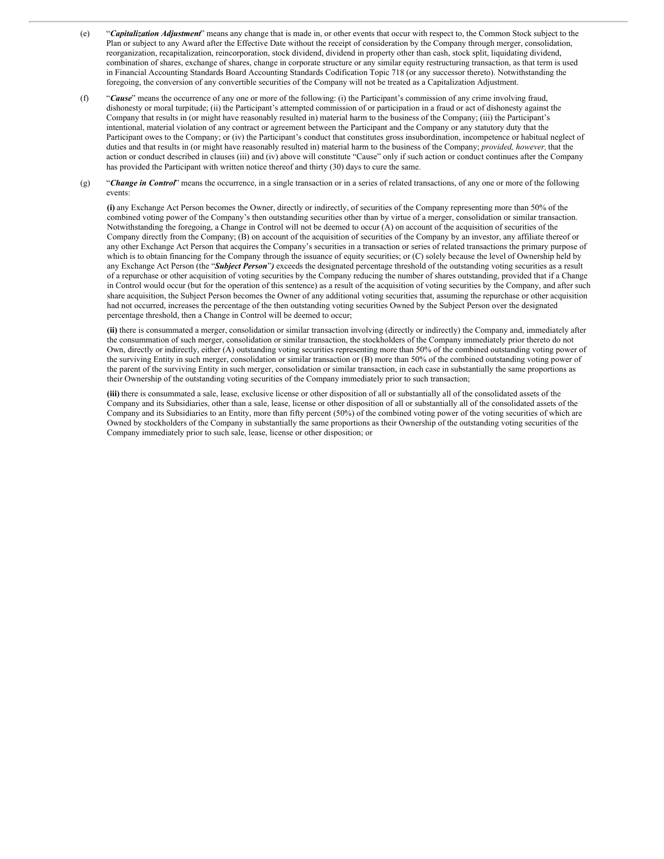- (e) "*Capitalization Adjustment*" means any change that is made in, or other events that occur with respect to, the Common Stock subject to the Plan or subject to any Award after the Effective Date without the receipt of consideration by the Company through merger, consolidation, reorganization, recapitalization, reincorporation, stock dividend, dividend in property other than cash, stock split, liquidating dividend, combination of shares, exchange of shares, change in corporate structure or any similar equity restructuring transaction, as that term is used in Financial Accounting Standards Board Accounting Standards Codification Topic 718 (or any successor thereto). Notwithstanding the foregoing, the conversion of any convertible securities of the Company will not be treated as a Capitalization Adjustment.
- (f) "*Cause*" means the occurrence of any one or more of the following: (i) the Participant's commission of any crime involving fraud, dishonesty or moral turpitude; (ii) the Participant's attempted commission of or participation in a fraud or act of dishonesty against the Company that results in (or might have reasonably resulted in) material harm to the business of the Company; (iii) the Participant's intentional, material violation of any contract or agreement between the Participant and the Company or any statutory duty that the Participant owes to the Company; or (iv) the Participant's conduct that constitutes gross insubordination, incompetence or habitual neglect of duties and that results in (or might have reasonably resulted in) material harm to the business of the Company; *provided, however,* that the action or conduct described in clauses (iii) and (iv) above will constitute "Cause" only if such action or conduct continues after the Company has provided the Participant with written notice thereof and thirty (30) days to cure the same.
- (g) "*Change in Control*" means the occurrence, in a single transaction or in a series of related transactions, of any one or more of the following events:

**(i)** any Exchange Act Person becomes the Owner, directly or indirectly, of securities of the Company representing more than 50% of the combined voting power of the Company's then outstanding securities other than by virtue of a merger, consolidation or similar transaction. Notwithstanding the foregoing, a Change in Control will not be deemed to occur (A) on account of the acquisition of securities of the Company directly from the Company; (B) on account of the acquisition of securities of the Company by an investor, any affiliate thereof or any other Exchange Act Person that acquires the Company's securities in a transaction or series of related transactions the primary purpose of which is to obtain financing for the Company through the issuance of equity securities; or (C) solely because the level of Ownership held by any Exchange Act Person (the "*Subject Person*"*)* exceeds the designated percentage threshold of the outstanding voting securities as a result of a repurchase or other acquisition of voting securities by the Company reducing the number of shares outstanding, provided that if a Change in Control would occur (but for the operation of this sentence) as a result of the acquisition of voting securities by the Company, and after such share acquisition, the Subject Person becomes the Owner of any additional voting securities that, assuming the repurchase or other acquisition had not occurred, increases the percentage of the then outstanding voting securities Owned by the Subject Person over the designated percentage threshold, then a Change in Control will be deemed to occur;

**(ii)** there is consummated a merger, consolidation or similar transaction involving (directly or indirectly) the Company and, immediately after the consummation of such merger, consolidation or similar transaction, the stockholders of the Company immediately prior thereto do not Own, directly or indirectly, either (A) outstanding voting securities representing more than 50% of the combined outstanding voting power of the surviving Entity in such merger, consolidation or similar transaction or (B) more than 50% of the combined outstanding voting power of the parent of the surviving Entity in such merger, consolidation or similar transaction, in each case in substantially the same proportions as their Ownership of the outstanding voting securities of the Company immediately prior to such transaction;

**(iii)** there is consummated a sale, lease, exclusive license or other disposition of all or substantially all of the consolidated assets of the Company and its Subsidiaries, other than a sale, lease, license or other disposition of all or substantially all of the consolidated assets of the Company and its Subsidiaries to an Entity, more than fifty percent (50%) of the combined voting power of the voting securities of which are Owned by stockholders of the Company in substantially the same proportions as their Ownership of the outstanding voting securities of the Company immediately prior to such sale, lease, license or other disposition; or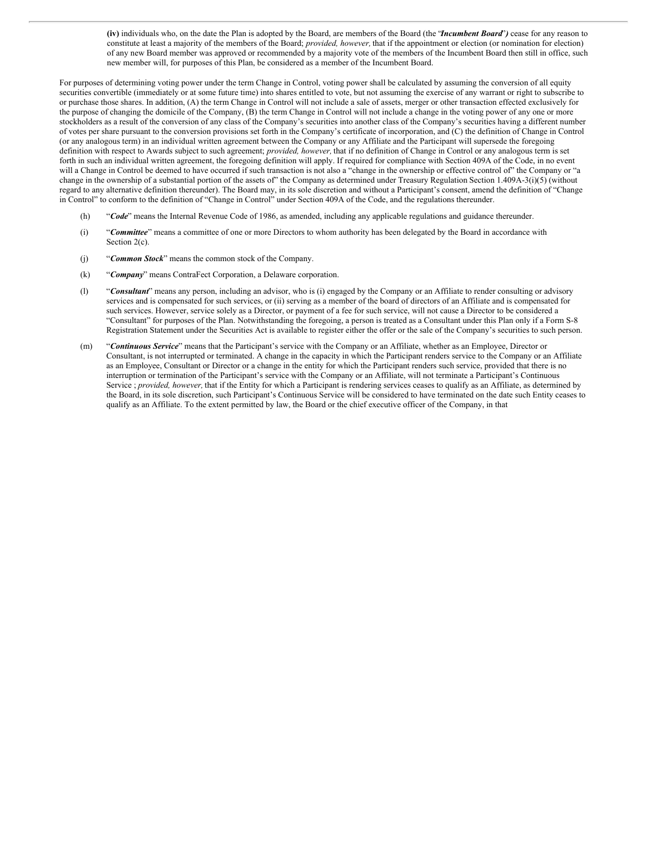**(iv)** individuals who, on the date the Plan is adopted by the Board, are members of the Board (the "*Incumbent Board*"*)* cease for any reason to constitute at least a majority of the members of the Board; *provided, however,* that if the appointment or election (or nomination for election) of any new Board member was approved or recommended by a majority vote of the members of the Incumbent Board then still in office, such new member will, for purposes of this Plan, be considered as a member of the Incumbent Board.

For purposes of determining voting power under the term Change in Control, voting power shall be calculated by assuming the conversion of all equity securities convertible (immediately or at some future time) into shares entitled to vote, but not assuming the exercise of any warrant or right to subscribe to or purchase those shares. In addition, (A) the term Change in Control will not include a sale of assets, merger or other transaction effected exclusively for the purpose of changing the domicile of the Company, (B) the term Change in Control will not include a change in the voting power of any one or more stockholders as a result of the conversion of any class of the Company's securities into another class of the Company's securities having a different number of votes per share pursuant to the conversion provisions set forth in the Company's certificate of incorporation, and (C) the definition of Change in Control (or any analogous term) in an individual written agreement between the Company or any Affiliate and the Participant will supersede the foregoing definition with respect to Awards subject to such agreement; *provided, however,* that if no definition of Change in Control or any analogous term is set forth in such an individual written agreement, the foregoing definition will apply. If required for compliance with Section 409A of the Code, in no event will a Change in Control be deemed to have occurred if such transaction is not also a "change in the ownership or effective control of" the Company or "a change in the ownership of a substantial portion of the assets of" the Company as determined under Treasury Regulation Section 1.409A-3(i)(5) (without regard to any alternative definition thereunder). The Board may, in its sole discretion and without a Participant's consent, amend the definition of "Change in Control" to conform to the definition of "Change in Control" under Section 409A of the Code, and the regulations thereunder.

- (h) "*Code*" means the Internal Revenue Code of 1986, as amended, including any applicable regulations and guidance thereunder.
- (i) "*Committee*" means a committee of one or more Directors to whom authority has been delegated by the Board in accordance with Section 2(c).
- (j) "*Common Stock*" means the common stock of the Company.
- (k) "*Company*" means ContraFect Corporation, a Delaware corporation.
- (l) "*Consultant*" means any person, including an advisor, who is (i) engaged by the Company or an Affiliate to render consulting or advisory services and is compensated for such services, or (ii) serving as a member of the board of directors of an Affiliate and is compensated for such services. However, service solely as a Director, or payment of a fee for such service, will not cause a Director to be considered a "Consultant" for purposes of the Plan. Notwithstanding the foregoing, a person is treated as a Consultant under this Plan only if a Form S-8 Registration Statement under the Securities Act is available to register either the offer or the sale of the Company's securities to such person.
- (m) "*Continuous Service*" means that the Participant's service with the Company or an Affiliate, whether as an Employee, Director or Consultant, is not interrupted or terminated. A change in the capacity in which the Participant renders service to the Company or an Affiliate as an Employee, Consultant or Director or a change in the entity for which the Participant renders such service, provided that there is no interruption or termination of the Participant's service with the Company or an Affiliate, will not terminate a Participant's Continuous Service ; *provided, however,* that if the Entity for which a Participant is rendering services ceases to qualify as an Affiliate, as determined by the Board, in its sole discretion, such Participant's Continuous Service will be considered to have terminated on the date such Entity ceases to qualify as an Affiliate. To the extent permitted by law, the Board or the chief executive officer of the Company, in that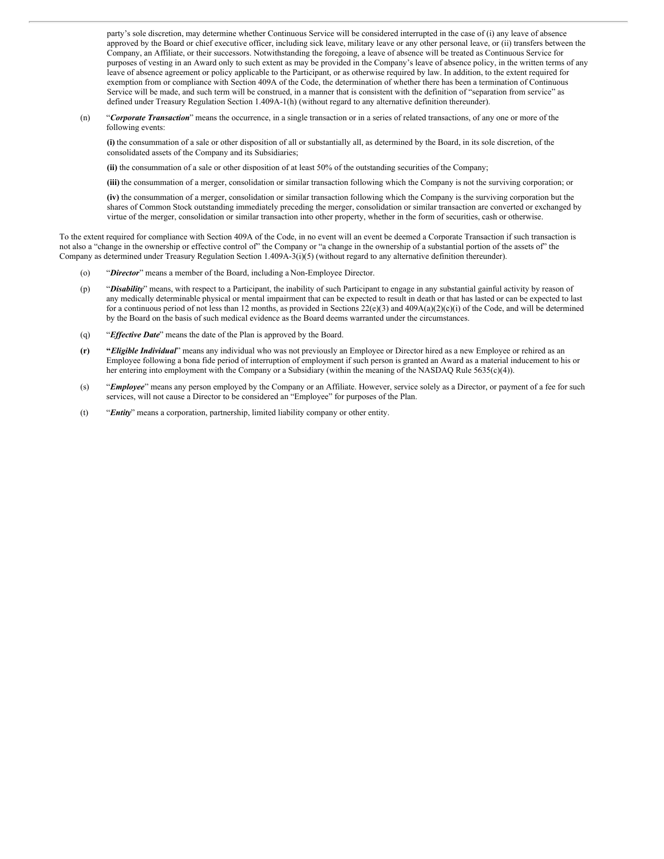party's sole discretion, may determine whether Continuous Service will be considered interrupted in the case of (i) any leave of absence approved by the Board or chief executive officer, including sick leave, military leave or any other personal leave, or (ii) transfers between the Company, an Affiliate, or their successors. Notwithstanding the foregoing, a leave of absence will be treated as Continuous Service for purposes of vesting in an Award only to such extent as may be provided in the Company's leave of absence policy, in the written terms of any leave of absence agreement or policy applicable to the Participant, or as otherwise required by law. In addition, to the extent required for exemption from or compliance with Section 409A of the Code, the determination of whether there has been a termination of Continuous Service will be made, and such term will be construed, in a manner that is consistent with the definition of "separation from service" as defined under Treasury Regulation Section 1.409A-1(h) (without regard to any alternative definition thereunder).

(n) "*Corporate Transaction*" means the occurrence, in a single transaction or in a series of related transactions, of any one or more of the following events:

**(i)** the consummation of a sale or other disposition of all or substantially all, as determined by the Board, in its sole discretion, of the consolidated assets of the Company and its Subsidiaries;

**(ii)** the consummation of a sale or other disposition of at least 50% of the outstanding securities of the Company;

**(iii)** the consummation of a merger, consolidation or similar transaction following which the Company is not the surviving corporation; or

**(iv)** the consummation of a merger, consolidation or similar transaction following which the Company is the surviving corporation but the shares of Common Stock outstanding immediately preceding the merger, consolidation or similar transaction are converted or exchanged by virtue of the merger, consolidation or similar transaction into other property, whether in the form of securities, cash or otherwise.

To the extent required for compliance with Section 409A of the Code, in no event will an event be deemed a Corporate Transaction if such transaction is not also a "change in the ownership or effective control of" the Company or "a change in the ownership of a substantial portion of the assets of" the Company as determined under Treasury Regulation Section 1.409A-3(i)(5) (without regard to any alternative definition thereunder).

- (o) "*Director*" means a member of the Board, including a Non-Employee Director.
- (p) "*Disability*" means, with respect to a Participant, the inability of such Participant to engage in any substantial gainful activity by reason of any medically determinable physical or mental impairment that can be expected to result in death or that has lasted or can be expected to last for a continuous period of not less than 12 months, as provided in Sections 22(e)(3) and 409A(a)(2)(c)(i) of the Code, and will be determined by the Board on the basis of such medical evidence as the Board deems warranted under the circumstances.
- (q) "*Ef ective Date*" means the date of the Plan is approved by the Board.
- **(r) "***Eligible Individual*" means any individual who was not previously an Employee or Director hired as a new Employee or rehired as an Employee following a bona fide period of interruption of employment if such person is granted an Award as a material inducement to his or her entering into employment with the Company or a Subsidiary (within the meaning of the NASDAQ Rule 5635(c)(4)).
- (s) "*Employee*" means any person employed by the Company or an Affiliate. However, service solely as a Director, or payment of a fee for such services, will not cause a Director to be considered an "Employee" for purposes of the Plan.
- (t) "*Entity*" means a corporation, partnership, limited liability company or other entity.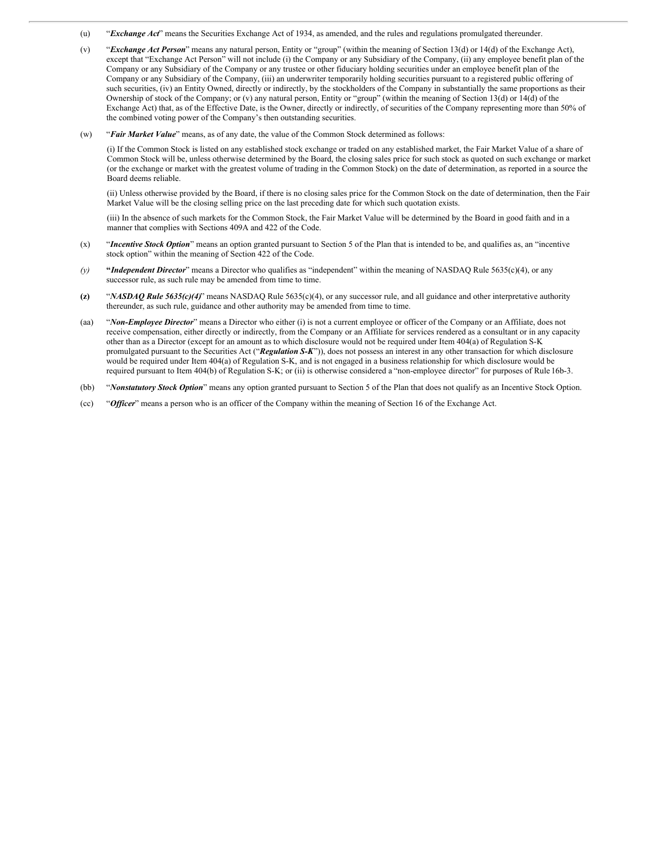- (u) "*Exchange Act*" means the Securities Exchange Act of 1934, as amended, and the rules and regulations promulgated thereunder.
- (v) "*Exchange Act Person*" means any natural person, Entity or "group" (within the meaning of Section 13(d) or 14(d) of the Exchange Act), except that "Exchange Act Person" will not include (i) the Company or any Subsidiary of the Company, (ii) any employee benefit plan of the Company or any Subsidiary of the Company or any trustee or other fiduciary holding securities under an employee benefit plan of the Company or any Subsidiary of the Company, (iii) an underwriter temporarily holding securities pursuant to a registered public offering of such securities, (iv) an Entity Owned, directly or indirectly, by the stockholders of the Company in substantially the same proportions as their Ownership of stock of the Company; or (v) any natural person, Entity or "group" (within the meaning of Section 13(d) or 14(d) of the Exchange Act) that, as of the Effective Date, is the Owner, directly or indirectly, of securities of the Company representing more than 50% of the combined voting power of the Company's then outstanding securities.
- (w) "*Fair Market Value*" means, as of any date, the value of the Common Stock determined as follows:

(i) If the Common Stock is listed on any established stock exchange or traded on any established market, the Fair Market Value of a share of Common Stock will be, unless otherwise determined by the Board, the closing sales price for such stock as quoted on such exchange or market (or the exchange or market with the greatest volume of trading in the Common Stock) on the date of determination, as reported in a source the Board deems reliable.

(ii) Unless otherwise provided by the Board, if there is no closing sales price for the Common Stock on the date of determination, then the Fair Market Value will be the closing selling price on the last preceding date for which such quotation exists.

(iii) In the absence of such markets for the Common Stock, the Fair Market Value will be determined by the Board in good faith and in a manner that complies with Sections 409A and 422 of the Code.

- (x) "*Incentive Stock Option*" means an option granted pursuant to Section 5 of the Plan that is intended to be, and qualifies as, an "incentive stock option" within the meaning of Section 422 of the Code.
- *(y)* **"***Independent Director*" means a Director who qualifies as "independent" within the meaning of NASDAQ Rule 5635(c)(4), or any successor rule, as such rule may be amended from time to time.
- **(z)** "*NASDAQ Rule 5635(c)(4)*" means NASDAQ Rule 5635(c)(4), or any successor rule, and all guidance and other interpretative authority thereunder, as such rule, guidance and other authority may be amended from time to time.
- (aa) "*Non-Employee Director*" means a Director who either (i) is not a current employee or officer of the Company or an Affiliate, does not receive compensation, either directly or indirectly, from the Company or an Affiliate for services rendered as a consultant or in any capacity other than as a Director (except for an amount as to which disclosure would not be required under Item 404(a) of Regulation S-K promulgated pursuant to the Securities Act ("*Regulation S-K*")), does not possess an interest in any other transaction for which disclosure would be required under Item 404(a) of Regulation S-K, and is not engaged in a business relationship for which disclosure would be required pursuant to Item 404(b) of Regulation S-K; or (ii) is otherwise considered a "non-employee director" for purposes of Rule 16b-3.
- (bb) "*Nonstatutory Stock Option*" means any option granted pursuant to Section 5 of the Plan that does not qualify as an Incentive Stock Option.
- (cc) "*Of icer*" means a person who is an officer of the Company within the meaning of Section 16 of the Exchange Act.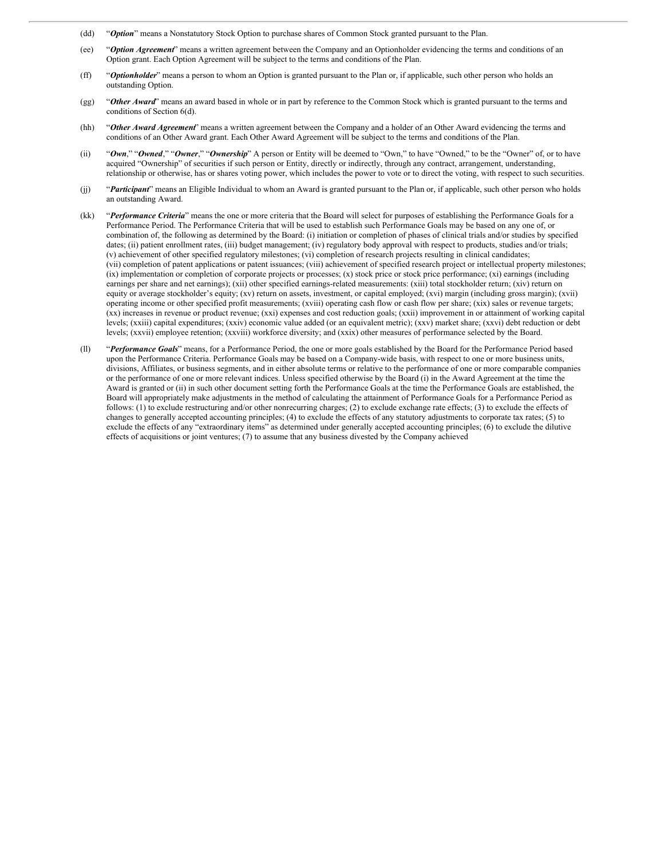- (dd) "*Option*" means a Nonstatutory Stock Option to purchase shares of Common Stock granted pursuant to the Plan.
- (ee) "*Option Agreement*" means a written agreement between the Company and an Optionholder evidencing the terms and conditions of an Option grant. Each Option Agreement will be subject to the terms and conditions of the Plan.
- (ff) "*Optionholder*" means a person to whom an Option is granted pursuant to the Plan or, if applicable, such other person who holds an outstanding Option.
- (gg) "Other *Award*" means an award based in whole or in part by reference to the Common Stock which is granted pursuant to the terms and conditions of Section 6(d).
- (hh) "*Other Award Agreement*" means a written agreement between the Company and a holder of an Other Award evidencing the terms and conditions of an Other Award grant. Each Other Award Agreement will be subject to the terms and conditions of the Plan.
- (ii) "*Own*," "*Owned*," "*Owner*," "*Ownership*" A person or Entity will be deemed to "Own," to have "Owned," to be the "Owner" of, or to have acquired "Ownership" of securities if such person or Entity, directly or indirectly, through any contract, arrangement, understanding, relationship or otherwise, has or shares voting power, which includes the power to vote or to direct the voting, with respect to such securities.
- (ji) "Participant" means an Eligible Individual to whom an Award is granted pursuant to the Plan or, if applicable, such other person who holds an outstanding Award.
- (kk) "*Performance Criteria*" means the one or more criteria that the Board will select for purposes of establishing the Performance Goals for a Performance Period. The Performance Criteria that will be used to establish such Performance Goals may be based on any one of, or combination of, the following as determined by the Board: (i) initiation or completion of phases of clinical trials and/or studies by specified dates; (ii) patient enrollment rates, (iii) budget management; (iv) regulatory body approval with respect to products, studies and/or trials; (v) achievement of other specified regulatory milestones; (vi) completion of research projects resulting in clinical candidates; (vii) completion of patent applications or patent issuances; (viii) achievement of specified research project or intellectual property milestones; (ix) implementation or completion of corporate projects or processes; (x) stock price or stock price performance; (xi) earnings (including earnings per share and net earnings); (xii) other specified earnings-related measurements: (xiii) total stockholder return; (xiv) return on equity or average stockholder's equity; (xv) return on assets, investment, or capital employed; (xvi) margin (including gross margin); (xvii) operating income or other specified profit measurements; (xviii) operating cash flow or cash flow per share; (xix) sales or revenue targets; (xx) increases in revenue or product revenue; (xxi) expenses and cost reduction goals; (xxii) improvement in or attainment of working capital levels; (xxiii) capital expenditures; (xxiv) economic value added (or an equivalent metric); (xxv) market share; (xxvi) debt reduction or debt levels; (xxvii) employee retention; (xxviii) workforce diversity; and (xxix) other measures of performance selected by the Board.
- (ll) "*Performance Goals*" means, for a Performance Period, the one or more goals established by the Board for the Performance Period based upon the Performance Criteria. Performance Goals may be based on a Company-wide basis, with respect to one or more business units, divisions, Affiliates, or business segments, and in either absolute terms or relative to the performance of one or more comparable companies or the performance of one or more relevant indices. Unless specified otherwise by the Board (i) in the Award Agreement at the time the Award is granted or (ii) in such other document setting forth the Performance Goals at the time the Performance Goals are established, the Board will appropriately make adjustments in the method of calculating the attainment of Performance Goals for a Performance Period as follows: (1) to exclude restructuring and/or other nonrecurring charges; (2) to exclude exchange rate effects; (3) to exclude the effects of changes to generally accepted accounting principles; (4) to exclude the effects of any statutory adjustments to corporate tax rates; (5) to exclude the effects of any "extraordinary items" as determined under generally accepted accounting principles; (6) to exclude the dilutive effects of acquisitions or joint ventures; (7) to assume that any business divested by the Company achieved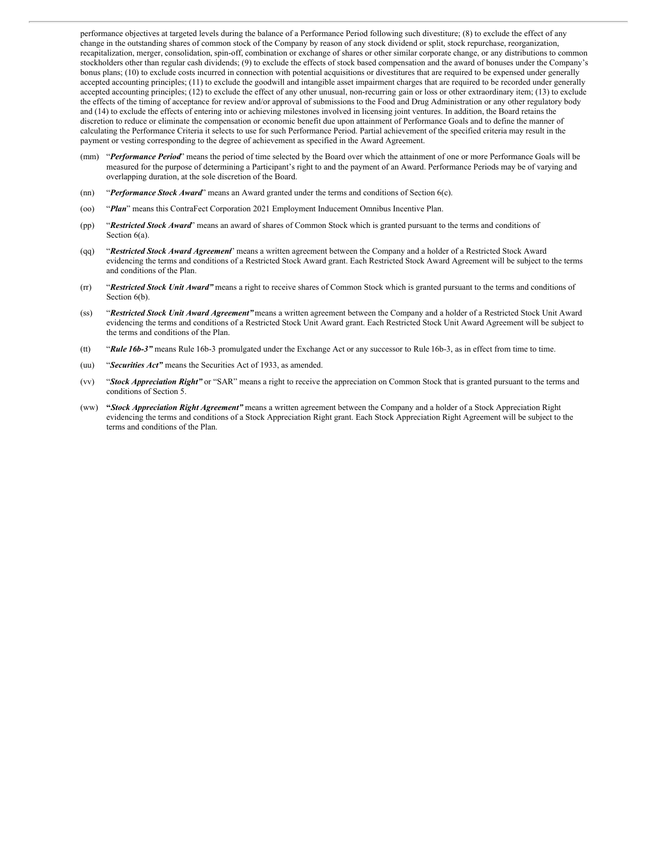performance objectives at targeted levels during the balance of a Performance Period following such divestiture; (8) to exclude the effect of any change in the outstanding shares of common stock of the Company by reason of any stock dividend or split, stock repurchase, reorganization, recapitalization, merger, consolidation, spin-off, combination or exchange of shares or other similar corporate change, or any distributions to common stockholders other than regular cash dividends; (9) to exclude the effects of stock based compensation and the award of bonuses under the Company's bonus plans; (10) to exclude costs incurred in connection with potential acquisitions or divestitures that are required to be expensed under generally accepted accounting principles; (11) to exclude the goodwill and intangible asset impairment charges that are required to be recorded under generally accepted accounting principles; (12) to exclude the effect of any other unusual, non-recurring gain or loss or other extraordinary item; (13) to exclude the effects of the timing of acceptance for review and/or approval of submissions to the Food and Drug Administration or any other regulatory body and (14) to exclude the effects of entering into or achieving milestones involved in licensing joint ventures. In addition, the Board retains the discretion to reduce or eliminate the compensation or economic benefit due upon attainment of Performance Goals and to define the manner of calculating the Performance Criteria it selects to use for such Performance Period. Partial achievement of the specified criteria may result in the payment or vesting corresponding to the degree of achievement as specified in the Award Agreement.

- (mm) "*Performance Period*" means the period of time selected by the Board over which the attainment of one or more Performance Goals will be measured for the purpose of determining a Participant's right to and the payment of an Award. Performance Periods may be of varying and overlapping duration, at the sole discretion of the Board.
- (nn) "*Performance Stock Award*" means an Award granted under the terms and conditions of Section 6(c).
- (oo) "*Plan*" means this ContraFect Corporation 2021 Employment Inducement Omnibus Incentive Plan.
- (pp) "*Restricted Stock Award*" means an award of shares of Common Stock which is granted pursuant to the terms and conditions of Section  $6(a)$ .
- (qq) "*Restricted Stock Award Agreement*" means a written agreement between the Company and a holder of a Restricted Stock Award evidencing the terms and conditions of a Restricted Stock Award grant. Each Restricted Stock Award Agreement will be subject to the terms and conditions of the Plan.
- (rr) "*Restricted Stock Unit Award"* means a right to receive shares of Common Stock which is granted pursuant to the terms and conditions of Section 6(b).
- (ss) "*Restricted Stock Unit Award Agreement"* means a written agreement between the Company and a holder of a Restricted Stock Unit Award evidencing the terms and conditions of a Restricted Stock Unit Award grant. Each Restricted Stock Unit Award Agreement will be subject to the terms and conditions of the Plan.
- (tt) "*Rule 16b-3"* means Rule 16b-3 promulgated under the Exchange Act or any successor to Rule 16b-3, as in effect from time to time.
- (uu) "*Securities Act"* means the Securities Act of 1933, as amended.
- (vv) "*Stock Appreciation Right"* or "SAR" means a right to receive the appreciation on Common Stock that is granted pursuant to the terms and conditions of Section 5.
- (ww) **"***Stock Appreciation Right Agreement"* means a written agreement between the Company and a holder of a Stock Appreciation Right evidencing the terms and conditions of a Stock Appreciation Right grant. Each Stock Appreciation Right Agreement will be subject to the terms and conditions of the Plan.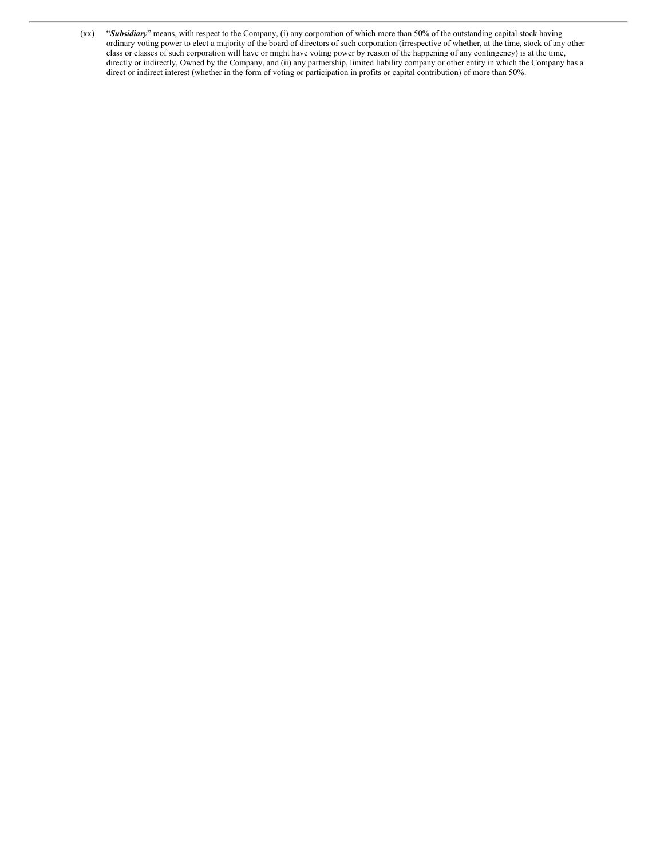(xx) "*Subsidiary*" means, with respect to the Company, (i) any corporation of which more than 50% of the outstanding capital stock having ordinary voting power to elect a majority of the board of directors of such corporation (irrespective of whether, at the time, stock of any other class or classes of such corporation will have or might have voting power by reason of the happening of any contingency) is at the time, directly or indirectly, Owned by the Company, and (ii) any partnership, limited liability company or other entity in which the Company has a direct or indirect interest (whether in the form of voting or participation in profits or capital contribution) of more than 50%.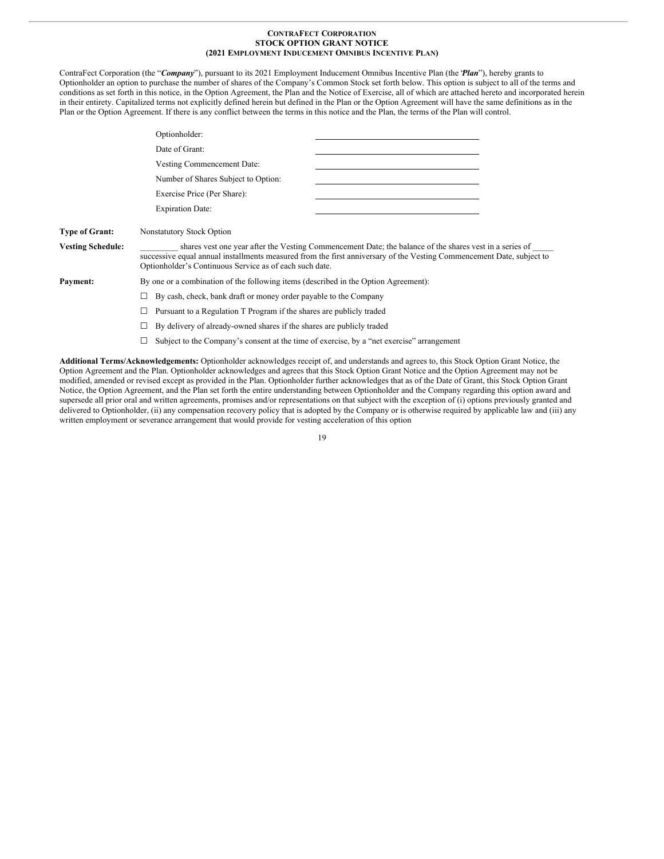#### **CONTRAFECT CORPORATION STOCK OPTION GRANT NOTICE (2021 EMPLOYMENT INDUCEMENT OMNIBUS INCENTIVE PLAN)**

ContraFect Corporation (the "*Company*"), pursuant to its 2021 Employment Inducement Omnibus Incentive Plan (the "*Plan*"), hereby grants to Optionholder an option to purchase the number of shares of the Company's Common Stock set forth below. This option is subject to all of the terms and conditions as set forth in this notice, in the Option Agreement, the Plan and the Notice of Exercise, all of which are attached hereto and incorporated herein in their entirety. Capitalized terms not explicitly defined herein but defined in the Plan or the Option Agreement will have the same definitions as in the Plan or the Option Agreement. If there is any conflict between the terms in this notice and the Plan, the terms of the Plan will control.

|                          | Optionholder:                                                                                                                                                                                                                                                                               |  |
|--------------------------|---------------------------------------------------------------------------------------------------------------------------------------------------------------------------------------------------------------------------------------------------------------------------------------------|--|
|                          | Date of Grant:                                                                                                                                                                                                                                                                              |  |
|                          | Vesting Commencement Date:                                                                                                                                                                                                                                                                  |  |
|                          | Number of Shares Subject to Option:                                                                                                                                                                                                                                                         |  |
|                          | Exercise Price (Per Share):                                                                                                                                                                                                                                                                 |  |
|                          | <b>Expiration Date:</b>                                                                                                                                                                                                                                                                     |  |
| <b>Type of Grant:</b>    | Nonstatutory Stock Option                                                                                                                                                                                                                                                                   |  |
| <b>Vesting Schedule:</b> | shares vest one year after the Vesting Commencement Date; the balance of the shares vest in a series of<br>successive equal annual installments measured from the first anniversary of the Vesting Commencement Date, subject to<br>Optionholder's Continuous Service as of each such date. |  |
| Payment:                 | By one or a combination of the following items (described in the Option Agreement):                                                                                                                                                                                                         |  |
|                          | By cash, check, bank draft or money order payable to the Company                                                                                                                                                                                                                            |  |
|                          | Pursuant to a Regulation T Program if the shares are publicly traded<br>⊔                                                                                                                                                                                                                   |  |
|                          | By delivery of already-owned shares if the shares are publicly traded<br>□                                                                                                                                                                                                                  |  |
|                          | Subject to the Company's consent at the time of exercise, by a "net exercise" arrangement<br>L                                                                                                                                                                                              |  |
|                          |                                                                                                                                                                                                                                                                                             |  |

**Additional Terms/Acknowledgements:** Optionholder acknowledges receipt of, and understands and agrees to, this Stock Option Grant Notice, the Option Agreement and the Plan. Optionholder acknowledges and agrees that this Stock Option Grant Notice and the Option Agreement may not be modified, amended or revised except as provided in the Plan. Optionholder further acknowledges that as of the Date of Grant, this Stock Option Grant Notice, the Option Agreement, and the Plan set forth the entire understanding between Optionholder and the Company regarding this option award and supersede all prior oral and written agreements, promises and/or representations on that subject with the exception of (i) options previously granted and delivered to Optionholder, (ii) any compensation recovery policy that is adopted by the Company or is otherwise required by applicable law and (iii) any written employment or severance arrangement that would provide for vesting acceleration of this option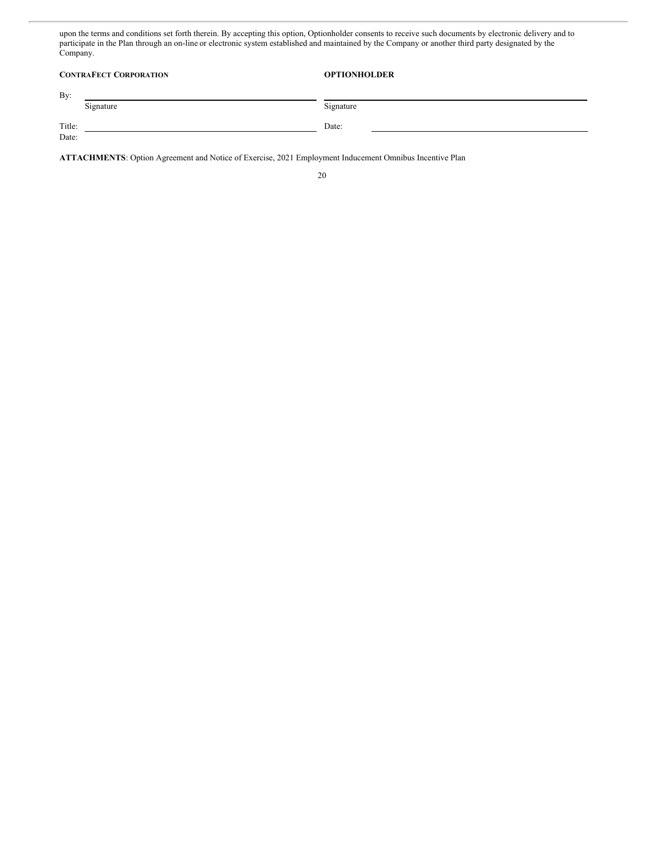upon the terms and conditions set forth therein. By accepting this option, Optionholder consents to receive such documents by electronic delivery and to participate in the Plan through an on-line or electronic system established and maintained by the Company or another third party designated by the Company.

| <b>CONTRAFECT CORPORATION</b>                                                                                  | <b>OPTIONHOLDER</b> |
|----------------------------------------------------------------------------------------------------------------|---------------------|
| By:                                                                                                            |                     |
| Signature                                                                                                      | Signature           |
| Title:                                                                                                         | Date:               |
| Date:                                                                                                          |                     |
| <b>ATTACHMENTS:</b> Option Agreement and Notice of Exercise, 2021 Employment Inducement Omnibus Incentive Plan |                     |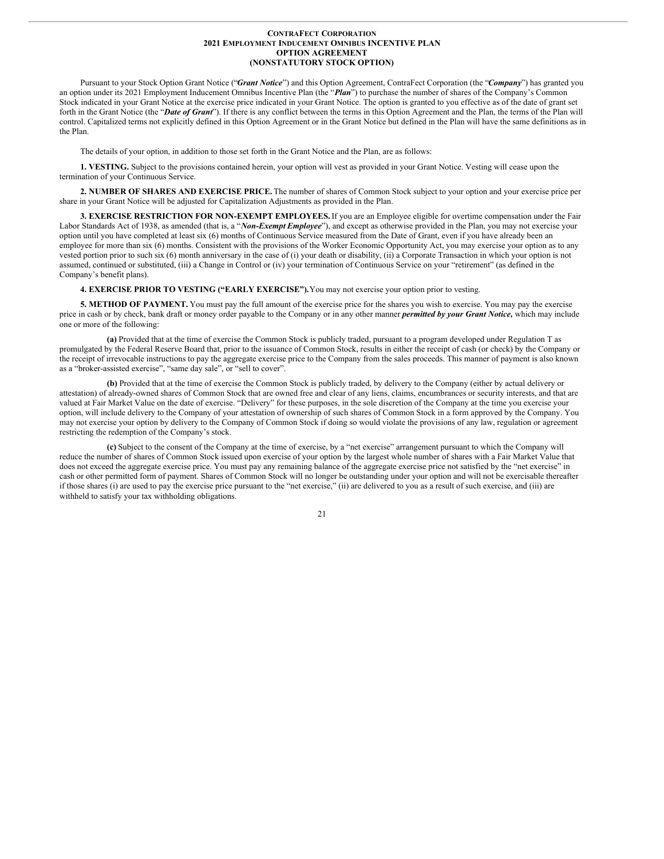### **CONTRAFECT CORPORATION 2021 EMPLOYMENT INDUCEMENT OMNIBUS INCENTIVE PLAN OPTION AGREEMENT (NONSTATUTORY STOCK OPTION)**

Pursuant to your Stock Option Grant Notice ("*Grant Notice*") and this Option Agreement, ContraFect Corporation (the "*Company*") has granted you an option under its 2021 Employment Inducement Omnibus Incentive Plan (the "*Plan*") to purchase the number of shares of the Company's Common Stock indicated in your Grant Notice at the exercise price indicated in your Grant Notice. The option is granted to you effective as of the date of grant set forth in the Grant Notice (the "*Date of Grant*"). If there is any conflict between the terms in this Option Agreement and the Plan, the terms of the Plan will control. Capitalized terms not explicitly defined in this Option Agreement or in the Grant Notice but defined in the Plan will have the same definitions as in the Plan.

The details of your option, in addition to those set forth in the Grant Notice and the Plan, are as follows:

**1. VESTING.** Subject to the provisions contained herein, your option will vest as provided in your Grant Notice. Vesting will cease upon the termination of your Continuous Service.

**2. NUMBER OF SHARES AND EXERCISE PRICE.** The number of shares of Common Stock subject to your option and your exercise price per share in your Grant Notice will be adjusted for Capitalization Adjustments as provided in the Plan.

**3. EXERCISE RESTRICTION FOR NON-EXEMPT EMPLOYEES.**If you are an Employee eligible for overtime compensation under the Fair Labor Standards Act of 1938, as amended (that is, a "*Non-Exempt Employee*"), and except as otherwise provided in the Plan, you may not exercise your option until you have completed at least six (6) months of Continuous Service measured from the Date of Grant, even if you have already been an employee for more than six (6) months. Consistent with the provisions of the Worker Economic Opportunity Act, you may exercise your option as to any vested portion prior to such six (6) month anniversary in the case of (i) your death or disability, (ii) a Corporate Transaction in which your option is not assumed, continued or substituted, (iii) a Change in Control or (iv) your termination of Continuous Service on your "retirement" (as defined in the Company's benefit plans).

**4. EXERCISE PRIOR TO VESTING ("EARLY EXERCISE").**You may not exercise your option prior to vesting.

**5. METHOD OF PAYMENT.** You must pay the full amount of the exercise price for the shares you wish to exercise. You may pay the exercise price in cash or by check, bank draft or money order payable to the Company or in any other manner *permitted by your Grant Notice,* which may include one or more of the following:

**(a)** Provided that at the time of exercise the Common Stock is publicly traded, pursuant to a program developed under Regulation T as promulgated by the Federal Reserve Board that, prior to the issuance of Common Stock, results in either the receipt of cash (or check) by the Company or the receipt of irrevocable instructions to pay the aggregate exercise price to the Company from the sales proceeds. This manner of payment is also known as a "broker-assisted exercise", "same day sale", or "sell to cover".

**(b)** Provided that at the time of exercise the Common Stock is publicly traded, by delivery to the Company (either by actual delivery or attestation) of already-owned shares of Common Stock that are owned free and clear of any liens, claims, encumbrances or security interests, and that are valued at Fair Market Value on the date of exercise. "Delivery" for these purposes, in the sole discretion of the Company at the time you exercise your option, will include delivery to the Company of your attestation of ownership of such shares of Common Stock in a form approved by the Company. You may not exercise your option by delivery to the Company of Common Stock if doing so would violate the provisions of any law, regulation or agreement restricting the redemption of the Company's stock.

**(c)** Subject to the consent of the Company at the time of exercise, by a "net exercise" arrangement pursuant to which the Company will reduce the number of shares of Common Stock issued upon exercise of your option by the largest whole number of shares with a Fair Market Value that does not exceed the aggregate exercise price. You must pay any remaining balance of the aggregate exercise price not satisfied by the "net exercise" in cash or other permitted form of payment. Shares of Common Stock will no longer be outstanding under your option and will not be exercisable thereafter if those shares (i) are used to pay the exercise price pursuant to the "net exercise," (ii) are delivered to you as a result of such exercise, and (iii) are withheld to satisfy your tax withholding obligations.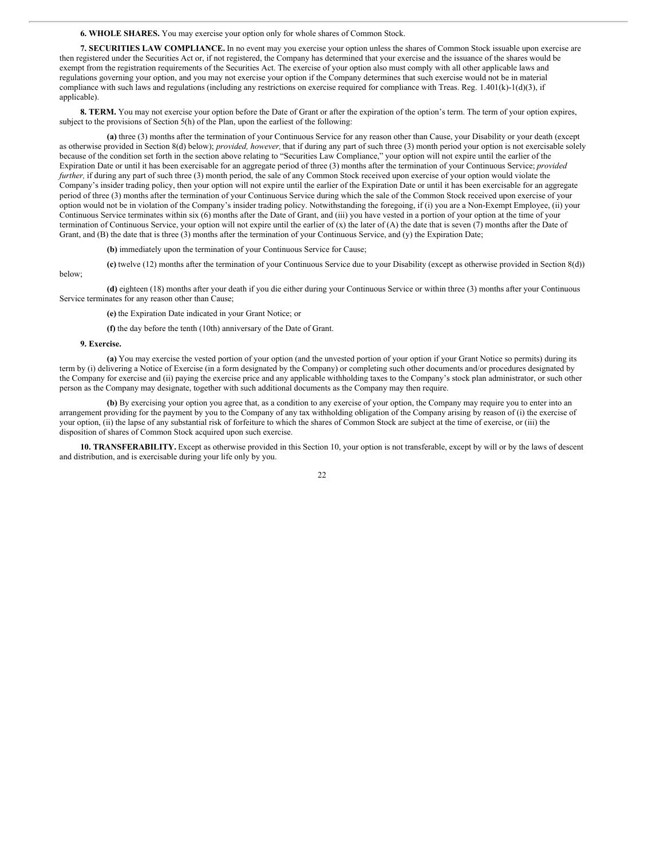**6. WHOLE SHARES.** You may exercise your option only for whole shares of Common Stock.

**7. SECURITIES LAW COMPLIANCE.** In no event may you exercise your option unless the shares of Common Stock issuable upon exercise are then registered under the Securities Act or, if not registered, the Company has determined that your exercise and the issuance of the shares would be exempt from the registration requirements of the Securities Act. The exercise of your option also must comply with all other applicable laws and regulations governing your option, and you may not exercise your option if the Company determines that such exercise would not be in material compliance with such laws and regulations (including any restrictions on exercise required for compliance with Treas. Reg. 1.401(k)-1(d)(3), if applicable).

**8. TERM.** You may not exercise your option before the Date of Grant or after the expiration of the option's term. The term of your option expires, subject to the provisions of Section 5(h) of the Plan, upon the earliest of the following:

**(a)** three (3) months after the termination of your Continuous Service for any reason other than Cause, your Disability or your death (except as otherwise provided in Section 8(d) below); *provided, however,* that if during any part of such three (3) month period your option is not exercisable solely because of the condition set forth in the section above relating to "Securities Law Compliance," your option will not expire until the earlier of the Expiration Date or until it has been exercisable for an aggregate period of three (3) months after the termination of your Continuous Service; *provided further,* if during any part of such three (3) month period, the sale of any Common Stock received upon exercise of your option would violate the Company's insider trading policy, then your option will not expire until the earlier of the Expiration Date or until it has been exercisable for an aggregate period of three (3) months after the termination of your Continuous Service during which the sale of the Common Stock received upon exercise of your option would not be in violation of the Company's insider trading policy. Notwithstanding the foregoing, if (i) you are a Non-Exempt Employee, (ii) your Continuous Service terminates within six (6) months after the Date of Grant, and (iii) you have vested in a portion of your option at the time of your termination of Continuous Service, your option will not expire until the earlier of (x) the later of (A) the date that is seven (7) months after the Date of Grant, and (B) the date that is three (3) months after the termination of your Continuous Service, and (y) the Expiration Date;

**(b)** immediately upon the termination of your Continuous Service for Cause;

**(c)** twelve (12) months after the termination of your Continuous Service due to your Disability (except as otherwise provided in Section 8(d)) below;

**(d)** eighteen (18) months after your death if you die either during your Continuous Service or within three (3) months after your Continuous Service terminates for any reason other than Cause;

**(e)** the Expiration Date indicated in your Grant Notice; or

**(f)** the day before the tenth (10th) anniversary of the Date of Grant.

#### **9. Exercise.**

**(a)** You may exercise the vested portion of your option (and the unvested portion of your option if your Grant Notice so permits) during its term by (i) delivering a Notice of Exercise (in a form designated by the Company) or completing such other documents and/or procedures designated by the Company for exercise and (ii) paying the exercise price and any applicable withholding taxes to the Company's stock plan administrator, or such other person as the Company may designate, together with such additional documents as the Company may then require.

**(b)** By exercising your option you agree that, as a condition to any exercise of your option, the Company may require you to enter into an arrangement providing for the payment by you to the Company of any tax withholding obligation of the Company arising by reason of (i) the exercise of your option, (ii) the lapse of any substantial risk of forfeiture to which the shares of Common Stock are subject at the time of exercise, or (iii) the disposition of shares of Common Stock acquired upon such exercise.

**10. TRANSFERABILITY.** Except as otherwise provided in this Section 10, your option is not transferable, except by will or by the laws of descent and distribution, and is exercisable during your life only by you.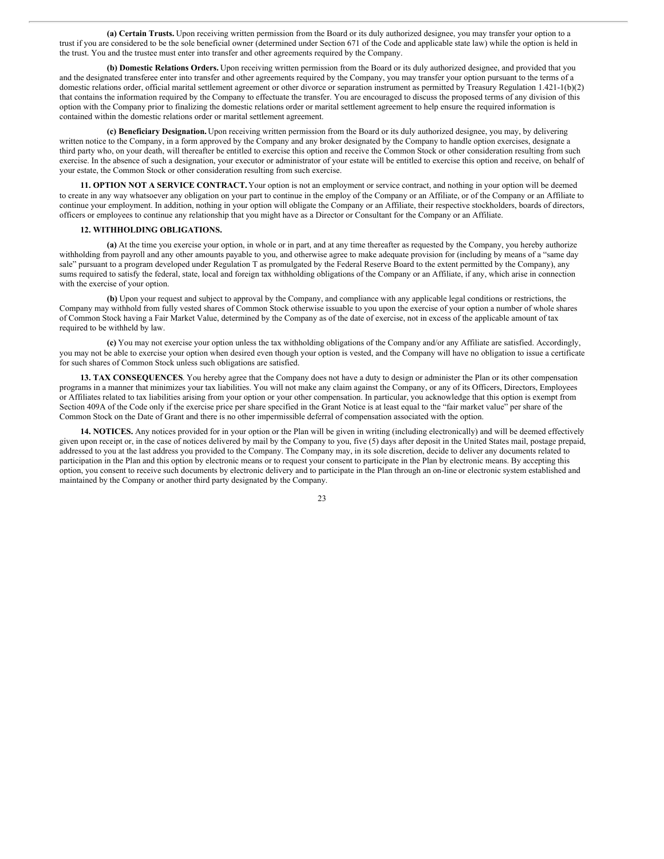**(a) Certain Trusts.** Upon receiving written permission from the Board or its duly authorized designee, you may transfer your option to a trust if you are considered to be the sole beneficial owner (determined under Section 671 of the Code and applicable state law) while the option is held in the trust. You and the trustee must enter into transfer and other agreements required by the Company.

**(b) Domestic Relations Orders.** Upon receiving written permission from the Board or its duly authorized designee, and provided that you and the designated transferee enter into transfer and other agreements required by the Company, you may transfer your option pursuant to the terms of a domestic relations order, official marital settlement agreement or other divorce or separation instrument as permitted by Treasury Regulation 1.421-1(b)(2) that contains the information required by the Company to effectuate the transfer. You are encouraged to discuss the proposed terms of any division of this option with the Company prior to finalizing the domestic relations order or marital settlement agreement to help ensure the required information is contained within the domestic relations order or marital settlement agreement.

**(c) Beneficiary Designation.** Upon receiving written permission from the Board or its duly authorized designee, you may, by delivering written notice to the Company, in a form approved by the Company and any broker designated by the Company to handle option exercises, designate a third party who, on your death, will thereafter be entitled to exercise this option and receive the Common Stock or other consideration resulting from such exercise. In the absence of such a designation, your executor or administrator of your estate will be entitled to exercise this option and receive, on behalf of your estate, the Common Stock or other consideration resulting from such exercise.

**11. OPTION NOT A SERVICE CONTRACT.**Your option is not an employment or service contract, and nothing in your option will be deemed to create in any way whatsoever any obligation on your part to continue in the employ of the Company or an Affiliate, or of the Company or an Affiliate to continue your employment. In addition, nothing in your option will obligate the Company or an Affiliate, their respective stockholders, boards of directors, officers or employees to continue any relationship that you might have as a Director or Consultant for the Company or an Affiliate.

#### **12. WITHHOLDING OBLIGATIONS.**

**(a)** At the time you exercise your option, in whole or in part, and at any time thereafter as requested by the Company, you hereby authorize withholding from payroll and any other amounts payable to you, and otherwise agree to make adequate provision for (including by means of a "same day sale" pursuant to a program developed under Regulation T as promulgated by the Federal Reserve Board to the extent permitted by the Company), any sums required to satisfy the federal, state, local and foreign tax withholding obligations of the Company or an Affiliate, if any, which arise in connection with the exercise of your option.

**(b)** Upon your request and subject to approval by the Company, and compliance with any applicable legal conditions or restrictions, the Company may withhold from fully vested shares of Common Stock otherwise issuable to you upon the exercise of your option a number of whole shares of Common Stock having a Fair Market Value, determined by the Company as of the date of exercise, not in excess of the applicable amount of tax required to be withheld by law.

**(c)** You may not exercise your option unless the tax withholding obligations of the Company and/or any Affiliate are satisfied. Accordingly, you may not be able to exercise your option when desired even though your option is vested, and the Company will have no obligation to issue a certificate for such shares of Common Stock unless such obligations are satisfied.

**13. TAX CONSEQUENCES**. You hereby agree that the Company does not have a duty to design or administer the Plan or its other compensation programs in a manner that minimizes your tax liabilities. You will not make any claim against the Company, or any of its Officers, Directors, Employees or Affiliates related to tax liabilities arising from your option or your other compensation. In particular, you acknowledge that this option is exempt from Section 409A of the Code only if the exercise price per share specified in the Grant Notice is at least equal to the "fair market value" per share of the Common Stock on the Date of Grant and there is no other impermissible deferral of compensation associated with the option.

**14. NOTICES.** Any notices provided for in your option or the Plan will be given in writing (including electronically) and will be deemed effectively given upon receipt or, in the case of notices delivered by mail by the Company to you, five (5) days after deposit in the United States mail, postage prepaid, addressed to you at the last address you provided to the Company. The Company may, in its sole discretion, decide to deliver any documents related to participation in the Plan and this option by electronic means or to request your consent to participate in the Plan by electronic means. By accepting this option, you consent to receive such documents by electronic delivery and to participate in the Plan through an on-line or electronic system established and maintained by the Company or another third party designated by the Company.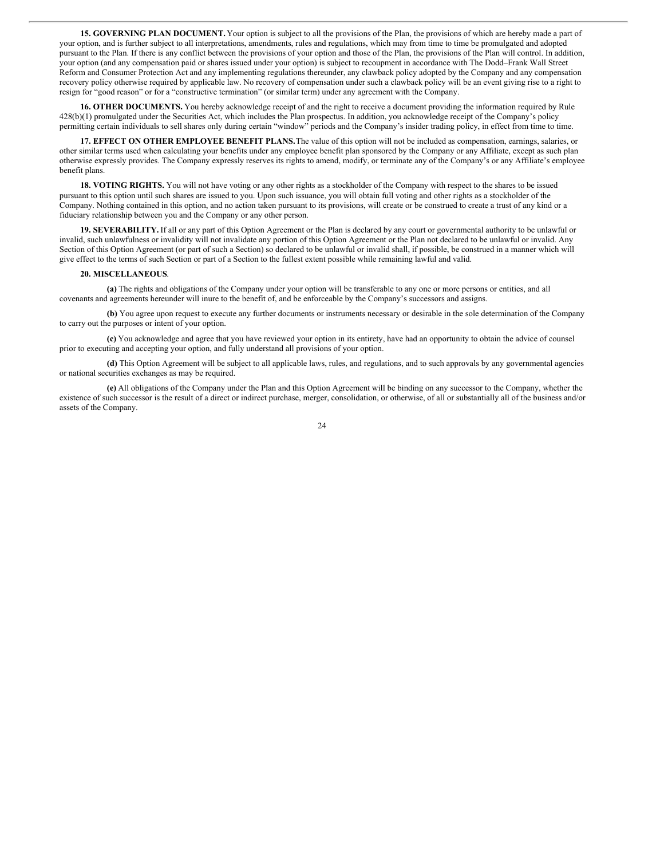**15. GOVERNING PLAN DOCUMENT.** Your option is subject to all the provisions of the Plan, the provisions of which are hereby made a part of your option, and is further subject to all interpretations, amendments, rules and regulations, which may from time to time be promulgated and adopted pursuant to the Plan. If there is any conflict between the provisions of your option and those of the Plan, the provisions of the Plan will control. In addition, your option (and any compensation paid or shares issued under your option) is subject to recoupment in accordance with The Dodd–Frank Wall Street Reform and Consumer Protection Act and any implementing regulations thereunder, any clawback policy adopted by the Company and any compensation recovery policy otherwise required by applicable law. No recovery of compensation under such a clawback policy will be an event giving rise to a right to resign for "good reason" or for a "constructive termination" (or similar term) under any agreement with the Company.

**16. OTHER DOCUMENTS.** You hereby acknowledge receipt of and the right to receive a document providing the information required by Rule 428(b)(1) promulgated under the Securities Act, which includes the Plan prospectus. In addition, you acknowledge receipt of the Company's policy permitting certain individuals to sell shares only during certain "window" periods and the Company's insider trading policy, in effect from time to time.

**17. EFFECT ON OTHER EMPLOYEE BENEFIT PLANS.**The value of this option will not be included as compensation, earnings, salaries, or other similar terms used when calculating your benefits under any employee benefit plan sponsored by the Company or any Affiliate, except as such plan otherwise expressly provides. The Company expressly reserves its rights to amend, modify, or terminate any of the Company's or any Affiliate's employee benefit plans.

**18. VOTING RIGHTS.** You will not have voting or any other rights as a stockholder of the Company with respect to the shares to be issued pursuant to this option until such shares are issued to you. Upon such issuance, you will obtain full voting and other rights as a stockholder of the Company. Nothing contained in this option, and no action taken pursuant to its provisions, will create or be construed to create a trust of any kind or a fiduciary relationship between you and the Company or any other person.

**19. SEVERABILITY.** If all or any part of this Option Agreement or the Plan is declared by any court or governmental authority to be unlawful or invalid, such unlawfulness or invalidity will not invalidate any portion of this Option Agreement or the Plan not declared to be unlawful or invalid. Any Section of this Option Agreement (or part of such a Section) so declared to be unlawful or invalid shall, if possible, be construed in a manner which will give effect to the terms of such Section or part of a Section to the fullest extent possible while remaining lawful and valid.

### **20. MISCELLANEOUS**.

**(a)** The rights and obligations of the Company under your option will be transferable to any one or more persons or entities, and all covenants and agreements hereunder will inure to the benefit of, and be enforceable by the Company's successors and assigns.

**(b)** You agree upon request to execute any further documents or instruments necessary or desirable in the sole determination of the Company to carry out the purposes or intent of your option.

**(c)** You acknowledge and agree that you have reviewed your option in its entirety, have had an opportunity to obtain the advice of counsel prior to executing and accepting your option, and fully understand all provisions of your option.

**(d)** This Option Agreement will be subject to all applicable laws, rules, and regulations, and to such approvals by any governmental agencies or national securities exchanges as may be required.

**(e)** All obligations of the Company under the Plan and this Option Agreement will be binding on any successor to the Company, whether the existence of such successor is the result of a direct or indirect purchase, merger, consolidation, or otherwise, of all or substantially all of the business and/or assets of the Company.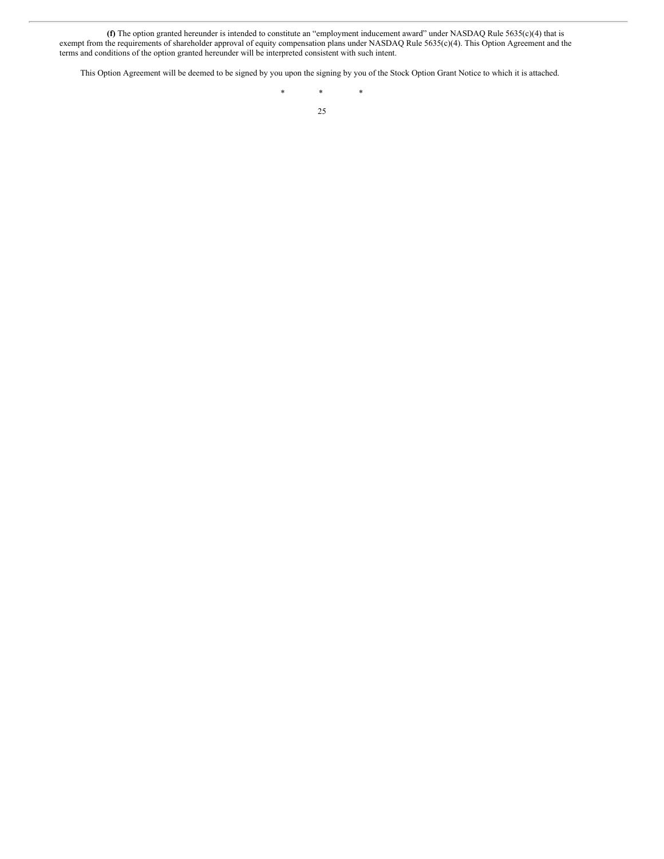**(f)** The option granted hereunder is intended to constitute an "employment inducement award" under NASDAQ Rule 5635(c)(4) that is exempt from the requirements of shareholder approval of equity compensation plans under NASDAQ Rule 5635(c)(4). This Option Agreement and the terms and conditions of the option granted hereunder will be interpreted consistent with such intent.

This Option Agreement will be deemed to be signed by you upon the signing by you of the Stock Option Grant Notice to which it is attached.

\* \* \* 25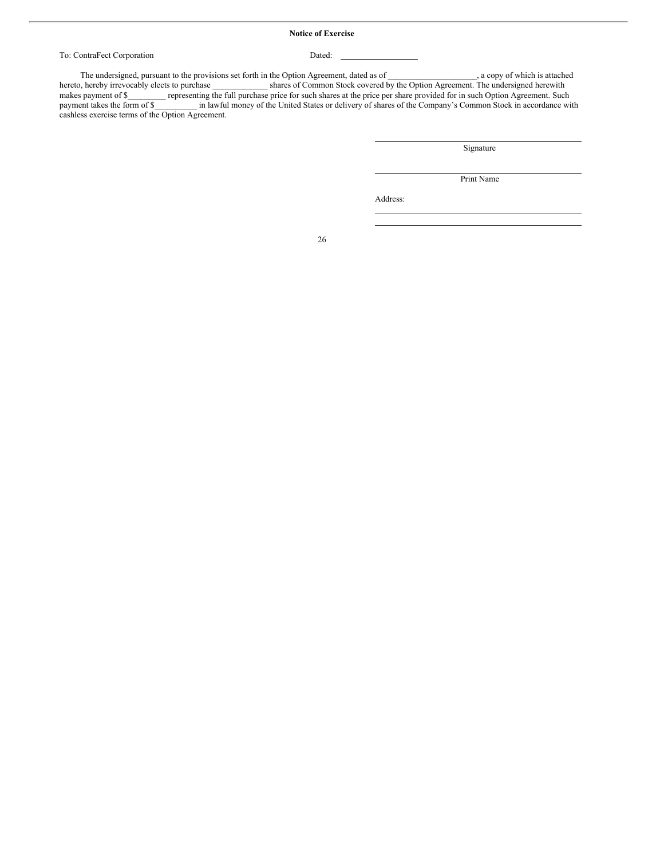### **Notice of Exercise**

## To: ContraFect Corporation Dated:

The undersigned, pursuant to the provisions set forth in the Option Agreement, dated as of \_\_\_\_\_\_\_\_\_\_\_\_\_\_\_\_\_\_\_\_\_, a copy of which is attached hereto, hereby irrevocably elects to purchase shares of Common Stock covered by the Option Agreement. The undersigned herewith makes payment of \$ representing the full purchase price for such shares at the price per share provided for in such Option Agreement. Such payment takes the form of \$  $\qquad \qquad$  in lawful money of the United States or delivery of shares of the Company's Common Stock in accordance with cashless exercise terms of the Option Agreement.

Signature

Print Name

Address: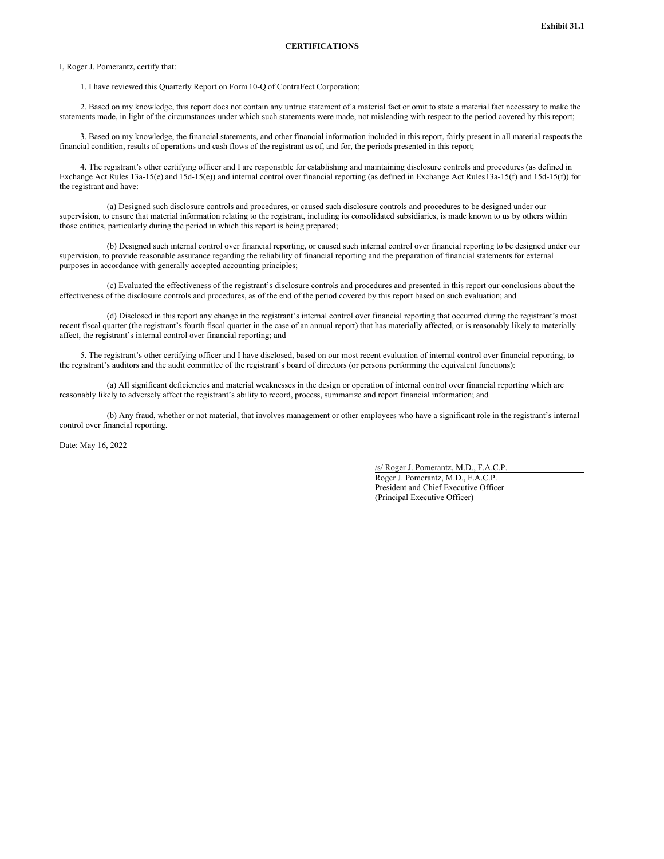## I, Roger J. Pomerantz, certify that:

1. I have reviewed this Quarterly Report on Form10-Q of ContraFect Corporation;

2. Based on my knowledge, this report does not contain any untrue statement of a material fact or omit to state a material fact necessary to make the statements made, in light of the circumstances under which such statements were made, not misleading with respect to the period covered by this report;

3. Based on my knowledge, the financial statements, and other financial information included in this report, fairly present in all material respects the financial condition, results of operations and cash flows of the registrant as of, and for, the periods presented in this report;

4. The registrant's other certifying officer and I are responsible for establishing and maintaining disclosure controls and procedures (as defined in Exchange Act Rules 13a-15(e) and 15d-15(e)) and internal control over financial reporting (as defined in Exchange Act Rules 13a-15(f) and 15d-15(f)) for the registrant and have:

(a) Designed such disclosure controls and procedures, or caused such disclosure controls and procedures to be designed under our supervision, to ensure that material information relating to the registrant, including its consolidated subsidiaries, is made known to us by others within those entities, particularly during the period in which this report is being prepared;

(b) Designed such internal control over financial reporting, or caused such internal control over financial reporting to be designed under our supervision, to provide reasonable assurance regarding the reliability of financial reporting and the preparation of financial statements for external purposes in accordance with generally accepted accounting principles;

(c) Evaluated the effectiveness of the registrant's disclosure controls and procedures and presented in this report our conclusions about the effectiveness of the disclosure controls and procedures, as of the end of the period covered by this report based on such evaluation; and

(d) Disclosed in this report any change in the registrant's internal control over financial reporting that occurred during the registrant's most recent fiscal quarter (the registrant's fourth fiscal quarter in the case of an annual report) that has materially affected, or is reasonably likely to materially affect, the registrant's internal control over financial reporting; and

5. The registrant's other certifying officer and I have disclosed, based on our most recent evaluation of internal control over financial reporting, to the registrant's auditors and the audit committee of the registrant's board of directors (or persons performing the equivalent functions):

(a) All significant deficiencies and material weaknesses in the design or operation of internal control over financial reporting which are reasonably likely to adversely affect the registrant's ability to record, process, summarize and report financial information; and

(b) Any fraud, whether or not material, that involves management or other employees who have a significant role in the registrant's internal control over financial reporting.

Date: May 16, 2022

/s/ Roger J. Pomerantz, M.D., F.A.C.P.

Roger J. Pomerantz, M.D., F.A.C.P. President and Chief Executive Officer (Principal Executive Officer)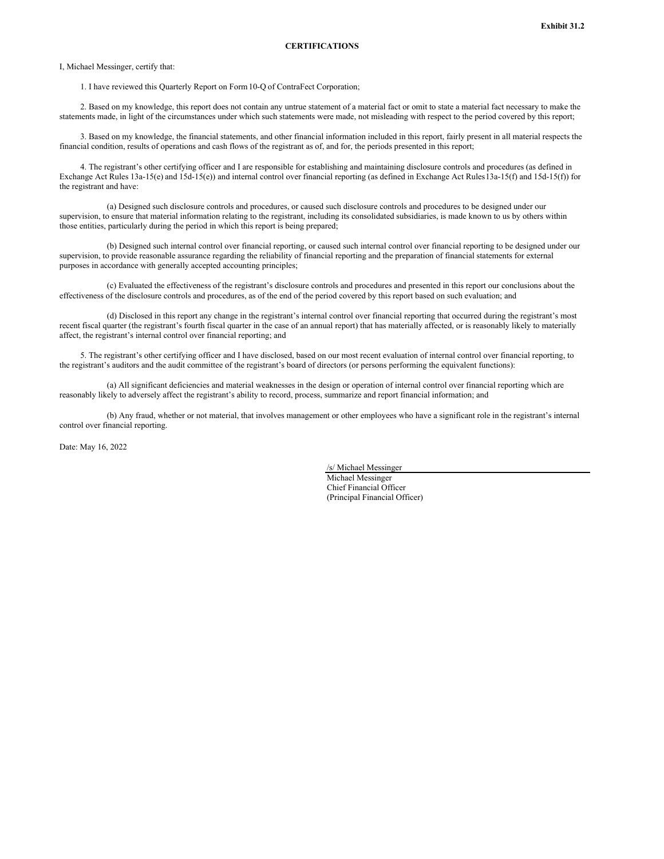I, Michael Messinger, certify that:

1. I have reviewed this Quarterly Report on Form10-Q of ContraFect Corporation;

2. Based on my knowledge, this report does not contain any untrue statement of a material fact or omit to state a material fact necessary to make the statements made, in light of the circumstances under which such statements were made, not misleading with respect to the period covered by this report;

3. Based on my knowledge, the financial statements, and other financial information included in this report, fairly present in all material respects the financial condition, results of operations and cash flows of the registrant as of, and for, the periods presented in this report;

4. The registrant's other certifying officer and I are responsible for establishing and maintaining disclosure controls and procedures (as defined in Exchange Act Rules 13a-15(e) and 15d-15(e)) and internal control over financial reporting (as defined in Exchange Act Rules 13a-15(f) and 15d-15(f)) for the registrant and have:

(a) Designed such disclosure controls and procedures, or caused such disclosure controls and procedures to be designed under our supervision, to ensure that material information relating to the registrant, including its consolidated subsidiaries, is made known to us by others within those entities, particularly during the period in which this report is being prepared;

(b) Designed such internal control over financial reporting, or caused such internal control over financial reporting to be designed under our supervision, to provide reasonable assurance regarding the reliability of financial reporting and the preparation of financial statements for external purposes in accordance with generally accepted accounting principles;

(c) Evaluated the effectiveness of the registrant's disclosure controls and procedures and presented in this report our conclusions about the effectiveness of the disclosure controls and procedures, as of the end of the period covered by this report based on such evaluation; and

(d) Disclosed in this report any change in the registrant's internal control over financial reporting that occurred during the registrant's most recent fiscal quarter (the registrant's fourth fiscal quarter in the case of an annual report) that has materially affected, or is reasonably likely to materially affect, the registrant's internal control over financial reporting; and

5. The registrant's other certifying officer and I have disclosed, based on our most recent evaluation of internal control over financial reporting, to the registrant's auditors and the audit committee of the registrant's board of directors (or persons performing the equivalent functions):

(a) All significant deficiencies and material weaknesses in the design or operation of internal control over financial reporting which are reasonably likely to adversely affect the registrant's ability to record, process, summarize and report financial information; and

(b) Any fraud, whether or not material, that involves management or other employees who have a significant role in the registrant's internal control over financial reporting.

Date: May 16, 2022

/s/ Michael Messinger Michael Messinger Chief Financial Officer (Principal Financial Officer)